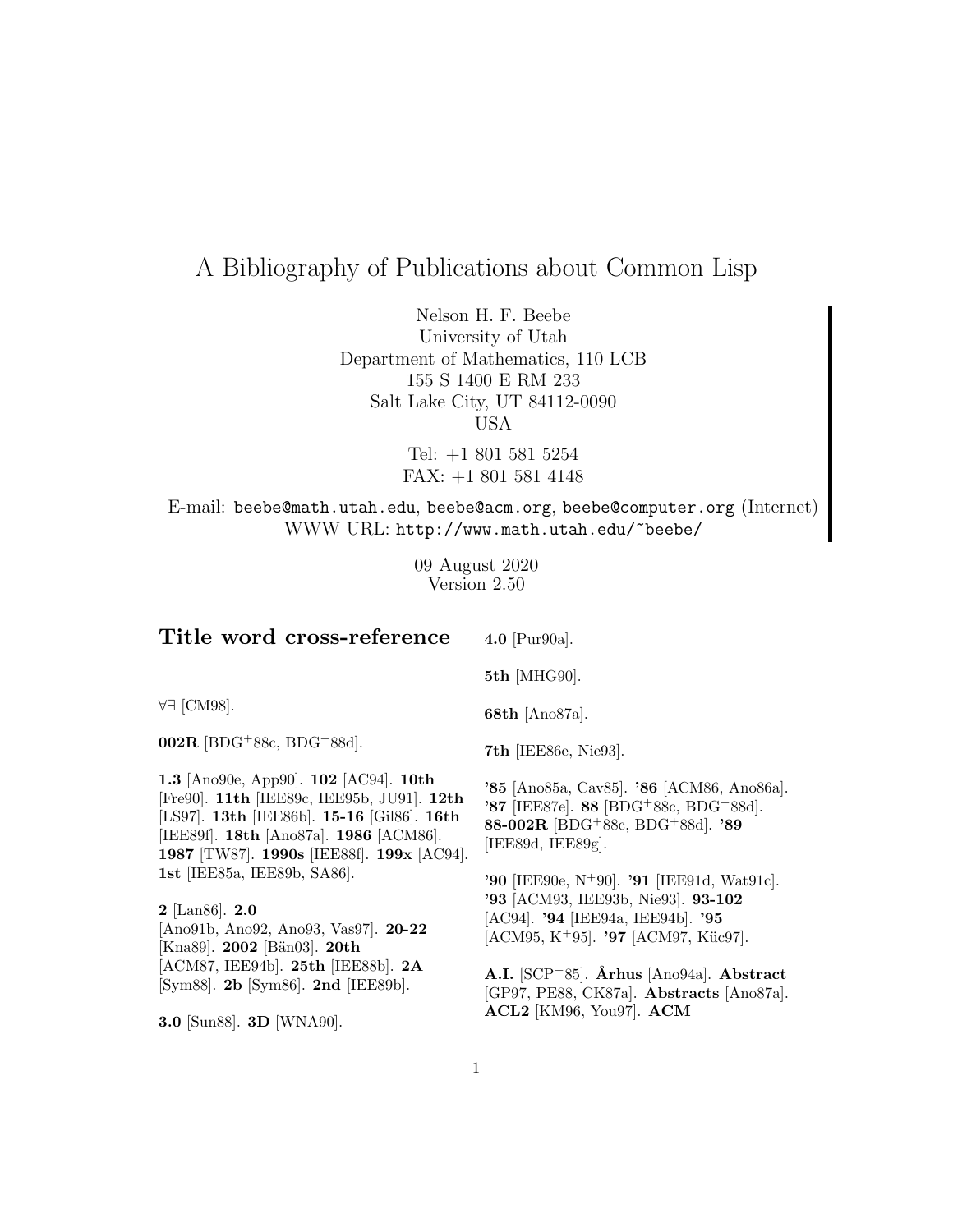# A Bibliography of Publications about Common Lisp

Nelson H. F. Beebe University of Utah Department of Mathematics, 110 LCB 155 S 1400 E RM 233 Salt Lake City, UT 84112-0090 USA

> Tel: +1 801 581 5254 FAX: +1 801 581 4148

E-mail: beebe@math.utah.edu, beebe@acm.org, beebe@computer.org (Internet) WWW URL: http://www.math.utah.edu/~beebe/

> 09 August 2020 Version 2.50

| Title word cross-reference                                                                                                                                                                                                   | 4.0 [ $Pur90a$ ].                                                                                                                                                                                  |
|------------------------------------------------------------------------------------------------------------------------------------------------------------------------------------------------------------------------------|----------------------------------------------------------------------------------------------------------------------------------------------------------------------------------------------------|
|                                                                                                                                                                                                                              | 5th [MHG90].                                                                                                                                                                                       |
| ∀∃ [CM98].                                                                                                                                                                                                                   | <b>68th</b> [Ano87a].                                                                                                                                                                              |
| $002R$ [BDG <sup>+</sup> 88c, BDG <sup>+</sup> 88d].                                                                                                                                                                         | <b>7th</b> [IEE86e, Nie93].                                                                                                                                                                        |
| 1.3 [Ano90e, App90]. $102$ [AC94]. $10th$<br>[Fre90]. 11th [IEE89c, IEE95b, JU91]. 12th<br>[LS97]. 13th [IEE86b]. 15-16 [Gil86]. 16th<br>[IEE89f]. 18th [Ano87a]. 1986 [ACM86].<br>1987 [TW87]. 1990s [IEE88f]. 199x [AC94]. | '85 [Ano85a, Cav85]. '86 [ACM86, Ano86a].<br>'87 [IEE87e]. 88 [BDG+88c, BDG+88d].<br>88-002R [BDG <sup>+</sup> 88c, BDG <sup>+</sup> 88d]. '89<br>[IEE89d, IEE89g].                                |
| 1st [IEE85a, IEE89b, SA86].<br>$2$ [Lan86]. $2.0$<br>[Ano91b, Ano92, Ano93, Vas97]. $20-22$<br>[Kna89]. 2002 [Bän03]. 20th                                                                                                   | <b>'90</b> [IEE90e, N <sup>+</sup> 90]. <b>'91</b> [IEE91d, Wat91c].<br>'93 [ACM93, IEE93b, Nie93]. 93-102<br>[AC94]. '94 [IEE94a, IEE94b]. '95<br>[ACM95, K <sup>+</sup> 95]. '97 [ACM97, Küc97]. |
| $[ACM87, IEE94b]$ . 25th $[IEE88b]$ . 2A<br>[Sym88]. 2b [Sym86]. 2nd [IEE89b].                                                                                                                                               | A.I. $[SCP+85]$ . Århus [Ano94a]. Abstract<br>[GP97, PE88, CK87a]. Abstracts [Ano87a].                                                                                                             |

**3.0** [Sun88]. **3D** [WNA90].

**A.I.** [SCP<sup>+</sup>85]. **˚Arhus** [Ano94a]. **Abstract** [GP97, PE88, CK87a]. **Abstracts** [Ano87a]. **ACL2** [KM96, You97]. **ACM**

1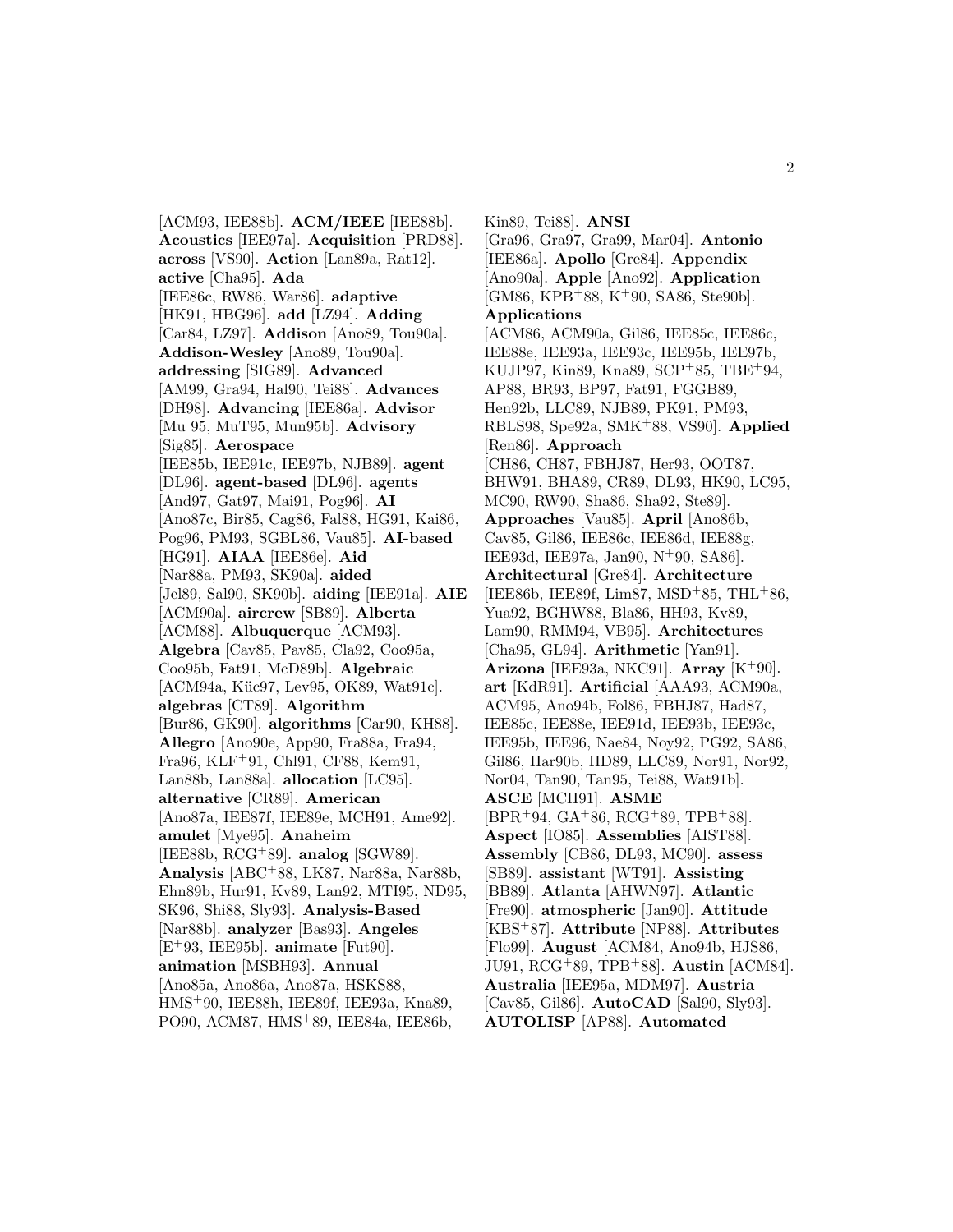[ACM93, IEE88b]. **ACM/IEEE** [IEE88b]. **Acoustics** [IEE97a]. **Acquisition** [PRD88]. **across** [VS90]. **Action** [Lan89a, Rat12]. **active** [Cha95]. **Ada** [IEE86c, RW86, War86]. **adaptive** [HK91, HBG96]. **add** [LZ94]. **Adding** [Car84, LZ97]. **Addison** [Ano89, Tou90a]. **Addison-Wesley** [Ano89, Tou90a]. **addressing** [SIG89]. **Advanced** [AM99, Gra94, Hal90, Tei88]. **Advances** [DH98]. **Advancing** [IEE86a]. **Advisor** [Mu 95, MuT95, Mun95b]. **Advisory** [Sig85]. **Aerospace** [IEE85b, IEE91c, IEE97b, NJB89]. **agent** [DL96]. **agent-based** [DL96]. **agents** [And97, Gat97, Mai91, Pog96]. **AI** [Ano87c, Bir85, Cag86, Fal88, HG91, Kai86, Pog96, PM93, SGBL86, Vau85]. **AI-based** [HG91]. **AIAA** [IEE86e]. **Aid** [Nar88a, PM93, SK90a]. **aided** [Jel89, Sal90, SK90b]. **aiding** [IEE91a]. **AIE** [ACM90a]. **aircrew** [SB89]. **Alberta** [ACM88]. **Albuquerque** [ACM93]. **Algebra** [Cav85, Pav85, Cla92, Coo95a, Coo95b, Fat91, McD89b]. **Algebraic** [ACM94a, Küc97, Lev95, OK89, Wat91c]. **algebras** [CT89]. **Algorithm** [Bur86, GK90]. **algorithms** [Car90, KH88]. **Allegro** [Ano90e, App90, Fra88a, Fra94, Fra96, KLF<sup>+</sup>91, Chl91, CF88, Kem91, Lan88b, Lan88a]. **allocation** [LC95]. **alternative** [CR89]. **American** [Ano87a, IEE87f, IEE89e, MCH91, Ame92]. **amulet** [Mye95]. **Anaheim** [IEE88b, RCG<sup>+</sup>89]. **analog** [SGW89]. **Analysis** [ABC<sup>+</sup>88, LK87, Nar88a, Nar88b, Ehn89b, Hur91, Kv89, Lan92, MTI95, ND95, SK96, Shi88, Sly93]. **Analysis-Based** [Nar88b]. **analyzer** [Bas93]. **Angeles** [E<sup>+</sup>93, IEE95b]. **animate** [Fut90]. **animation** [MSBH93]. **Annual** [Ano85a, Ano86a, Ano87a, HSKS88, HMS<sup>+</sup>90, IEE88h, IEE89f, IEE93a, Kna89, PO90, ACM87, HMS<sup>+</sup>89, IEE84a, IEE86b,

Kin89, Tei88]. **ANSI** [Gra96, Gra97, Gra99, Mar04]. **Antonio** [IEE86a]. **Apollo** [Gre84]. **Appendix** [Ano90a]. **Apple** [Ano92]. **Application**  $[GM86, KPB+88, K+90, SAS6, Ste90b].$ **Applications** [ACM86, ACM90a, Gil86, IEE85c, IEE86c, IEE88e, IEE93a, IEE93c, IEE95b, IEE97b, KUJP97, Kin89, Kna89, SCP<sup>+</sup>85, TBE<sup>+</sup>94, AP88, BR93, BP97, Fat91, FGGB89, Hen92b, LLC89, NJB89, PK91, PM93, RBLS98, Spe92a, SMK<sup>+</sup>88, VS90]. **Applied** [Ren86]. **Approach** [CH86, CH87, FBHJ87, Her93, OOT87, BHW91, BHA89, CR89, DL93, HK90, LC95, MC90, RW90, Sha86, Sha92, Ste89]. **Approaches** [Vau85]. **April** [Ano86b, Cav85, Gil86, IEE86c, IEE86d, IEE88g, IEE93d, IEE97a, Jan90, N<sup>+</sup>90, SA86]. **Architectural** [Gre84]. **Architecture** [IEE86b, IEE89f, Lim87, MSD<sup>+</sup>85, THL<sup>+</sup>86, Yua92, BGHW88, Bla86, HH93, Kv89, Lam90, RMM94, VB95]. **Architectures** [Cha95, GL94]. **Arithmetic** [Yan91]. **Arizona** [IEE93a, NKC91]. **Array** [K<sup>+</sup>90]. **art** [KdR91]. **Artificial** [AAA93, ACM90a, ACM95, Ano94b, Fol86, FBHJ87, Had87, IEE85c, IEE88e, IEE91d, IEE93b, IEE93c, IEE95b, IEE96, Nae84, Noy92, PG92, SA86, Gil86, Har90b, HD89, LLC89, Nor91, Nor92, Nor04, Tan90, Tan95, Tei88, Wat91b]. **ASCE** [MCH91]. **ASME**  $[BPR+94, GA+86, RCG+89, TPB+88].$ **Aspect** [IO85]. **Assemblies** [AIST88]. **Assembly** [CB86, DL93, MC90]. **assess** [SB89]. **assistant** [WT91]. **Assisting** [BB89]. **Atlanta** [AHWN97]. **Atlantic** [Fre90]. **atmospheric** [Jan90]. **Attitude** [KBS<sup>+</sup>87]. **Attribute** [NP88]. **Attributes** [Flo99]. **August** [ACM84, Ano94b, HJS86, JU91, RCG<sup>+</sup>89, TPB<sup>+</sup>88]. **Austin** [ACM84]. **Australia** [IEE95a, MDM97]. **Austria** [Cav85, Gil86]. **AutoCAD** [Sal90, Sly93]. **AUTOLISP** [AP88]. **Automated**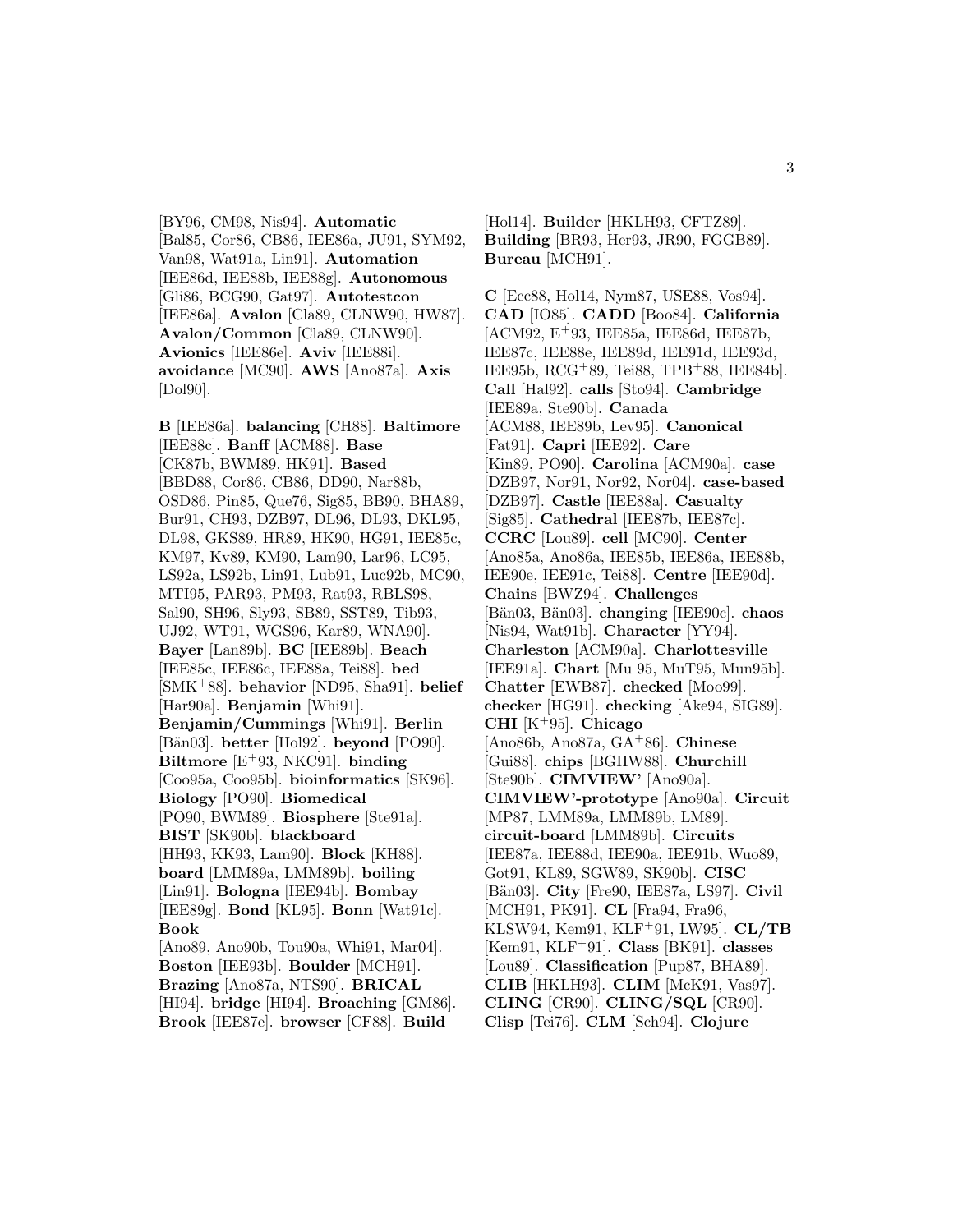[BY96, CM98, Nis94]. **Automatic** [Bal85, Cor86, CB86, IEE86a, JU91, SYM92, Van98, Wat91a, Lin91]. **Automation** [IEE86d, IEE88b, IEE88g]. **Autonomous** [Gli86, BCG90, Gat97]. **Autotestcon** [IEE86a]. **Avalon** [Cla89, CLNW90, HW87]. **Avalon/Common** [Cla89, CLNW90]. **Avionics** [IEE86e]. **Aviv** [IEE88i]. **avoidance** [MC90]. **AWS** [Ano87a]. **Axis** [Dol90].

**B** [IEE86a]. **balancing** [CH88]. **Baltimore** [IEE88c]. **Banff** [ACM88]. **Base** [CK87b, BWM89, HK91]. **Based** [BBD88, Cor86, CB86, DD90, Nar88b, OSD86, Pin85, Que76, Sig85, BB90, BHA89, Bur91, CH93, DZB97, DL96, DL93, DKL95, DL98, GKS89, HR89, HK90, HG91, IEE85c, KM97, Kv89, KM90, Lam90, Lar96, LC95, LS92a, LS92b, Lin91, Lub91, Luc92b, MC90, MTI95, PAR93, PM93, Rat93, RBLS98, Sal90, SH96, Sly93, SB89, SST89, Tib93, UJ92, WT91, WGS96, Kar89, WNA90]. **Bayer** [Lan89b]. **BC** [IEE89b]. **Beach** [IEE85c, IEE86c, IEE88a, Tei88]. **bed** [SMK<sup>+</sup>88]. **behavior** [ND95, Sha91]. **belief** [Har90a]. **Benjamin** [Whi91]. **Benjamin/Cummings** [Whi91]. **Berlin** [B¨an03]. **better** [Hol92]. **beyond** [PO90]. **Biltmore** [E<sup>+</sup>93, NKC91]. **binding** [Coo95a, Coo95b]. **bioinformatics** [SK96]. **Biology** [PO90]. **Biomedical** [PO90, BWM89]. **Biosphere** [Ste91a]. **BIST** [SK90b]. **blackboard** [HH93, KK93, Lam90]. **Block** [KH88]. **board** [LMM89a, LMM89b]. **boiling** [Lin91]. **Bologna** [IEE94b]. **Bombay** [IEE89g]. **Bond** [KL95]. **Bonn** [Wat91c]. **Book** [Ano89, Ano90b, Tou90a, Whi91, Mar04]. **Boston** [IEE93b]. **Boulder** [MCH91]. **Brazing** [Ano87a, NTS90]. **BRICAL** [HI94]. **bridge** [HI94]. **Broaching** [GM86]. **Brook** [IEE87e]. **browser** [CF88]. **Build**

[Hol14]. **Builder** [HKLH93, CFTZ89]. **Building** [BR93, Her93, JR90, FGGB89]. **Bureau** [MCH91].

**C** [Ecc88, Hol14, Nym87, USE88, Vos94]. **CAD** [IO85]. **CADD** [Boo84]. **California** [ACM92, E<sup>+</sup>93, IEE85a, IEE86d, IEE87b, IEE87c, IEE88e, IEE89d, IEE91d, IEE93d, IEE95b, RCG<sup>+</sup>89, Tei88, TPB<sup>+</sup>88, IEE84b]. **Call** [Hal92]. **calls** [Sto94]. **Cambridge** [IEE89a, Ste90b]. **Canada** [ACM88, IEE89b, Lev95]. **Canonical** [Fat91]. **Capri** [IEE92]. **Care** [Kin89, PO90]. **Carolina** [ACM90a]. **case** [DZB97, Nor91, Nor92, Nor04]. **case-based** [DZB97]. **Castle** [IEE88a]. **Casualty** [Sig85]. **Cathedral** [IEE87b, IEE87c]. **CCRC** [Lou89]. **cell** [MC90]. **Center** [Ano85a, Ano86a, IEE85b, IEE86a, IEE88b, IEE90e, IEE91c, Tei88]. **Centre** [IEE90d]. **Chains** [BWZ94]. **Challenges** [B¨an03, B¨an03]. **changing** [IEE90c]. **chaos** [Nis94, Wat91b]. **Character** [YY94]. **Charleston** [ACM90a]. **Charlottesville** [IEE91a]. **Chart** [Mu 95, MuT95, Mun95b]. **Chatter** [EWB87]. **checked** [Moo99]. **checker** [HG91]. **checking** [Ake94, SIG89]. **CHI** [K<sup>+</sup>95]. **Chicago** [Ano86b, Ano87a, GA<sup>+</sup>86]. **Chinese** [Gui88]. **chips** [BGHW88]. **Churchill** [Ste90b]. **CIMVIEW'** [Ano90a]. **CIMVIEW'-prototype** [Ano90a]. **Circuit** [MP87, LMM89a, LMM89b, LM89]. **circuit-board** [LMM89b]. **Circuits** [IEE87a, IEE88d, IEE90a, IEE91b, Wuo89, Got91, KL89, SGW89, SK90b]. **CISC** [B¨an03]. **City** [Fre90, IEE87a, LS97]. **Civil** [MCH91, PK91]. **CL** [Fra94, Fra96, KLSW94, Kem91, KLF<sup>+</sup>91, LW95]. **CL/TB** [Kem91, KLF<sup>+</sup>91]. **Class** [BK91]. **classes** [Lou89]. **Classification** [Pup87, BHA89]. **CLIB** [HKLH93]. **CLIM** [McK91, Vas97]. **CLING** [CR90]. **CLING/SQL** [CR90]. **Clisp** [Tei76]. **CLM** [Sch94]. **Clojure**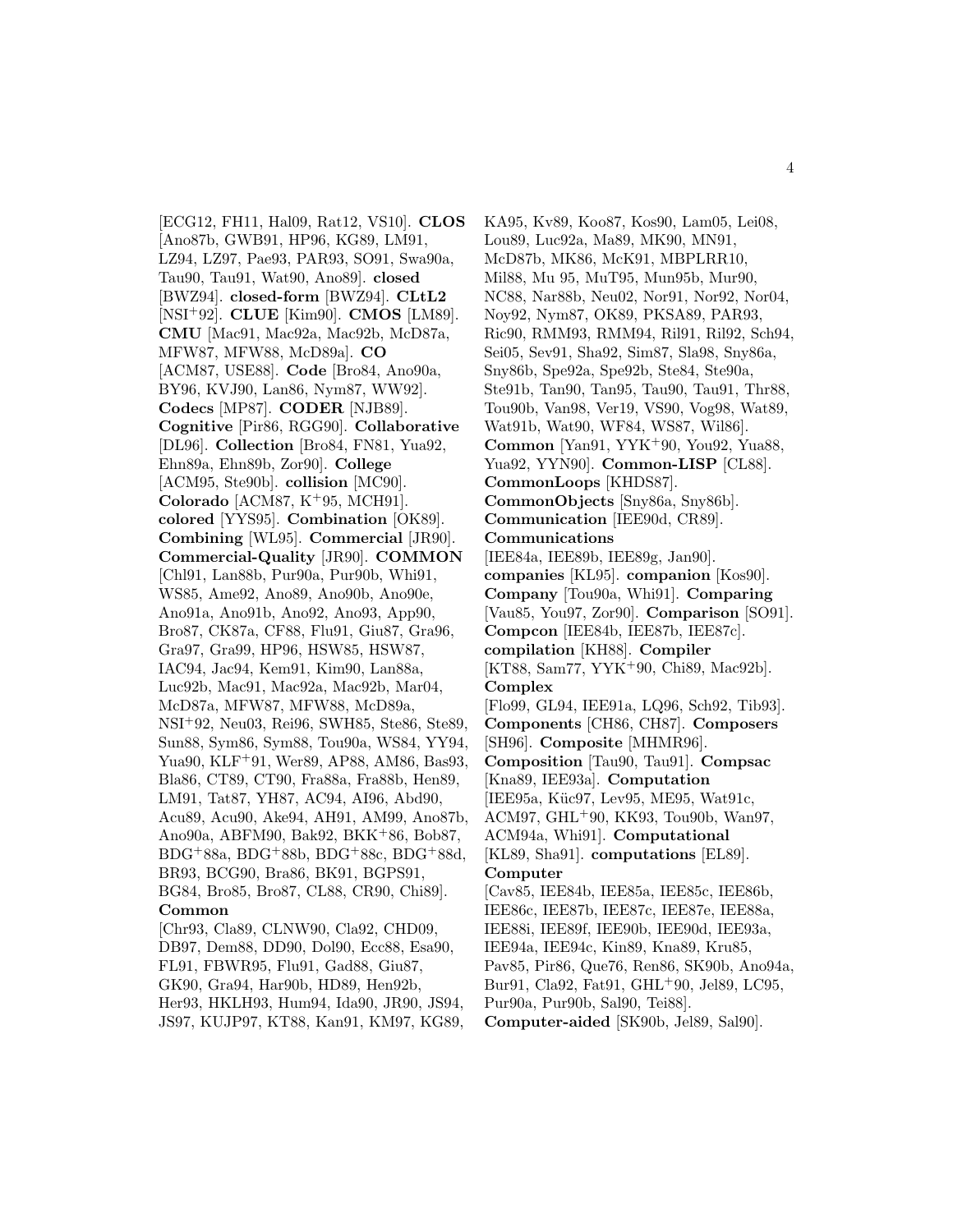[ECG12, FH11, Hal09, Rat12, VS10]. **CLOS** [Ano87b, GWB91, HP96, KG89, LM91, LZ94, LZ97, Pae93, PAR93, SO91, Swa90a, Tau90, Tau91, Wat90, Ano89]. **closed** [BWZ94]. **closed-form** [BWZ94]. **CLtL2** [NSI<sup>+</sup>92]. **CLUE** [Kim90]. **CMOS** [LM89]. **CMU** [Mac91, Mac92a, Mac92b, McD87a, MFW87, MFW88, McD89a]. **CO** [ACM87, USE88]. **Code** [Bro84, Ano90a, BY96, KVJ90, Lan86, Nym87, WW92]. **Codecs** [MP87]. **CODER** [NJB89]. **Cognitive** [Pir86, RGG90]. **Collaborative** [DL96]. **Collection** [Bro84, FN81, Yua92, Ehn89a, Ehn89b, Zor90]. **College** [ACM95, Ste90b]. **collision** [MC90]. **Colorado** [ACM87, K<sup>+</sup>95, MCH91]. **colored** [YYS95]. **Combination** [OK89]. **Combining** [WL95]. **Commercial** [JR90]. **Commercial-Quality** [JR90]. **COMMON** [Chl91, Lan88b, Pur90a, Pur90b, Whi91, WS85, Ame92, Ano89, Ano90b, Ano90e, Ano91a, Ano91b, Ano92, Ano93, App90, Bro87, CK87a, CF88, Flu91, Giu87, Gra96, Gra97, Gra99, HP96, HSW85, HSW87, IAC94, Jac94, Kem91, Kim90, Lan88a, Luc92b, Mac91, Mac92a, Mac92b, Mar04, McD87a, MFW87, MFW88, McD89a, NSI<sup>+</sup>92, Neu03, Rei96, SWH85, Ste86, Ste89, Sun88, Sym86, Sym88, Tou90a, WS84, YY94, Yua90, KLF<sup>+</sup>91, Wer89, AP88, AM86, Bas93, Bla86, CT89, CT90, Fra88a, Fra88b, Hen89, LM91, Tat87, YH87, AC94, AI96, Abd90, Acu89, Acu90, Ake94, AH91, AM99, Ano87b, Ano90a, ABFM90, Bak92, BKK<sup>+</sup>86, Bob87, BDG<sup>+</sup>88a, BDG<sup>+</sup>88b, BDG<sup>+</sup>88c, BDG<sup>+</sup>88d, BR93, BCG90, Bra86, BK91, BGPS91, BG84, Bro85, Bro87, CL88, CR90, Chi89]. **Common** [Chr93, Cla89, CLNW90, Cla92, CHD09, DB97, Dem88, DD90, Dol90, Ecc88, Esa90, FL91, FBWR95, Flu91, Gad88, Giu87, GK90, Gra94, Har90b, HD89, Hen92b, Her93, HKLH93, Hum94, Ida90, JR90, JS94,

JS97, KUJP97, KT88, Kan91, KM97, KG89,

KA95, Kv89, Koo87, Kos90, Lam05, Lei08, Lou89, Luc92a, Ma89, MK90, MN91, McD87b, MK86, McK91, MBPLRR10, Mil88, Mu 95, MuT95, Mun95b, Mur90, NC88, Nar88b, Neu02, Nor91, Nor92, Nor04, Noy92, Nym87, OK89, PKSA89, PAR93, Ric90, RMM93, RMM94, Ril91, Ril92, Sch94, Sei05, Sev91, Sha92, Sim87, Sla98, Sny86a, Sny86b, Spe92a, Spe92b, Ste84, Ste90a, Ste91b, Tan90, Tan95, Tau90, Tau91, Thr88, Tou90b, Van98, Ver19, VS90, Vog98, Wat89, Wat91b, Wat90, WF84, WS87, Wil86]. **Common** [Yan91, YYK<sup>+</sup>90, You92, Yua88, Yua92, YYN90]. **Common-LISP** [CL88]. **CommonLoops** [KHDS87]. **CommonObjects** [Sny86a, Sny86b]. **Communication** [IEE90d, CR89]. **Communications** [IEE84a, IEE89b, IEE89g, Jan90]. **companies** [KL95]. **companion** [Kos90]. **Company** [Tou90a, Whi91]. **Comparing** [Vau85, You97, Zor90]. **Comparison** [SO91]. **Compcon** [IEE84b, IEE87b, IEE87c]. **compilation** [KH88]. **Compiler** [KT88, Sam77, YYK<sup>+</sup>90, Chi89, Mac92b]. **Complex** [Flo99, GL94, IEE91a, LQ96, Sch92, Tib93]. **Components** [CH86, CH87]. **Composers** [SH96]. **Composite** [MHMR96]. **Composition** [Tau90, Tau91]. **Compsac** [Kna89, IEE93a]. **Computation** [IEE95a, Küc97, Lev95, ME95, Wat91c, ACM97, GHL<sup>+</sup>90, KK93, Tou90b, Wan97, ACM94a, Whi91]. **Computational** [KL89, Sha91]. **computations** [EL89]. **Computer** [Cav85, IEE84b, IEE85a, IEE85c, IEE86b, IEE86c, IEE87b, IEE87c, IEE87e, IEE88a, IEE88i, IEE89f, IEE90b, IEE90d, IEE93a, IEE94a, IEE94c, Kin89, Kna89, Kru85, Pav85, Pir86, Que76, Ren86, SK90b, Ano94a, Bur91, Cla92, Fat91, GHL<sup>+</sup>90, Jel89, LC95, Pur90a, Pur90b, Sal90, Tei88].

**Computer-aided** [SK90b, Jel89, Sal90].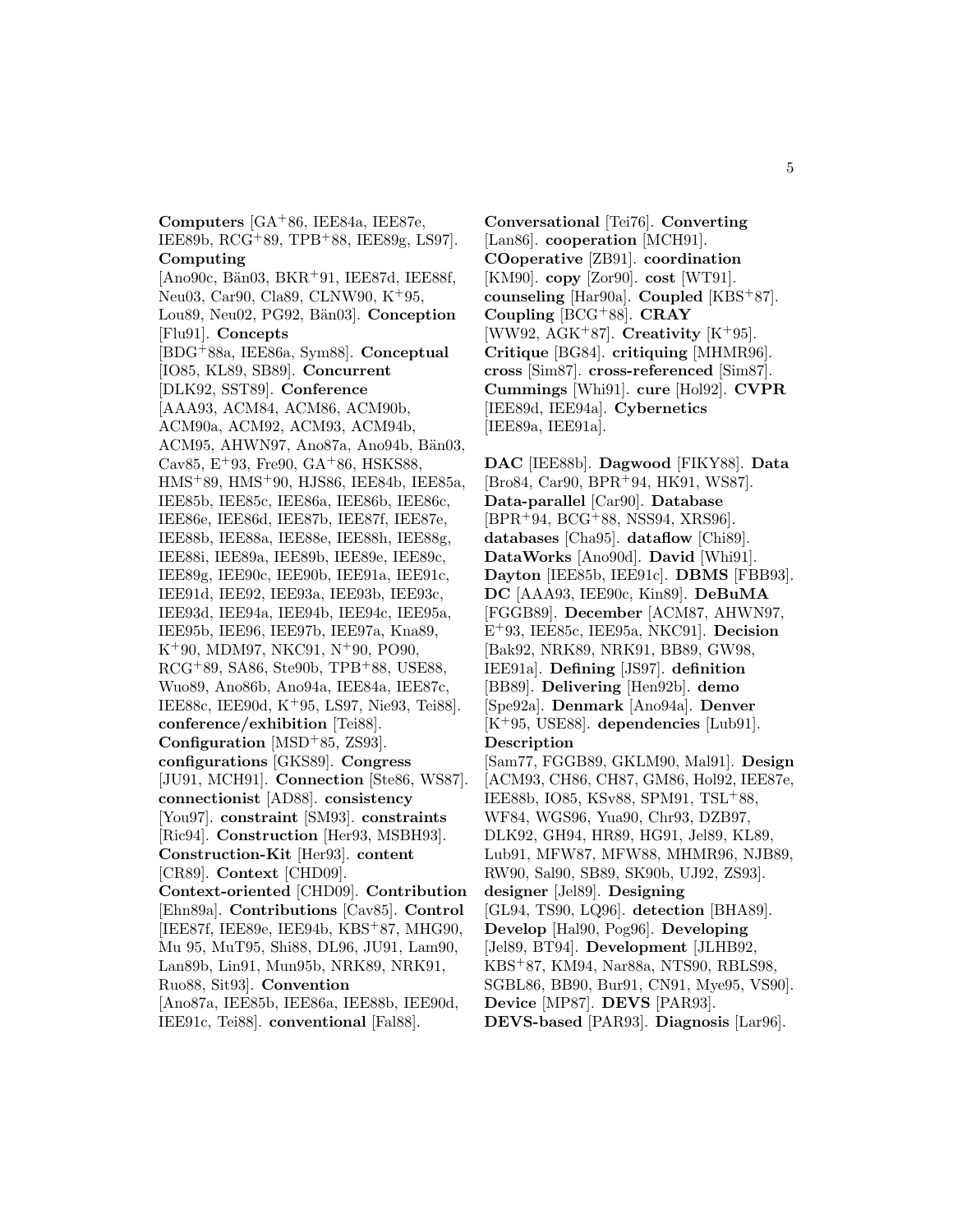**Computers** [GA<sup>+</sup>86, IEE84a, IEE87e, IEE89b, RCG<sup>+</sup>89, TPB<sup>+</sup>88, IEE89g, LS97]. **Computing**  $[Ano90c, Bän03, BKR+91, IEE87d, IEE88f,$ Neu03, Car90, Cla89, CLNW90, K<sup>+</sup>95, Lou89, Neu02, PG92, Bän03]. **Conception** [Flu91]. **Concepts** [BDG<sup>+</sup>88a, IEE86a, Sym88]. **Conceptual** [IO85, KL89, SB89]. **Concurrent** [DLK92, SST89]. **Conference** [AAA93, ACM84, ACM86, ACM90b, ACM90a, ACM92, ACM93, ACM94b, ACM95, AHWN97, Ano87a, Ano94b, Bän03, Cav85,  $E+93$ , Fre90, GA+86, HSKS88, HMS<sup>+</sup>89, HMS<sup>+</sup>90, HJS86, IEE84b, IEE85a, IEE85b, IEE85c, IEE86a, IEE86b, IEE86c, IEE86e, IEE86d, IEE87b, IEE87f, IEE87e, IEE88b, IEE88a, IEE88e, IEE88h, IEE88g, IEE88i, IEE89a, IEE89b, IEE89e, IEE89c, IEE89g, IEE90c, IEE90b, IEE91a, IEE91c, IEE91d, IEE92, IEE93a, IEE93b, IEE93c, IEE93d, IEE94a, IEE94b, IEE94c, IEE95a, IEE95b, IEE96, IEE97b, IEE97a, Kna89, K<sup>+</sup>90, MDM97, NKC91, N<sup>+</sup>90, PO90, RCG<sup>+</sup>89, SA86, Ste90b, TPB<sup>+</sup>88, USE88, Wuo89, Ano86b, Ano94a, IEE84a, IEE87c, IEE88c, IEE90d, K<sup>+</sup>95, LS97, Nie93, Tei88]. **conference/exhibition** [Tei88]. **Configuration** [MSD<sup>+</sup>85, ZS93]. **configurations** [GKS89]. **Congress** [JU91, MCH91]. **Connection** [Ste86, WS87]. **connectionist** [AD88]. **consistency** [You97]. **constraint** [SM93]. **constraints** [Ric94]. **Construction** [Her93, MSBH93]. **Construction-Kit** [Her93]. **content** [CR89]. **Context** [CHD09]. **Context-oriented** [CHD09]. **Contribution** [Ehn89a]. **Contributions** [Cav85]. **Control** [IEE87f, IEE89e, IEE94b, KBS<sup>+</sup>87, MHG90, Mu 95, MuT95, Shi88, DL96, JU91, Lam90, Lan89b, Lin91, Mun95b, NRK89, NRK91, Ruo88, Sit93]. **Convention** [Ano87a, IEE85b, IEE86a, IEE88b, IEE90d, IEE91c, Tei88]. **conventional** [Fal88].

**Conversational** [Tei76]. **Converting** [Lan86]. **cooperation** [MCH91]. **COoperative** [ZB91]. **coordination** [KM90]. **copy** [Zor90]. **cost** [WT91]. **counseling** [Har90a]. **Coupled** [KBS<sup>+</sup>87]. **Coupling** [BCG<sup>+</sup>88]. **CRAY** [WW92, AGK<sup>+</sup>87]. **Creativity** [K<sup>+</sup>95]. **Critique** [BG84]. **critiquing** [MHMR96]. **cross** [Sim87]. **cross-referenced** [Sim87]. **Cummings** [Whi91]. **cure** [Hol92]. **CVPR** [IEE89d, IEE94a]. **Cybernetics** [IEE89a, IEE91a].

**DAC** [IEE88b]. **Dagwood** [FIKY88]. **Data** [Bro84, Car90, BPR<sup>+</sup>94, HK91, WS87]. **Data-parallel** [Car90]. **Database** [BPR<sup>+</sup>94, BCG<sup>+</sup>88, NSS94, XRS96]. **databases** [Cha95]. **dataflow** [Chi89]. **DataWorks** [Ano90d]. **David** [Whi91]. **Dayton** [IEE85b, IEE91c]. **DBMS** [FBB93]. **DC** [AAA93, IEE90c, Kin89]. **DeBuMA** [FGGB89]. **December** [ACM87, AHWN97, E<sup>+</sup>93, IEE85c, IEE95a, NKC91]. **Decision** [Bak92, NRK89, NRK91, BB89, GW98, IEE91a]. **Defining** [JS97]. **definition** [BB89]. **Delivering** [Hen92b]. **demo** [Spe92a]. **Denmark** [Ano94a]. **Denver** [K<sup>+</sup>95, USE88]. **dependencies** [Lub91]. **Description** [Sam77, FGGB89, GKLM90, Mal91]. **Design** [ACM93, CH86, CH87, GM86, Hol92, IEE87e, IEE88b, IO85, KSv88, SPM91, TSL<sup>+</sup>88, WF84, WGS96, Yua90, Chr93, DZB97, DLK92, GH94, HR89, HG91, Jel89, KL89, Lub91, MFW87, MFW88, MHMR96, NJB89, RW90, Sal90, SB89, SK90b, UJ92, ZS93]. **designer** [Jel89]. **Designing** [GL94, TS90, LQ96]. **detection** [BHA89].

- **Develop** [Hal90, Pog96]. **Developing**
- [Jel89, BT94]. **Development** [JLHB92,
- KBS<sup>+</sup>87, KM94, Nar88a, NTS90, RBLS98,
- SGBL86, BB90, Bur91, CN91, Mye95, VS90].
- **Device** [MP87]. **DEVS** [PAR93].
- **DEVS-based** [PAR93]. **Diagnosis** [Lar96].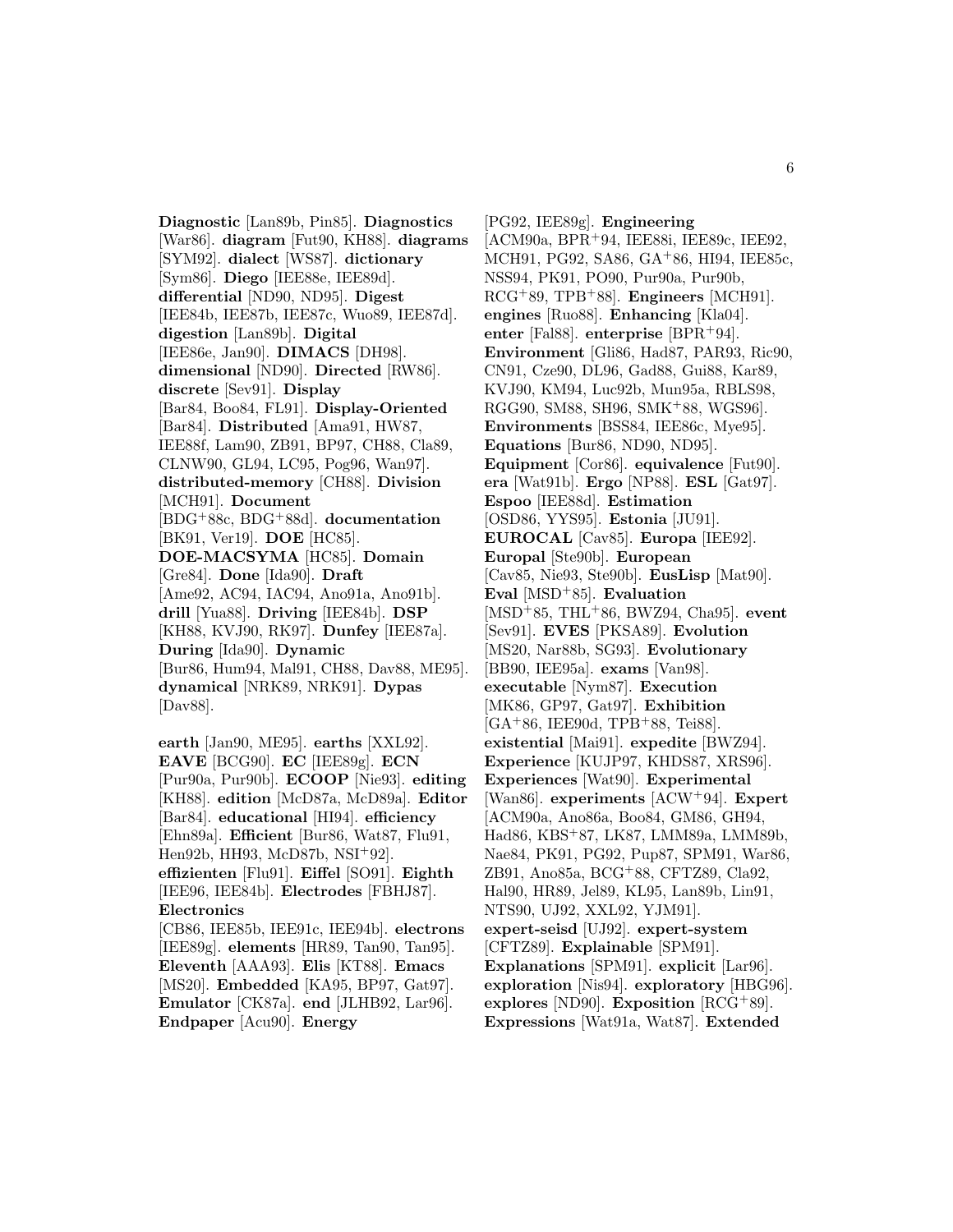**Diagnostic** [Lan89b, Pin85]. **Diagnostics** [War86]. **diagram** [Fut90, KH88]. **diagrams** [SYM92]. **dialect** [WS87]. **dictionary** [Sym86]. **Diego** [IEE88e, IEE89d]. **differential** [ND90, ND95]. **Digest** [IEE84b, IEE87b, IEE87c, Wuo89, IEE87d]. **digestion** [Lan89b]. **Digital** [IEE86e, Jan90]. **DIMACS** [DH98]. **dimensional** [ND90]. **Directed** [RW86]. **discrete** [Sev91]. **Display** [Bar84, Boo84, FL91]. **Display-Oriented** [Bar84]. **Distributed** [Ama91, HW87, IEE88f, Lam90, ZB91, BP97, CH88, Cla89, CLNW90, GL94, LC95, Pog96, Wan97]. **distributed-memory** [CH88]. **Division** [MCH91]. **Document** [BDG<sup>+</sup>88c, BDG<sup>+</sup>88d]. **documentation** [BK91, Ver19]. **DOE** [HC85]. **DOE-MACSYMA** [HC85]. **Domain** [Gre84]. **Done** [Ida90]. **Draft** [Ame92, AC94, IAC94, Ano91a, Ano91b]. **drill** [Yua88]. **Driving** [IEE84b]. **DSP** [KH88, KVJ90, RK97]. **Dunfey** [IEE87a]. **During** [Ida90]. **Dynamic** [Bur86, Hum94, Mal91, CH88, Dav88, ME95]. **dynamical** [NRK89, NRK91]. **Dypas** [Dav88].

**earth** [Jan90, ME95]. **earths** [XXL92]. **EAVE** [BCG90]. **EC** [IEE89g]. **ECN** [Pur90a, Pur90b]. **ECOOP** [Nie93]. **editing** [KH88]. **edition** [McD87a, McD89a]. **Editor** [Bar84]. **educational** [HI94]. **efficiency** [Ehn89a]. **Efficient** [Bur86, Wat87, Flu91, Hen92b, HH93, McD87b, NSI<sup>+</sup>92]. **effizienten** [Flu91]. **Eiffel** [SO91]. **Eighth** [IEE96, IEE84b]. **Electrodes** [FBHJ87]. **Electronics** [CB86, IEE85b, IEE91c, IEE94b]. **electrons** [IEE89g]. **elements** [HR89, Tan90, Tan95]. **Eleventh** [AAA93]. **Elis** [KT88]. **Emacs** [MS20]. **Embedded** [KA95, BP97, Gat97]. **Emulator** [CK87a]. **end** [JLHB92, Lar96]. **Endpaper** [Acu90]. **Energy**

[PG92, IEE89g]. **Engineering** [ACM90a, BPR<sup>+</sup>94, IEE88i, IEE89c, IEE92, MCH91, PG92, SA86, GA<sup>+</sup>86, HI94, IEE85c, NSS94, PK91, PO90, Pur90a, Pur90b, RCG<sup>+</sup>89, TPB<sup>+</sup>88]. **Engineers** [MCH91]. **engines** [Ruo88]. **Enhancing** [Kla04]. **enter** [Fal88]. **enterprise** [BPR<sup>+</sup>94]. **Environment** [Gli86, Had87, PAR93, Ric90, CN91, Cze90, DL96, Gad88, Gui88, Kar89, KVJ90, KM94, Luc92b, Mun95a, RBLS98, RGG90, SM88, SH96, SMK<sup>+</sup>88, WGS96]. **Environments** [BSS84, IEE86c, Mye95]. **Equations** [Bur86, ND90, ND95]. **Equipment** [Cor86]. **equivalence** [Fut90]. **era** [Wat91b]. **Ergo** [NP88]. **ESL** [Gat97]. **Espoo** [IEE88d]. **Estimation** [OSD86, YYS95]. **Estonia** [JU91]. **EUROCAL** [Cav85]. **Europa** [IEE92]. **Europal** [Ste90b]. **European** [Cav85, Nie93, Ste90b]. **EusLisp** [Mat90]. **Eval** [MSD<sup>+</sup>85]. **Evaluation** [MSD<sup>+</sup>85, THL<sup>+</sup>86, BWZ94, Cha95]. **event** [Sev91]. **EVES** [PKSA89]. **Evolution** [MS20, Nar88b, SG93]. **Evolutionary** [BB90, IEE95a]. **exams** [Van98]. **executable** [Nym87]. **Execution** [MK86, GP97, Gat97]. **Exhibition**  $[GA+86, IEE90d, TPB+88, Tei88].$ **existential** [Mai91]. **expedite** [BWZ94]. **Experience** [KUJP97, KHDS87, XRS96]. **Experiences** [Wat90]. **Experimental** [Wan86]. **experiments** [ACW<sup>+</sup>94]. **Expert** [ACM90a, Ano86a, Boo84, GM86, GH94, Had86, KBS<sup>+</sup>87, LK87, LMM89a, LMM89b, Nae84, PK91, PG92, Pup87, SPM91, War86, ZB91, Ano85a, BCG<sup>+</sup>88, CFTZ89, Cla92, Hal90, HR89, Jel89, KL95, Lan89b, Lin91, NTS90, UJ92, XXL92, YJM91]. **expert-seisd** [UJ92]. **expert-system** [CFTZ89]. **Explainable** [SPM91]. **Explanations** [SPM91]. **explicit** [Lar96]. **exploration** [Nis94]. **exploratory** [HBG96]. **explores** [ND90]. **Exposition** [RCG<sup>+</sup>89]. **Expressions** [Wat91a, Wat87]. **Extended**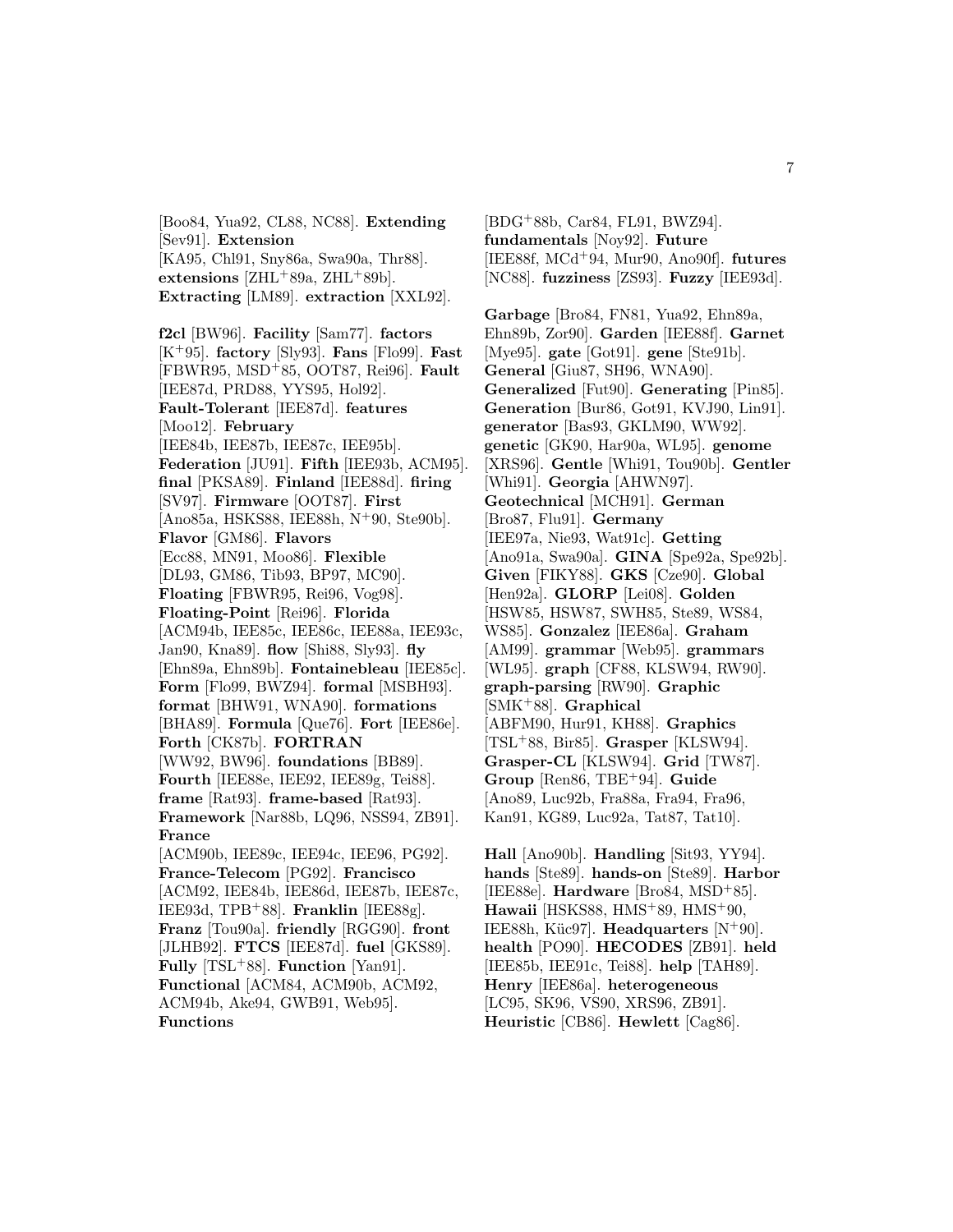[Boo84, Yua92, CL88, NC88]. **Extending** [Sev91]. **Extension** [KA95, Chl91, Sny86a, Swa90a, Thr88]. **extensions** [ZHL<sup>+</sup>89a, ZHL<sup>+</sup>89b]. **Extracting** [LM89]. **extraction** [XXL92].

**f2cl** [BW96]. **Facility** [Sam77]. **factors** [K<sup>+</sup>95]. **factory** [Sly93]. **Fans** [Flo99]. **Fast** [FBWR95, MSD<sup>+</sup>85, OOT87, Rei96]. **Fault** [IEE87d, PRD88, YYS95, Hol92]. **Fault-Tolerant** [IEE87d]. **features** [Moo12]. **February** [IEE84b, IEE87b, IEE87c, IEE95b]. **Federation** [JU91]. **Fifth** [IEE93b, ACM95]. **final** [PKSA89]. **Finland** [IEE88d]. **firing** [SV97]. **Firmware** [OOT87]. **First** [Ano85a, HSKS88, IEE88h, N<sup>+</sup>90, Ste90b]. **Flavor** [GM86]. **Flavors** [Ecc88, MN91, Moo86]. **Flexible** [DL93, GM86, Tib93, BP97, MC90]. **Floating** [FBWR95, Rei96, Vog98]. **Floating-Point** [Rei96]. **Florida** [ACM94b, IEE85c, IEE86c, IEE88a, IEE93c, Jan90, Kna89]. **flow** [Shi88, Sly93]. **fly** [Ehn89a, Ehn89b]. **Fontainebleau** [IEE85c]. **Form** [Flo99, BWZ94]. **formal** [MSBH93]. **format** [BHW91, WNA90]. **formations** [BHA89]. **Formula** [Que76]. **Fort** [IEE86e]. **Forth** [CK87b]. **FORTRAN** [WW92, BW96]. **foundations** [BB89]. **Fourth** [IEE88e, IEE92, IEE89g, Tei88]. **frame** [Rat93]. **frame-based** [Rat93]. **Framework** [Nar88b, LQ96, NSS94, ZB91]. **France** [ACM90b, IEE89c, IEE94c, IEE96, PG92]. **France-Telecom** [PG92]. **Francisco** [ACM92, IEE84b, IEE86d, IEE87b, IEE87c, IEE93d, TPB<sup>+</sup>88]. **Franklin** [IEE88g]. **Franz** [Tou90a]. **friendly** [RGG90]. **front** [JLHB92]. **FTCS** [IEE87d]. **fuel** [GKS89]. **Fully** [TSL<sup>+</sup>88]. **Function** [Yan91]. **Functional** [ACM84, ACM90b, ACM92,

ACM94b, Ake94, GWB91, Web95]. **Functions**

[BDG<sup>+</sup>88b, Car84, FL91, BWZ94]. **fundamentals** [Noy92]. **Future** [IEE88f, MCd<sup>+</sup>94, Mur90, Ano90f]. **futures** [NC88]. **fuzziness** [ZS93]. **Fuzzy** [IEE93d].

**Garbage** [Bro84, FN81, Yua92, Ehn89a, Ehn89b, Zor90]. **Garden** [IEE88f]. **Garnet** [Mye95]. **gate** [Got91]. **gene** [Ste91b]. **General** [Giu87, SH96, WNA90]. **Generalized** [Fut90]. **Generating** [Pin85]. **Generation** [Bur86, Got91, KVJ90, Lin91]. **generator** [Bas93, GKLM90, WW92]. **genetic** [GK90, Har90a, WL95]. **genome** [XRS96]. **Gentle** [Whi91, Tou90b]. **Gentler** [Whi91]. **Georgia** [AHWN97]. **Geotechnical** [MCH91]. **German** [Bro87, Flu91]. **Germany** [IEE97a, Nie93, Wat91c]. **Getting** [Ano91a, Swa90a]. **GINA** [Spe92a, Spe92b]. **Given** [FIKY88]. **GKS** [Cze90]. **Global** [Hen92a]. **GLORP** [Lei08]. **Golden** [HSW85, HSW87, SWH85, Ste89, WS84, WS85]. **Gonzalez** [IEE86a]. **Graham** [AM99]. **grammar** [Web95]. **grammars** [WL95]. **graph** [CF88, KLSW94, RW90]. **graph-parsing** [RW90]. **Graphic** [SMK<sup>+</sup>88]. **Graphical** [ABFM90, Hur91, KH88]. **Graphics** [TSL<sup>+</sup>88, Bir85]. **Grasper** [KLSW94]. **Grasper-CL** [KLSW94]. **Grid** [TW87]. **Group** [Ren86, TBE<sup>+</sup>94]. **Guide** [Ano89, Luc92b, Fra88a, Fra94, Fra96, Kan91, KG89, Luc92a, Tat87, Tat10].

**Hall** [Ano90b]. **Handling** [Sit93, YY94]. **hands** [Ste89]. **hands-on** [Ste89]. **Harbor** [IEE88e]. **Hardware** [Bro84, MSD<sup>+</sup>85]. **Hawaii** [HSKS88, HMS<sup>+</sup>89, HMS<sup>+</sup>90, IEE88h, Küc97]. **Headquarters** [N<sup>+</sup>90]. **health** [PO90]. **HECODES** [ZB91]. **held** [IEE85b, IEE91c, Tei88]. **help** [TAH89]. **Henry** [IEE86a]. **heterogeneous** [LC95, SK96, VS90, XRS96, ZB91]. **Heuristic** [CB86]. **Hewlett** [Cag86].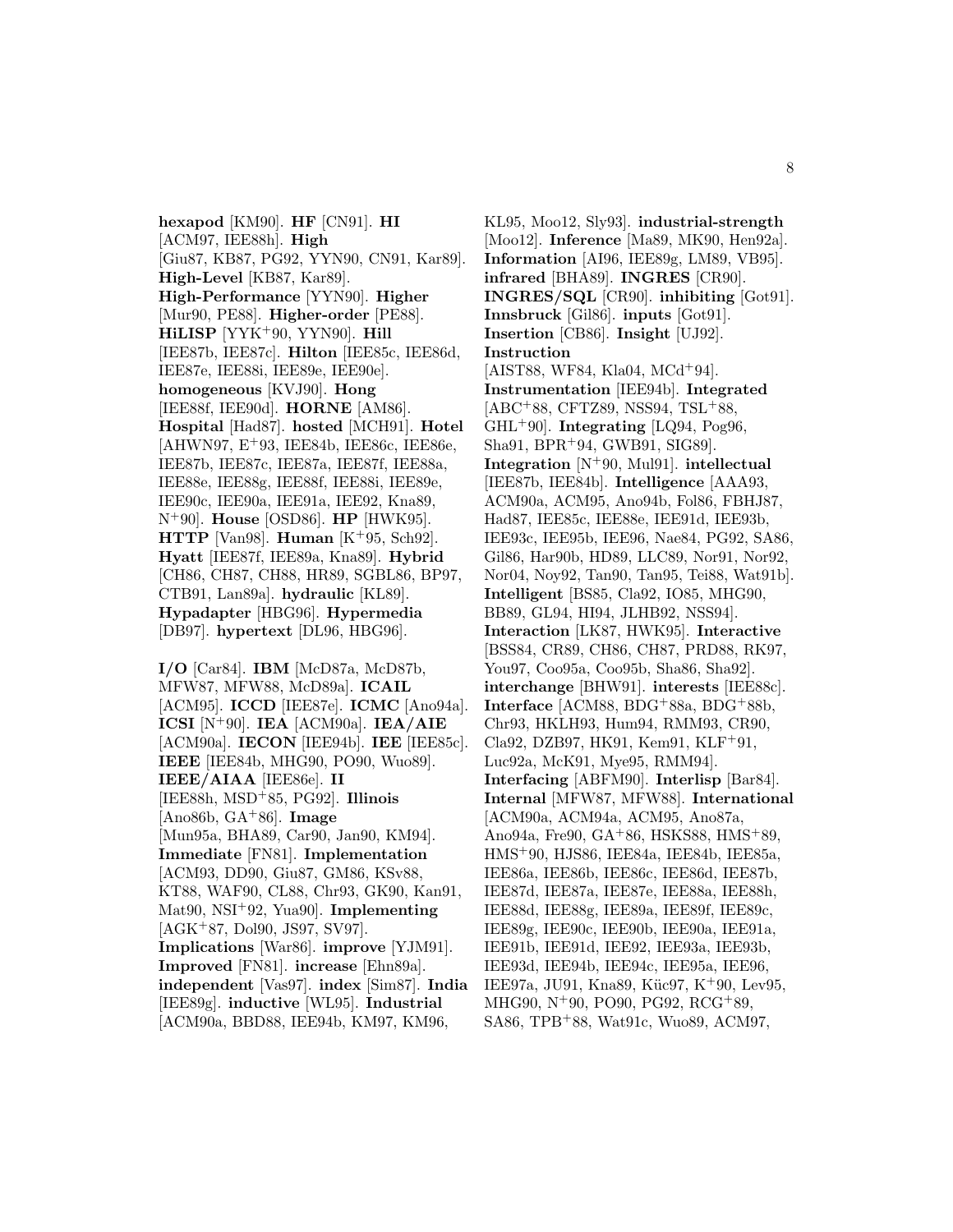**hexapod** [KM90]. **HF** [CN91]. **HI** [ACM97, IEE88h]. **High** [Giu87, KB87, PG92, YYN90, CN91, Kar89]. **High-Level** [KB87, Kar89]. **High-Performance** [YYN90]. **Higher** [Mur90, PE88]. **Higher-order** [PE88]. **HiLISP** [YYK<sup>+</sup>90, YYN90]. **Hill** [IEE87b, IEE87c]. **Hilton** [IEE85c, IEE86d, IEE87e, IEE88i, IEE89e, IEE90e]. **homogeneous** [KVJ90]. **Hong** [IEE88f, IEE90d]. **HORNE** [AM86]. **Hospital** [Had87]. **hosted** [MCH91]. **Hotel** [AHWN97, E<sup>+</sup>93, IEE84b, IEE86c, IEE86e, IEE87b, IEE87c, IEE87a, IEE87f, IEE88a, IEE88e, IEE88g, IEE88f, IEE88i, IEE89e, IEE90c, IEE90a, IEE91a, IEE92, Kna89, N<sup>+</sup>90]. **House** [OSD86]. **HP** [HWK95]. **HTTP** [Van98]. **Human** [K<sup>+</sup>95, Sch92]. **Hyatt** [IEE87f, IEE89a, Kna89]. **Hybrid** [CH86, CH87, CH88, HR89, SGBL86, BP97, CTB91, Lan89a]. **hydraulic** [KL89]. **Hypadapter** [HBG96]. **Hypermedia** [DB97]. **hypertext** [DL96, HBG96].

**I/O** [Car84]. **IBM** [McD87a, McD87b, MFW87, MFW88, McD89a]. **ICAIL** [ACM95]. **ICCD** [IEE87e]. **ICMC** [Ano94a]. **ICSI** [N<sup>+</sup>90]. **IEA** [ACM90a]. **IEA/AIE** [ACM90a]. **IECON** [IEE94b]. **IEE** [IEE85c]. **IEEE** [IEE84b, MHG90, PO90, Wuo89]. **IEEE/AIAA** [IEE86e]. **II** [IEE88h, MSD<sup>+</sup>85, PG92]. **Illinois** [Ano86b, GA<sup>+</sup>86]. **Image** [Mun95a, BHA89, Car90, Jan90, KM94]. **Immediate** [FN81]. **Implementation** [ACM93, DD90, Giu87, GM86, KSv88, KT88, WAF90, CL88, Chr93, GK90, Kan91, Mat90, NSI<sup>+</sup>92, Yua90]. **Implementing** [AGK<sup>+</sup>87, Dol90, JS97, SV97]. **Implications** [War86]. **improve** [YJM91]. **Improved** [FN81]. **increase** [Ehn89a]. **independent** [Vas97]. **index** [Sim87]. **India** [IEE89g]. **inductive** [WL95]. **Industrial** [ACM90a, BBD88, IEE94b, KM97, KM96,

KL95, Moo12, Sly93]. **industrial-strength** [Moo12]. **Inference** [Ma89, MK90, Hen92a]. **Information** [AI96, IEE89g, LM89, VB95]. **infrared** [BHA89]. **INGRES** [CR90]. **INGRES/SQL** [CR90]. **inhibiting** [Got91]. **Innsbruck** [Gil86]. **inputs** [Got91]. **Insertion** [CB86]. **Insight** [UJ92]. **Instruction** [AIST88, WF84, Kla04, MCd<sup>+</sup>94]. **Instrumentation** [IEE94b]. **Integrated** [ABC<sup>+</sup>88, CFTZ89, NSS94, TSL<sup>+</sup>88, GHL<sup>+</sup>90]. **Integrating** [LQ94, Pog96, Sha91, BPR<sup>+</sup>94, GWB91, SIG89]. **Integration** [N<sup>+</sup>90, Mul91]. **intellectual** [IEE87b, IEE84b]. **Intelligence** [AAA93, ACM90a, ACM95, Ano94b, Fol86, FBHJ87, Had87, IEE85c, IEE88e, IEE91d, IEE93b, IEE93c, IEE95b, IEE96, Nae84, PG92, SA86, Gil86, Har90b, HD89, LLC89, Nor91, Nor92, Nor04, Noy92, Tan90, Tan95, Tei88, Wat91b]. **Intelligent** [BS85, Cla92, IO85, MHG90, BB89, GL94, HI94, JLHB92, NSS94]. **Interaction** [LK87, HWK95]. **Interactive** [BSS84, CR89, CH86, CH87, PRD88, RK97, You97, Coo95a, Coo95b, Sha86, Sha92]. **interchange** [BHW91]. **interests** [IEE88c]. **Interface** [ACM88, BDG<sup>+</sup>88a, BDG<sup>+</sup>88b, Chr93, HKLH93, Hum94, RMM93, CR90, Cla92, DZB97, HK91, Kem91, KLF<sup>+</sup>91, Luc92a, McK91, Mye95, RMM94]. **Interfacing** [ABFM90]. **Interlisp** [Bar84]. **Internal** [MFW87, MFW88]. **International** [ACM90a, ACM94a, ACM95, Ano87a, Ano94a, Fre90, GA<sup>+</sup>86, HSKS88, HMS<sup>+</sup>89, HMS<sup>+</sup>90, HJS86, IEE84a, IEE84b, IEE85a, IEE86a, IEE86b, IEE86c, IEE86d, IEE87b, IEE87d, IEE87a, IEE87e, IEE88a, IEE88h, IEE88d, IEE88g, IEE89a, IEE89f, IEE89c, IEE89g, IEE90c, IEE90b, IEE90a, IEE91a, IEE91b, IEE91d, IEE92, IEE93a, IEE93b, IEE93d, IEE94b, IEE94c, IEE95a, IEE96, IEE97a, JU91, Kna89, Küc97, K<sup>+</sup>90, Lev95, MHG90, N<sup>+</sup>90, PO90, PG92, RCG<sup>+</sup>89, SA86, TPB<sup>+</sup>88, Wat91c, Wuo89, ACM97,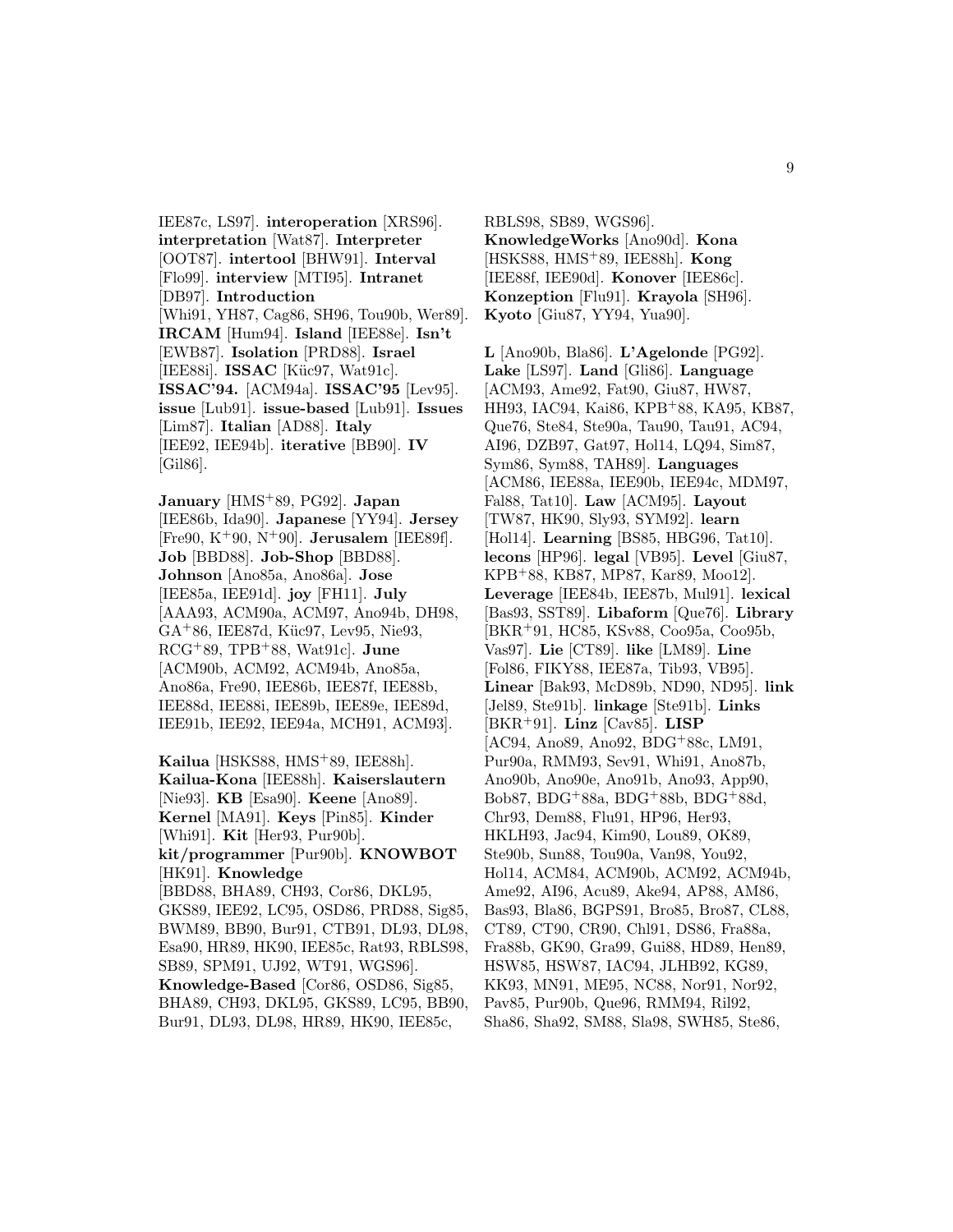IEE87c, LS97]. **interoperation** [XRS96]. **interpretation** [Wat87]. **Interpreter** [OOT87]. **intertool** [BHW91]. **Interval** [Flo99]. **interview** [MTI95]. **Intranet** [DB97]. **Introduction** [Whi91, YH87, Cag86, SH96, Tou90b, Wer89]. **IRCAM** [Hum94]. **Island** [IEE88e]. **Isn't** [EWB87]. **Isolation** [PRD88]. **Israel** [IEE88i]. **ISSAC** [Küc97, Wat91c]. **ISSAC'94.** [ACM94a]. **ISSAC'95** [Lev95]. **issue** [Lub91]. **issue-based** [Lub91]. **Issues** [Lim87]. **Italian** [AD88]. **Italy** [IEE92, IEE94b]. **iterative** [BB90]. **IV** [Gil86].

**January** [HMS<sup>+</sup>89, PG92]. **Japan** [IEE86b, Ida90]. **Japanese** [YY94]. **Jersey** [Fre90, K<sup>+</sup>90, N<sup>+</sup>90]. **Jerusalem** [IEE89f]. **Job** [BBD88]. **Job-Shop** [BBD88]. **Johnson** [Ano85a, Ano86a]. **Jose** [IEE85a, IEE91d]. **joy** [FH11]. **July** [AAA93, ACM90a, ACM97, Ano94b, DH98, GA<sup>+</sup>86, IEE87d, Küc97, Lev95, Nie93, RCG<sup>+</sup>89, TPB<sup>+</sup>88, Wat91c]. **June** [ACM90b, ACM92, ACM94b, Ano85a, Ano86a, Fre90, IEE86b, IEE87f, IEE88b, IEE88d, IEE88i, IEE89b, IEE89e, IEE89d, IEE91b, IEE92, IEE94a, MCH91, ACM93].

**Kailua** [HSKS88, HMS<sup>+</sup>89, IEE88h]. **Kailua-Kona** [IEE88h]. **Kaiserslautern** [Nie93]. **KB** [Esa90]. **Keene** [Ano89]. **Kernel** [MA91]. **Keys** [Pin85]. **Kinder** [Whi91]. **Kit** [Her93, Pur90b]. **kit/programmer** [Pur90b]. **KNOWBOT** [HK91]. **Knowledge** [BBD88, BHA89, CH93, Cor86, DKL95, GKS89, IEE92, LC95, OSD86, PRD88, Sig85, BWM89, BB90, Bur91, CTB91, DL93, DL98, Esa90, HR89, HK90, IEE85c, Rat93, RBLS98, SB89, SPM91, UJ92, WT91, WGS96]. **Knowledge-Based** [Cor86, OSD86, Sig85, BHA89, CH93, DKL95, GKS89, LC95, BB90, Bur91, DL93, DL98, HR89, HK90, IEE85c,

RBLS98, SB89, WGS96]. **KnowledgeWorks** [Ano90d]. **Kona** [HSKS88, HMS<sup>+</sup>89, IEE88h]. **Kong** [IEE88f, IEE90d]. **Konover** [IEE86c]. **Konzeption** [Flu91]. **Krayola** [SH96]. **Kyoto** [Giu87, YY94, Yua90].

**L** [Ano90b, Bla86]. **L'Agelonde** [PG92]. **Lake** [LS97]. **Land** [Gli86]. **Language** [ACM93, Ame92, Fat90, Giu87, HW87, HH93, IAC94, Kai86, KPB<sup>+</sup>88, KA95, KB87, Que76, Ste84, Ste90a, Tau90, Tau91, AC94, AI96, DZB97, Gat97, Hol14, LQ94, Sim87, Sym86, Sym88, TAH89]. **Languages** [ACM86, IEE88a, IEE90b, IEE94c, MDM97, Fal88, Tat10]. **Law** [ACM95]. **Layout** [TW87, HK90, Sly93, SYM92]. **learn** [Hol14]. **Learning** [BS85, HBG96, Tat10]. **lecons** [HP96]. **legal** [VB95]. **Level** [Giu87, KPB<sup>+</sup>88, KB87, MP87, Kar89, Moo12]. **Leverage** [IEE84b, IEE87b, Mul91]. **lexical** [Bas93, SST89]. **Libaform** [Que76]. **Library** [BKR<sup>+</sup>91, HC85, KSv88, Coo95a, Coo95b, Vas97]. **Lie** [CT89]. **like** [LM89]. **Line** [Fol86, FIKY88, IEE87a, Tib93, VB95]. **Linear** [Bak93, McD89b, ND90, ND95]. **link** [Jel89, Ste91b]. **linkage** [Ste91b]. **Links** [BKR<sup>+</sup>91]. **Linz** [Cav85]. **LISP** [AC94, Ano89, Ano92, BDG<sup>+</sup>88c, LM91, Pur90a, RMM93, Sev91, Whi91, Ano87b, Ano90b, Ano90e, Ano91b, Ano93, App90, Bob87, BDG<sup>+</sup>88a, BDG<sup>+</sup>88b, BDG<sup>+</sup>88d, Chr93, Dem88, Flu91, HP96, Her93, HKLH93, Jac94, Kim90, Lou89, OK89, Ste90b, Sun88, Tou90a, Van98, You92, Hol14, ACM84, ACM90b, ACM92, ACM94b, Ame92, AI96, Acu89, Ake94, AP88, AM86, Bas93, Bla86, BGPS91, Bro85, Bro87, CL88, CT89, CT90, CR90, Chl91, DS86, Fra88a, Fra88b, GK90, Gra99, Gui88, HD89, Hen89, HSW85, HSW87, IAC94, JLHB92, KG89, KK93, MN91, ME95, NC88, Nor91, Nor92, Pav85, Pur90b, Que96, RMM94, Ril92, Sha86, Sha92, SM88, Sla98, SWH85, Ste86,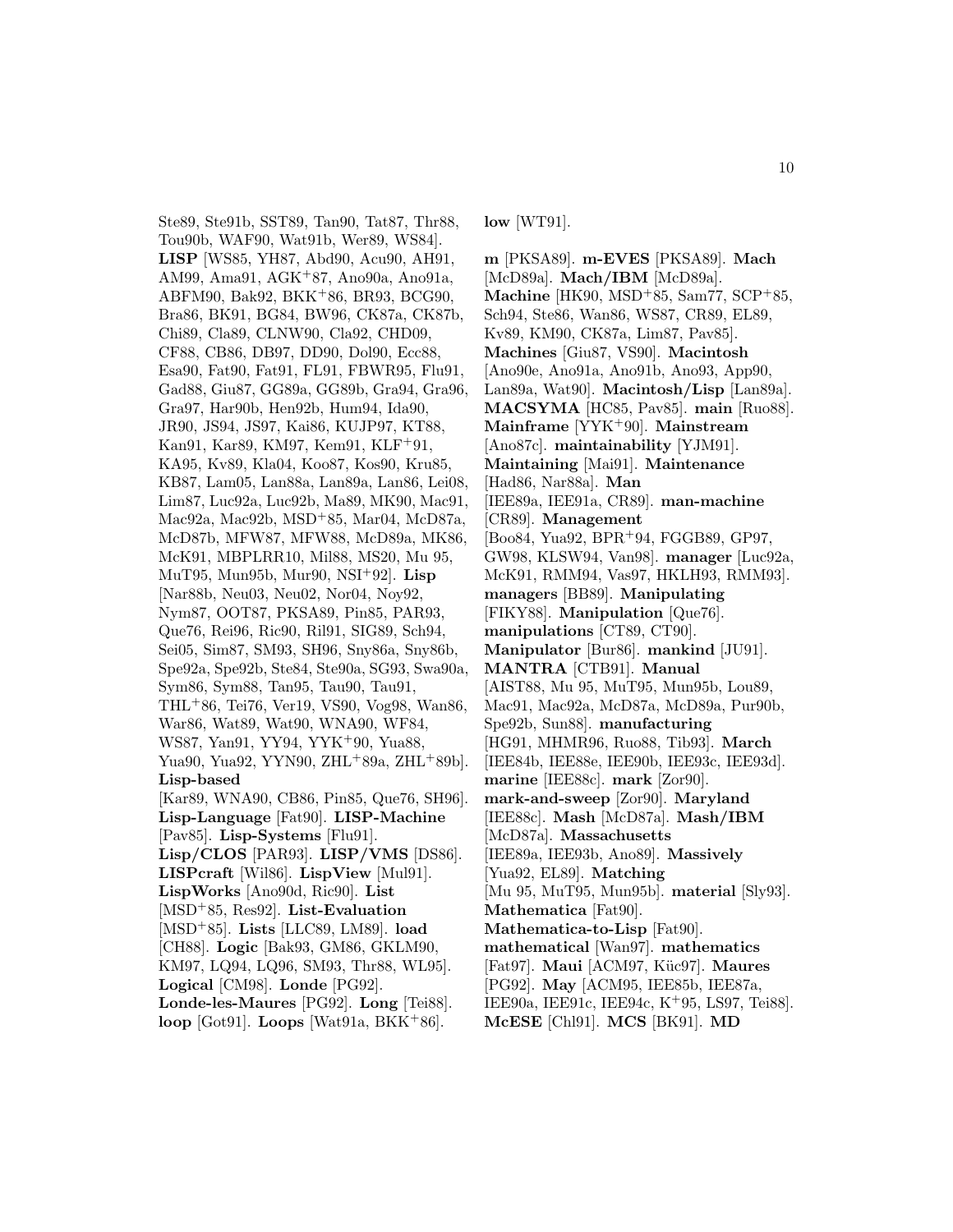Ste89, Ste91b, SST89, Tan90, Tat87, Thr88, Tou90b, WAF90, Wat91b, Wer89, WS84]. **LISP** [WS85, YH87, Abd90, Acu90, AH91, AM99, Ama91, AGK<sup>+</sup>87, Ano90a, Ano91a, ABFM90, Bak92, BKK<sup>+</sup>86, BR93, BCG90, Bra86, BK91, BG84, BW96, CK87a, CK87b, Chi89, Cla89, CLNW90, Cla92, CHD09, CF88, CB86, DB97, DD90, Dol90, Ecc88, Esa90, Fat90, Fat91, FL91, FBWR95, Flu91, Gad88, Giu87, GG89a, GG89b, Gra94, Gra96, Gra97, Har90b, Hen92b, Hum94, Ida90, JR90, JS94, JS97, Kai86, KUJP97, KT88, Kan91, Kar89, KM97, Kem91, KLF<sup>+</sup>91, KA95, Kv89, Kla04, Koo87, Kos90, Kru85, KB87, Lam05, Lan88a, Lan89a, Lan86, Lei08, Lim87, Luc92a, Luc92b, Ma89, MK90, Mac91, Mac92a, Mac92b, MSD<sup>+</sup>85, Mar04, McD87a, McD87b, MFW87, MFW88, McD89a, MK86, McK91, MBPLRR10, Mil88, MS20, Mu 95, MuT95, Mun95b, Mur90, NSI<sup>+</sup>92]. **Lisp** [Nar88b, Neu03, Neu02, Nor04, Noy92, Nym87, OOT87, PKSA89, Pin85, PAR93, Que76, Rei96, Ric90, Ril91, SIG89, Sch94, Sei05, Sim87, SM93, SH96, Sny86a, Sny86b, Spe92a, Spe92b, Ste84, Ste90a, SG93, Swa90a, Sym86, Sym88, Tan95, Tau90, Tau91, THL<sup>+</sup>86, Tei76, Ver19, VS90, Vog98, Wan86, War86, Wat89, Wat90, WNA90, WF84, WS87, Yan91, YY94, YYK<sup>+</sup>90, Yua88, Yua90, Yua92, YYN90, ZHL<sup>+</sup>89a, ZHL<sup>+</sup>89b]. **Lisp-based** [Kar89, WNA90, CB86, Pin85, Que76, SH96]. **Lisp-Language** [Fat90]. **LISP-Machine** [Pav85]. **Lisp-Systems** [Flu91]. **Lisp/CLOS** [PAR93]. **LISP/VMS** [DS86]. **LISPcraft** [Wil86]. **LispView** [Mul91]. **LispWorks** [Ano90d, Ric90]. **List** [MSD<sup>+</sup>85, Res92]. **List-Evaluation** [MSD<sup>+</sup>85]. **Lists** [LLC89, LM89]. **load** [CH88]. **Logic** [Bak93, GM86, GKLM90, KM97, LQ94, LQ96, SM93, Thr88, WL95]. **Logical** [CM98]. **Londe** [PG92]. **Londe-les-Maures** [PG92]. **Long** [Tei88]. **loop** [Got91]. **Loops** [Wat91a, BKK<sup>+</sup>86].

**low** [WT91].

**m** [PKSA89]. **m-EVES** [PKSA89]. **Mach** [McD89a]. **Mach/IBM** [McD89a]. **Machine** [HK90, MSD<sup>+</sup>85, Sam77, SCP<sup>+</sup>85, Sch94, Ste86, Wan86, WS87, CR89, EL89, Kv89, KM90, CK87a, Lim87, Pav85]. **Machines** [Giu87, VS90]. **Macintosh** [Ano90e, Ano91a, Ano91b, Ano93, App90, Lan89a, Wat90]. **Macintosh/Lisp** [Lan89a]. **MACSYMA** [HC85, Pav85]. **main** [Ruo88]. **Mainframe** [YYK<sup>+</sup>90]. **Mainstream** [Ano87c]. **maintainability** [YJM91]. **Maintaining** [Mai91]. **Maintenance** [Had86, Nar88a]. **Man** [IEE89a, IEE91a, CR89]. **man-machine** [CR89]. **Management** [Boo84, Yua92, BPR<sup>+</sup>94, FGGB89, GP97, GW98, KLSW94, Van98]. **manager** [Luc92a, McK91, RMM94, Vas97, HKLH93, RMM93]. **managers** [BB89]. **Manipulating** [FIKY88]. **Manipulation** [Que76]. **manipulations** [CT89, CT90]. **Manipulator** [Bur86]. **mankind** [JU91]. **MANTRA** [CTB91]. **Manual** [AIST88, Mu 95, MuT95, Mun95b, Lou89, Mac91, Mac92a, McD87a, McD89a, Pur90b, Spe92b, Sun88]. **manufacturing** [HG91, MHMR96, Ruo88, Tib93]. **March** [IEE84b, IEE88e, IEE90b, IEE93c, IEE93d]. **marine** [IEE88c]. **mark** [Zor90]. **mark-and-sweep** [Zor90]. **Maryland** [IEE88c]. **Mash** [McD87a]. **Mash/IBM** [McD87a]. **Massachusetts** [IEE89a, IEE93b, Ano89]. **Massively** [Yua92, EL89]. **Matching** [Mu 95, MuT95, Mun95b]. **material** [Sly93]. **Mathematica** [Fat90]. **Mathematica-to-Lisp** [Fat90]. **mathematical** [Wan97]. **mathematics** [Fat97]. **Maui** [ACM97, Küc97]. **Maures** [PG92]. **May** [ACM95, IEE85b, IEE87a, IEE90a, IEE91c, IEE94c, K<sup>+</sup>95, LS97, Tei88]. **McESE** [Chl91]. **MCS** [BK91]. **MD**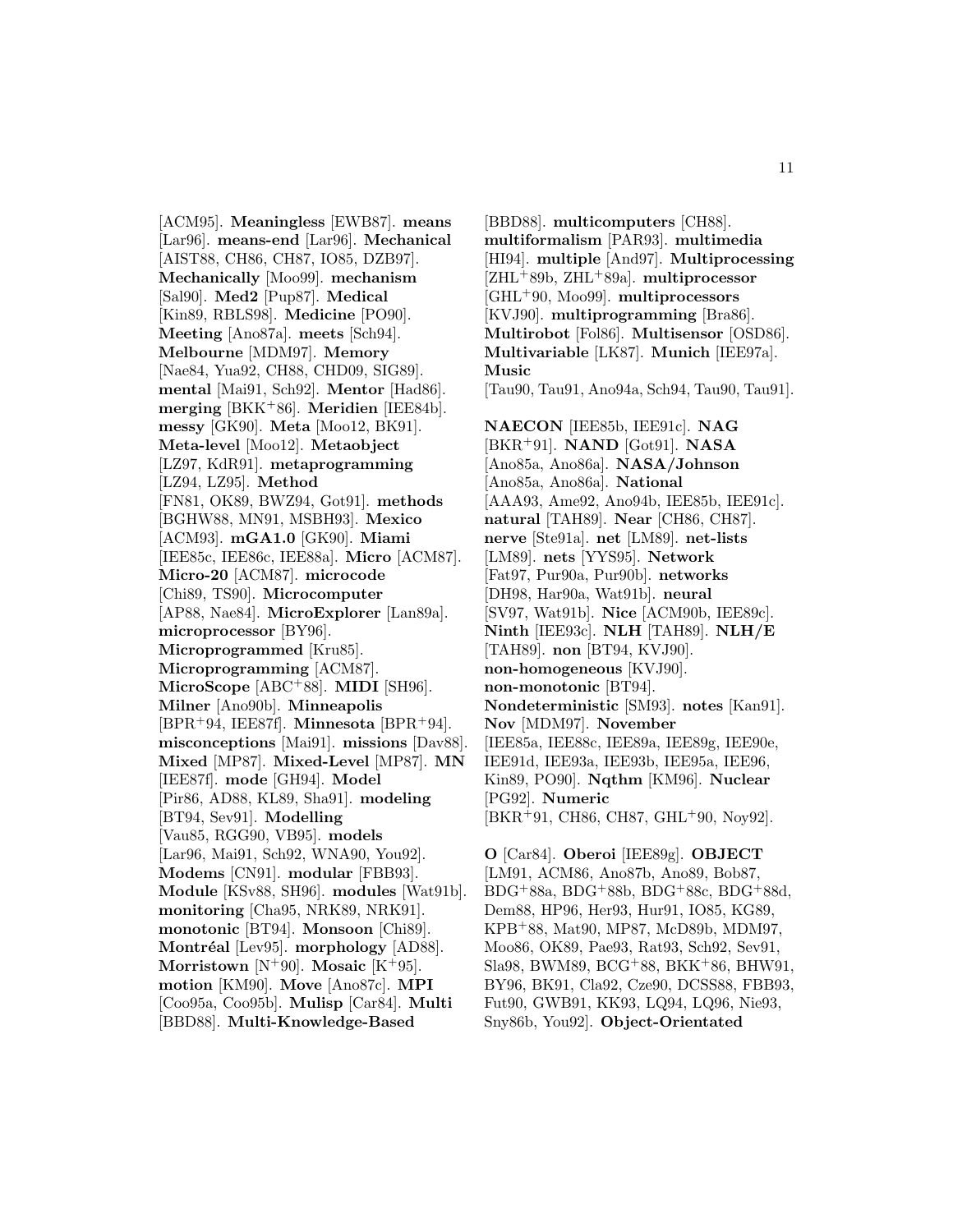[ACM95]. **Meaningless** [EWB87]. **means** [Lar96]. **means-end** [Lar96]. **Mechanical** [AIST88, CH86, CH87, IO85, DZB97]. **Mechanically** [Moo99]. **mechanism** [Sal90]. **Med2** [Pup87]. **Medical** [Kin89, RBLS98]. **Medicine** [PO90]. **Meeting** [Ano87a]. **meets** [Sch94]. **Melbourne** [MDM97]. **Memory** [Nae84, Yua92, CH88, CHD09, SIG89]. **mental** [Mai91, Sch92]. **Mentor** [Had86]. **merging** [BKK<sup>+</sup>86]. **Meridien** [IEE84b]. **messy** [GK90]. **Meta** [Moo12, BK91]. **Meta-level** [Moo12]. **Metaobject** [LZ97, KdR91]. **metaprogramming** [LZ94, LZ95]. **Method** [FN81, OK89, BWZ94, Got91]. **methods** [BGHW88, MN91, MSBH93]. **Mexico** [ACM93]. **mGA1.0** [GK90]. **Miami** [IEE85c, IEE86c, IEE88a]. **Micro** [ACM87]. **Micro-20** [ACM87]. **microcode** [Chi89, TS90]. **Microcomputer** [AP88, Nae84]. **MicroExplorer** [Lan89a]. **microprocessor** [BY96]. **Microprogrammed** [Kru85]. **Microprogramming** [ACM87]. **MicroScope** [ABC<sup>+</sup>88]. **MIDI** [SH96]. **Milner** [Ano90b]. **Minneapolis** [BPR<sup>+</sup>94, IEE87f]. **Minnesota** [BPR<sup>+</sup>94]. **misconceptions** [Mai91]. **missions** [Dav88]. **Mixed** [MP87]. **Mixed-Level** [MP87]. **MN** [IEE87f]. **mode** [GH94]. **Model** [Pir86, AD88, KL89, Sha91]. **modeling** [BT94, Sev91]. **Modelling** [Vau85, RGG90, VB95]. **models** [Lar96, Mai91, Sch92, WNA90, You92]. **Modems** [CN91]. **modular** [FBB93]. **Module** [KSv88, SH96]. **modules** [Wat91b]. **monitoring** [Cha95, NRK89, NRK91]. **monotonic** [BT94]. **Monsoon** [Chi89]. **Montr´eal** [Lev95]. **morphology** [AD88]. **Morristown** [N<sup>+</sup>90]. **Mosaic** [K<sup>+</sup>95]. **motion** [KM90]. **Move** [Ano87c]. **MPI** [Coo95a, Coo95b]. **Mulisp** [Car84]. **Multi** [BBD88]. **Multi-Knowledge-Based**

[BBD88]. **multicomputers** [CH88]. **multiformalism** [PAR93]. **multimedia** [HI94]. **multiple** [And97]. **Multiprocessing** [ZHL<sup>+</sup>89b, ZHL<sup>+</sup>89a]. **multiprocessor** [GHL<sup>+</sup>90, Moo99]. **multiprocessors** [KVJ90]. **multiprogramming** [Bra86]. **Multirobot** [Fol86]. **Multisensor** [OSD86]. **Multivariable** [LK87]. **Munich** [IEE97a]. **Music** [Tau90, Tau91, Ano94a, Sch94, Tau90, Tau91]. **NAECON** [IEE85b, IEE91c]. **NAG** [BKR<sup>+</sup>91]. **NAND** [Got91]. **NASA** [Ano85a, Ano86a]. **NASA/Johnson** [Ano85a, Ano86a]. **National** [AAA93, Ame92, Ano94b, IEE85b, IEE91c]. **natural** [TAH89]. **Near** [CH86, CH87]. **nerve** [Ste91a]. **net** [LM89]. **net-lists** [LM89]. **nets** [YYS95]. **Network** [Fat97, Pur90a, Pur90b]. **networks** [DH98, Har90a, Wat91b]. **neural** [SV97, Wat91b]. **Nice** [ACM90b, IEE89c]. **Ninth** [IEE93c]. **NLH** [TAH89]. **NLH/E** [TAH89]. **non** [BT94, KVJ90]. **non-homogeneous** [KVJ90]. **non-monotonic** [BT94]. **Nondeterministic** [SM93]. **notes** [Kan91]. **Nov** [MDM97]. **November** [IEE85a, IEE88c, IEE89a, IEE89g, IEE90e, IEE91d, IEE93a, IEE93b, IEE95a, IEE96, Kin89, PO90]. **Nqthm** [KM96]. **Nuclear** [PG92]. **Numeric** [BKR<sup>+</sup>91, CH86, CH87, GHL<sup>+</sup>90, Noy92].

**O** [Car84]. **Oberoi** [IEE89g]. **OBJECT** [LM91, ACM86, Ano87b, Ano89, Bob87, BDG<sup>+</sup>88a, BDG<sup>+</sup>88b, BDG<sup>+</sup>88c, BDG<sup>+</sup>88d, Dem88, HP96, Her93, Hur91, IO85, KG89, KPB<sup>+</sup>88, Mat90, MP87, McD89b, MDM97, Moo86, OK89, Pae93, Rat93, Sch92, Sev91, Sla98, BWM89, BCG<sup>+</sup>88, BKK<sup>+</sup>86, BHW91, BY96, BK91, Cla92, Cze90, DCSS88, FBB93, Fut90, GWB91, KK93, LQ94, LQ96, Nie93, Sny86b, You92]. **Object-Orientated**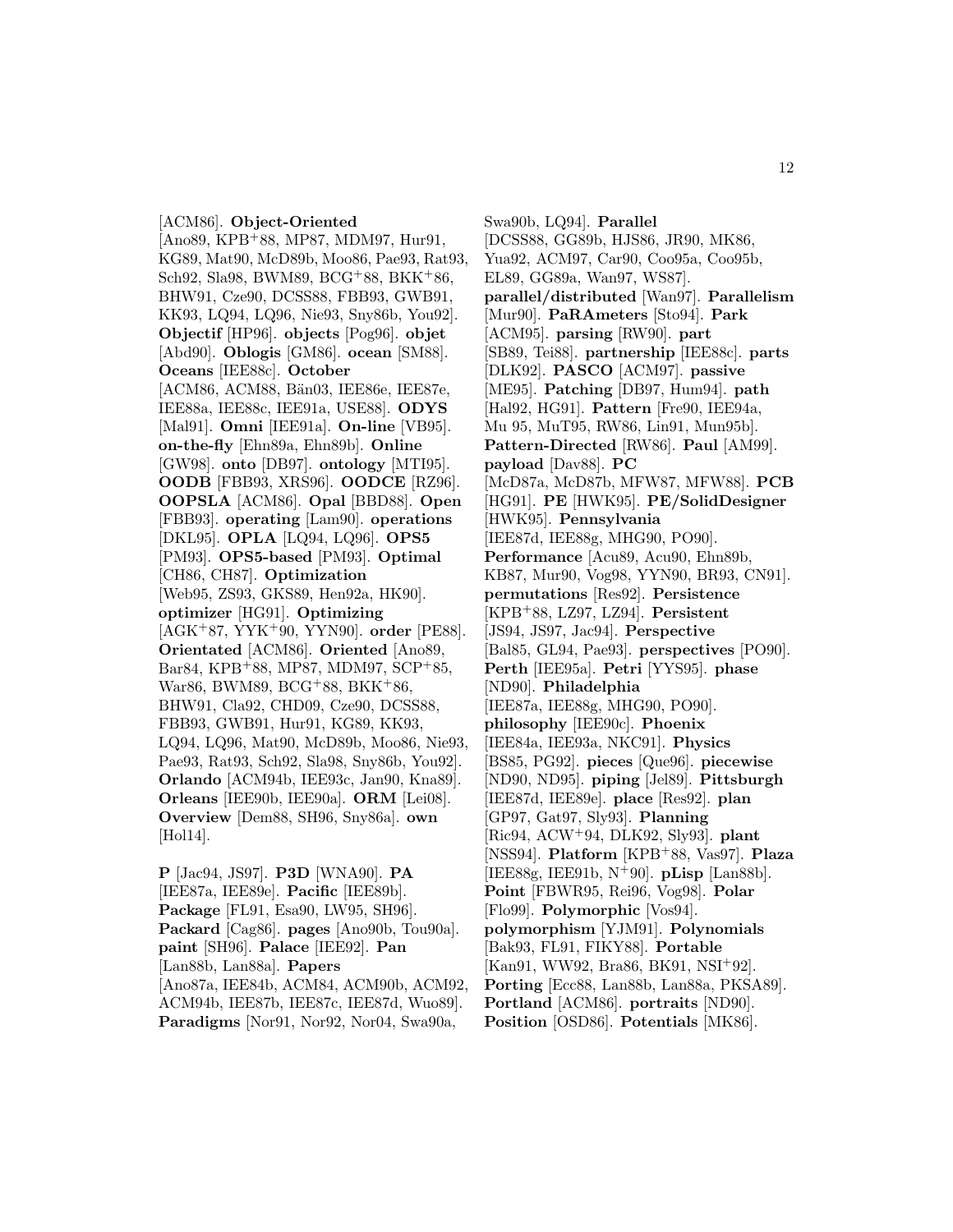#### [ACM86]. **Object-Oriented**

[Ano89, KPB<sup>+</sup>88, MP87, MDM97, Hur91, KG89, Mat90, McD89b, Moo86, Pae93, Rat93, Sch92, Sla98, BWM89, BCG<sup>+</sup>88, BKK<sup>+</sup>86, BHW91, Cze90, DCSS88, FBB93, GWB91, KK93, LQ94, LQ96, Nie93, Sny86b, You92]. **Objectif** [HP96]. **objects** [Pog96]. **objet** [Abd90]. **Oblogis** [GM86]. **ocean** [SM88]. **Oceans** [IEE88c]. **October** [ACM86, ACM88, Bän03, IEE86e, IEE87e, IEE88a, IEE88c, IEE91a, USE88]. **ODYS** [Mal91]. **Omni** [IEE91a]. **On-line** [VB95]. **on-the-fly** [Ehn89a, Ehn89b]. **Online** [GW98]. **onto** [DB97]. **ontology** [MTI95]. **OODB** [FBB93, XRS96]. **OODCE** [RZ96]. **OOPSLA** [ACM86]. **Opal** [BBD88]. **Open** [FBB93]. **operating** [Lam90]. **operations** [DKL95]. **OPLA** [LQ94, LQ96]. **OPS5** [PM93]. **OPS5-based** [PM93]. **Optimal** [CH86, CH87]. **Optimization** [Web95, ZS93, GKS89, Hen92a, HK90]. **optimizer** [HG91]. **Optimizing** [AGK<sup>+</sup>87, YYK<sup>+</sup>90, YYN90]. **order** [PE88]. **Orientated** [ACM86]. **Oriented** [Ano89, Bar84, KPB<sup>+</sup>88, MP87, MDM97, SCP<sup>+</sup>85, War86, BWM89, BCG<sup>+</sup>88, BKK<sup>+</sup>86, BHW91, Cla92, CHD09, Cze90, DCSS88, FBB93, GWB91, Hur91, KG89, KK93, LQ94, LQ96, Mat90, McD89b, Moo86, Nie93, Pae93, Rat93, Sch92, Sla98, Sny86b, You92]. **Orlando** [ACM94b, IEE93c, Jan90, Kna89]. **Orleans** [IEE90b, IEE90a]. **ORM** [Lei08]. **Overview** [Dem88, SH96, Sny86a]. **own** [Hol14].

**P** [Jac94, JS97]. **P3D** [WNA90]. **PA** [IEE87a, IEE89e]. **Pacific** [IEE89b]. **Package** [FL91, Esa90, LW95, SH96]. **Packard** [Cag86]. **pages** [Ano90b, Tou90a]. **paint** [SH96]. **Palace** [IEE92]. **Pan** [Lan88b, Lan88a]. **Papers** [Ano87a, IEE84b, ACM84, ACM90b, ACM92, ACM94b, IEE87b, IEE87c, IEE87d, Wuo89]. **Paradigms** [Nor91, Nor92, Nor04, Swa90a,

Swa90b, LQ94]. **Parallel** [DCSS88, GG89b, HJS86, JR90, MK86, Yua92, ACM97, Car90, Coo95a, Coo95b, EL89, GG89a, Wan97, WS87]. **parallel/distributed** [Wan97]. **Parallelism** [Mur90]. **PaRAmeters** [Sto94]. **Park** [ACM95]. **parsing** [RW90]. **part** [SB89, Tei88]. **partnership** [IEE88c]. **parts** [DLK92]. **PASCO** [ACM97]. **passive** [ME95]. **Patching** [DB97, Hum94]. **path** [Hal92, HG91]. **Pattern** [Fre90, IEE94a, Mu 95, MuT95, RW86, Lin91, Mun95b]. **Pattern-Directed** [RW86]. **Paul** [AM99]. **payload** [Dav88]. **PC** [McD87a, McD87b, MFW87, MFW88]. **PCB** [HG91]. **PE** [HWK95]. **PE/SolidDesigner** [HWK95]. **Pennsylvania** [IEE87d, IEE88g, MHG90, PO90]. **Performance** [Acu89, Acu90, Ehn89b, KB87, Mur90, Vog98, YYN90, BR93, CN91]. **permutations** [Res92]. **Persistence** [KPB<sup>+</sup>88, LZ97, LZ94]. **Persistent** [JS94, JS97, Jac94]. **Perspective** [Bal85, GL94, Pae93]. **perspectives** [PO90]. **Perth** [IEE95a]. **Petri** [YYS95]. **phase** [ND90]. **Philadelphia** [IEE87a, IEE88g, MHG90, PO90]. **philosophy** [IEE90c]. **Phoenix** [IEE84a, IEE93a, NKC91]. **Physics** [BS85, PG92]. **pieces** [Que96]. **piecewise** [ND90, ND95]. **piping** [Jel89]. **Pittsburgh** [IEE87d, IEE89e]. **place** [Res92]. **plan** [GP97, Gat97, Sly93]. **Planning** [Ric94, ACW<sup>+</sup>94, DLK92, Sly93]. **plant** [NSS94]. **Platform** [KPB<sup>+</sup>88, Vas97]. **Plaza** [IEE88g, IEE91b, N<sup>+</sup>90]. **pLisp** [Lan88b]. **Point** [FBWR95, Rei96, Vog98]. **Polar** [Flo99]. **Polymorphic** [Vos94]. **polymorphism** [YJM91]. **Polynomials** [Bak93, FL91, FIKY88]. **Portable** [Kan91, WW92, Bra86, BK91, NSI<sup>+</sup>92]. **Porting** [Ecc88, Lan88b, Lan88a, PKSA89]. **Portland** [ACM86]. **portraits** [ND90]. **Position** [OSD86]. **Potentials** [MK86].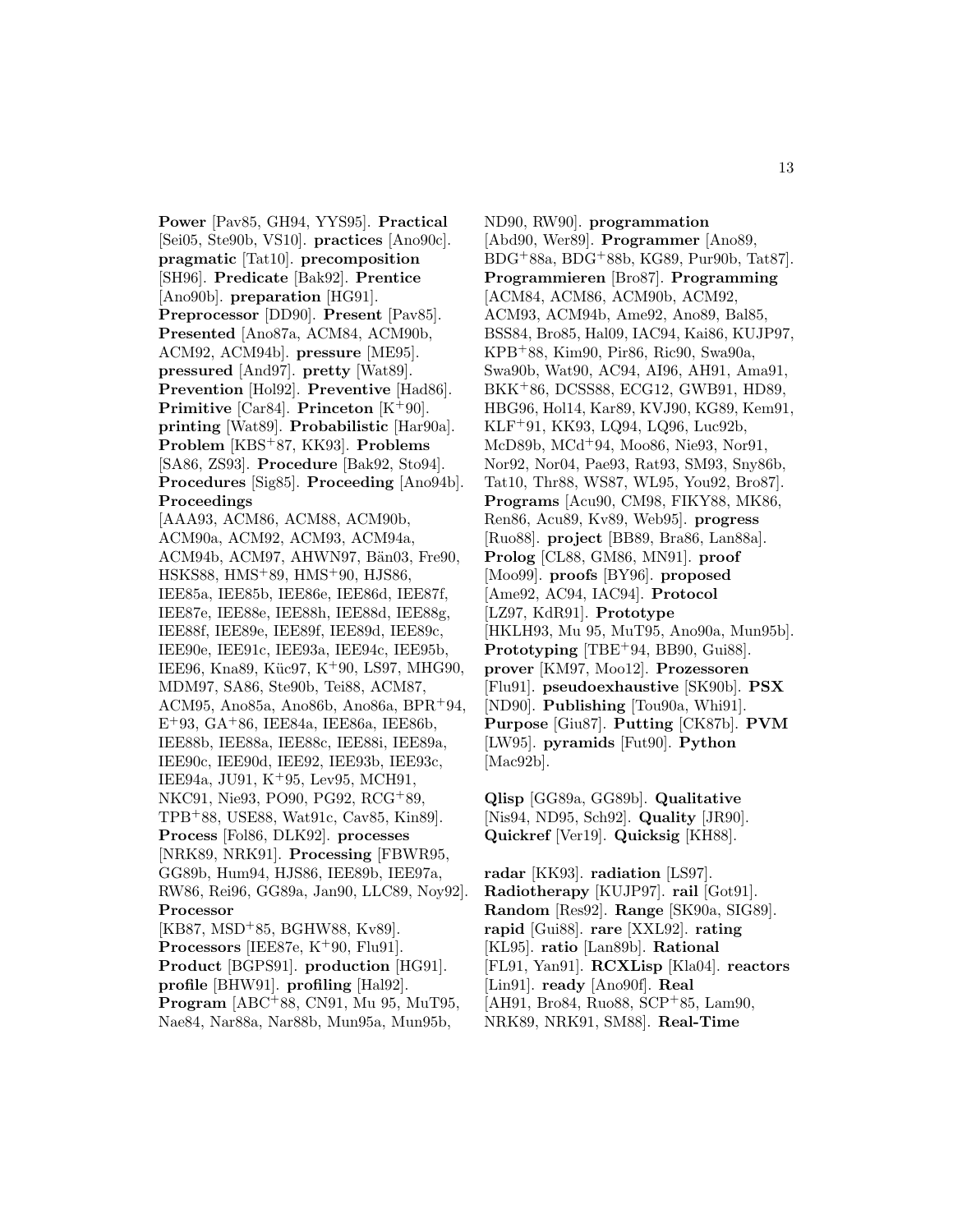**Power** [Pav85, GH94, YYS95]. **Practical** [Sei05, Ste90b, VS10]. **practices** [Ano90c]. **pragmatic** [Tat10]. **precomposition** [SH96]. **Predicate** [Bak92]. **Prentice** [Ano90b]. **preparation** [HG91]. **Preprocessor** [DD90]. **Present** [Pav85]. **Presented** [Ano87a, ACM84, ACM90b, ACM92, ACM94b]. **pressure** [ME95]. **pressured** [And97]. **pretty** [Wat89]. **Prevention** [Hol92]. **Preventive** [Had86]. **Primitive** [Car84]. **Princeton** [K<sup>+</sup>90]. **printing** [Wat89]. **Probabilistic** [Har90a]. **Problem** [KBS<sup>+</sup>87, KK93]. **Problems** [SA86, ZS93]. **Procedure** [Bak92, Sto94]. **Procedures** [Sig85]. **Proceeding** [Ano94b]. **Proceedings** [AAA93, ACM86, ACM88, ACM90b, ACM90a, ACM92, ACM93, ACM94a, ACM94b, ACM97, AHWN97, Bän03, Fre90, HSKS88, HMS<sup>+</sup>89, HMS<sup>+</sup>90, HJS86, IEE85a, IEE85b, IEE86e, IEE86d, IEE87f, IEE87e, IEE88e, IEE88h, IEE88d, IEE88g, IEE88f, IEE89e, IEE89f, IEE89d, IEE89c, IEE90e, IEE91c, IEE93a, IEE94c, IEE95b, IEE96, Kna89, Küc97, K<sup>+</sup>90, LS97, MHG90, MDM97, SA86, Ste90b, Tei88, ACM87, ACM95, Ano85a, Ano86b, Ano86a, BPR<sup>+</sup>94, E<sup>+</sup>93, GA<sup>+</sup>86, IEE84a, IEE86a, IEE86b, IEE88b, IEE88a, IEE88c, IEE88i, IEE89a, IEE90c, IEE90d, IEE92, IEE93b, IEE93c, IEE94a, JU91, K<sup>+</sup>95, Lev95, MCH91, NKC91, Nie93, PO90, PG92, RCG<sup>+</sup>89, TPB<sup>+</sup>88, USE88, Wat91c, Cav85, Kin89]. **Process** [Fol86, DLK92]. **processes** [NRK89, NRK91]. **Processing** [FBWR95, GG89b, Hum94, HJS86, IEE89b, IEE97a, RW86, Rei96, GG89a, Jan90, LLC89, Noy92]. **Processor** [KB87, MSD<sup>+</sup>85, BGHW88, Kv89]. **Processors** [IEE87e, K<sup>+</sup>90, Flu91]. **Product** [BGPS91]. **production** [HG91]. **profile** [BHW91]. **profiling** [Hal92]. **Program** [ABC<sup>+</sup>88, CN91, Mu 95, MuT95, Nae84, Nar88a, Nar88b, Mun95a, Mun95b,

ND90, RW90]. **programmation** [Abd90, Wer89]. **Programmer** [Ano89, BDG<sup>+</sup>88a, BDG<sup>+</sup>88b, KG89, Pur90b, Tat87]. **Programmieren** [Bro87]. **Programming** [ACM84, ACM86, ACM90b, ACM92, ACM93, ACM94b, Ame92, Ano89, Bal85, BSS84, Bro85, Hal09, IAC94, Kai86, KUJP97, KPB<sup>+</sup>88, Kim90, Pir86, Ric90, Swa90a, Swa90b, Wat90, AC94, AI96, AH91, Ama91, BKK<sup>+</sup>86, DCSS88, ECG12, GWB91, HD89, HBG96, Hol14, Kar89, KVJ90, KG89, Kem91, KLF<sup>+</sup>91, KK93, LQ94, LQ96, Luc92b, McD89b, MCd<sup>+</sup>94, Moo86, Nie93, Nor91, Nor92, Nor04, Pae93, Rat93, SM93, Sny86b, Tat10, Thr88, WS87, WL95, You92, Bro87]. **Programs** [Acu90, CM98, FIKY88, MK86, Ren86, Acu89, Kv89, Web95]. **progress** [Ruo88]. **project** [BB89, Bra86, Lan88a]. **Prolog** [CL88, GM86, MN91]. **proof** [Moo99]. **proofs** [BY96]. **proposed** [Ame92, AC94, IAC94]. **Protocol** [LZ97, KdR91]. **Prototype** [HKLH93, Mu 95, MuT95, Ano90a, Mun95b]. Prototyping [TBE<sup>+94</sup>, BB90, Gui88]. **prover** [KM97, Moo12]. **Prozessoren** [Flu91]. **pseudoexhaustive** [SK90b]. **PSX** [ND90]. **Publishing** [Tou90a, Whi91]. **Purpose** [Giu87]. **Putting** [CK87b]. **PVM** [LW95]. **pyramids** [Fut90]. **Python** [Mac92b].

**Qlisp** [GG89a, GG89b]. **Qualitative** [Nis94, ND95, Sch92]. **Quality** [JR90]. **Quickref** [Ver19]. **Quicksig** [KH88].

**radar** [KK93]. **radiation** [LS97]. **Radiotherapy** [KUJP97]. **rail** [Got91]. **Random** [Res92]. **Range** [SK90a, SIG89]. **rapid** [Gui88]. **rare** [XXL92]. **rating** [KL95]. **ratio** [Lan89b]. **Rational** [FL91, Yan91]. **RCXLisp** [Kla04]. **reactors** [Lin91]. **ready** [Ano90f]. **Real** [AH91, Bro84, Ruo88, SCP<sup>+</sup>85, Lam90, NRK89, NRK91, SM88]. **Real-Time**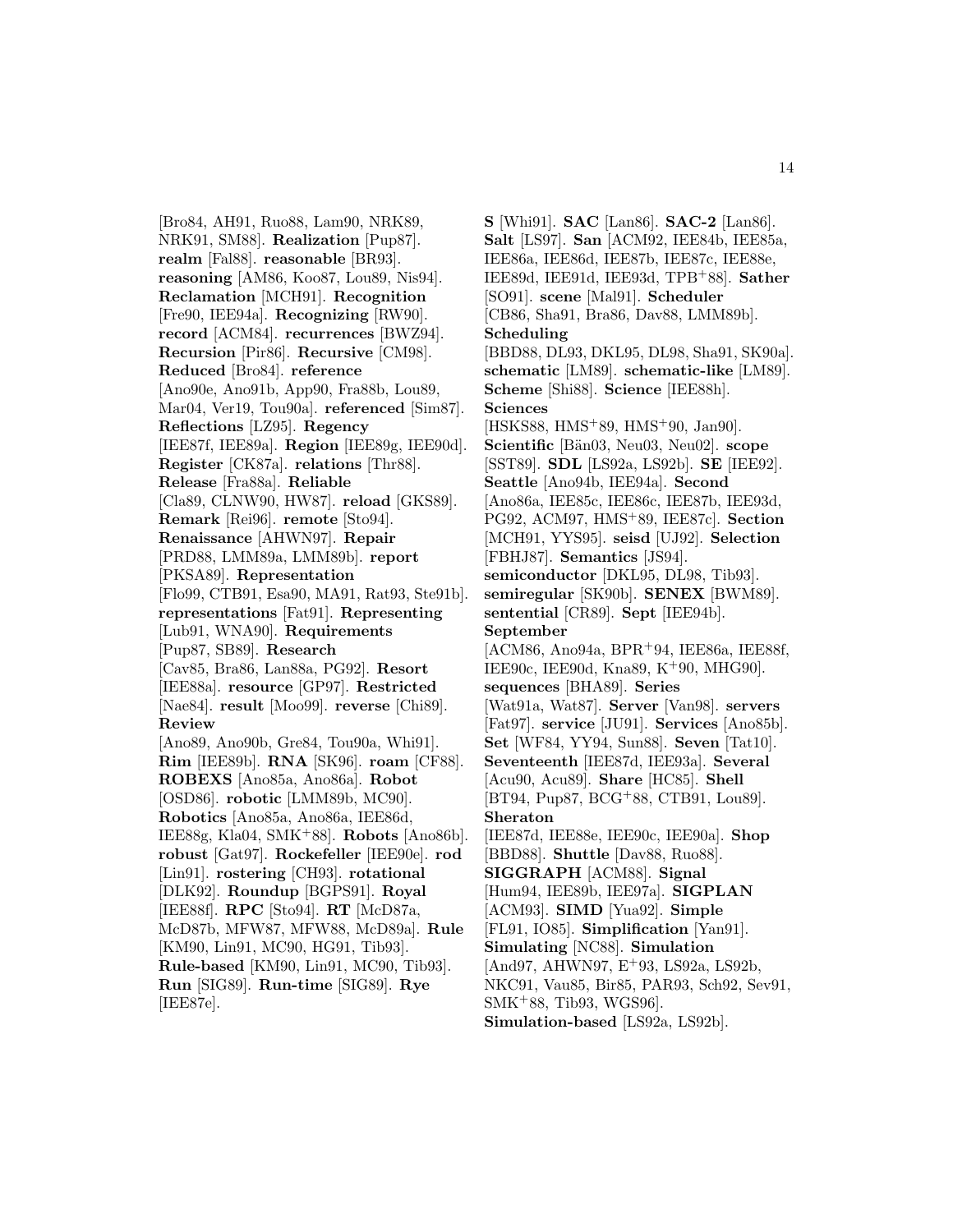[Bro84, AH91, Ruo88, Lam90, NRK89, NRK91, SM88]. **Realization** [Pup87]. **realm** [Fal88]. **reasonable** [BR93]. **reasoning** [AM86, Koo87, Lou89, Nis94]. **Reclamation** [MCH91]. **Recognition** [Fre90, IEE94a]. **Recognizing** [RW90]. **record** [ACM84]. **recurrences** [BWZ94]. **Recursion** [Pir86]. **Recursive** [CM98]. **Reduced** [Bro84]. **reference** [Ano90e, Ano91b, App90, Fra88b, Lou89, Mar04, Ver19, Tou90a]. **referenced** [Sim87]. **Reflections** [LZ95]. **Regency** [IEE87f, IEE89a]. **Region** [IEE89g, IEE90d]. **Register** [CK87a]. **relations** [Thr88]. **Release** [Fra88a]. **Reliable** [Cla89, CLNW90, HW87]. **reload** [GKS89]. **Remark** [Rei96]. **remote** [Sto94]. **Renaissance** [AHWN97]. **Repair** [PRD88, LMM89a, LMM89b]. **report** [PKSA89]. **Representation** [Flo99, CTB91, Esa90, MA91, Rat93, Ste91b]. **representations** [Fat91]. **Representing** [Lub91, WNA90]. **Requirements** [Pup87, SB89]. **Research** [Cav85, Bra86, Lan88a, PG92]. **Resort** [IEE88a]. **resource** [GP97]. **Restricted** [Nae84]. **result** [Moo99]. **reverse** [Chi89]. **Review** [Ano89, Ano90b, Gre84, Tou90a, Whi91]. **Rim** [IEE89b]. **RNA** [SK96]. **roam** [CF88]. **ROBEXS** [Ano85a, Ano86a]. **Robot** [OSD86]. **robotic** [LMM89b, MC90]. **Robotics** [Ano85a, Ano86a, IEE86d, IEE88g, Kla04, SMK<sup>+</sup>88]. **Robots** [Ano86b]. **robust** [Gat97]. **Rockefeller** [IEE90e]. **rod** [Lin91]. **rostering** [CH93]. **rotational** [DLK92]. **Roundup** [BGPS91]. **Royal** [IEE88f]. **RPC** [Sto94]. **RT** [McD87a, McD87b, MFW87, MFW88, McD89a]. **Rule** [KM90, Lin91, MC90, HG91, Tib93]. **Rule-based** [KM90, Lin91, MC90, Tib93]. **Run** [SIG89]. **Run-time** [SIG89]. **Rye** [IEE87e].

**S** [Whi91]. **SAC** [Lan86]. **SAC-2** [Lan86]. **Salt** [LS97]. **San** [ACM92, IEE84b, IEE85a, IEE86a, IEE86d, IEE87b, IEE87c, IEE88e, IEE89d, IEE91d, IEE93d, TPB<sup>+</sup>88]. **Sather** [SO91]. **scene** [Mal91]. **Scheduler** [CB86, Sha91, Bra86, Dav88, LMM89b]. **Scheduling** [BBD88, DL93, DKL95, DL98, Sha91, SK90a]. **schematic** [LM89]. **schematic-like** [LM89]. **Scheme** [Shi88]. **Science** [IEE88h]. **Sciences** [HSKS88, HMS<sup>+</sup>89, HMS<sup>+</sup>90, Jan90]. **Scientific** [Bän03, Neu03, Neu02]. **scope** [SST89]. **SDL** [LS92a, LS92b]. **SE** [IEE92]. **Seattle** [Ano94b, IEE94a]. **Second** [Ano86a, IEE85c, IEE86c, IEE87b, IEE93d, PG92, ACM97, HMS<sup>+</sup>89, IEE87c]. **Section** [MCH91, YYS95]. **seisd** [UJ92]. **Selection** [FBHJ87]. **Semantics** [JS94]. **semiconductor** [DKL95, DL98, Tib93]. **semiregular** [SK90b]. **SENEX** [BWM89]. **sentential** [CR89]. **Sept** [IEE94b]. **September** [ACM86, Ano94a, BPR<sup>+</sup>94, IEE86a, IEE88f, IEE90c, IEE90d, Kna89, K<sup>+</sup>90, MHG90]. **sequences** [BHA89]. **Series** [Wat91a, Wat87]. **Server** [Van98]. **servers** [Fat97]. **service** [JU91]. **Services** [Ano85b]. **Set** [WF84, YY94, Sun88]. **Seven** [Tat10]. **Seventeenth** [IEE87d, IEE93a]. **Several** [Acu90, Acu89]. **Share** [HC85]. **Shell** [BT94, Pup87, BCG<sup>+</sup>88, CTB91, Lou89]. **Sheraton** [IEE87d, IEE88e, IEE90c, IEE90a]. **Shop** [BBD88]. **Shuttle** [Dav88, Ruo88]. **SIGGRAPH** [ACM88]. **Signal** [Hum94, IEE89b, IEE97a]. **SIGPLAN** [ACM93]. **SIMD** [Yua92]. **Simple** [FL91, IO85]. **Simplification** [Yan91]. **Simulating** [NC88]. **Simulation** [And97, AHWN97, E<sup>+</sup>93, LS92a, LS92b, NKC91, Vau85, Bir85, PAR93, Sch92, Sev91, SMK<sup>+</sup>88, Tib93, WGS96]. **Simulation-based** [LS92a, LS92b].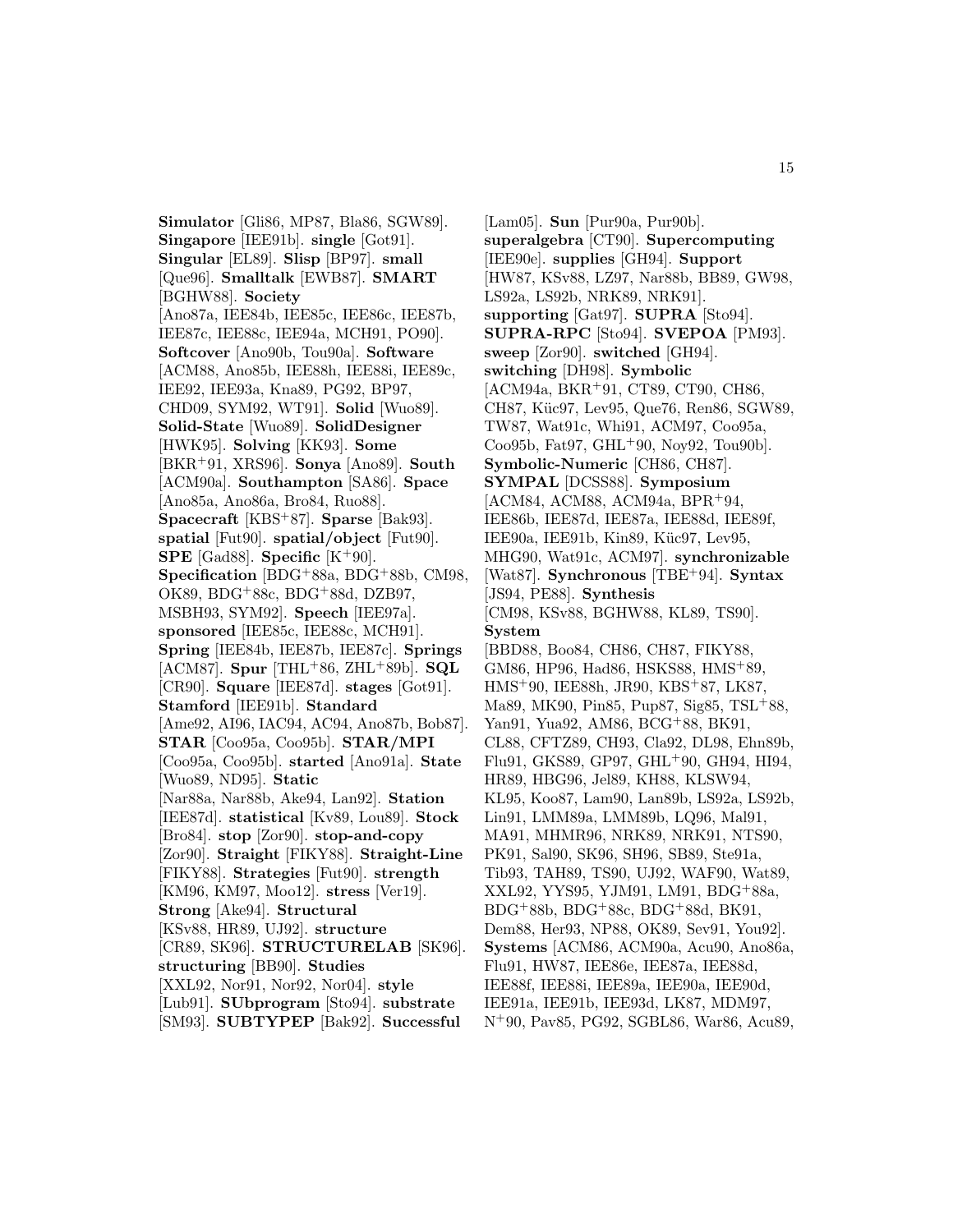**Simulator** [Gli86, MP87, Bla86, SGW89]. **Singapore** [IEE91b]. **single** [Got91]. **Singular** [EL89]. **Slisp** [BP97]. **small** [Que96]. **Smalltalk** [EWB87]. **SMART** [BGHW88]. **Society** [Ano87a, IEE84b, IEE85c, IEE86c, IEE87b, IEE87c, IEE88c, IEE94a, MCH91, PO90]. **Softcover** [Ano90b, Tou90a]. **Software** [ACM88, Ano85b, IEE88h, IEE88i, IEE89c, IEE92, IEE93a, Kna89, PG92, BP97, CHD09, SYM92, WT91]. **Solid** [Wuo89]. **Solid-State** [Wuo89]. **SolidDesigner** [HWK95]. **Solving** [KK93]. **Some** [BKR<sup>+</sup>91, XRS96]. **Sonya** [Ano89]. **South** [ACM90a]. **Southampton** [SA86]. **Space** [Ano85a, Ano86a, Bro84, Ruo88]. **Spacecraft** [KBS<sup>+</sup>87]. **Sparse** [Bak93]. **spatial** [Fut90]. **spatial/object** [Fut90]. **SPE** [Gad88]. **Specific**  $[K^+90]$ . **Specification** [BDG<sup>+</sup>88a, BDG<sup>+</sup>88b, CM98, OK89, BDG<sup>+</sup>88c, BDG<sup>+</sup>88d, DZB97, MSBH93, SYM92]. **Speech** [IEE97a]. **sponsored** [IEE85c, IEE88c, MCH91]. **Spring** [IEE84b, IEE87b, IEE87c]. **Springs** [ACM87]. **Spur** [THL<sup>+</sup>86, ZHL<sup>+</sup>89b]. **SQL** [CR90]. **Square** [IEE87d]. **stages** [Got91]. **Stamford** [IEE91b]. **Standard** [Ame92, AI96, IAC94, AC94, Ano87b, Bob87]. **STAR** [Coo95a, Coo95b]. **STAR/MPI** [Coo95a, Coo95b]. **started** [Ano91a]. **State** [Wuo89, ND95]. **Static** [Nar88a, Nar88b, Ake94, Lan92]. **Station** [IEE87d]. **statistical** [Kv89, Lou89]. **Stock** [Bro84]. **stop** [Zor90]. **stop-and-copy** [Zor90]. **Straight** [FIKY88]. **Straight-Line** [FIKY88]. **Strategies** [Fut90]. **strength** [KM96, KM97, Moo12]. **stress** [Ver19]. **Strong** [Ake94]. **Structural** [KSv88, HR89, UJ92]. **structure** [CR89, SK96]. **STRUCTURELAB** [SK96]. **structuring** [BB90]. **Studies** [XXL92, Nor91, Nor92, Nor04]. **style** [Lub91]. **SUbprogram** [Sto94]. **substrate** [SM93]. **SUBTYPEP** [Bak92]. **Successful**

[Lam05]. **Sun** [Pur90a, Pur90b]. **superalgebra** [CT90]. **Supercomputing** [IEE90e]. **supplies** [GH94]. **Support** [HW87, KSv88, LZ97, Nar88b, BB89, GW98, LS92a, LS92b, NRK89, NRK91]. **supporting** [Gat97]. **SUPRA** [Sto94]. **SUPRA-RPC** [Sto94]. **SVEPOA** [PM93]. **sweep** [Zor90]. **switched** [GH94]. **switching** [DH98]. **Symbolic** [ACM94a, BKR<sup>+</sup>91, CT89, CT90, CH86, CH87, Küc97, Lev95, Que76, Ren86, SGW89, TW87, Wat91c, Whi91, ACM97, Coo95a, Coo95b, Fat97, GHL<sup>+</sup>90, Noy92, Tou90b]. **Symbolic-Numeric** [CH86, CH87]. **SYMPAL** [DCSS88]. **Symposium** [ACM84, ACM88, ACM94a, BPR<sup>+</sup>94, IEE86b, IEE87d, IEE87a, IEE88d, IEE89f, IEE90a, IEE91b, Kin89, Küc97, Lev95, MHG90, Wat91c, ACM97]. **synchronizable** [Wat87]. **Synchronous** [TBE<sup>+</sup>94]. **Syntax** [JS94, PE88]. **Synthesis** [CM98, KSv88, BGHW88, KL89, TS90]. **System** [BBD88, Boo84, CH86, CH87, FIKY88, GM86, HP96, Had86, HSKS88, HMS<sup>+</sup>89, HMS<sup>+</sup>90, IEE88h, JR90, KBS<sup>+</sup>87, LK87, Ma89, MK90, Pin85, Pup87, Sig85, TSL<sup>+</sup>88, Yan91, Yua92, AM86, BCG<sup>+</sup>88, BK91, CL88, CFTZ89, CH93, Cla92, DL98, Ehn89b, Flu91, GKS89, GP97, GHL<sup>+</sup>90, GH94, HI94, HR89, HBG96, Jel89, KH88, KLSW94, KL95, Koo87, Lam90, Lan89b, LS92a, LS92b, Lin91, LMM89a, LMM89b, LQ96, Mal91, MA91, MHMR96, NRK89, NRK91, NTS90, PK91, Sal90, SK96, SH96, SB89, Ste91a, Tib93, TAH89, TS90, UJ92, WAF90, Wat89, XXL92, YYS95, YJM91, LM91, BDG<sup>+</sup>88a, BDG<sup>+</sup>88b, BDG<sup>+</sup>88c, BDG<sup>+</sup>88d, BK91, Dem88, Her93, NP88, OK89, Sev91, You92]. **Systems** [ACM86, ACM90a, Acu90, Ano86a, Flu91, HW87, IEE86e, IEE87a, IEE88d, IEE88f, IEE88i, IEE89a, IEE90a, IEE90d, IEE91a, IEE91b, IEE93d, LK87, MDM97, N<sup>+</sup>90, Pav85, PG92, SGBL86, War86, Acu89,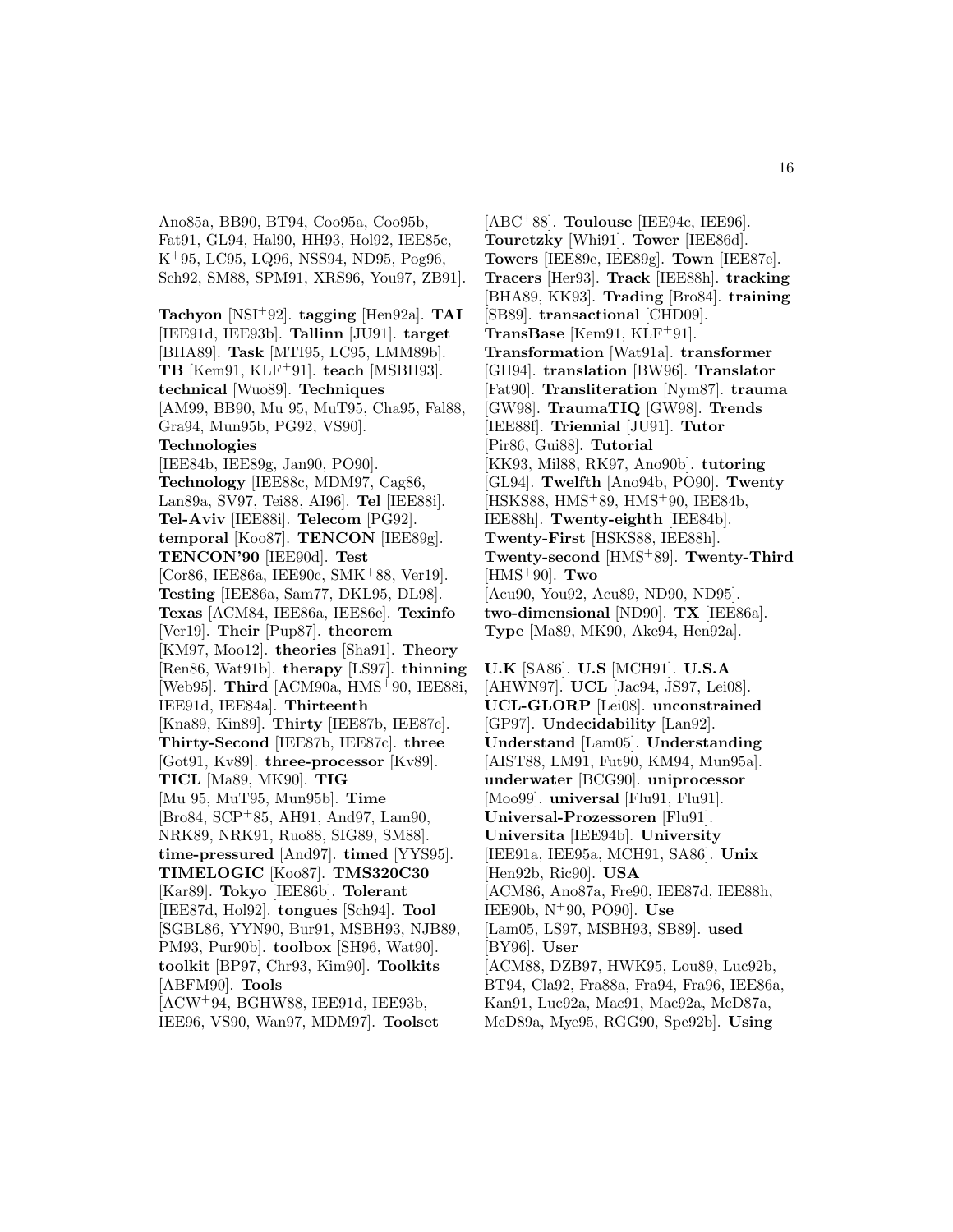Ano85a, BB90, BT94, Coo95a, Coo95b, Fat91, GL94, Hal90, HH93, Hol92, IEE85c, K<sup>+</sup>95, LC95, LQ96, NSS94, ND95, Pog96, Sch92, SM88, SPM91, XRS96, You97, ZB91].

**Tachyon** [NSI<sup>+</sup>92]. **tagging** [Hen92a]. **TAI** [IEE91d, IEE93b]. **Tallinn** [JU91]. **target** [BHA89]. **Task** [MTI95, LC95, LMM89b]. **TB** [Kem91, KLF<sup>+</sup>91]. **teach** [MSBH93]. **technical** [Wuo89]. **Techniques** [AM99, BB90, Mu 95, MuT95, Cha95, Fal88, Gra94, Mun95b, PG92, VS90]. **Technologies** [IEE84b, IEE89g, Jan90, PO90]. **Technology** [IEE88c, MDM97, Cag86, Lan89a, SV97, Tei88, AI96]. **Tel** [IEE88i]. **Tel-Aviv** [IEE88i]. **Telecom** [PG92]. **temporal** [Koo87]. **TENCON** [IEE89g]. **TENCON'90** [IEE90d]. **Test** [Cor86, IEE86a, IEE90c, SMK<sup>+</sup>88, Ver19]. **Testing** [IEE86a, Sam77, DKL95, DL98]. **Texas** [ACM84, IEE86a, IEE86e]. **Texinfo** [Ver19]. **Their** [Pup87]. **theorem** [KM97, Moo12]. **theories** [Sha91]. **Theory** [Ren86, Wat91b]. **therapy** [LS97]. **thinning** [Web95]. **Third** [ACM90a, HMS<sup>+</sup>90, IEE88i, IEE91d, IEE84a]. **Thirteenth** [Kna89, Kin89]. **Thirty** [IEE87b, IEE87c]. **Thirty-Second** [IEE87b, IEE87c]. **three** [Got91, Kv89]. **three-processor** [Kv89]. **TICL** [Ma89, MK90]. **TIG** [Mu 95, MuT95, Mun95b]. **Time** [Bro84, SCP<sup>+</sup>85, AH91, And97, Lam90, NRK89, NRK91, Ruo88, SIG89, SM88]. **time-pressured** [And97]. **timed** [YYS95]. **TIMELOGIC** [Koo87]. **TMS320C30** [Kar89]. **Tokyo** [IEE86b]. **Tolerant** [IEE87d, Hol92]. **tongues** [Sch94]. **Tool** [SGBL86, YYN90, Bur91, MSBH93, NJB89, PM93, Pur90b]. **toolbox** [SH96, Wat90]. **toolkit** [BP97, Chr93, Kim90]. **Toolkits** [ABFM90]. **Tools** [ACW<sup>+</sup>94, BGHW88, IEE91d, IEE93b, IEE96, VS90, Wan97, MDM97]. **Toolset**

[ABC<sup>+</sup>88]. **Toulouse** [IEE94c, IEE96]. **Touretzky** [Whi91]. **Tower** [IEE86d]. **Towers** [IEE89e, IEE89g]. **Town** [IEE87e]. **Tracers** [Her93]. **Track** [IEE88h]. **tracking** [BHA89, KK93]. **Trading** [Bro84]. **training** [SB89]. **transactional** [CHD09]. **TransBase** [Kem91, KLF<sup>+</sup>91]. **Transformation** [Wat91a]. **transformer** [GH94]. **translation** [BW96]. **Translator** [Fat90]. **Transliteration** [Nym87]. **trauma** [GW98]. **TraumaTIQ** [GW98]. **Trends** [IEE88f]. **Triennial** [JU91]. **Tutor** [Pir86, Gui88]. **Tutorial** [KK93, Mil88, RK97, Ano90b]. **tutoring** [GL94]. **Twelfth** [Ano94b, PO90]. **Twenty** [HSKS88, HMS<sup>+</sup>89, HMS<sup>+</sup>90, IEE84b, IEE88h]. **Twenty-eighth** [IEE84b]. **Twenty-First** [HSKS88, IEE88h]. **Twenty-second** [HMS<sup>+</sup>89]. **Twenty-Third** [HMS<sup>+</sup>90]. **Two** [Acu90, You92, Acu89, ND90, ND95]. **two-dimensional** [ND90]. **TX** [IEE86a]. **Type** [Ma89, MK90, Ake94, Hen92a].

**U.K** [SA86]. **U.S** [MCH91]. **U.S.A** [AHWN97]. **UCL** [Jac94, JS97, Lei08]. **UCL-GLORP** [Lei08]. **unconstrained** [GP97]. **Undecidability** [Lan92]. **Understand** [Lam05]. **Understanding** [AIST88, LM91, Fut90, KM94, Mun95a]. **underwater** [BCG90]. **uniprocessor** [Moo99]. **universal** [Flu91, Flu91]. **Universal-Prozessoren** [Flu91]. **Universita** [IEE94b]. **University** [IEE91a, IEE95a, MCH91, SA86]. **Unix** [Hen92b, Ric90]. **USA** [ACM86, Ano87a, Fre90, IEE87d, IEE88h, IEE90b, N<sup>+</sup>90, PO90]. **Use** [Lam05, LS97, MSBH93, SB89]. **used** [BY96]. **User** [ACM88, DZB97, HWK95, Lou89, Luc92b, BT94, Cla92, Fra88a, Fra94, Fra96, IEE86a, Kan91, Luc92a, Mac91, Mac92a, McD87a, McD89a, Mye95, RGG90, Spe92b]. **Using**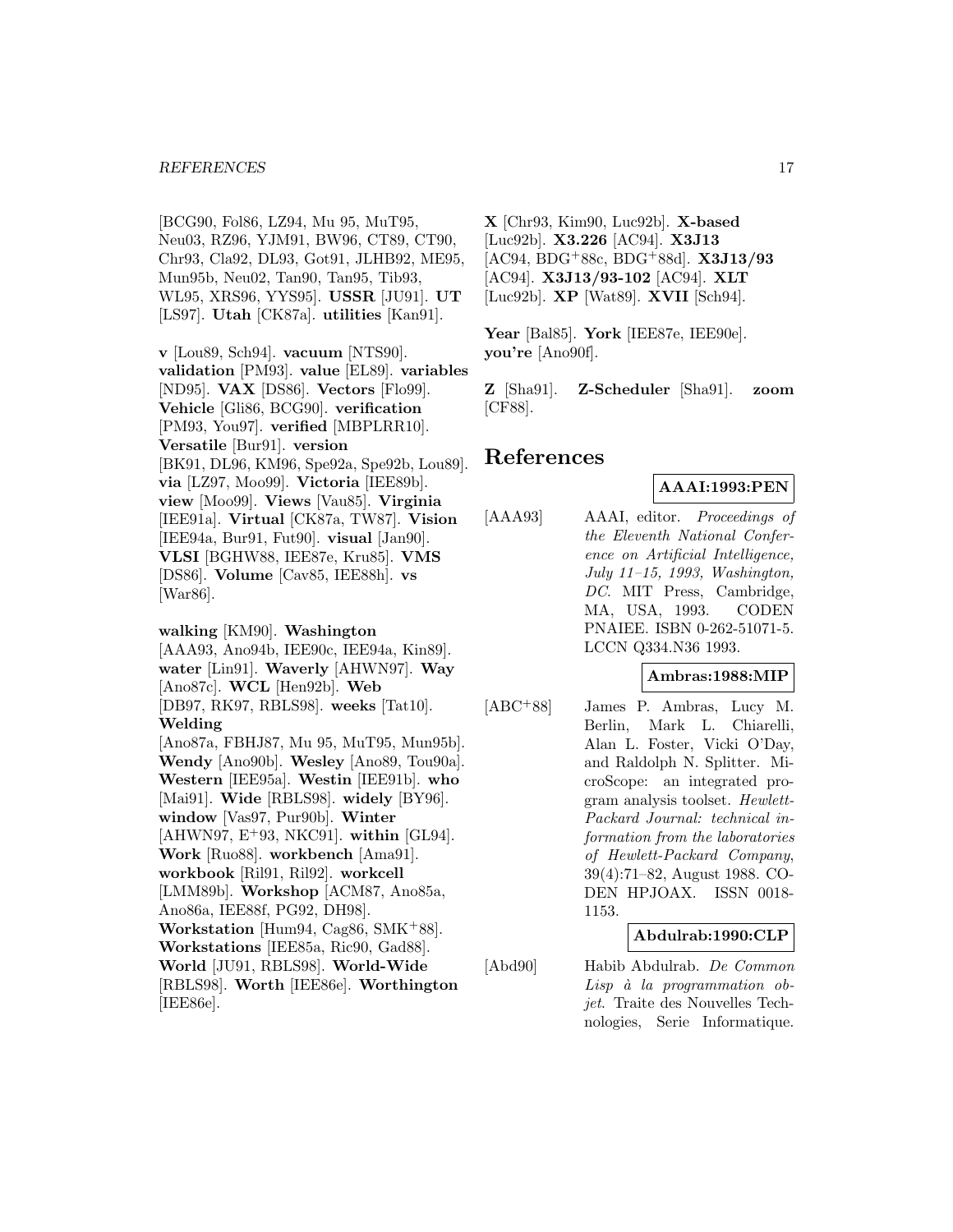[BCG90, Fol86, LZ94, Mu 95, MuT95, Neu03, RZ96, YJM91, BW96, CT89, CT90, Chr93, Cla92, DL93, Got91, JLHB92, ME95, Mun95b, Neu02, Tan90, Tan95, Tib93, WL95, XRS96, YYS95]. **USSR** [JU91]. **UT** [LS97]. **Utah** [CK87a]. **utilities** [Kan91].

**v** [Lou89, Sch94]. **vacuum** [NTS90]. **validation** [PM93]. **value** [EL89]. **variables** [ND95]. **VAX** [DS86]. **Vectors** [Flo99]. **Vehicle** [Gli86, BCG90]. **verification** [PM93, You97]. **verified** [MBPLRR10]. **Versatile** [Bur91]. **version** [BK91, DL96, KM96, Spe92a, Spe92b, Lou89]. **via** [LZ97, Moo99]. **Victoria** [IEE89b]. **view** [Moo99]. **Views** [Vau85]. **Virginia** [IEE91a]. **Virtual** [CK87a, TW87]. **Vision** [IEE94a, Bur91, Fut90]. **visual** [Jan90]. **VLSI** [BGHW88, IEE87e, Kru85]. **VMS** [DS86]. **Volume** [Cav85, IEE88h]. **vs** [War86].

**walking** [KM90]. **Washington** [AAA93, Ano94b, IEE90c, IEE94a, Kin89]. **water** [Lin91]. **Waverly** [AHWN97]. **Way** [Ano87c]. **WCL** [Hen92b]. **Web** [DB97, RK97, RBLS98]. **weeks** [Tat10]. **Welding** [Ano87a, FBHJ87, Mu 95, MuT95, Mun95b]. **Wendy** [Ano90b]. **Wesley** [Ano89, Tou90a]. **Western** [IEE95a]. **Westin** [IEE91b]. **who** [Mai91]. **Wide** [RBLS98]. **widely** [BY96]. **window** [Vas97, Pur90b]. **Winter** [AHWN97, E<sup>+</sup>93, NKC91]. **within** [GL94]. **Work** [Ruo88]. **workbench** [Ama91]. **workbook** [Ril91, Ril92]. **workcell** [LMM89b]. **Workshop** [ACM87, Ano85a, Ano86a, IEE88f, PG92, DH98]. **Workstation** [Hum94, Cag86, SMK<sup>+</sup>88]. **Workstations** [IEE85a, Ric90, Gad88]. **World** [JU91, RBLS98]. **World-Wide** [RBLS98]. **Worth** [IEE86e]. **Worthington** [IEE86e].

**X** [Chr93, Kim90, Luc92b]. **X-based** [Luc92b]. **X3.226** [AC94]. **X3J13** [AC94, BDG<sup>+</sup>88c, BDG<sup>+</sup>88d]. **X3J13/93** [AC94]. **X3J13/93-102** [AC94]. **XLT** [Luc92b]. **XP** [Wat89]. **XVII** [Sch94].

**Year** [Bal85]. **York** [IEE87e, IEE90e]. **you're** [Ano90f].

**Z** [Sha91]. **Z-Scheduler** [Sha91]. **zoom** [CF88].

# **References**

# **AAAI:1993:PEN**

[AAA93] AAAI, editor. Proceedings of the Eleventh National Conference on Artificial Intelligence, July 11–15, 1993, Washington, DC. MIT Press, Cambridge, MA, USA, 1993. CODEN PNAIEE. ISBN 0-262-51071-5. LCCN Q334.N36 1993.

#### **Ambras:1988:MIP**

[ABC<sup>+</sup>88] James P. Ambras, Lucy M. Berlin, Mark L. Chiarelli, Alan L. Foster, Vicki O'Day, and Raldolph N. Splitter. MicroScope: an integrated program analysis toolset. Hewlett-Packard Journal: technical information from the laboratories of Hewlett-Packard Company, 39(4):71–82, August 1988. CO-DEN HPJOAX. ISSN 0018- 1153.

# **Abdulrab:1990:CLP**

[Abd90] Habib Abdulrab. De Common  $Lisp$  à la programmation objet. Traite des Nouvelles Technologies, Serie Informatique.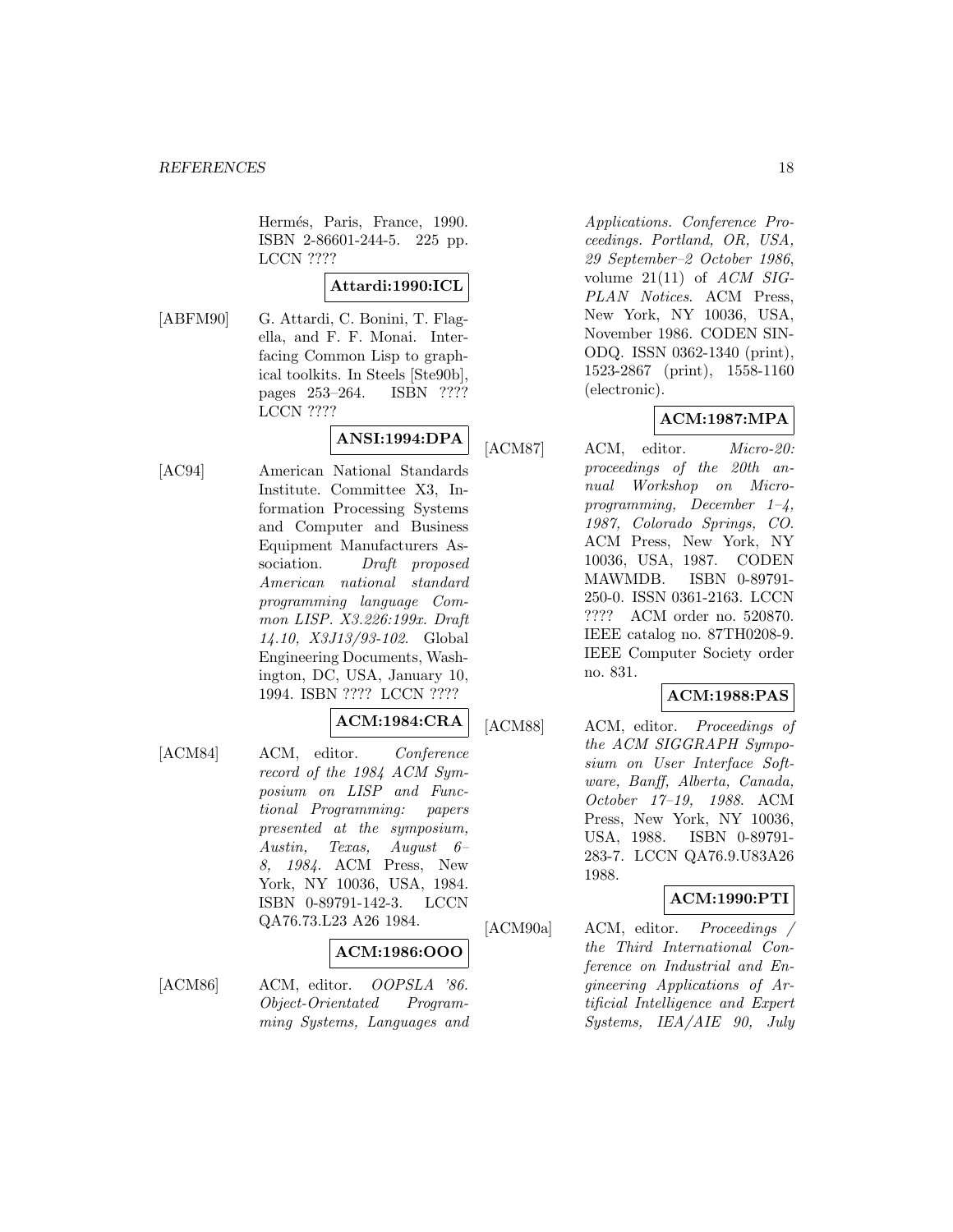Hermés, Paris, France, 1990. ISBN 2-86601-244-5. 225 pp. LCCN ????

**Attardi:1990:ICL**

[ABFM90] G. Attardi, C. Bonini, T. Flagella, and F. F. Monai. Interfacing Common Lisp to graphical toolkits. In Steels [Ste90b], pages 253–264. ISBN ???? LCCN ????

# **ANSI:1994:DPA**

[AC94] American National Standards Institute. Committee X3, Information Processing Systems and Computer and Business Equipment Manufacturers Association. Draft proposed American national standard programming language Common LISP. X3.226:199x. Draft 14.10, X3J13/93-102. Global Engineering Documents, Washington, DC, USA, January 10, 1994. ISBN ???? LCCN ????

#### **ACM:1984:CRA**

[ACM84] ACM, editor. Conference record of the 1984 ACM Symposium on LISP and Functional Programming: papers presented at the symposium, Austin, Texas, August 6– 8, 1984. ACM Press, New York, NY 10036, USA, 1984. ISBN 0-89791-142-3. LCCN QA76.73.L23 A26 1984.

#### **ACM:1986:OOO**

[ACM86] ACM, editor. *OOPSLA '86*. Object-Orientated Programming Systems, Languages and Applications. Conference Proceedings. Portland, OR, USA, 29 September–2 October 1986, volume  $21(11)$  of  $ACM$  SIG-PLAN Notices. ACM Press, New York, NY 10036, USA, November 1986. CODEN SIN-ODQ. ISSN 0362-1340 (print), 1523-2867 (print), 1558-1160 (electronic).

# **ACM:1987:MPA**

[ACM87] ACM, editor. *Micro-20:* proceedings of the 20th annual Workshop on Microprogramming, December 1–4, 1987, Colorado Springs, CO. ACM Press, New York, NY 10036, USA, 1987. CODEN MAWMDB. ISBN 0-89791- 250-0. ISSN 0361-2163. LCCN ???? ACM order no. 520870. IEEE catalog no. 87TH0208-9. IEEE Computer Society order no. 831.

# **ACM:1988:PAS**

[ACM88] ACM, editor. Proceedings of the ACM SIGGRAPH Symposium on User Interface Software, Banff, Alberta, Canada, October 17–19, 1988. ACM Press, New York, NY 10036, USA, 1988. ISBN 0-89791- 283-7. LCCN QA76.9.U83A26 1988.

# **ACM:1990:PTI**

[ACM90a] ACM, editor. Proceedings / the Third International Conference on Industrial and Engineering Applications of Artificial Intelligence and Expert Systems, IEA/AIE 90, July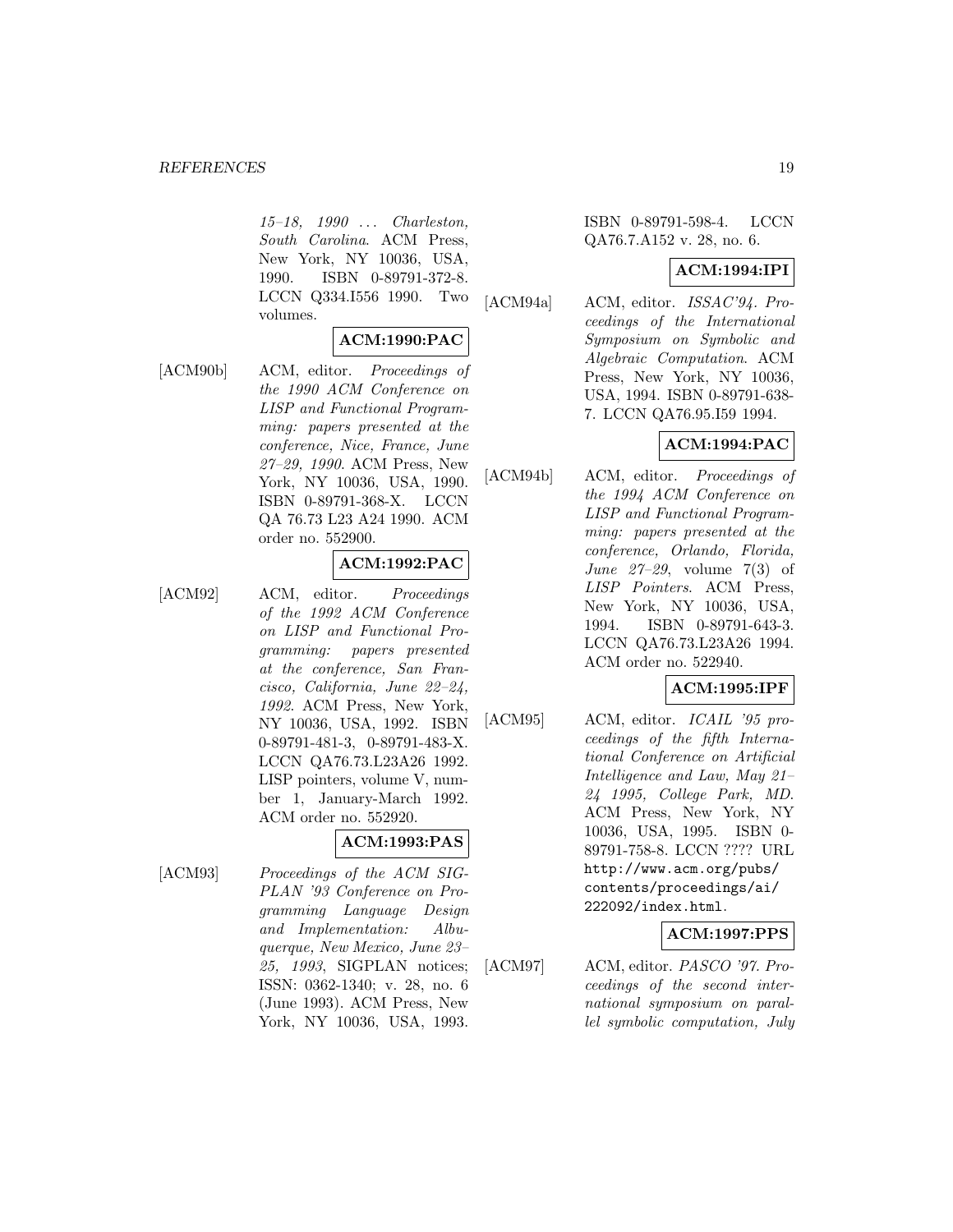15–18, 1990 ... Charleston, South Carolina. ACM Press, New York, NY 10036, USA, 1990. ISBN 0-89791-372-8. LCCN Q334.I556 1990. Two volumes.

#### **ACM:1990:PAC**

[ACM90b] ACM, editor. Proceedings of the 1990 ACM Conference on LISP and Functional Programming: papers presented at the conference, Nice, France, June 27–29, 1990. ACM Press, New York, NY 10036, USA, 1990. ISBN 0-89791-368-X. LCCN QA 76.73 L23 A24 1990. ACM order no. 552900.

# **ACM:1992:PAC**

[ACM92] ACM, editor. Proceedings of the 1992 ACM Conference on LISP and Functional Programming: papers presented at the conference, San Francisco, California, June 22–24, 1992. ACM Press, New York, NY 10036, USA, 1992. ISBN 0-89791-481-3, 0-89791-483-X. LCCN QA76.73.L23A26 1992. LISP pointers, volume V, number 1, January-March 1992. ACM order no. 552920.

#### **ACM:1993:PAS**

[ACM93] Proceedings of the ACM SIG-PLAN '93 Conference on Programming Language Design and Implementation: Albuquerque, New Mexico, June 23– 25, 1993, SIGPLAN notices; ISSN: 0362-1340; v. 28, no. 6 (June 1993). ACM Press, New York, NY 10036, USA, 1993.

ISBN 0-89791-598-4. LCCN QA76.7.A152 v. 28, no. 6.

#### **ACM:1994:IPI**

[ACM94a] ACM, editor. ISSAC'94. Proceedings of the International Symposium on Symbolic and Algebraic Computation. ACM Press, New York, NY 10036, USA, 1994. ISBN 0-89791-638- 7. LCCN QA76.95.I59 1994.

# **ACM:1994:PAC**

[ACM94b] ACM, editor. Proceedings of the 1994 ACM Conference on LISP and Functional Programming: papers presented at the conference, Orlando, Florida, June 27–29, volume 7(3) of LISP Pointers. ACM Press, New York, NY 10036, USA, 1994. ISBN 0-89791-643-3. LCCN QA76.73.L23A26 1994. ACM order no. 522940.

#### **ACM:1995:IPF**

[ACM95] ACM, editor. ICAIL '95 proceedings of the fifth International Conference on Artificial Intelligence and Law, May 21– 24 1995, College Park, MD. ACM Press, New York, NY 10036, USA, 1995. ISBN 0- 89791-758-8. LCCN ???? URL http://www.acm.org/pubs/ contents/proceedings/ai/ 222092/index.html.

# **ACM:1997:PPS**

[ACM97] ACM, editor. *PASCO* '97. Proceedings of the second international symposium on parallel symbolic computation, July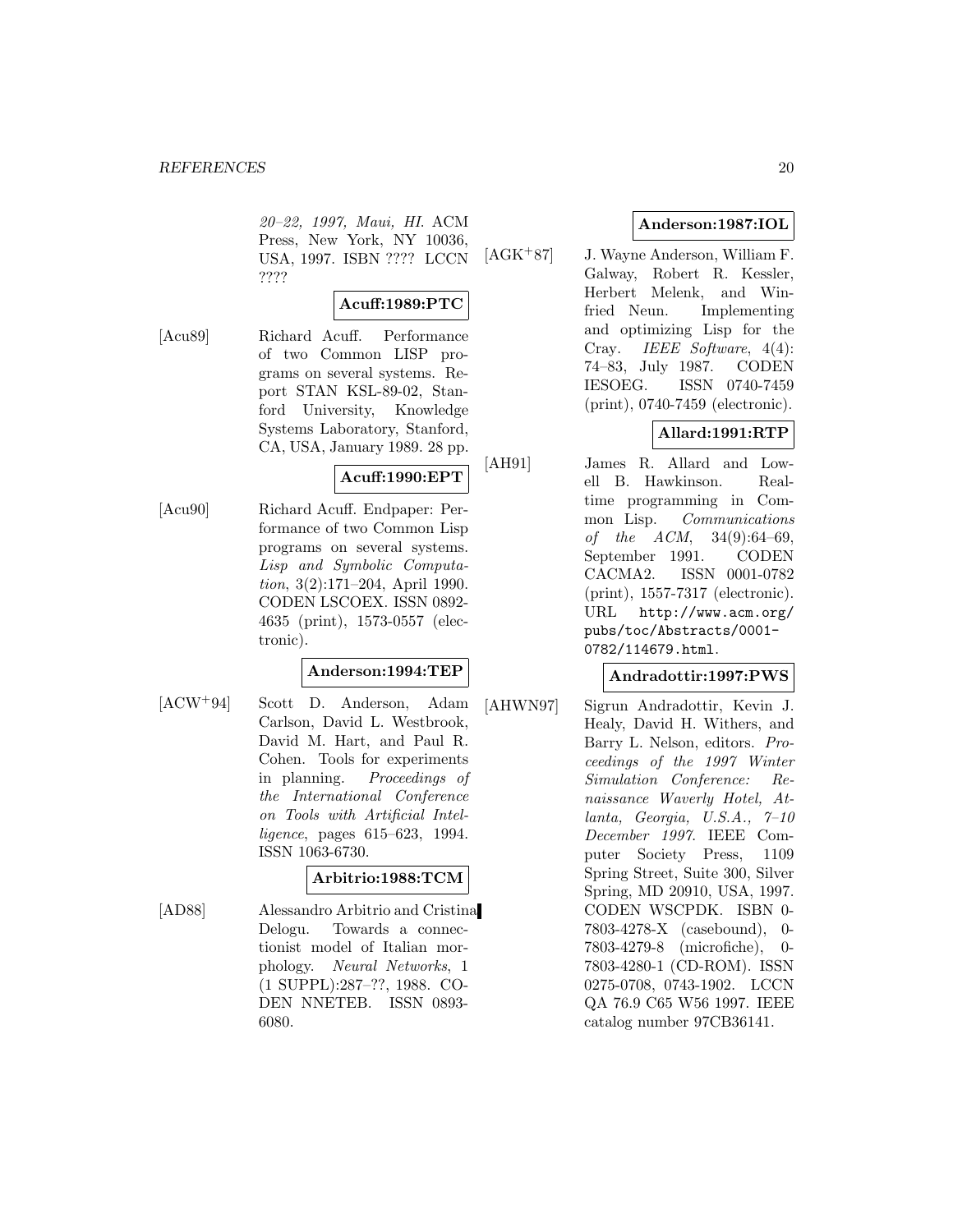20–22, 1997, Maui, HI. ACM Press, New York, NY 10036, USA, 1997. ISBN ???? LCCN ????

#### **Acuff:1989:PTC**

[Acu89] Richard Acuff. Performance of two Common LISP programs on several systems. Report STAN KSL-89-02, Stanford University, Knowledge Systems Laboratory, Stanford, CA, USA, January 1989. 28 pp.

# **Acuff:1990:EPT**

[Acu90] Richard Acuff. Endpaper: Performance of two Common Lisp programs on several systems. Lisp and Symbolic Computation, 3(2):171–204, April 1990. CODEN LSCOEX. ISSN 0892- 4635 (print), 1573-0557 (electronic).

#### **Anderson:1994:TEP**

[ACW<sup>+</sup>94] Scott D. Anderson, Adam Carlson, David L. Westbrook, David M. Hart, and Paul R. Cohen. Tools for experiments in planning. Proceedings of the International Conference on Tools with Artificial Intelligence, pages 615–623, 1994. ISSN 1063-6730.

#### **Arbitrio:1988:TCM**

[AD88] Alessandro Arbitrio and Cristina Delogu. Towards a connectionist model of Italian morphology. Neural Networks, 1 (1 SUPPL):287–??, 1988. CO-DEN NNETEB. ISSN 0893- 6080.

# **Anderson:1987:IOL**

[AGK<sup>+</sup>87] J. Wayne Anderson, William F. Galway, Robert R. Kessler, Herbert Melenk, and Winfried Neun. Implementing and optimizing Lisp for the Cray. IEEE Software, 4(4): 74–83, July 1987. CODEN IESOEG. ISSN 0740-7459 (print), 0740-7459 (electronic).

# **Allard:1991:RTP**

[AH91] James R. Allard and Lowell B. Hawkinson. Realtime programming in Common Lisp. Communications of the  $ACM$ ,  $34(9):64-69$ , September 1991. CODEN CACMA2. ISSN 0001-0782 (print), 1557-7317 (electronic). URL http://www.acm.org/ pubs/toc/Abstracts/0001- 0782/114679.html.

#### **Andradottir:1997:PWS**

[AHWN97] Sigrun Andradottir, Kevin J. Healy, David H. Withers, and Barry L. Nelson, editors. Proceedings of the 1997 Winter Simulation Conference: Renaissance Waverly Hotel, Atlanta, Georgia, U.S.A.,  $7-10$ December 1997. IEEE Computer Society Press, 1109 Spring Street, Suite 300, Silver Spring, MD 20910, USA, 1997. CODEN WSCPDK. ISBN 0- 7803-4278-X (casebound), 0- 7803-4279-8 (microfiche), 0- 7803-4280-1 (CD-ROM). ISSN 0275-0708, 0743-1902. LCCN QA 76.9 C65 W56 1997. IEEE catalog number 97CB36141.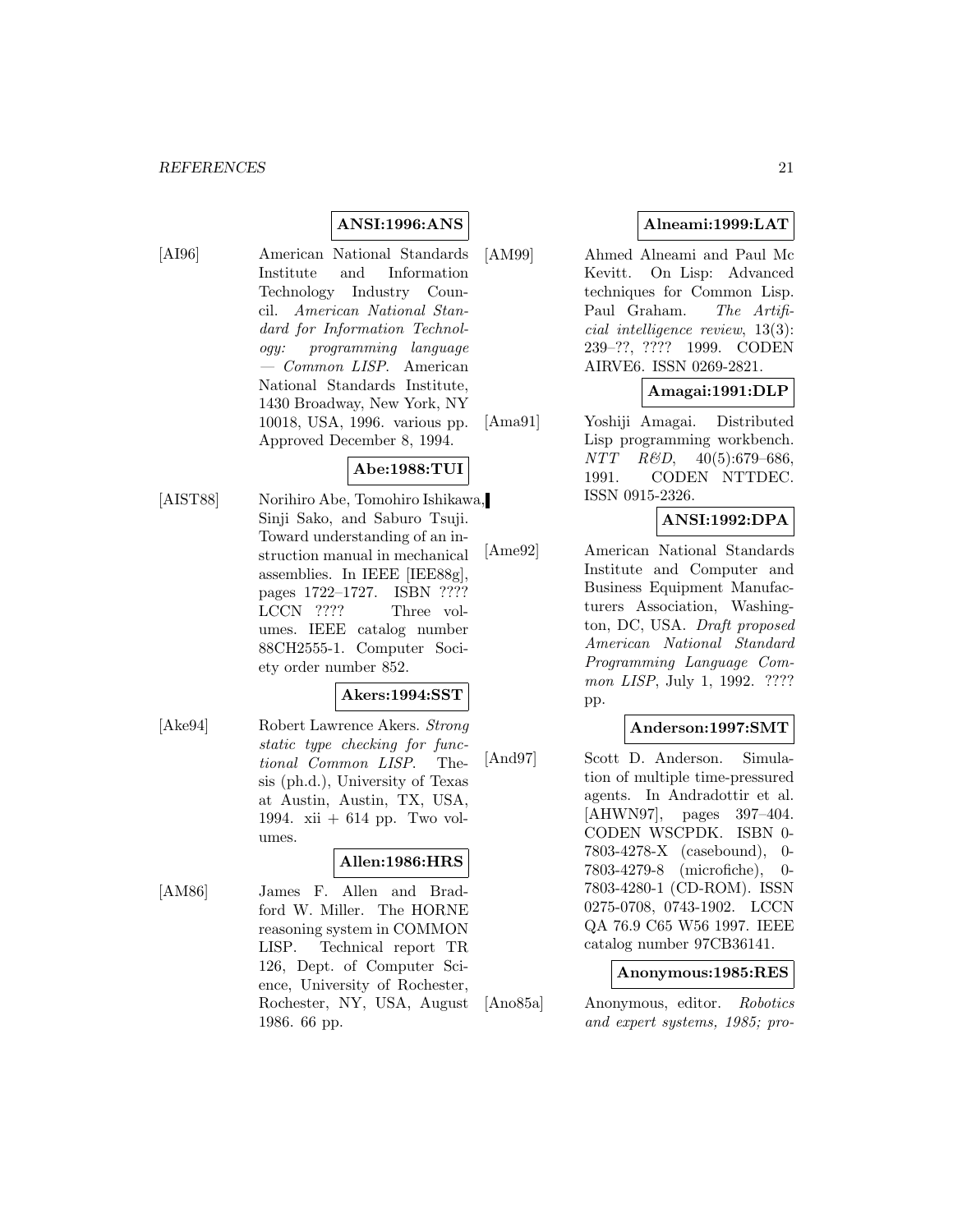# **ANSI:1996:ANS**

[AI96] American National Standards Institute and Information Technology Industry Council. American National Standard for Information Technology: programming language — Common LISP. American National Standards Institute, 1430 Broadway, New York, NY 10018, USA, 1996. various pp. Approved December 8, 1994.

# **Abe:1988:TUI**

[AIST88] Norihiro Abe, Tomohiro Ishikawa, Sinji Sako, and Saburo Tsuji. Toward understanding of an instruction manual in mechanical assemblies. In IEEE [IEE88g], pages 1722–1727. ISBN ???? LCCN ???? Three volumes. IEEE catalog number 88CH2555-1. Computer Society order number 852.

# **Akers:1994:SST**

[Ake94] Robert Lawrence Akers. Strong static type checking for functional Common LISP. Thesis (ph.d.), University of Texas at Austin, Austin, TX, USA, 1994. xii + 614 pp. Two volumes.

# **Allen:1986:HRS**

[AM86] James F. Allen and Bradford W. Miller. The HORNE reasoning system in COMMON LISP. Technical report TR 126, Dept. of Computer Science, University of Rochester, Rochester, NY, USA, August 1986. 66 pp.

# **Alneami:1999:LAT**

[AM99] Ahmed Alneami and Paul Mc Kevitt. On Lisp: Advanced techniques for Common Lisp. Paul Graham. The Artificial intelligence review, 13(3): 239–??, ???? 1999. CODEN AIRVE6. ISSN 0269-2821.

# **Amagai:1991:DLP**

[Ama91] Yoshiji Amagai. Distributed Lisp programming workbench. NTT R&D, 40(5):679–686, 1991. CODEN NTTDEC. ISSN 0915-2326.

# **ANSI:1992:DPA**

[Ame92] American National Standards Institute and Computer and Business Equipment Manufacturers Association, Washington, DC, USA. Draft proposed American National Standard Programming Language Common LISP, July 1, 1992. ???? pp.

### **Anderson:1997:SMT**

[And97] Scott D. Anderson. Simulation of multiple time-pressured agents. In Andradottir et al. [AHWN97], pages 397–404. CODEN WSCPDK. ISBN 0- 7803-4278-X (casebound), 0- 7803-4279-8 (microfiche), 0- 7803-4280-1 (CD-ROM). ISSN 0275-0708, 0743-1902. LCCN QA 76.9 C65 W56 1997. IEEE catalog number 97CB36141.

#### **Anonymous:1985:RES**

[Ano85a] Anonymous, editor. Robotics and expert systems, 1985; pro-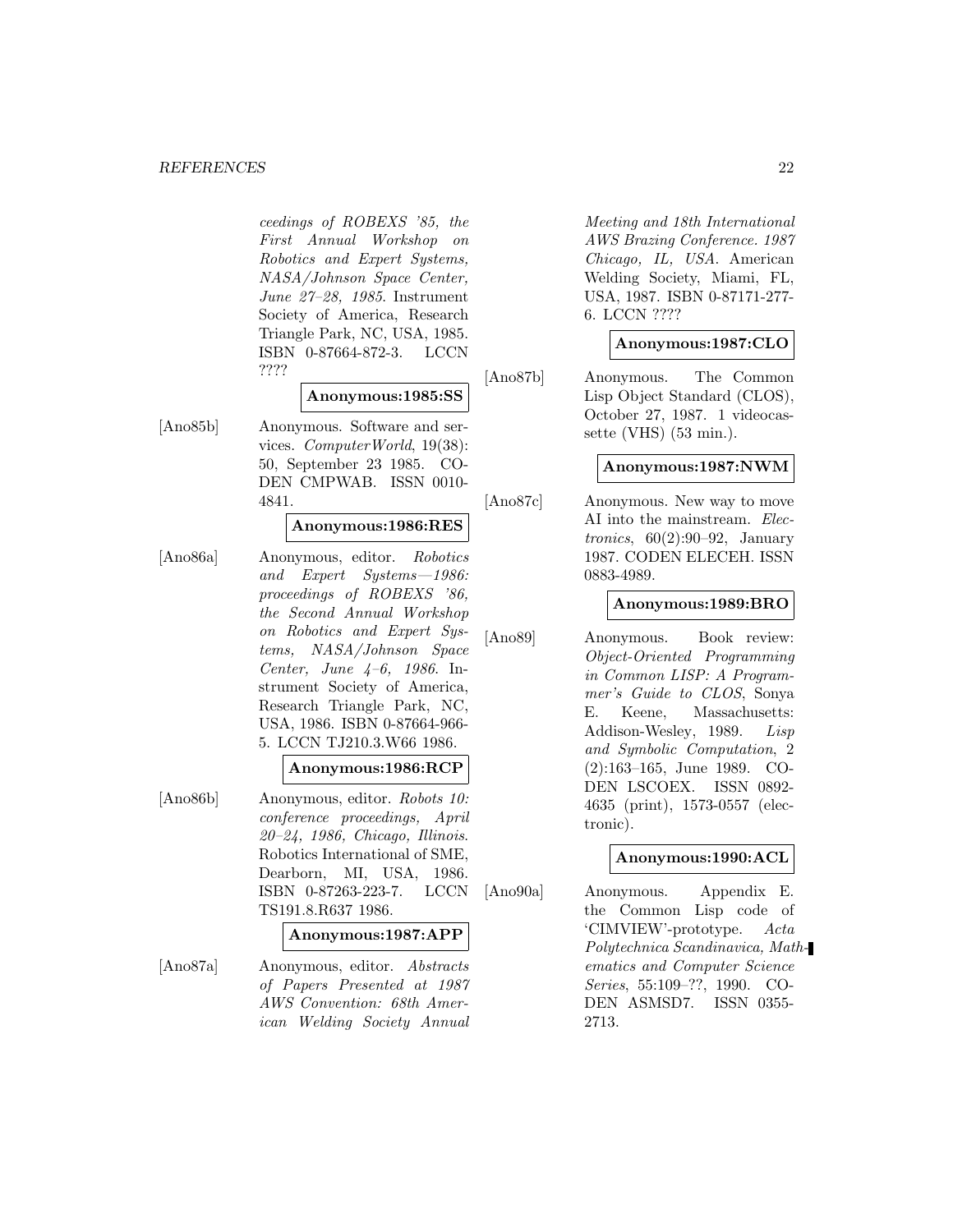#### *REFERENCES* 22

ceedings of ROBEXS '85, the First Annual Workshop on Robotics and Expert Systems, NASA/Johnson Space Center, June 27–28, 1985. Instrument Society of America, Research Triangle Park, NC, USA, 1985. ISBN 0-87664-872-3. LCCN ????

# **Anonymous:1985:SS**

[Ano85b] Anonymous. Software and services. ComputerWorld, 19(38): 50, September 23 1985. CO-DEN CMPWAB. ISSN 0010- 4841.

#### **Anonymous:1986:RES**

[Ano86a] Anonymous, editor. Robotics and Expert Systems—1986: proceedings of ROBEXS '86, the Second Annual Workshop on Robotics and Expert Systems, NASA/Johnson Space Center, June 4–6, 1986. Instrument Society of America, Research Triangle Park, NC, USA, 1986. ISBN 0-87664-966- 5. LCCN TJ210.3.W66 1986.

#### **Anonymous:1986:RCP**

[Ano86b] Anonymous, editor. Robots 10: conference proceedings, April 20–24, 1986, Chicago, Illinois. Robotics International of SME, Dearborn, MI, USA, 1986. ISBN 0-87263-223-7. LCCN TS191.8.R637 1986.

#### **Anonymous:1987:APP**

[Ano87a] Anonymous, editor. Abstracts of Papers Presented at 1987 AWS Convention: 68th American Welding Society Annual Meeting and 18th International AWS Brazing Conference. 1987 Chicago, IL, USA. American Welding Society, Miami, FL, USA, 1987. ISBN 0-87171-277- 6. LCCN ????

#### **Anonymous:1987:CLO**

[Ano87b] Anonymous. The Common Lisp Object Standard (CLOS), October 27, 1987. 1 videocassette (VHS) (53 min.).

#### **Anonymous:1987:NWM**

[Ano87c] Anonymous. New way to move AI into the mainstream. Electronics,  $60(2):90-92$ , January 1987. CODEN ELECEH. ISSN 0883-4989.

#### **Anonymous:1989:BRO**

[Ano89] Anonymous. Book review: Object-Oriented Programming in Common LISP: A Programmer's Guide to CLOS, Sonya E. Keene, Massachusetts: Addison-Wesley, 1989. Lisp and Symbolic Computation, 2 (2):163–165, June 1989. CO-DEN LSCOEX. ISSN 0892- 4635 (print), 1573-0557 (electronic).

#### **Anonymous:1990:ACL**

[Ano90a] Anonymous. Appendix E. the Common Lisp code of 'CIMVIEW'-prototype. Acta Polytechnica Scandinavica, Mathematics and Computer Science Series, 55:109–??, 1990. CO-DEN ASMSD7. ISSN 0355- 2713.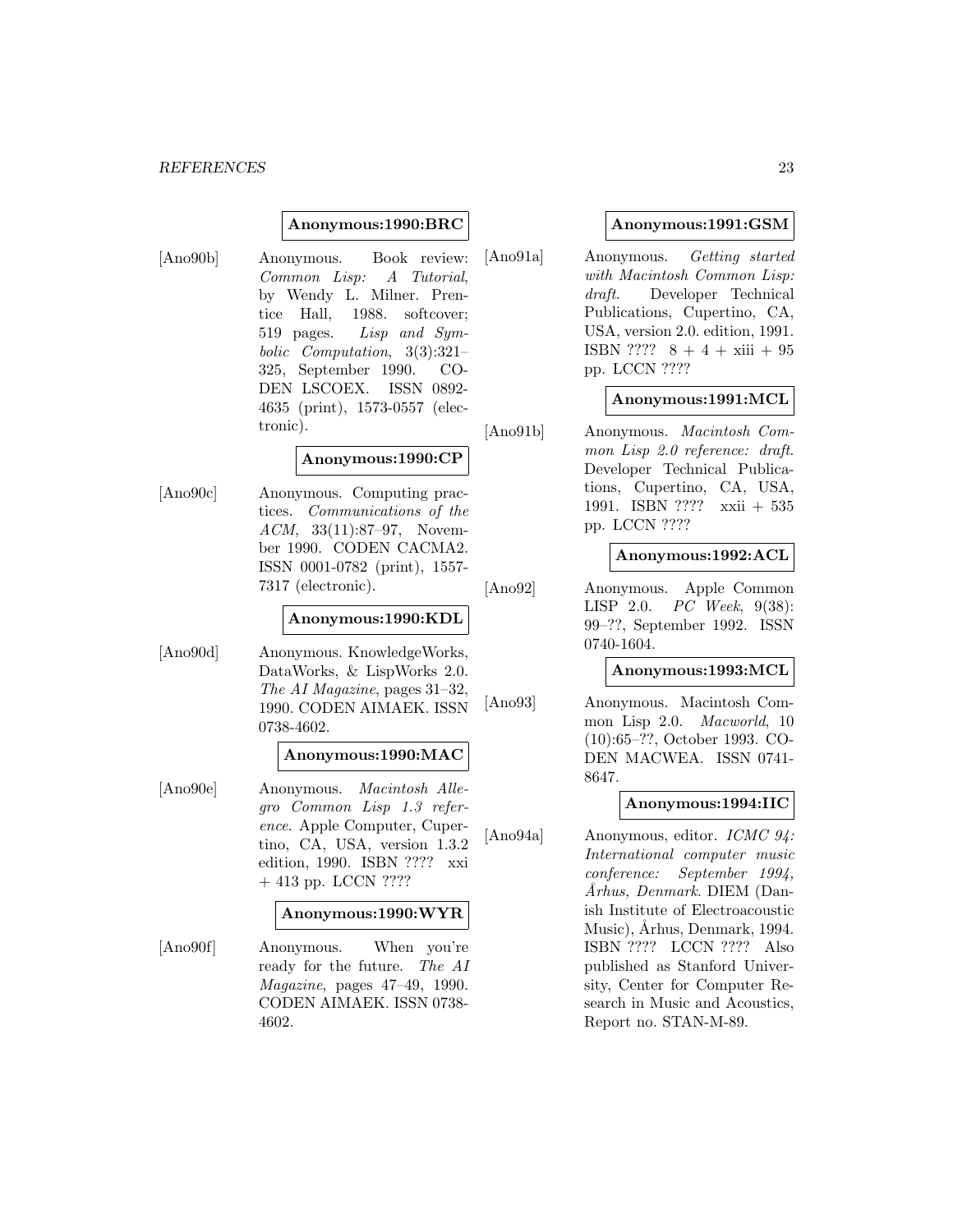#### *REFERENCES* 23

#### **Anonymous:1990:BRC**

[Ano90b] Anonymous. Book review: Common Lisp: A Tutorial, by Wendy L. Milner. Prentice Hall, 1988. softcover; 519 pages. Lisp and Symbolic Computation, 3(3):321– 325, September 1990. CO-DEN LSCOEX. ISSN 0892- 4635 (print), 1573-0557 (electronic).

#### **Anonymous:1990:CP**

[Ano90c] Anonymous. Computing practices. Communications of the ACM, 33(11):87–97, November 1990. CODEN CACMA2. ISSN 0001-0782 (print), 1557- 7317 (electronic).

#### **Anonymous:1990:KDL**

[Ano90d] Anonymous. KnowledgeWorks, DataWorks, & LispWorks 2.0. The AI Magazine, pages 31–32, 1990. CODEN AIMAEK. ISSN 0738-4602.

#### **Anonymous:1990:MAC**

[Ano90e] Anonymous. Macintosh Allegro Common Lisp 1.3 reference. Apple Computer, Cupertino, CA, USA, version 1.3.2 edition, 1990. ISBN ???? xxi + 413 pp. LCCN ????

#### **Anonymous:1990:WYR**

[Ano90f] Anonymous. When you're ready for the future. The AI Magazine, pages 47–49, 1990. CODEN AIMAEK. ISSN 0738- 4602.

#### **Anonymous:1991:GSM**

[Ano91a] Anonymous. Getting started with Macintosh Common Lisp: draft. Developer Technical Publications, Cupertino, CA, USA, version 2.0. edition, 1991. ISBN ????  $8 + 4 + xiii + 95$ pp. LCCN ????

#### **Anonymous:1991:MCL**

[Ano91b] Anonymous. Macintosh Common Lisp 2.0 reference: draft. Developer Technical Publications, Cupertino, CA, USA, 1991. ISBN ???? xxii + 535 pp. LCCN ????

#### **Anonymous:1992:ACL**

[Ano92] Anonymous. Apple Common LISP 2.0. PC Week, 9(38): 99–??, September 1992. ISSN 0740-1604.

#### **Anonymous:1993:MCL**

[Ano93] Anonymous. Macintosh Common Lisp 2.0. Macworld, 10 (10):65–??, October 1993. CO-DEN MACWEA. ISSN 0741- 8647.

#### **Anonymous:1994:IIC**

[Ano94a] Anonymous, editor. ICMC 94: International computer music conference: September 1994, ˚Arhus, Denmark. DIEM (Danish Institute of Electroacoustic Music), Århus, Denmark, 1994. ISBN ???? LCCN ???? Also published as Stanford University, Center for Computer Research in Music and Acoustics, Report no. STAN-M-89.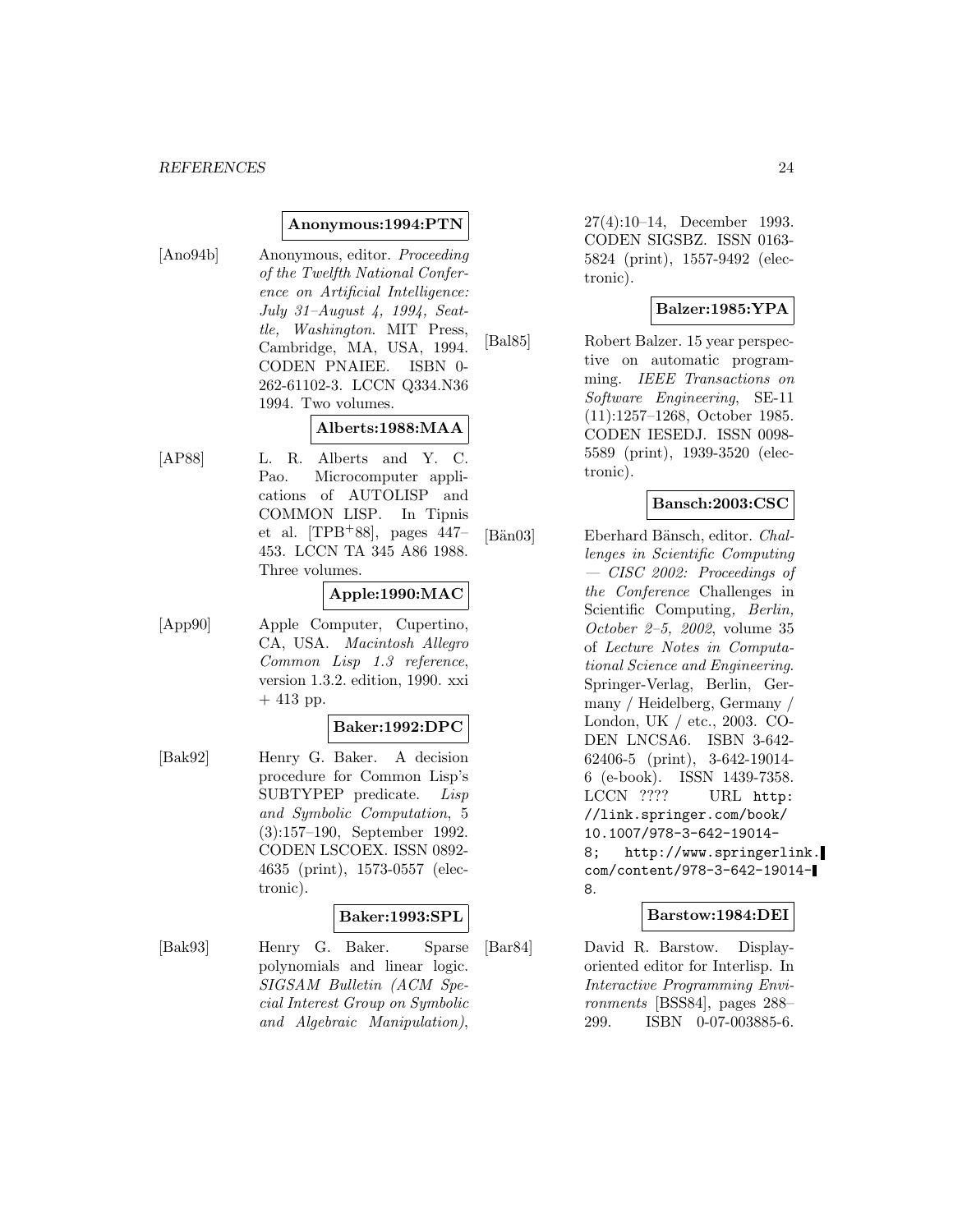#### **Anonymous:1994:PTN**

[Ano94b] Anonymous, editor. Proceeding of the Twelfth National Conference on Artificial Intelligence: July 31–August 4, 1994, Seattle, Washington. MIT Press, Cambridge, MA, USA, 1994. CODEN PNAIEE. ISBN 0- 262-61102-3. LCCN Q334.N36 1994. Two volumes.

# **Alberts:1988:MAA**

[AP88] L. R. Alberts and Y. C. Pao. Microcomputer applications of AUTOLISP and COMMON LISP. In Tipnis et al.  $[TPB+88]$ , pages 447– 453. LCCN TA 345 A86 1988. Three volumes.

#### **Apple:1990:MAC**

[App90] Apple Computer, Cupertino, CA, USA. Macintosh Allegro Common Lisp 1.3 reference, version 1.3.2. edition, 1990. xxi  $+413$  pp.

#### **Baker:1992:DPC**

[Bak92] Henry G. Baker. A decision procedure for Common Lisp's SUBTYPEP predicate. Lisp and Symbolic Computation, 5 (3):157–190, September 1992. CODEN LSCOEX. ISSN 0892- 4635 (print), 1573-0557 (electronic).

#### **Baker:1993:SPL**

[Bak93] Henry G. Baker. Sparse polynomials and linear logic. SIGSAM Bulletin (ACM Special Interest Group on Symbolic and Algebraic Manipulation),

27(4):10–14, December 1993. CODEN SIGSBZ. ISSN 0163- 5824 (print), 1557-9492 (electronic).

# **Balzer:1985:YPA**

[Bal85] Robert Balzer. 15 year perspective on automatic programming. IEEE Transactions on Software Engineering, SE-11 (11):1257–1268, October 1985. CODEN IESEDJ. ISSN 0098- 5589 (print), 1939-3520 (electronic).

# **Bansch:2003:CSC**

[Bän03] Eberhard Bänsch, editor. *Chal*lenges in Scientific Computing — CISC 2002: Proceedings of the Conference Challenges in Scientific Computing, Berlin, October 2–5, 2002, volume 35 of Lecture Notes in Computational Science and Engineering. Springer-Verlag, Berlin, Germany / Heidelberg, Germany / London, UK / etc., 2003. CO-DEN LNCSA6. ISBN 3-642- 62406-5 (print), 3-642-19014- 6 (e-book). ISSN 1439-7358. LCCN ???? URL http: //link.springer.com/book/ 10.1007/978-3-642-19014- 8; http://www.springerlink. com/content/978-3-642-19014- 8.

#### **Barstow:1984:DEI**

[Bar84] David R. Barstow. Displayoriented editor for Interlisp. In Interactive Programming Environments [BSS84], pages 288– 299. ISBN 0-07-003885-6.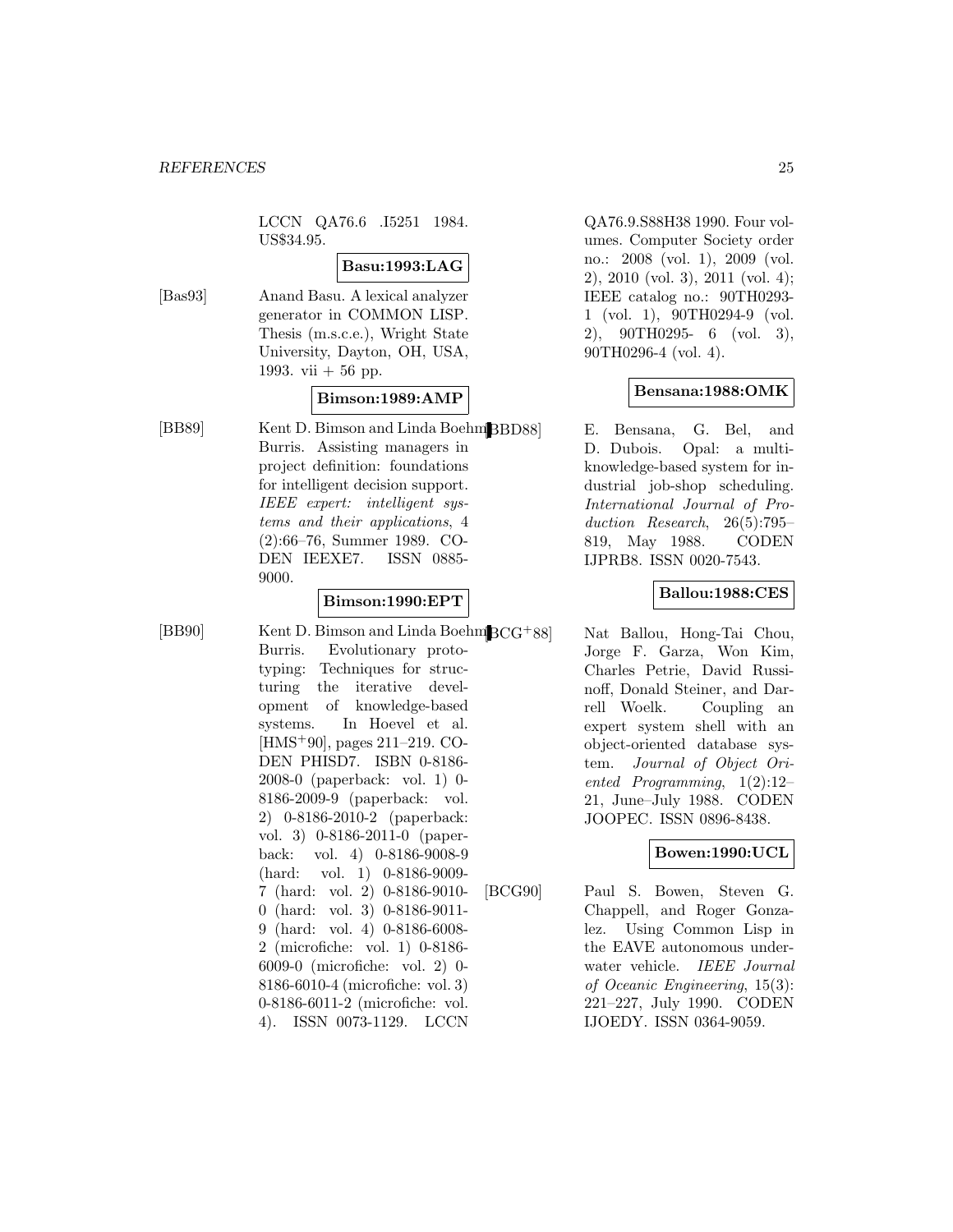LCCN QA76.6 .I5251 1984. US\$34.95.

#### **Basu:1993:LAG**

[Bas93] Anand Basu. A lexical analyzer generator in COMMON LISP. Thesis (m.s.c.e.), Wright State University, Dayton, OH, USA, 1993. vii  $+56$  pp.

# **Bimson:1989:AMP**

[BB89] Kent D. Bimson and Linda Boehm<sup>[</sup>BBD88] Burris. Assisting managers in project definition: foundations for intelligent decision support. IEEE expert: intelligent systems and their applications, 4 (2):66–76, Summer 1989. CO-DEN IEEXE7. ISSN 0885- 9000.

# **Bimson:1990:EPT**

[BB90] Kent D. Bimson and Linda Boehm $BCG+88$ ] Burris. Evolutionary prototyping: Techniques for structuring the iterative development of knowledge-based systems. In Hoevel et al. [HMS<sup>+</sup>90], pages 211–219. CO-DEN PHISD7. ISBN 0-8186- 2008-0 (paperback: vol. 1) 0- 8186-2009-9 (paperback: vol. 2) 0-8186-2010-2 (paperback: vol. 3) 0-8186-2011-0 (paperback: vol. 4) 0-8186-9008-9 (hard: vol. 1) 0-8186-9009- 7 (hard: vol. 2) 0-8186-9010- 0 (hard: vol. 3) 0-8186-9011- 9 (hard: vol. 4) 0-8186-6008- 2 (microfiche: vol. 1) 0-8186- 6009-0 (microfiche: vol. 2) 0- 8186-6010-4 (microfiche: vol. 3) 0-8186-6011-2 (microfiche: vol. 4). ISSN 0073-1129. LCCN

QA76.9.S88H38 1990. Four volumes. Computer Society order no.: 2008 (vol. 1), 2009 (vol. 2), 2010 (vol. 3), 2011 (vol. 4); IEEE catalog no.: 90TH0293- 1 (vol. 1), 90TH0294-9 (vol. 2), 90TH0295- 6 (vol. 3), 90TH0296-4 (vol. 4).

# **Bensana:1988:OMK**

E. Bensana, G. Bel, and D. Dubois. Opal: a multiknowledge-based system for industrial job-shop scheduling. International Journal of Production Research, 26(5):795– 819, May 1988. CODEN IJPRB8. ISSN 0020-7543.

### **Ballou:1988:CES**

Nat Ballou, Hong-Tai Chou, Jorge F. Garza, Won Kim, Charles Petrie, David Russinoff, Donald Steiner, and Darrell Woelk. Coupling an expert system shell with an object-oriented database system. Journal of Object Oriented Programming, 1(2):12– 21, June–July 1988. CODEN JOOPEC. ISSN 0896-8438.

# **Bowen:1990:UCL**

[BCG90] Paul S. Bowen, Steven G. Chappell, and Roger Gonzalez. Using Common Lisp in the EAVE autonomous underwater vehicle. IEEE Journal of Oceanic Engineering, 15(3): 221–227, July 1990. CODEN IJOEDY. ISSN 0364-9059.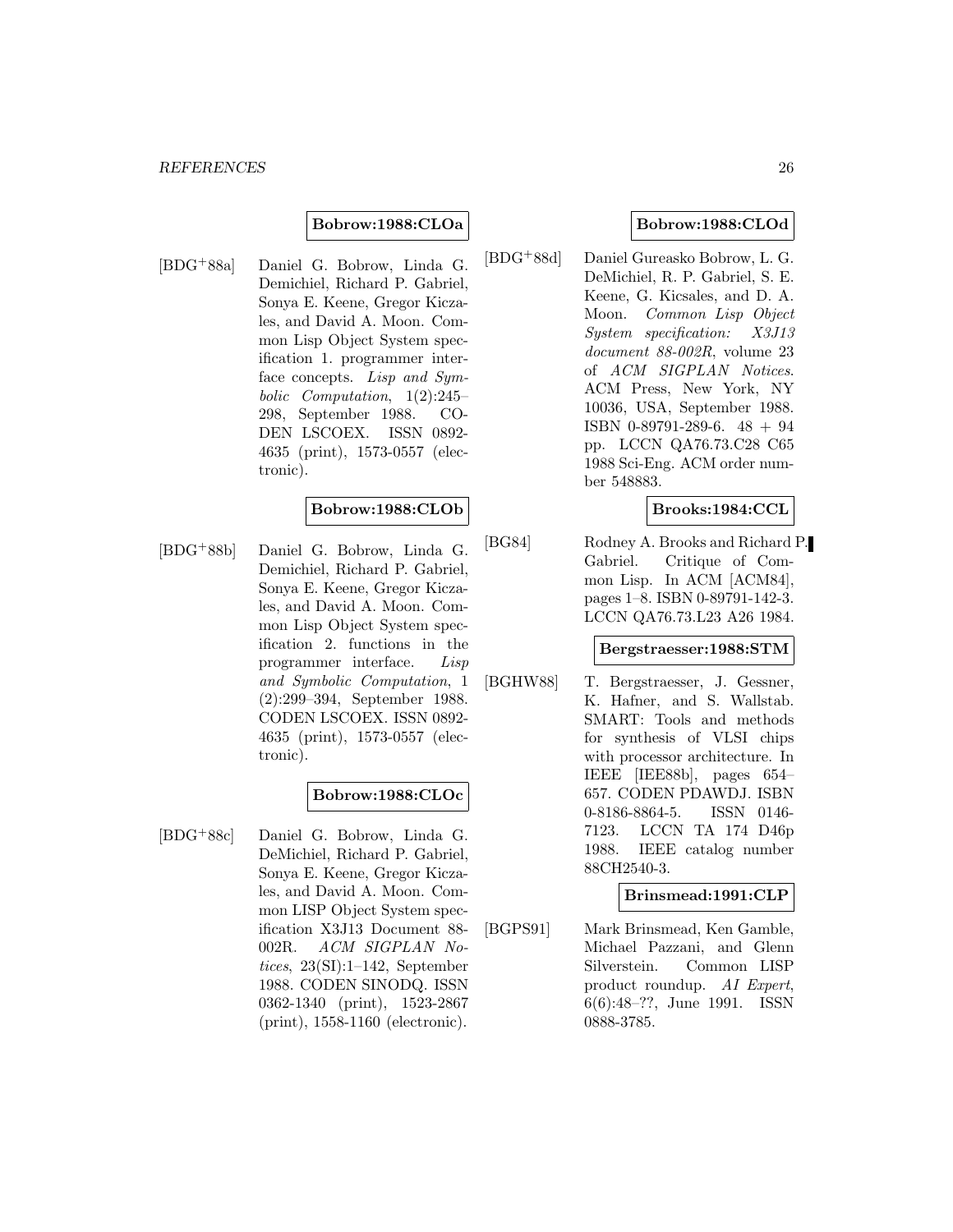#### **Bobrow:1988:CLOa**

[BDG<sup>+</sup>88a] Daniel G. Bobrow, Linda G. Demichiel, Richard P. Gabriel, Sonya E. Keene, Gregor Kiczales, and David A. Moon. Common Lisp Object System specification 1. programmer interface concepts. Lisp and Symbolic Computation, 1(2):245– 298, September 1988. CO-DEN LSCOEX. ISSN 0892- 4635 (print), 1573-0557 (electronic).

#### **Bobrow:1988:CLOb**

[BDG<sup>+</sup>88b] Daniel G. Bobrow, Linda G. Demichiel, Richard P. Gabriel, Sonya E. Keene, Gregor Kiczales, and David A. Moon. Common Lisp Object System specification 2. functions in the programmer interface. Lisp and Symbolic Computation, 1 (2):299–394, September 1988. CODEN LSCOEX. ISSN 0892- 4635 (print), 1573-0557 (electronic).

#### **Bobrow:1988:CLOc**

[BDG<sup>+</sup>88c] Daniel G. Bobrow, Linda G. DeMichiel, Richard P. Gabriel, Sonya E. Keene, Gregor Kiczales, and David A. Moon. Common LISP Object System specification X3J13 Document 88- 002R. ACM SIGPLAN Notices, 23(SI):1–142, September 1988. CODEN SINODQ. ISSN 0362-1340 (print), 1523-2867 (print), 1558-1160 (electronic).

#### **Bobrow:1988:CLOd**

[BDG<sup>+</sup>88d] Daniel Gureasko Bobrow, L. G. DeMichiel, R. P. Gabriel, S. E. Keene, G. Kicsales, and D. A. Moon. Common Lisp Object System specification: X3J13 document 88-002R, volume 23 of ACM SIGPLAN Notices. ACM Press, New York, NY 10036, USA, September 1988. ISBN 0-89791-289-6. 48 + 94 pp. LCCN QA76.73.C28 C65 1988 Sci-Eng. ACM order number 548883.

#### **Brooks:1984:CCL**

[BG84] Rodney A. Brooks and Richard P. Gabriel. Critique of Common Lisp. In ACM [ACM84], pages 1–8. ISBN 0-89791-142-3. LCCN QA76.73.L23 A26 1984.

#### **Bergstraesser:1988:STM**

[BGHW88] T. Bergstraesser, J. Gessner, K. Hafner, and S. Wallstab. SMART: Tools and methods for synthesis of VLSI chips with processor architecture. In IEEE [IEE88b], pages 654– 657. CODEN PDAWDJ. ISBN 0-8186-8864-5. ISSN 0146- 7123. LCCN TA 174 D46p 1988. IEEE catalog number 88CH2540-3.

#### **Brinsmead:1991:CLP**

[BGPS91] Mark Brinsmead, Ken Gamble, Michael Pazzani, and Glenn Silverstein. Common LISP product roundup. AI Expert, 6(6):48–??, June 1991. ISSN 0888-3785.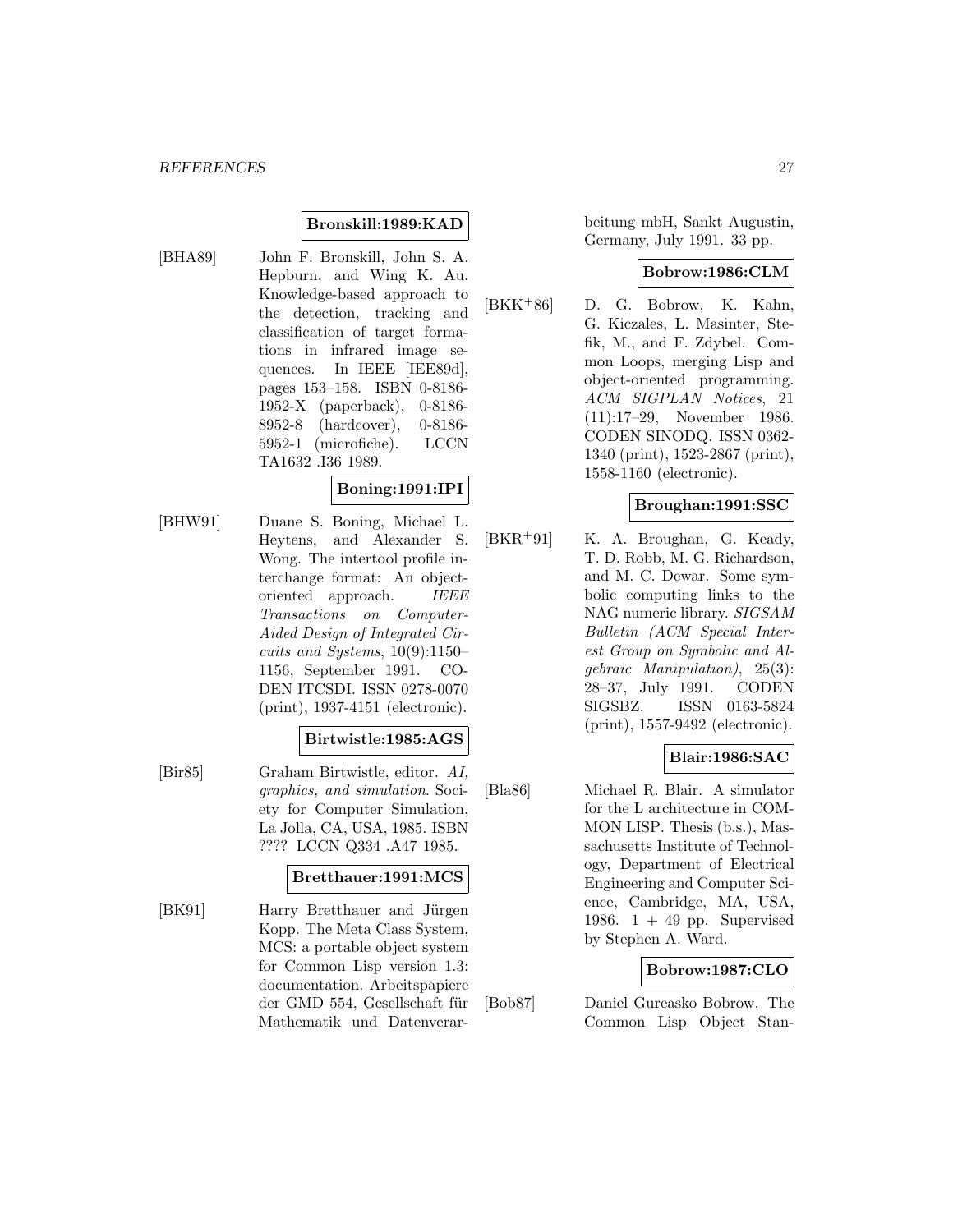# **Bronskill:1989:KAD**

[BHA89] John F. Bronskill, John S. A. Hepburn, and Wing K. Au. Knowledge-based approach to the detection, tracking and classification of target formations in infrared image sequences. In IEEE [IEE89d], pages 153–158. ISBN 0-8186- 1952-X (paperback), 0-8186- 8952-8 (hardcover), 0-8186- 5952-1 (microfiche). LCCN TA1632 .I36 1989.

# **Boning:1991:IPI**

[BHW91] Duane S. Boning, Michael L. Heytens, and Alexander S. Wong. The intertool profile interchange format: An objectoriented approach. IEEE Transactions on Computer-Aided Design of Integrated Circuits and Systems,  $10(9)$ :1150– 1156, September 1991. CO-DEN ITCSDI. ISSN 0278-0070 (print), 1937-4151 (electronic).

#### **Birtwistle:1985:AGS**

[Bir85] Graham Birtwistle, editor. AI, graphics, and simulation. Society for Computer Simulation, La Jolla, CA, USA, 1985. ISBN ???? LCCN Q334 .A47 1985.

#### **Bretthauer:1991:MCS**

[BK91] Harry Bretthauer and Jürgen Kopp. The Meta Class System, MCS: a portable object system for Common Lisp version 1.3: documentation. Arbeitspapiere der GMD 554, Gesellschaft für Mathematik und Datenverarbeitung mbH, Sankt Augustin, Germany, July 1991. 33 pp.

#### **Bobrow:1986:CLM**

[BKK<sup>+</sup>86] D. G. Bobrow, K. Kahn, G. Kiczales, L. Masinter, Stefik, M., and F. Zdybel. Common Loops, merging Lisp and object-oriented programming. ACM SIGPLAN Notices, 21 (11):17–29, November 1986. CODEN SINODQ. ISSN 0362- 1340 (print), 1523-2867 (print), 1558-1160 (electronic).

#### **Broughan:1991:SSC**

[BKR<sup>+</sup>91] K. A. Broughan, G. Keady, T. D. Robb, M. G. Richardson, and M. C. Dewar. Some symbolic computing links to the NAG numeric library. SIGSAM Bulletin (ACM Special Interest Group on Symbolic and Algebraic Manipulation), 25(3): 28–37, July 1991. CODEN SIGSBZ. ISSN 0163-5824 (print), 1557-9492 (electronic).

# **Blair:1986:SAC**

[Bla86] Michael R. Blair. A simulator for the L architecture in COM-MON LISP. Thesis (b.s.), Massachusetts Institute of Technology, Department of Electrical Engineering and Computer Science, Cambridge, MA, USA, 1986.  $1 + 49$  pp. Supervised by Stephen A. Ward.

#### **Bobrow:1987:CLO**

[Bob87] Daniel Gureasko Bobrow. The Common Lisp Object Stan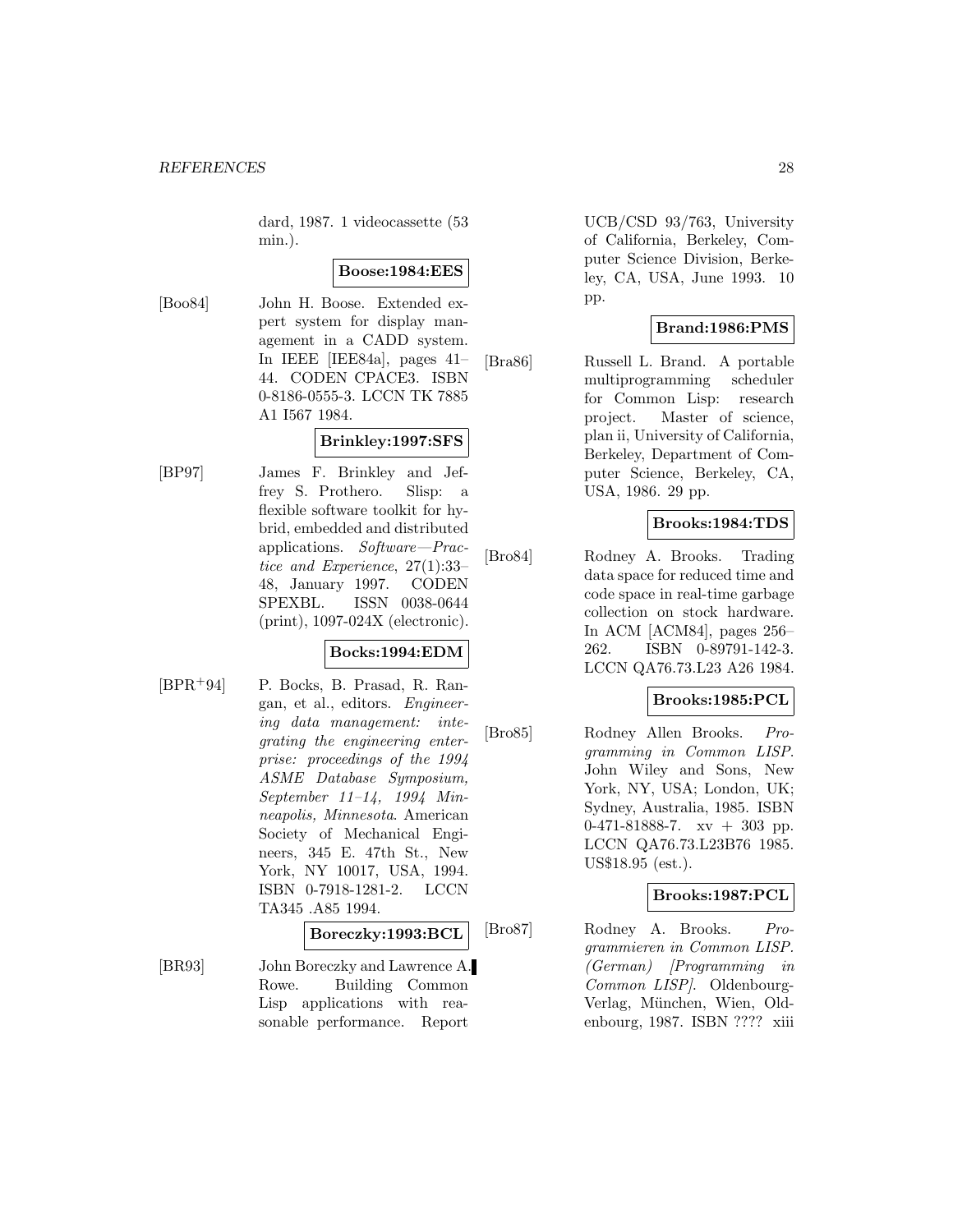dard, 1987. 1 videocassette (53 min.).

# **Boose:1984:EES**

[Boo84] John H. Boose. Extended expert system for display management in a CADD system. In IEEE [IEE84a], pages 41– 44. CODEN CPACE3. ISBN 0-8186-0555-3. LCCN TK 7885 A1 I567 1984.

# **Brinkley:1997:SFS**

[BP97] James F. Brinkley and Jeffrey S. Prothero. Slisp: a flexible software toolkit for hybrid, embedded and distributed applications. Software—Practice and Experience, 27(1):33– 48, January 1997. CODEN SPEXBL. ISSN 0038-0644 (print), 1097-024X (electronic).

#### **Bocks:1994:EDM**

[BPR<sup>+</sup>94] P. Bocks, B. Prasad, R. Rangan, et al., editors. Engineering data management: integrating the engineering enterprise: proceedings of the 1994 ASME Database Symposium, September 11–14, 1994 Minneapolis, Minnesota. American Society of Mechanical Engineers, 345 E. 47th St., New York, NY 10017, USA, 1994. ISBN 0-7918-1281-2. LCCN TA345 .A85 1994.

#### **Boreczky:1993:BCL**

[BR93] John Boreczky and Lawrence A. Rowe. Building Common Lisp applications with reasonable performance. Report

UCB/CSD 93/763, University of California, Berkeley, Computer Science Division, Berkeley, CA, USA, June 1993. 10 pp.

# **Brand:1986:PMS**

[Bra86] Russell L. Brand. A portable multiprogramming scheduler for Common Lisp: research project. Master of science, plan ii, University of California, Berkeley, Department of Computer Science, Berkeley, CA, USA, 1986. 29 pp.

# **Brooks:1984:TDS**

[Bro84] Rodney A. Brooks. Trading data space for reduced time and code space in real-time garbage collection on stock hardware. In ACM [ACM84], pages 256– 262. ISBN 0-89791-142-3. LCCN QA76.73.L23 A26 1984.

# **Brooks:1985:PCL**

[Bro85] Rodney Allen Brooks. Programming in Common LISP. John Wiley and Sons, New York, NY, USA; London, UK; Sydney, Australia, 1985. ISBN  $0-471-81888-7$ .  $xy + 303$  pp. LCCN QA76.73.L23B76 1985. US\$18.95 (est.).

#### **Brooks:1987:PCL**

[Bro87] Rodney A. Brooks. Programmieren in Common LISP. (German) [Programming in Common LISP]. Oldenbourg-Verlag, München, Wien, Oldenbourg, 1987. ISBN ???? xiii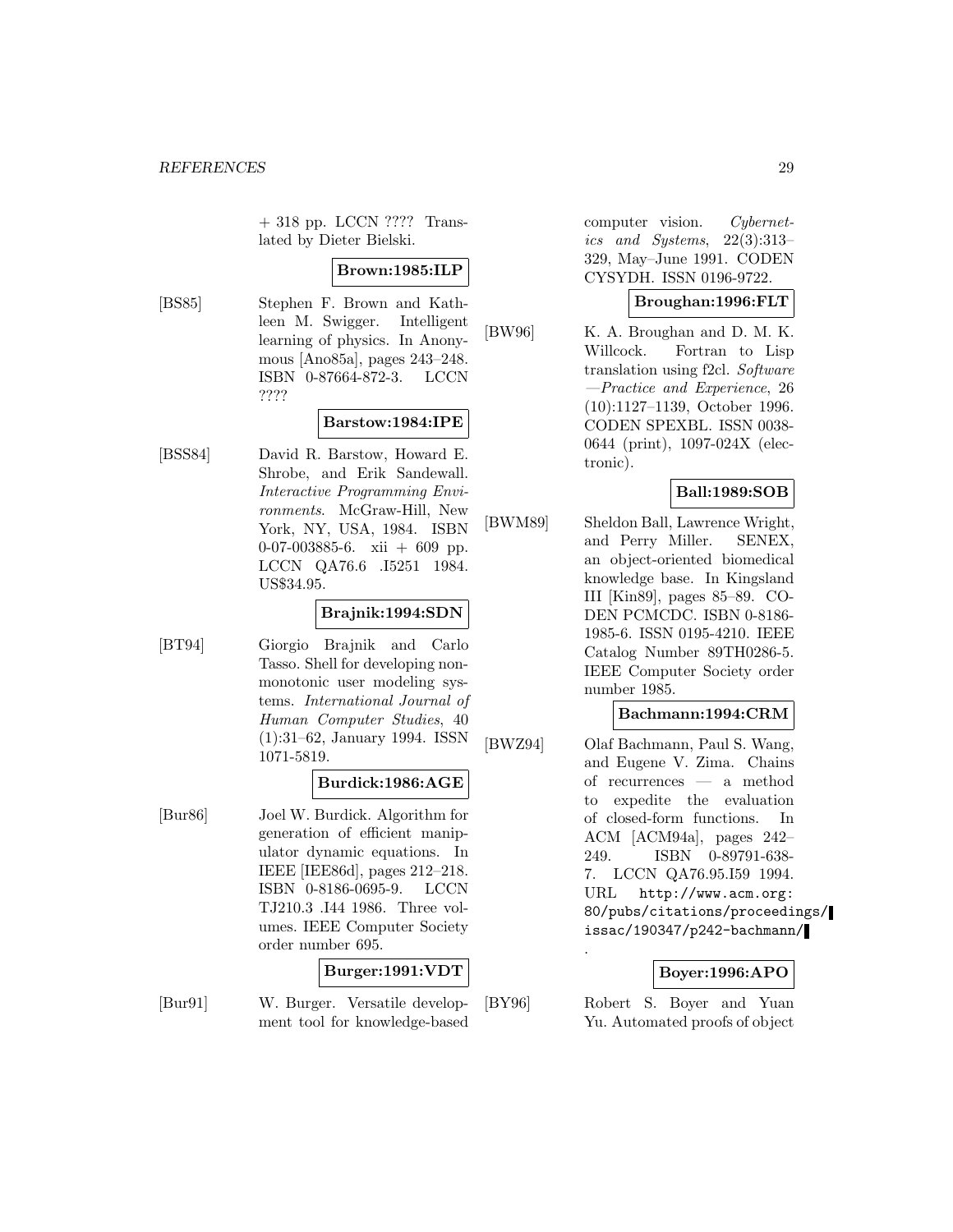+ 318 pp. LCCN ???? Translated by Dieter Bielski.

### **Brown:1985:ILP**

[BS85] Stephen F. Brown and Kathleen M. Swigger. Intelligent learning of physics. In Anonymous [Ano85a], pages 243–248. ISBN 0-87664-872-3. LCCN ????

# **Barstow:1984:IPE**

[BSS84] David R. Barstow, Howard E. Shrobe, and Erik Sandewall. Interactive Programming Environments. McGraw-Hill, New York, NY, USA, 1984. ISBN 0-07-003885-6. xii + 609 pp. LCCN QA76.6 .I5251 1984. US\$34.95.

### **Brajnik:1994:SDN**

[BT94] Giorgio Brajnik and Carlo Tasso. Shell for developing nonmonotonic user modeling systems. International Journal of Human Computer Studies, 40 (1):31–62, January 1994. ISSN 1071-5819.

#### **Burdick:1986:AGE**

[Bur86] Joel W. Burdick. Algorithm for generation of efficient manipulator dynamic equations. In IEEE [IEE86d], pages 212–218. ISBN 0-8186-0695-9. LCCN TJ210.3 .I44 1986. Three volumes. IEEE Computer Society order number 695.

# **Burger:1991:VDT**

[Bur91] W. Burger. Versatile development tool for knowledge-based computer vision. Cybernetics and Systems, 22(3):313– 329, May–June 1991. CODEN CYSYDH. ISSN 0196-9722.

#### **Broughan:1996:FLT**

[BW96] K. A. Broughan and D. M. K. Willcock. Fortran to Lisp translation using f2cl. Software —Practice and Experience, 26 (10):1127–1139, October 1996. CODEN SPEXBL. ISSN 0038- 0644 (print), 1097-024X (electronic).

# **Ball:1989:SOB**

[BWM89] Sheldon Ball, Lawrence Wright, and Perry Miller. SENEX, an object-oriented biomedical knowledge base. In Kingsland III [Kin89], pages 85–89. CO-DEN PCMCDC. ISBN 0-8186- 1985-6. ISSN 0195-4210. IEEE Catalog Number 89TH0286-5. IEEE Computer Society order number 1985.

### **Bachmann:1994:CRM**

[BWZ94] Olaf Bachmann, Paul S. Wang, and Eugene V. Zima. Chains of recurrences — a method to expedite the evaluation of closed-form functions. In ACM [ACM94a], pages 242– 249. ISBN 0-89791-638- 7. LCCN QA76.95.I59 1994. URL http://www.acm.org: 80/pubs/citations/proceedings/ issac/190347/p242-bachmann/

#### **Boyer:1996:APO**

[BY96] Robert S. Boyer and Yuan Yu. Automated proofs of object

.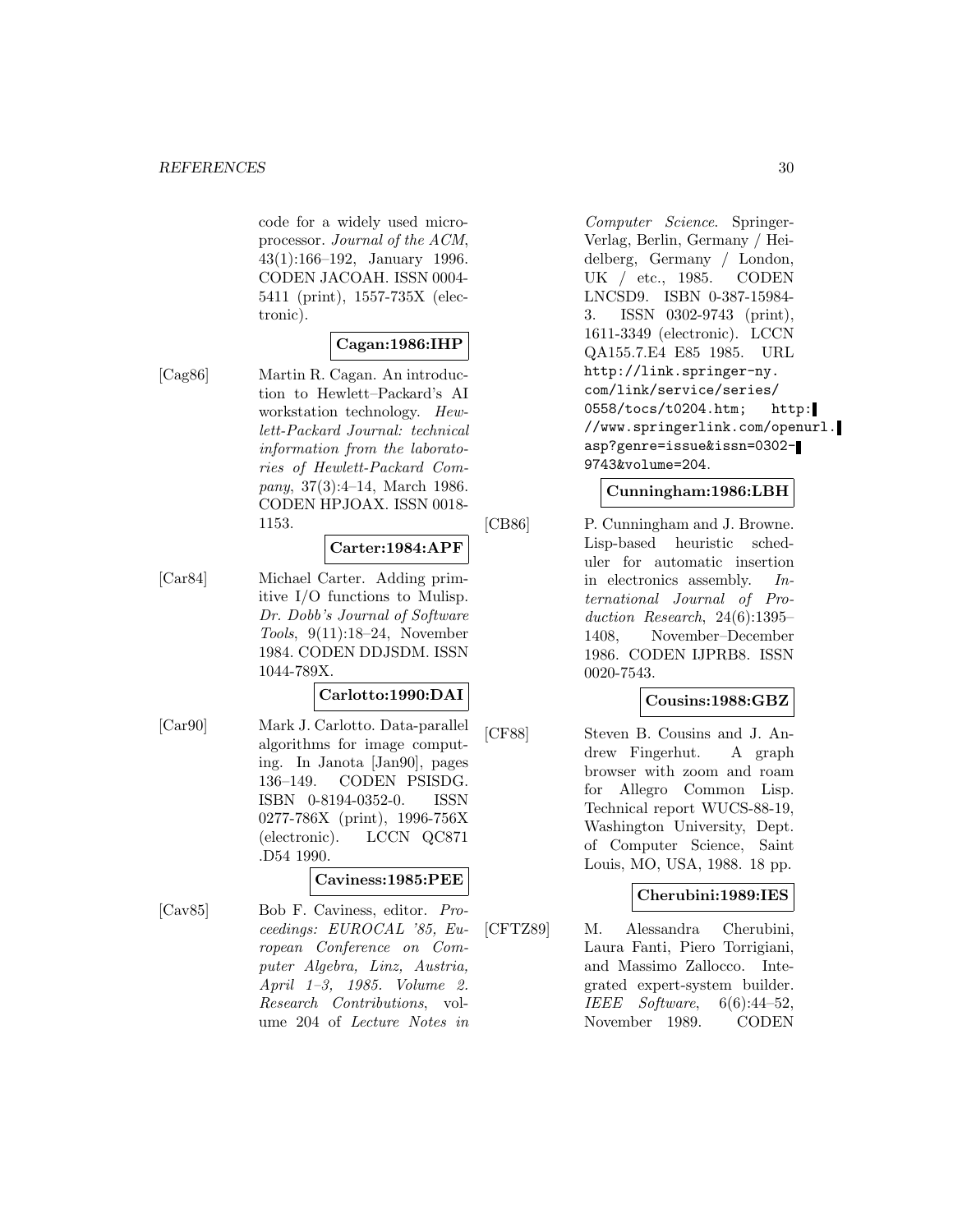code for a widely used microprocessor. Journal of the ACM, 43(1):166–192, January 1996. CODEN JACOAH. ISSN 0004- 5411 (print), 1557-735X (electronic).

# **Cagan:1986:IHP**

[Cag86] Martin R. Cagan. An introduction to Hewlett–Packard's AI workstation technology. Hewlett-Packard Journal: technical information from the laboratories of Hewlett-Packard Company, 37(3):4–14, March 1986. CODEN HPJOAX. ISSN 0018- 1153.

#### **Carter:1984:APF**

[Car84] Michael Carter. Adding primitive I/O functions to Mulisp. Dr. Dobb's Journal of Software Tools, 9(11):18–24, November 1984. CODEN DDJSDM. ISSN 1044-789X.

### **Carlotto:1990:DAI**

[Car90] Mark J. Carlotto. Data-parallel algorithms for image computing. In Janota [Jan90], pages 136–149. CODEN PSISDG. ISBN 0-8194-0352-0. ISSN 0277-786X (print), 1996-756X (electronic). LCCN QC871 .D54 1990.

# **Caviness:1985:PEE**

[Cav85] Bob F. Caviness, editor. Proceedings: EUROCAL '85, European Conference on Computer Algebra, Linz, Austria, April 1–3, 1985. Volume 2. Research Contributions, volume 204 of Lecture Notes in

Computer Science. Springer-Verlag, Berlin, Germany / Heidelberg, Germany / London, UK / etc., 1985. CODEN LNCSD9. ISBN 0-387-15984- 3. ISSN 0302-9743 (print), 1611-3349 (electronic). LCCN QA155.7.E4 E85 1985. URL http://link.springer-ny. com/link/service/series/ 0558/tocs/t0204.htm; http: //www.springerlink.com/openurl. asp?genre=issue&issn=0302- 9743&volume=204.

#### **Cunningham:1986:LBH**

[CB86] P. Cunningham and J. Browne. Lisp-based heuristic scheduler for automatic insertion in electronics assembly. International Journal of Production Research, 24(6):1395– 1408, November–December 1986. CODEN IJPRB8. ISSN 0020-7543.

# **Cousins:1988:GBZ**

[CF88] Steven B. Cousins and J. Andrew Fingerhut. A graph browser with zoom and roam for Allegro Common Lisp. Technical report WUCS-88-19, Washington University, Dept. of Computer Science, Saint Louis, MO, USA, 1988. 18 pp.

#### **Cherubini:1989:IES**

[CFTZ89] M. Alessandra Cherubini, Laura Fanti, Piero Torrigiani, and Massimo Zallocco. Integrated expert-system builder. IEEE Software, 6(6):44–52, November 1989. CODEN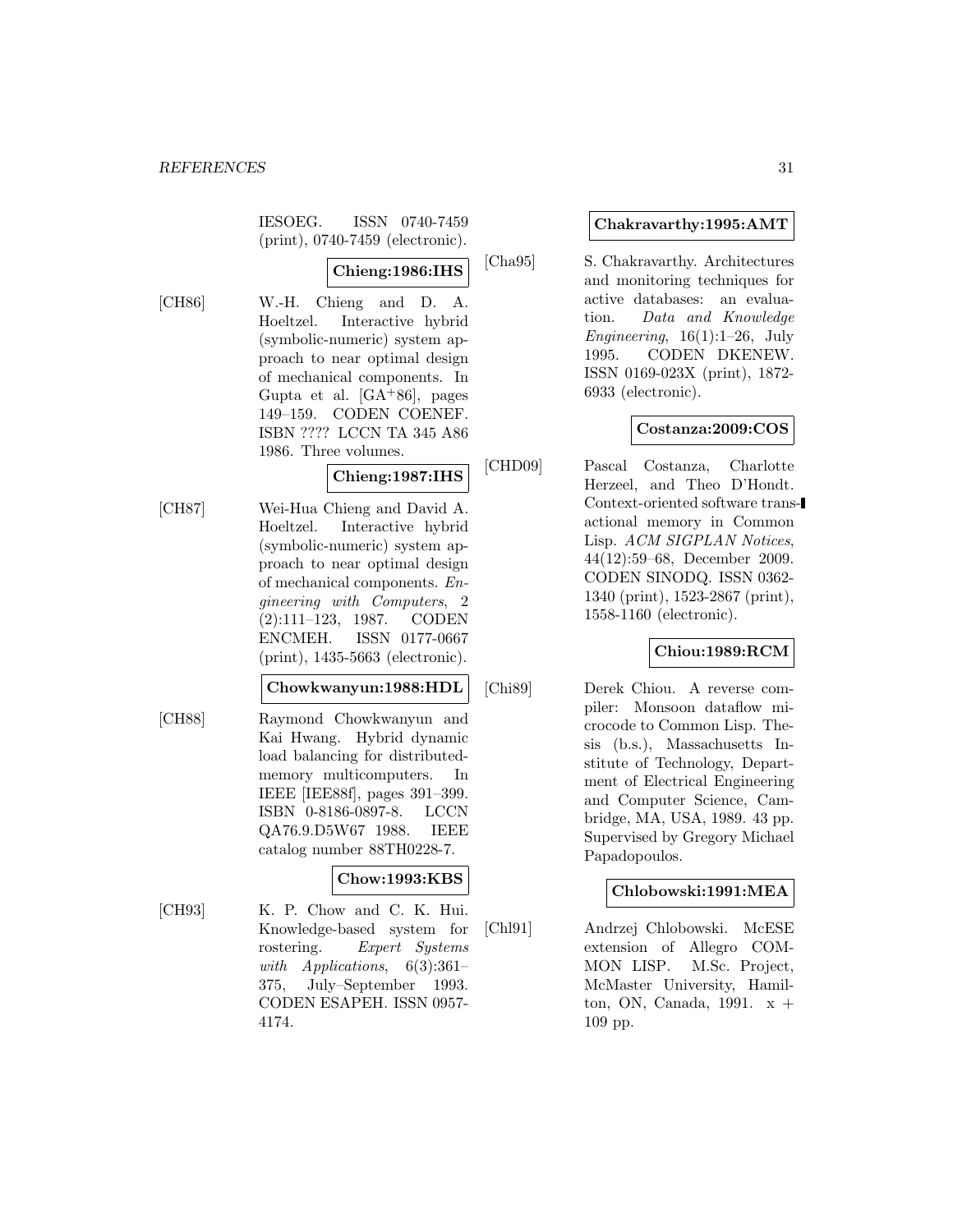IESOEG. ISSN 0740-7459 (print), 0740-7459 (electronic).

# **Chieng:1986:IHS**

[CH86] W.-H. Chieng and D. A. Hoeltzel. Interactive hybrid (symbolic-numeric) system approach to near optimal design of mechanical components. In Gupta et al.  $[GA+86]$ , pages 149–159. CODEN COENEF. ISBN ???? LCCN TA 345 A86 1986. Three volumes.

# **Chieng:1987:IHS**

[CH87] Wei-Hua Chieng and David A. Hoeltzel. Interactive hybrid (symbolic-numeric) system approach to near optimal design of mechanical components. Engineering with Computers, 2 (2):111–123, 1987. CODEN ENCMEH. ISSN 0177-0667 (print), 1435-5663 (electronic).

#### **Chowkwanyun:1988:HDL**

[CH88] Raymond Chowkwanyun and Kai Hwang. Hybrid dynamic load balancing for distributedmemory multicomputers. In IEEE [IEE88f], pages 391–399. ISBN 0-8186-0897-8. LCCN QA76.9.D5W67 1988. IEEE catalog number 88TH0228-7.

# **Chow:1993:KBS**

[CH93] K. P. Chow and C. K. Hui. Knowledge-based system for rostering. Expert Systems with Applications,  $6(3):361-$ 375, July–September 1993. CODEN ESAPEH. ISSN 0957- 4174.

# **Chakravarthy:1995:AMT**

[Cha95] S. Chakravarthy. Architectures and monitoring techniques for active databases: an evaluation. Data and Knowledge Engineering,  $16(1):1-26$ , July 1995. CODEN DKENEW. ISSN 0169-023X (print), 1872- 6933 (electronic).

# **Costanza:2009:COS**

[CHD09] Pascal Costanza, Charlotte Herzeel, and Theo D'Hondt. Context-oriented software transactional memory in Common Lisp. ACM SIGPLAN Notices, 44(12):59–68, December 2009. CODEN SINODQ. ISSN 0362- 1340 (print), 1523-2867 (print), 1558-1160 (electronic).

### **Chiou:1989:RCM**

[Chi89] Derek Chiou. A reverse compiler: Monsoon dataflow microcode to Common Lisp. Thesis (b.s.), Massachusetts Institute of Technology, Department of Electrical Engineering and Computer Science, Cambridge, MA, USA, 1989. 43 pp. Supervised by Gregory Michael Papadopoulos.

#### **Chlobowski:1991:MEA**

[Chl91] Andrzej Chlobowski. McESE extension of Allegro COM-MON LISP. M.Sc. Project, McMaster University, Hamilton, ON, Canada, 1991. x + 109 pp.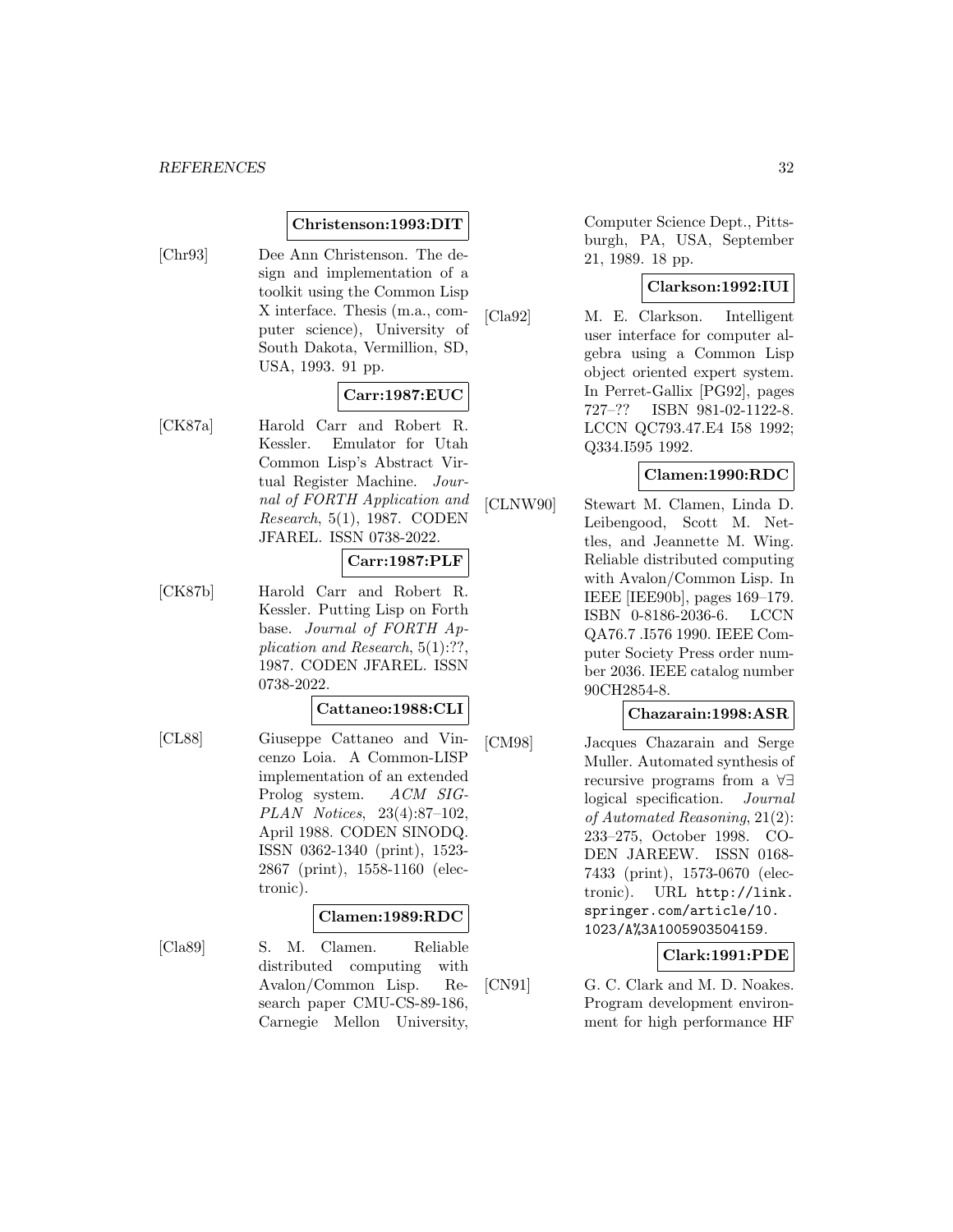#### **Christenson:1993:DIT**

[Chr93] Dee Ann Christenson. The design and implementation of a toolkit using the Common Lisp X interface. Thesis (m.a., computer science), University of South Dakota, Vermillion, SD, USA, 1993. 91 pp.

# **Carr:1987:EUC**

[CK87a] Harold Carr and Robert R. Kessler. Emulator for Utah Common Lisp's Abstract Virtual Register Machine. Journal of FORTH Application and Research, 5(1), 1987. CODEN JFAREL. ISSN 0738-2022.

# **Carr:1987:PLF**

[CK87b] Harold Carr and Robert R. Kessler. Putting Lisp on Forth base. Journal of FORTH Application and Research, 5(1):??, 1987. CODEN JFAREL. ISSN 0738-2022.

#### **Cattaneo:1988:CLI**

[CL88] Giuseppe Cattaneo and Vincenzo Loia. A Common-LISP implementation of an extended Prolog system. ACM SIG-PLAN Notices, 23(4):87–102, April 1988. CODEN SINODQ. ISSN 0362-1340 (print), 1523- 2867 (print), 1558-1160 (electronic).

#### **Clamen:1989:RDC**

[Cla89] S. M. Clamen. Reliable distributed computing with Avalon/Common Lisp. Research paper CMU-CS-89-186, Carnegie Mellon University,

Computer Science Dept., Pittsburgh, PA, USA, September 21, 1989. 18 pp.

### **Clarkson:1992:IUI**

[Cla92] M. E. Clarkson. Intelligent user interface for computer algebra using a Common Lisp object oriented expert system. In Perret-Gallix [PG92], pages 727–?? ISBN 981-02-1122-8. LCCN QC793.47.E4 I58 1992; Q334.I595 1992.

#### **Clamen:1990:RDC**

[CLNW90] Stewart M. Clamen, Linda D. Leibengood, Scott M. Nettles, and Jeannette M. Wing. Reliable distributed computing with Avalon/Common Lisp. In IEEE [IEE90b], pages 169–179. ISBN 0-8186-2036-6. LCCN QA76.7 .I576 1990. IEEE Computer Society Press order number 2036. IEEE catalog number 90CH2854-8.

# **Chazarain:1998:ASR**

[CM98] Jacques Chazarain and Serge Muller. Automated synthesis of recursive programs from a  $\forall \exists$ <br>logical specification. *Journal* logical specification. of Automated Reasoning, 21(2): 233–275, October 1998. CO-DEN JAREEW. ISSN 0168- 7433 (print), 1573-0670 (electronic). URL http://link. springer.com/article/10. 1023/A%3A1005903504159.

# **Clark:1991:PDE**

[CN91] G. C. Clark and M. D. Noakes. Program development environment for high performance HF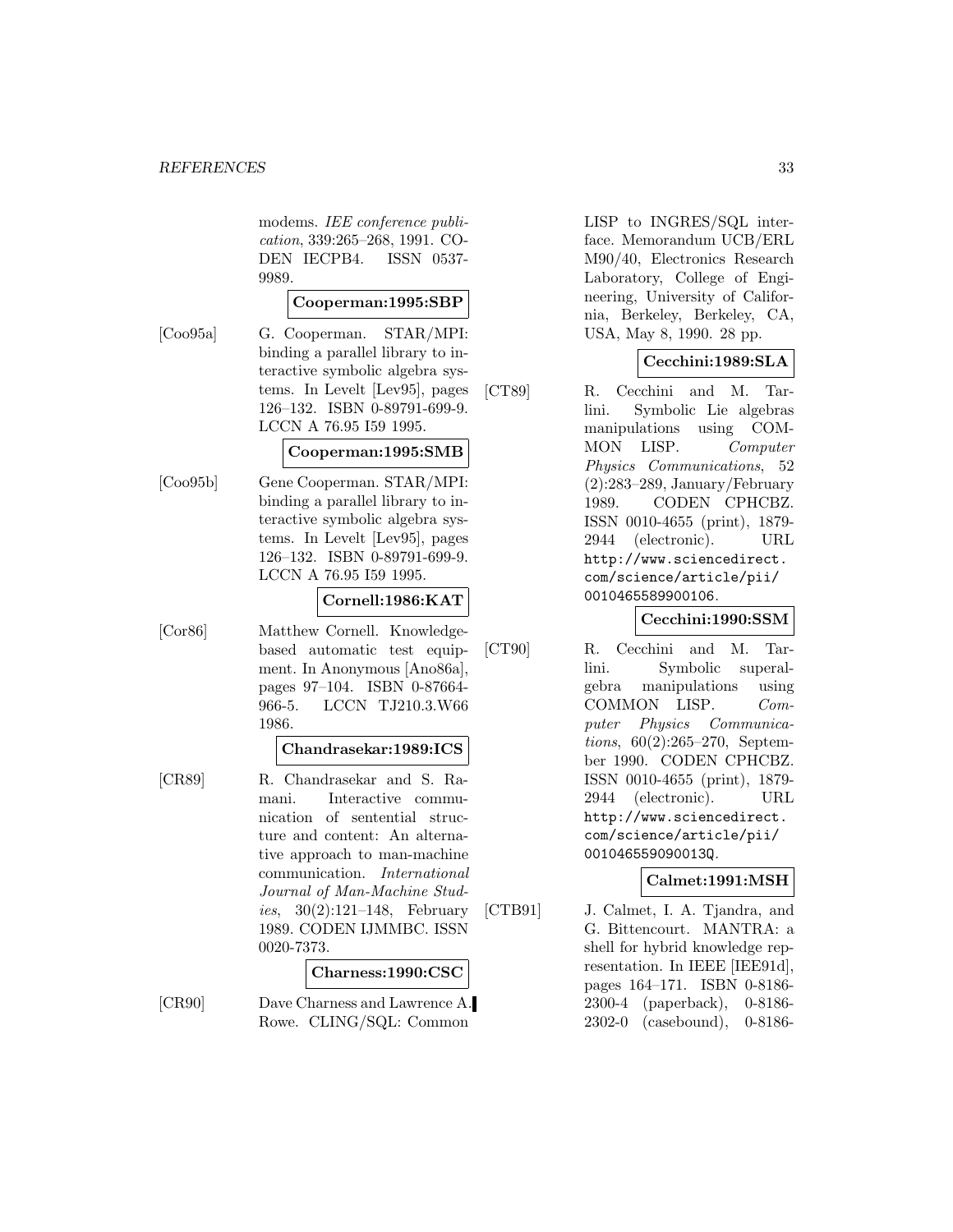modems. IEE conference publication, 339:265–268, 1991. CO-DEN IECPB4. ISSN 0537- 9989.

#### **Cooperman:1995:SBP**

[Coo95a] G. Cooperman. STAR/MPI: binding a parallel library to interactive symbolic algebra systems. In Levelt [Lev95], pages 126–132. ISBN 0-89791-699-9. LCCN A 76.95 I59 1995.

#### **Cooperman:1995:SMB**

[Coo95b] Gene Cooperman. STAR/MPI: binding a parallel library to interactive symbolic algebra systems. In Levelt [Lev95], pages 126–132. ISBN 0-89791-699-9. LCCN A 76.95 I59 1995.

#### **Cornell:1986:KAT**

[Cor86] Matthew Cornell. Knowledgebased automatic test equip-

ment. In Anonymous [Ano86a], pages 97–104. ISBN 0-87664- 966-5. LCCN TJ210.3.W66 1986.

#### **Chandrasekar:1989:ICS**

[CR89] R. Chandrasekar and S. Ramani. Interactive communication of sentential structure and content: An alternative approach to man-machine communication. International Journal of Man-Machine Stud*ies*,  $30(2):121-148$ , February 1989. CODEN IJMMBC. ISSN 0020-7373.

#### **Charness:1990:CSC**

[CR90] Dave Charness and Lawrence A. Rowe. CLING/SQL: Common

LISP to INGRES/SQL interface. Memorandum UCB/ERL M90/40, Electronics Research Laboratory, College of Engineering, University of California, Berkeley, Berkeley, CA, USA, May 8, 1990. 28 pp.

# **Cecchini:1989:SLA**

[CT89] R. Cecchini and M. Tarlini. Symbolic Lie algebras manipulations using COM-MON LISP. Computer Physics Communications, 52 (2):283–289, January/February 1989. CODEN CPHCBZ. ISSN 0010-4655 (print), 1879- 2944 (electronic). URL http://www.sciencedirect. com/science/article/pii/ 0010465589900106.

# **Cecchini:1990:SSM**

[CT90] R. Cecchini and M. Tarlini. Symbolic superalgebra manipulations using COMMON LISP. Computer Physics Communications, 60(2):265–270, September 1990. CODEN CPHCBZ. ISSN 0010-4655 (print), 1879- 2944 (electronic). URL http://www.sciencedirect. com/science/article/pii/ 001046559090013Q.

#### **Calmet:1991:MSH**

[CTB91] J. Calmet, I. A. Tjandra, and G. Bittencourt. MANTRA: a shell for hybrid knowledge representation. In IEEE [IEE91d], pages 164–171. ISBN 0-8186- 2300-4 (paperback), 0-8186- 2302-0 (casebound), 0-8186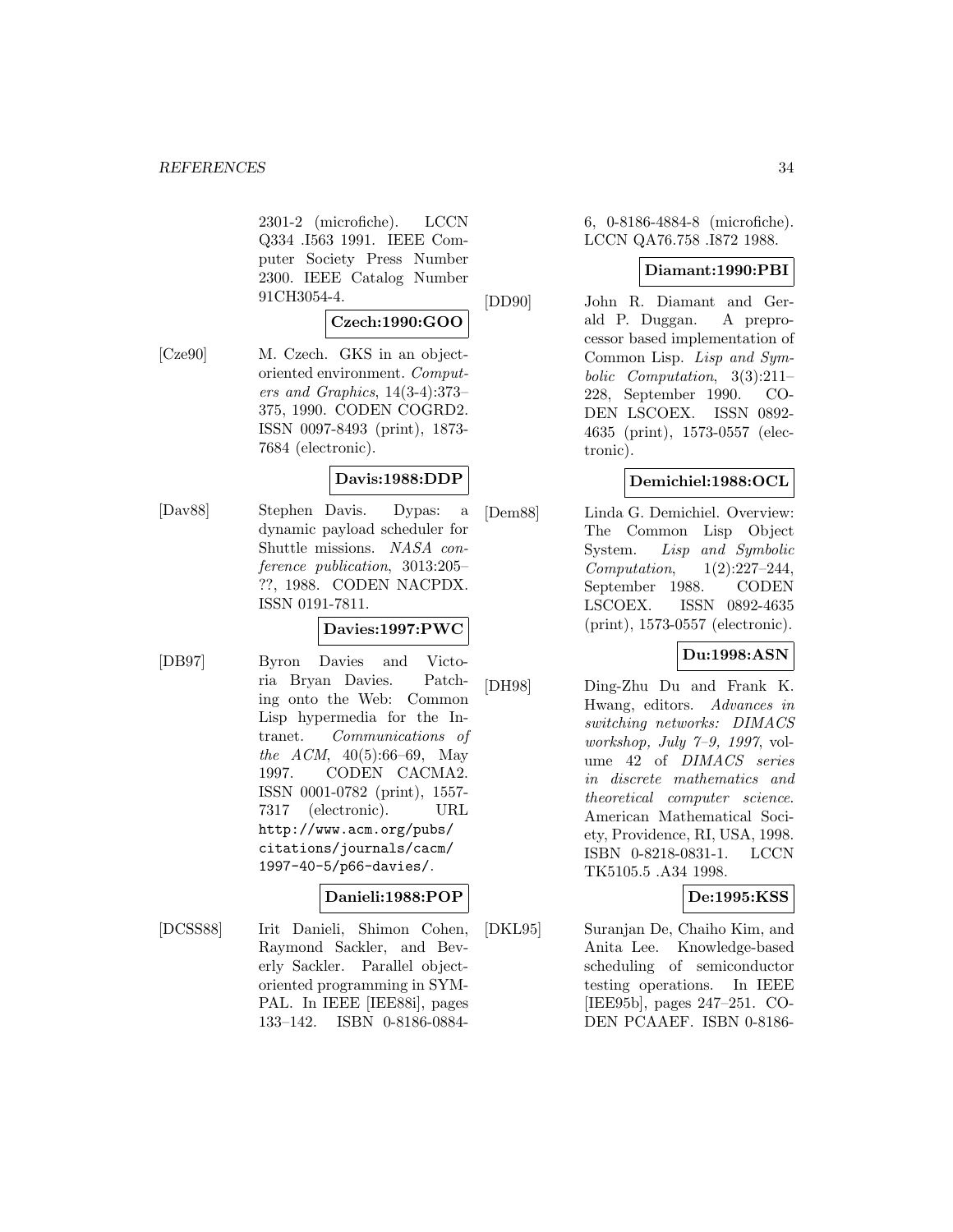2301-2 (microfiche). LCCN Q334 .I563 1991. IEEE Computer Society Press Number 2300. IEEE Catalog Number 91CH3054-4.

# **Czech:1990:GOO**

[Cze90] M. Czech. GKS in an objectoriented environment. Computers and Graphics, 14(3-4):373– 375, 1990. CODEN COGRD2. ISSN 0097-8493 (print), 1873- 7684 (electronic).

# **Davis:1988:DDP**

[Dav88] Stephen Davis. Dypas: a dynamic payload scheduler for Shuttle missions. NASA conference publication, 3013:205– ??, 1988. CODEN NACPDX. ISSN 0191-7811.

# **Davies:1997:PWC**

[DB97] Byron Davies and Victoria Bryan Davies. Patching onto the Web: Common Lisp hypermedia for the Intranet. Communications of the ACM,  $40(5):66-69$ , May 1997. CODEN CACMA2. ISSN 0001-0782 (print), 1557- 7317 (electronic). URL http://www.acm.org/pubs/ citations/journals/cacm/ 1997-40-5/p66-davies/.

# **Danieli:1988:POP**

[DCSS88] Irit Danieli, Shimon Cohen, Raymond Sackler, and Beverly Sackler. Parallel objectoriented programming in SYM-PAL. In IEEE [IEE88i], pages 133–142. ISBN 0-8186-08846, 0-8186-4884-8 (microfiche). LCCN QA76.758 .I872 1988.

### **Diamant:1990:PBI**

[DD90] John R. Diamant and Gerald P. Duggan. A preprocessor based implementation of Common Lisp. Lisp and Symbolic Computation, 3(3):211– 228, September 1990. CO-DEN LSCOEX. ISSN 0892- 4635 (print), 1573-0557 (electronic).

# **Demichiel:1988:OCL**

[Dem88] Linda G. Demichiel. Overview: The Common Lisp Object System. Lisp and Symbolic Computation, 1(2):227–244, September 1988. CODEN LSCOEX. ISSN 0892-4635 (print), 1573-0557 (electronic).

# **Du:1998:ASN**

[DH98] Ding-Zhu Du and Frank K. Hwang, editors. Advances in switching networks: DIMACS workshop, July 7–9, 1997, volume 42 of DIMACS series in discrete mathematics and theoretical computer science. American Mathematical Society, Providence, RI, USA, 1998. ISBN 0-8218-0831-1. LCCN TK5105.5 .A34 1998.

# **De:1995:KSS**

[DKL95] Suranjan De, Chaiho Kim, and Anita Lee. Knowledge-based scheduling of semiconductor testing operations. In IEEE [IEE95b], pages 247–251. CO-DEN PCAAEF. ISBN 0-8186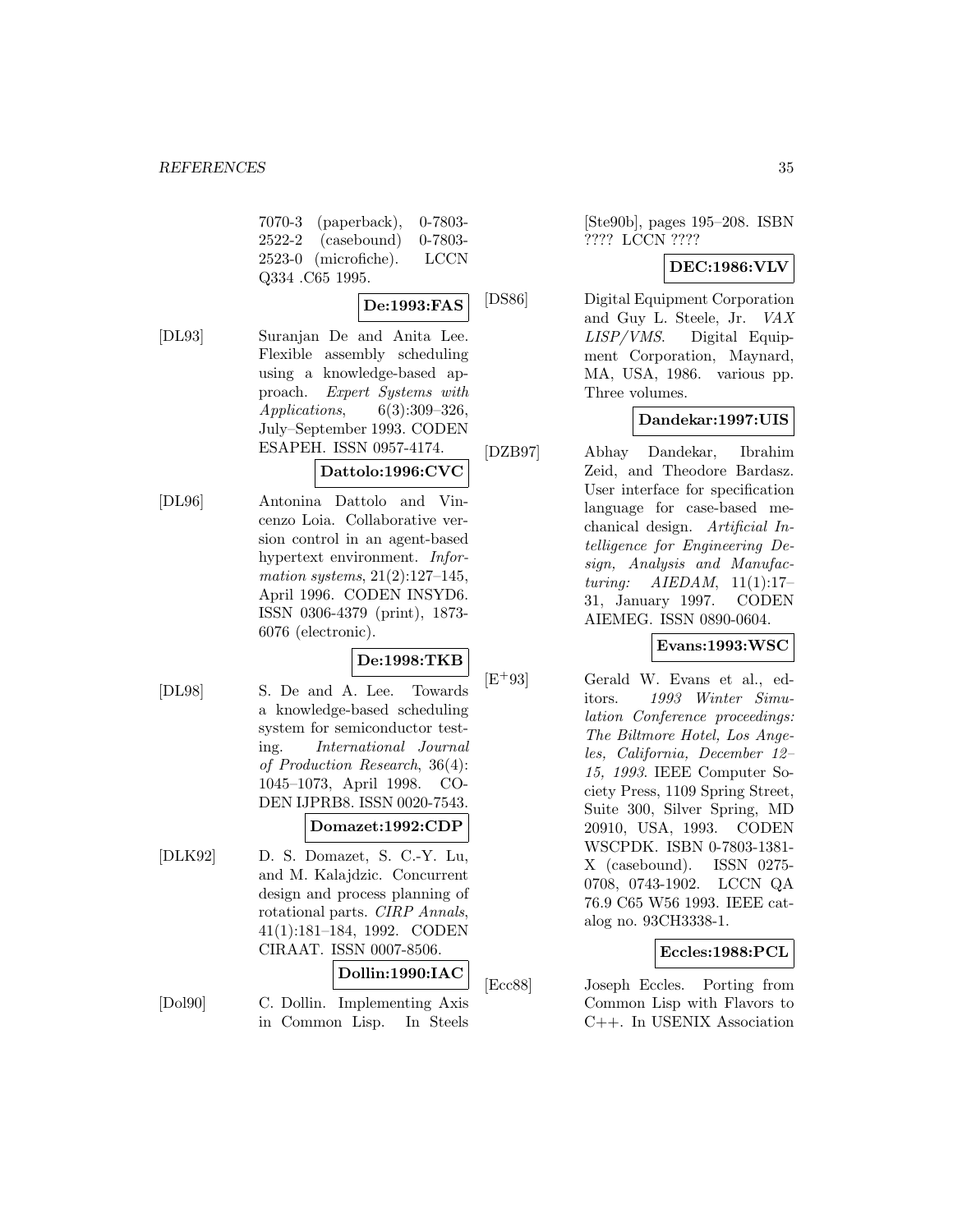7070-3 (paperback), 0-7803- 2522-2 (casebound) 0-7803- 2523-0 (microfiche). LCCN Q334 .C65 1995.

# **De:1993:FAS**

[DL93] Suranjan De and Anita Lee. Flexible assembly scheduling using a knowledge-based approach. Expert Systems with Applications, 6(3):309–326, July–September 1993. CODEN ESAPEH. ISSN 0957-4174.

# **Dattolo:1996:CVC**

[DL96] Antonina Dattolo and Vincenzo Loia. Collaborative version control in an agent-based hypertext environment. Information systems, 21(2):127–145, April 1996. CODEN INSYD6. ISSN 0306-4379 (print), 1873- 6076 (electronic).

# **De:1998:TKB**

[DL98] S. De and A. Lee. Towards a knowledge-based scheduling system for semiconductor testing. International Journal of Production Research, 36(4): 1045–1073, April 1998. CO-DEN IJPRB8. ISSN 0020-7543.

# **Domazet:1992:CDP**

[DLK92] D. S. Domazet, S. C.-Y. Lu, and M. Kalajdzic. Concurrent design and process planning of rotational parts. CIRP Annals, 41(1):181–184, 1992. CODEN CIRAAT. ISSN 0007-8506.

# **Dollin:1990:IAC**

[Dol90] C. Dollin. Implementing Axis in Common Lisp. In Steels

[Ste90b], pages 195–208. ISBN ???? LCCN ????

### **DEC:1986:VLV**

[DS86] Digital Equipment Corporation and Guy L. Steele, Jr. VAX LISP/VMS. Digital Equipment Corporation, Maynard, MA, USA, 1986. various pp. Three volumes.

# **Dandekar:1997:UIS**

[DZB97] Abhay Dandekar, Ibrahim Zeid, and Theodore Bardasz. User interface for specification language for case-based mechanical design. Artificial Intelligence for Engineering Design, Analysis and Manufacturing: AIEDAM, 11(1):17– 31, January 1997. CODEN AIEMEG. ISSN 0890-0604.

# **Evans:1993:WSC**

[E<sup>+</sup>93] Gerald W. Evans et al., editors. 1993 Winter Simulation Conference proceedings: The Biltmore Hotel, Los Angeles, California, December 12– 15, 1993. IEEE Computer Society Press, 1109 Spring Street, Suite 300, Silver Spring, MD 20910, USA, 1993. CODEN WSCPDK. ISBN 0-7803-1381- X (casebound). ISSN 0275- 0708, 0743-1902. LCCN QA 76.9 C65 W56 1993. IEEE catalog no. 93CH3338-1.

# **Eccles:1988:PCL**

[Ecc88] Joseph Eccles. Porting from Common Lisp with Flavors to C++. In USENIX Association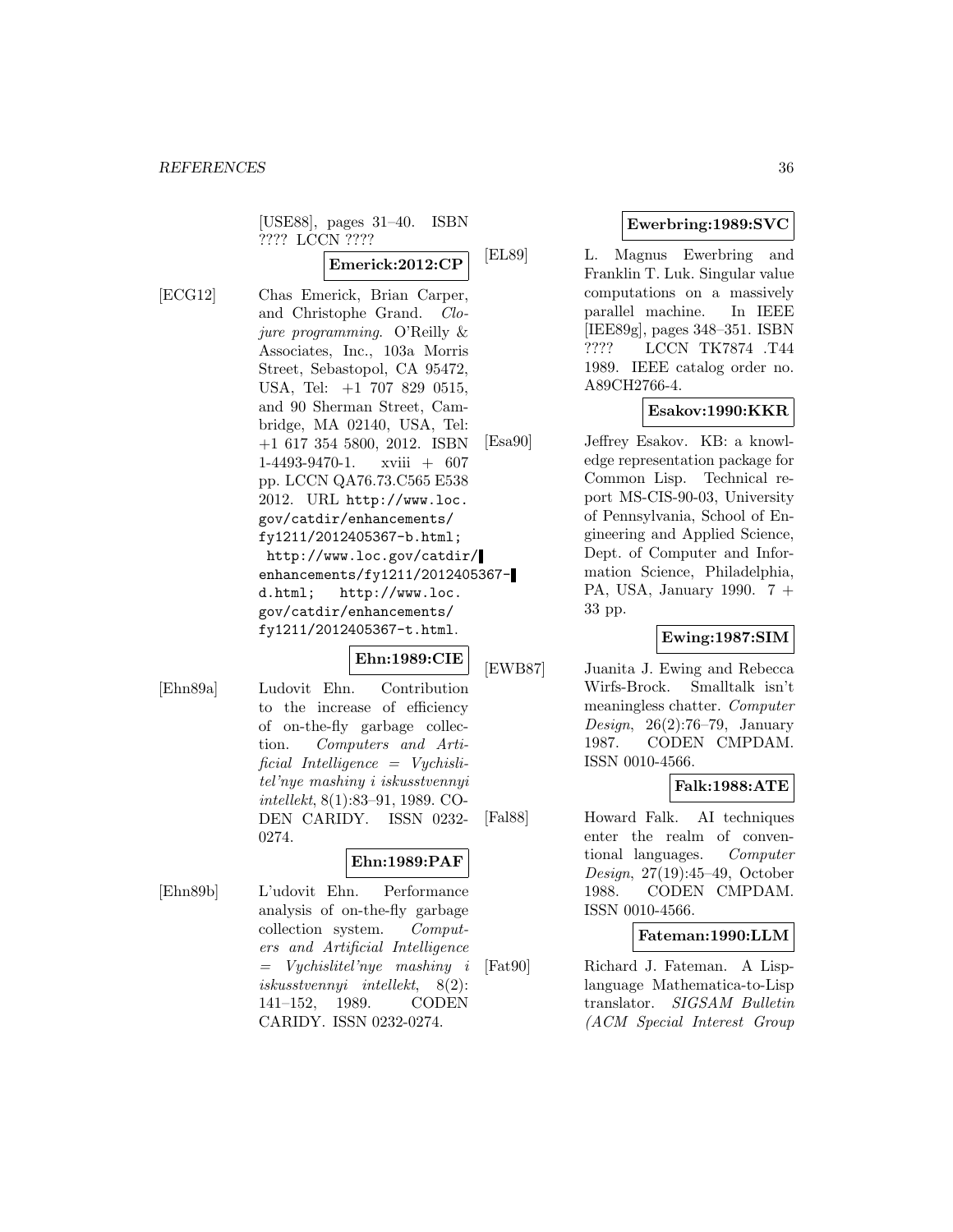[USE88], pages 31–40. ISBN ???? LCCN ????

**Emerick:2012:CP**

[ECG12] Chas Emerick, Brian Carper, and Christophe Grand. Clojure programming. O'Reilly & Associates, Inc., 103a Morris Street, Sebastopol, CA 95472, USA, Tel: +1 707 829 0515, and 90 Sherman Street, Cambridge, MA 02140, USA, Tel: +1 617 354 5800, 2012. ISBN 1-4493-9470-1. xviii + 607 pp. LCCN QA76.73.C565 E538 2012. URL http://www.loc. gov/catdir/enhancements/ fy1211/2012405367-b.html; http://www.loc.gov/catdir/ enhancements/fy1211/2012405367 d.html; http://www.loc. gov/catdir/enhancements/ fy1211/2012405367-t.html.

# **Ehn:1989:CIE**

[Ehn89a] Ludovit Ehn. Contribution to the increase of efficiency of on-the-fly garbage collection. Computers and Artificial Intelligence = Vychislitel'nye mashiny i iskusstvennyi intellekt, 8(1):83–91, 1989. CO-DEN CARIDY. ISSN 0232- 0274.

#### **Ehn:1989:PAF**

[Ehn89b] L'udovit Ehn. Performance analysis of on-the-fly garbage collection system. Computers and Artificial Intelligence = Vychislitel'nye mashiny i iskusstvennyi intellekt, 8(2): 141–152, 1989. CODEN CARIDY. ISSN 0232-0274.

# **Ewerbring:1989:SVC**

[EL89] L. Magnus Ewerbring and Franklin T. Luk. Singular value computations on a massively parallel machine. In IEEE [IEE89g], pages 348–351. ISBN ???? LCCN TK7874 .T44 1989. IEEE catalog order no. A89CH2766-4.

# **Esakov:1990:KKR**

[Esa90] Jeffrey Esakov. KB: a knowledge representation package for Common Lisp. Technical report MS-CIS-90-03, University of Pennsylvania, School of Engineering and Applied Science, Dept. of Computer and Information Science, Philadelphia, PA, USA, January 1990. 7 + 33 pp.

# **Ewing:1987:SIM**

[EWB87] Juanita J. Ewing and Rebecca Wirfs-Brock. Smalltalk isn't meaningless chatter. Computer Design, 26(2):76–79, January 1987. CODEN CMPDAM. ISSN 0010-4566.

#### **Falk:1988:ATE**

[Fal88] Howard Falk. AI techniques enter the realm of conventional languages. Computer Design, 27(19):45–49, October 1988. CODEN CMPDAM. ISSN 0010-4566.

#### **Fateman:1990:LLM**

[Fat90] Richard J. Fateman. A Lisplanguage Mathematica-to-Lisp translator. SIGSAM Bulletin (ACM Special Interest Group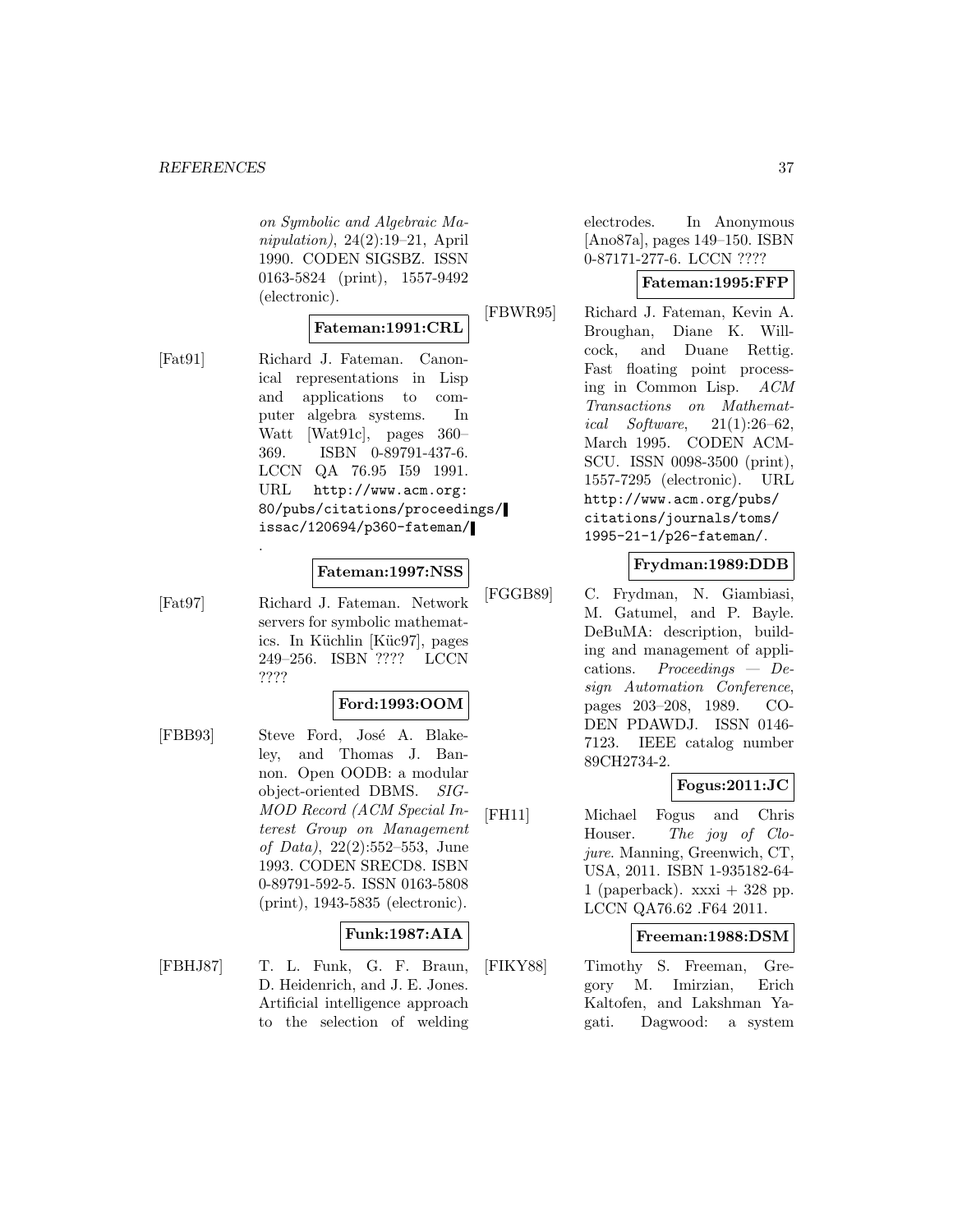on Symbolic and Algebraic Manipulation), 24(2):19–21, April 1990. CODEN SIGSBZ. ISSN 0163-5824 (print), 1557-9492 (electronic).

#### **Fateman:1991:CRL**

- 
- [Fat91] Richard J. Fateman. Canonical representations in Lisp and applications to computer algebra systems. In Watt [Wat91c], pages 360– 369. ISBN 0-89791-437-6. LCCN QA 76.95 I59 1991. URL http://www.acm.org: 80/pubs/citations/proceedings/ issac/120694/p360-fateman/

#### **Fateman:1997:NSS**

[Fat97] Richard J. Fateman. Network servers for symbolic mathematics. In Küchlin [Küc97], pages 249–256. ISBN ???? LCCN ????

.

#### **Ford:1993:OOM**

[FBB93] Steve Ford, José A. Blakeley, and Thomas J. Bannon. Open OODB: a modular object-oriented DBMS. SIG-MOD Record (ACM Special Interest Group on Management of Data), 22(2):552–553, June 1993. CODEN SRECD8. ISBN 0-89791-592-5. ISSN 0163-5808 (print), 1943-5835 (electronic).

#### **Funk:1987:AIA**

[FBHJ87] T. L. Funk, G. F. Braun, D. Heidenrich, and J. E. Jones. Artificial intelligence approach to the selection of welding electrodes. In Anonymous [Ano87a], pages 149–150. ISBN 0-87171-277-6. LCCN ????

### **Fateman:1995:FFP**

[FBWR95] Richard J. Fateman, Kevin A. Broughan, Diane K. Willcock, and Duane Rettig. Fast floating point processing in Common Lisp. ACM Transactions on Mathematical Software,  $21(1):26-62$ , March 1995. CODEN ACM-SCU. ISSN 0098-3500 (print), 1557-7295 (electronic). URL http://www.acm.org/pubs/ citations/journals/toms/ 1995-21-1/p26-fateman/.

### **Frydman:1989:DDB**

[FGGB89] C. Frydman, N. Giambiasi, M. Gatumel, and P. Bayle. DeBuMA: description, building and management of applications. Proceedings — Design Automation Conference, pages 203–208, 1989. CO-DEN PDAWDJ. ISSN 0146- 7123. IEEE catalog number 89CH2734-2.

# **Fogus:2011:JC**

[FH11] Michael Fogus and Chris Houser. The joy of Clojure. Manning, Greenwich, CT, USA, 2011. ISBN 1-935182-64- 1 (paperback).  $xxxi + 328$  pp. LCCN QA76.62 .F64 2011.

#### **Freeman:1988:DSM**

[FIKY88] Timothy S. Freeman, Gregory M. Imirzian, Erich Kaltofen, and Lakshman Yagati. Dagwood: a system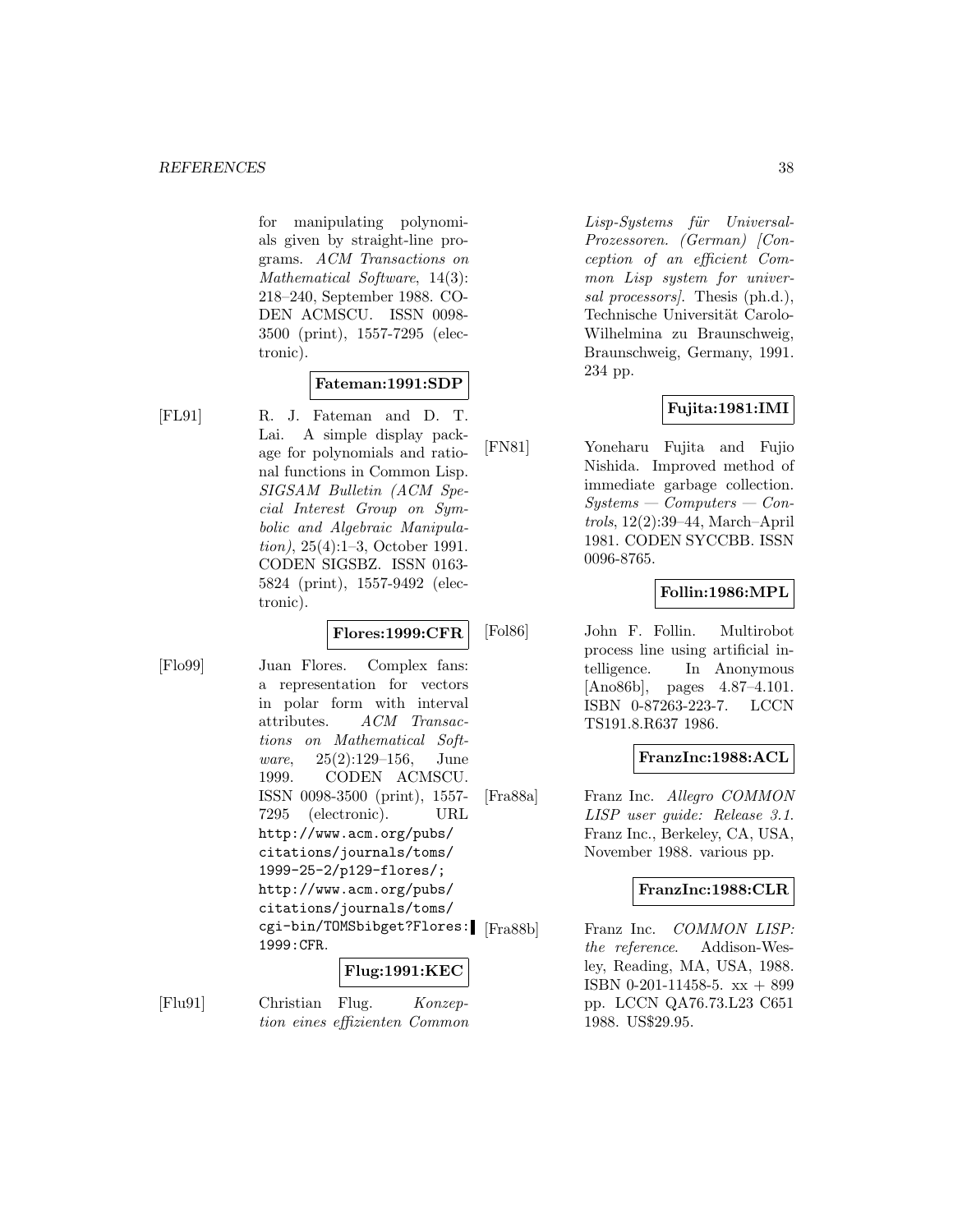for manipulating polynomials given by straight-line programs. ACM Transactions on Mathematical Software, 14(3): 218–240, September 1988. CO-DEN ACMSCU. ISSN 0098- 3500 (print), 1557-7295 (electronic).

### **Fateman:1991:SDP**

- 
- [FL91] R. J. Fateman and D. T. Lai. A simple display package for polynomials and rational functions in Common Lisp. SIGSAM Bulletin (ACM Special Interest Group on Symbolic and Algebraic Manipulation), 25(4):1–3, October 1991. CODEN SIGSBZ. ISSN 0163- 5824 (print), 1557-9492 (electronic).

**Flores:1999:CFR**

[Flo99] Juan Flores. Complex fans: a representation for vectors in polar form with interval attributes. ACM Transactions on Mathematical Software, 25(2):129–156, June 1999. CODEN ACMSCU. ISSN 0098-3500 (print), 1557- 7295 (electronic). URL http://www.acm.org/pubs/ citations/journals/toms/ 1999-25-2/p129-flores/; http://www.acm.org/pubs/ citations/journals/toms/ cgi-bin/TOMSbibget?Flores: 1999:CFR.

## **Flug:1991:KEC**

[Flu91] Christian Flug. Konzeption eines effizienten Common Lisp-Systems für Universal-Prozessoren. (German) [Conception of an efficient Common Lisp system for universal processors. Thesis (ph.d.), Technische Universität Carolo-Wilhelmina zu Braunschweig, Braunschweig, Germany, 1991. 234 pp.

## **Fujita:1981:IMI**

[FN81] Yoneharu Fujita and Fujio Nishida. Improved method of immediate garbage collection.  $Systems - Computers - Con$ trols, 12(2):39–44, March–April 1981. CODEN SYCCBB. ISSN 0096-8765.

## **Follin:1986:MPL**

[Fol86] John F. Follin. Multirobot process line using artificial intelligence. In Anonymous [Ano86b], pages 4.87–4.101. ISBN 0-87263-223-7. LCCN TS191.8.R637 1986.

#### **FranzInc:1988:ACL**

[Fra88a] Franz Inc. Allegro COMMON LISP user guide: Release 3.1. Franz Inc., Berkeley, CA, USA, November 1988. various pp.

#### **FranzInc:1988:CLR**

Franz Inc. COMMON LISP: the reference. Addison-Wesley, Reading, MA, USA, 1988. ISBN 0-201-11458-5.  $xx + 899$ pp. LCCN QA76.73.L23 C651 1988. US\$29.95.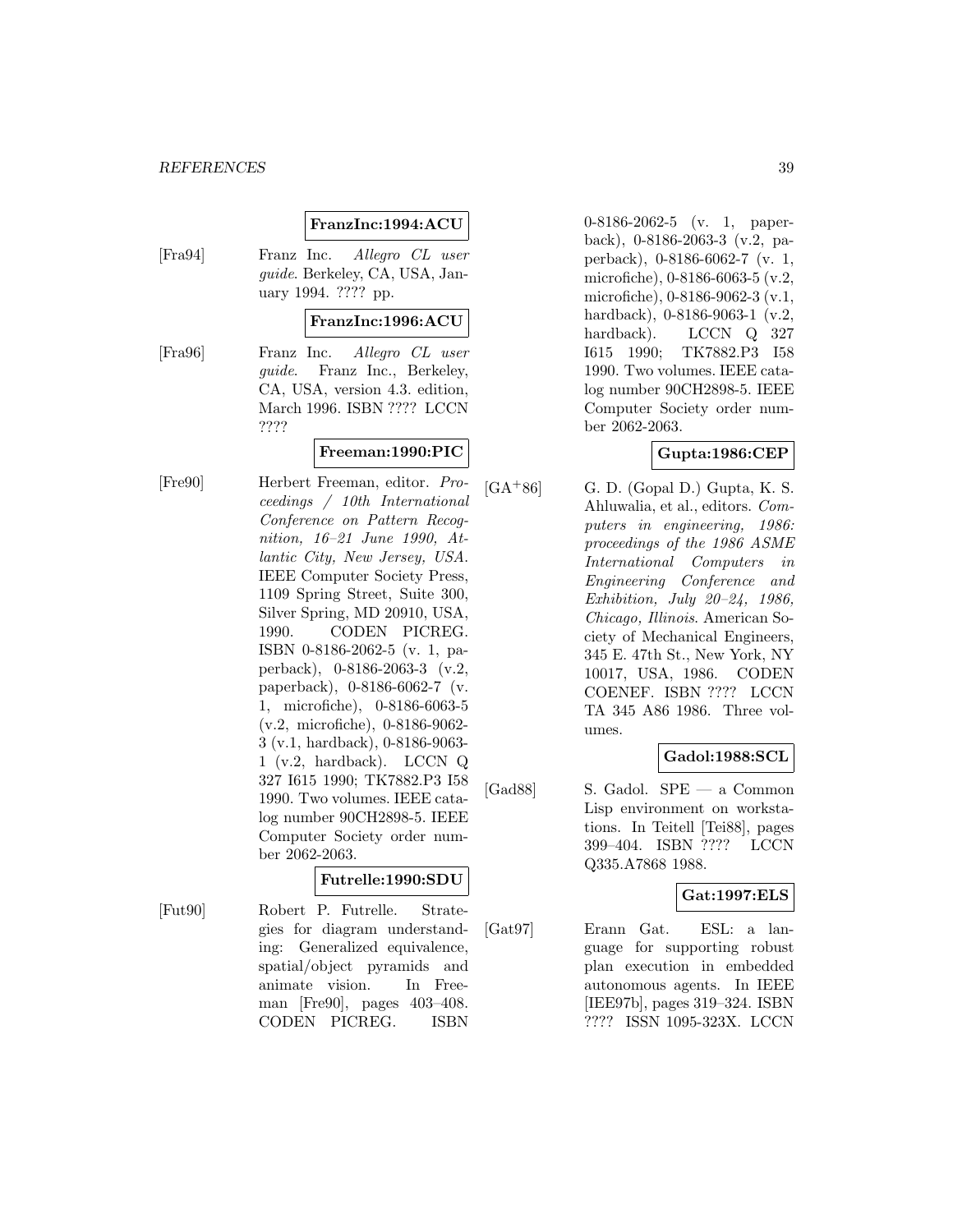## **FranzInc:1994:ACU**

[Fra94] Franz Inc. Allegro CL user guide. Berkeley, CA, USA, January 1994. ???? pp.

#### **FranzInc:1996:ACU**

[Fra96] Franz Inc. Allegro CL user guide. Franz Inc., Berkeley, CA, USA, version 4.3. edition, March 1996. ISBN ???? LCCN ????

# **Freeman:1990:PIC**

[Fre90] Herbert Freeman, editor. Proceedings / 10th International Conference on Pattern Recognition, 16–21 June 1990, Atlantic City, New Jersey, USA. IEEE Computer Society Press, 1109 Spring Street, Suite 300, Silver Spring, MD 20910, USA, 1990. CODEN PICREG. ISBN 0-8186-2062-5 (v. 1, paperback), 0-8186-2063-3 (v.2, paperback), 0-8186-6062-7 (v. 1, microfiche), 0-8186-6063-5 (v.2, microfiche), 0-8186-9062- 3 (v.1, hardback), 0-8186-9063- 1 (v.2, hardback). LCCN Q 327 I615 1990; TK7882.P3 I58 1990. Two volumes. IEEE catalog number 90CH2898-5. IEEE Computer Society order number 2062-2063.

#### **Futrelle:1990:SDU**

[Fut90] Robert P. Futrelle. Strategies for diagram understanding: Generalized equivalence, spatial/object pyramids and animate vision. In Freeman [Fre90], pages 403–408. CODEN PICREG. ISBN

0-8186-2062-5 (v. 1, paperback), 0-8186-2063-3 (v.2, paperback), 0-8186-6062-7 (v. 1, microfiche), 0-8186-6063-5 (v.2, microfiche), 0-8186-9062-3 (v.1, hardback), 0-8186-9063-1 (v.2, hardback). LCCN Q 327 I615 1990; TK7882.P3 I58 1990. Two volumes. IEEE catalog number 90CH2898-5. IEEE Computer Society order number 2062-2063.

### **Gupta:1986:CEP**

 $[GA+86]$  G. D. (Gopal D.) Gupta, K. S. Ahluwalia, et al., editors. Computers in engineering, 1986: proceedings of the 1986 ASME International Computers in Engineering Conference and Exhibition, July 20–24, 1986, Chicago, Illinois. American Society of Mechanical Engineers, 345 E. 47th St., New York, NY 10017, USA, 1986. CODEN COENEF. ISBN ???? LCCN TA 345 A86 1986. Three volumes.

## **Gadol:1988:SCL**

[Gad88] S. Gadol. SPE — a Common Lisp environment on workstations. In Teitell [Tei88], pages 399–404. ISBN ???? LCCN Q335.A7868 1988.

#### **Gat:1997:ELS**

[Gat97] Erann Gat. ESL: a language for supporting robust plan execution in embedded autonomous agents. In IEEE [IEE97b], pages 319–324. ISBN ???? ISSN 1095-323X. LCCN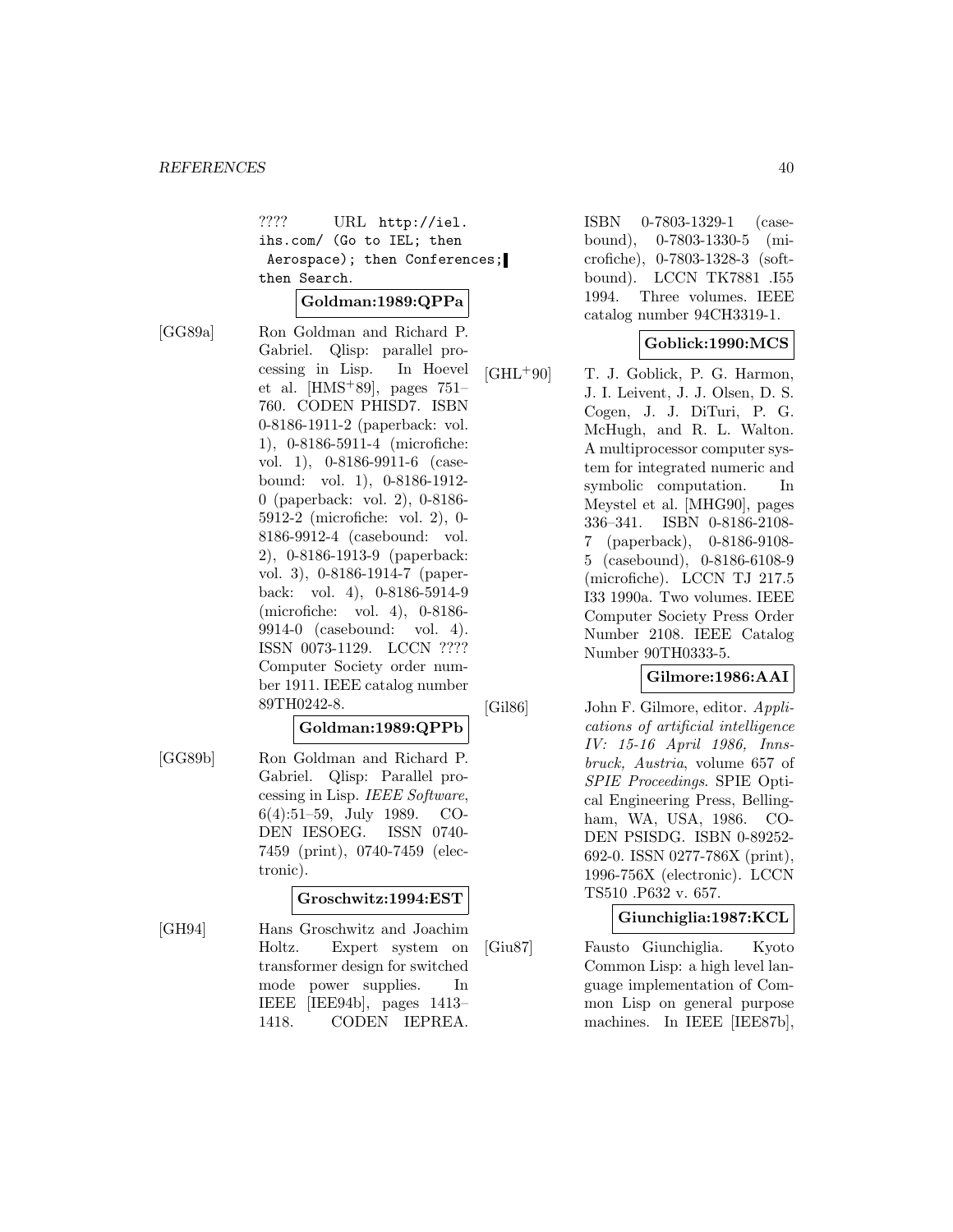???? URL http://iel. ihs.com/ (Go to IEL; then Aerospace); then Conferences; then Search.

### **Goldman:1989:QPPa**

[GG89a] Ron Goldman and Richard P. Gabriel. Qlisp: parallel processing in Lisp. In Hoevel et al.  $[HMS+89]$ , pages 751– 760. CODEN PHISD7. ISBN 0-8186-1911-2 (paperback: vol. 1), 0-8186-5911-4 (microfiche: vol. 1), 0-8186-9911-6 (casebound: vol. 1), 0-8186-1912- 0 (paperback: vol. 2), 0-8186- 5912-2 (microfiche: vol. 2), 0- 8186-9912-4 (casebound: vol. 2), 0-8186-1913-9 (paperback: vol. 3), 0-8186-1914-7 (paperback: vol. 4), 0-8186-5914-9 (microfiche: vol. 4), 0-8186- 9914-0 (casebound: vol. 4). ISSN 0073-1129. LCCN ???? Computer Society order number 1911. IEEE catalog number 89TH0242-8.

#### **Goldman:1989:QPPb**

[GG89b] Ron Goldman and Richard P. Gabriel. Qlisp: Parallel processing in Lisp. IEEE Software, 6(4):51–59, July 1989. CO-DEN IESOEG. ISSN 0740- 7459 (print), 0740-7459 (electronic).

#### **Groschwitz:1994:EST**

[GH94] Hans Groschwitz and Joachim Holtz. Expert system on transformer design for switched mode power supplies. In IEEE [IEE94b], pages 1413– 1418. CODEN IEPREA.

ISBN 0-7803-1329-1 (casebound), 0-7803-1330-5 (microfiche), 0-7803-1328-3 (softbound). LCCN TK7881 .I55 1994. Three volumes. IEEE catalog number 94CH3319-1.

### **Goblick:1990:MCS**

 $[GHL+90]$  T. J. Goblick, P. G. Harmon, J. I. Leivent, J. J. Olsen, D. S. Cogen, J. J. DiTuri, P. G. McHugh, and R. L. Walton. A multiprocessor computer system for integrated numeric and symbolic computation. In Meystel et al. [MHG90], pages 336–341. ISBN 0-8186-2108- 7 (paperback), 0-8186-9108- 5 (casebound), 0-8186-6108-9 (microfiche). LCCN TJ 217.5 I33 1990a. Two volumes. IEEE Computer Society Press Order Number 2108. IEEE Catalog Number 90TH0333-5.

### **Gilmore:1986:AAI**

[Gil86] John F. Gilmore, editor. Applications of artificial intelligence IV: 15-16 April 1986, Innsbruck, Austria, volume 657 of SPIE Proceedings. SPIE Optical Engineering Press, Bellingham, WA, USA, 1986. CO-DEN PSISDG. ISBN 0-89252- 692-0. ISSN 0277-786X (print), 1996-756X (electronic). LCCN TS510 .P632 v. 657.

#### **Giunchiglia:1987:KCL**

[Giu87] Fausto Giunchiglia. Kyoto Common Lisp: a high level language implementation of Common Lisp on general purpose machines. In IEEE [IEE87b],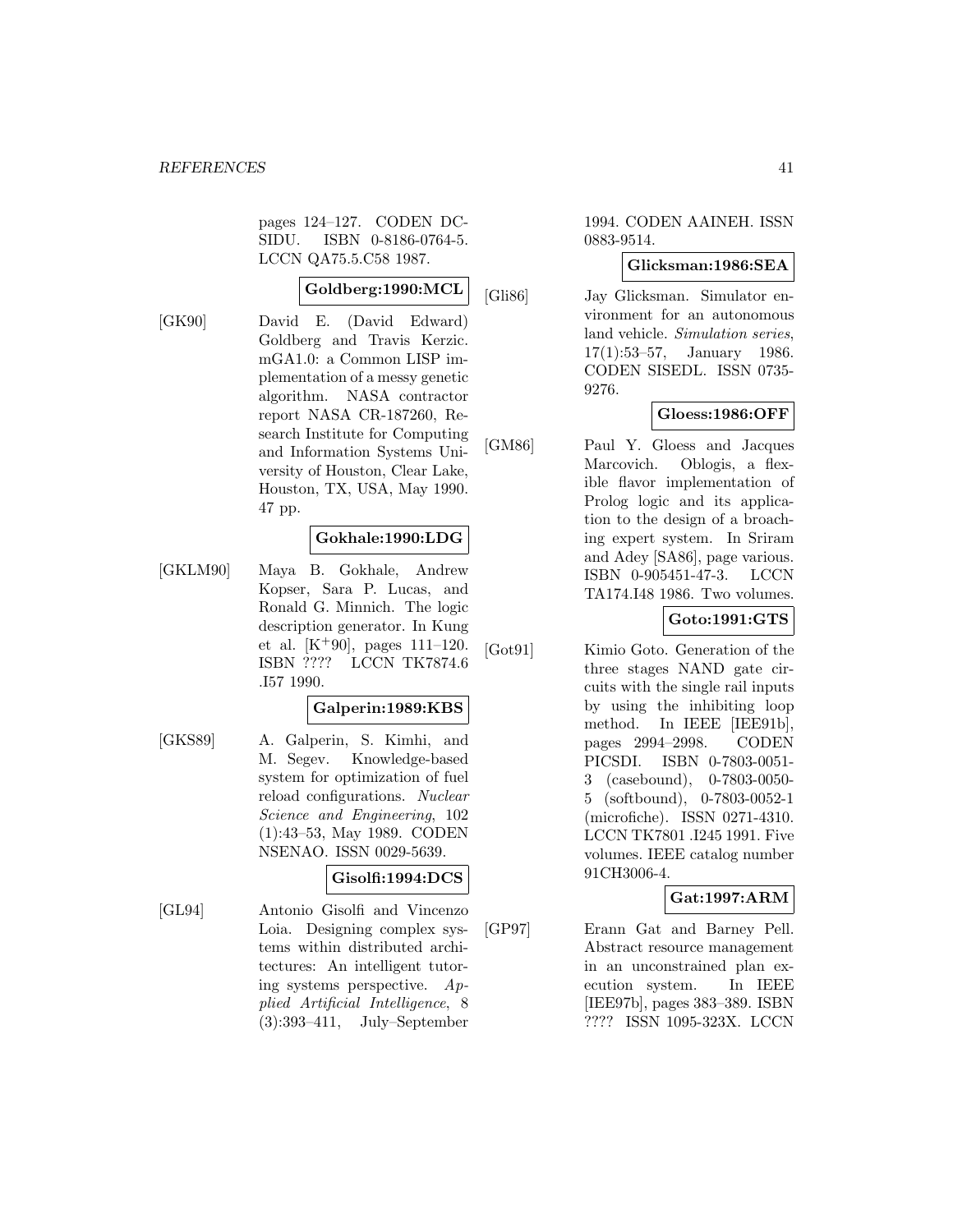pages 124–127. CODEN DC-SIDU. ISBN 0-8186-0764-5. LCCN QA75.5.C58 1987.

### **Goldberg:1990:MCL**

[GK90] David E. (David Edward) Goldberg and Travis Kerzic. mGA1.0: a Common LISP implementation of a messy genetic algorithm. NASA contractor report NASA CR-187260, Research Institute for Computing and Information Systems University of Houston, Clear Lake, Houston, TX, USA, May 1990. 47 pp.

# **Gokhale:1990:LDG**

[GKLM90] Maya B. Gokhale, Andrew Kopser, Sara P. Lucas, and Ronald G. Minnich. The logic description generator. In Kung et al.  $[K^+90]$ , pages 111–120. ISBN ???? LCCN TK7874.6 .I57 1990.

#### **Galperin:1989:KBS**

[GKS89] A. Galperin, S. Kimhi, and M. Segev. Knowledge-based system for optimization of fuel reload configurations. Nuclear Science and Engineering, 102 (1):43–53, May 1989. CODEN NSENAO. ISSN 0029-5639.

#### **Gisolfi:1994:DCS**

[GL94] Antonio Gisolfi and Vincenzo Loia. Designing complex systems within distributed architectures: An intelligent tutoring systems perspective. Applied Artificial Intelligence, 8 (3):393–411, July–September

#### 1994. CODEN AAINEH. ISSN 0883-9514.

#### **Glicksman:1986:SEA**

[Gli86] Jay Glicksman. Simulator environment for an autonomous land vehicle. Simulation series, 17(1):53–57, January 1986. CODEN SISEDL. ISSN 0735- 9276.

## **Gloess:1986:OFF**

[GM86] Paul Y. Gloess and Jacques Marcovich. Oblogis, a flexible flavor implementation of Prolog logic and its application to the design of a broaching expert system. In Sriram and Adey [SA86], page various. ISBN 0-905451-47-3. LCCN TA174.I48 1986. Two volumes.

## **Goto:1991:GTS**

[Got91] Kimio Goto. Generation of the three stages NAND gate circuits with the single rail inputs by using the inhibiting loop method. In IEEE [IEE91b], pages 2994–2998. CODEN PICSDI. ISBN 0-7803-0051- 3 (casebound), 0-7803-0050- 5 (softbound), 0-7803-0052-1 (microfiche). ISSN 0271-4310. LCCN TK7801 .I245 1991. Five volumes. IEEE catalog number 91CH3006-4.

## **Gat:1997:ARM**

[GP97] Erann Gat and Barney Pell. Abstract resource management in an unconstrained plan execution system. In IEEE [IEE97b], pages 383–389. ISBN ???? ISSN 1095-323X. LCCN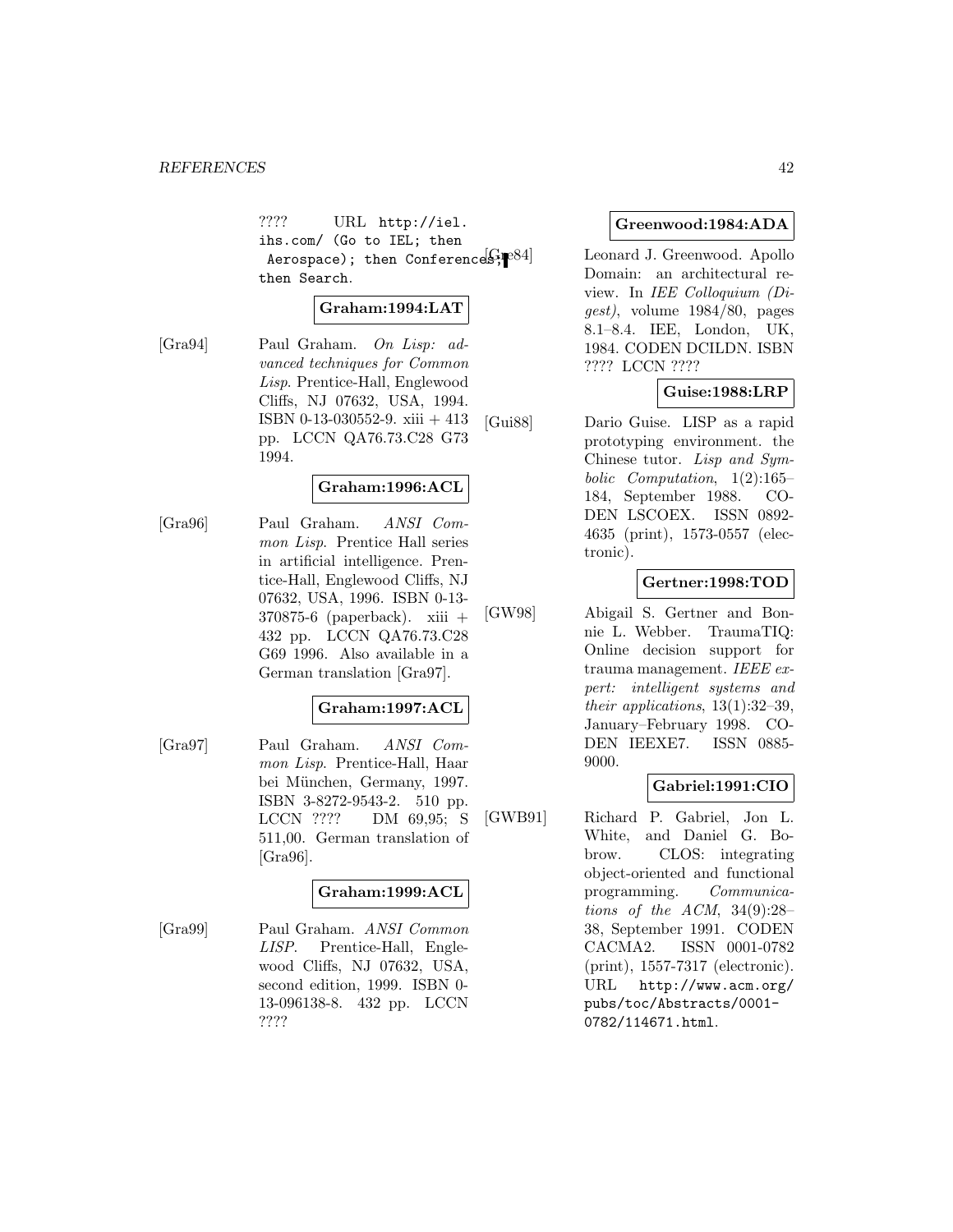???? URL http://iel. ihs.com/ (Go to IEL; then Aerospace); then Conferences; $[8]$ <sup>084</sup>] then Search.

### **Graham:1994:LAT**

[Gra94] Paul Graham. On Lisp: advanced techniques for Common Lisp. Prentice-Hall, Englewood Cliffs, NJ 07632, USA, 1994. ISBN 0-13-030552-9. xiii + 413 pp. LCCN QA76.73.C28 G73 1994.

### **Graham:1996:ACL**

[Gra96] Paul Graham. ANSI Common Lisp. Prentice Hall series in artificial intelligence. Prentice-Hall, Englewood Cliffs, NJ 07632, USA, 1996. ISBN 0-13- 370875-6 (paperback). xiii + 432 pp. LCCN QA76.73.C28 G69 1996. Also available in a German translation [Gra97].

#### **Graham:1997:ACL**

[Gra97] Paul Graham. ANSI Common Lisp. Prentice-Hall, Haar bei München, Germany, 1997. ISBN 3-8272-9543-2. 510 pp. LCCN ???? DM 69,95; S 511,00. German translation of [Gra96].

#### **Graham:1999:ACL**

[Gra99] Paul Graham. ANSI Common LISP. Prentice-Hall, Englewood Cliffs, NJ 07632, USA, second edition, 1999. ISBN 0- 13-096138-8. 432 pp. LCCN ????

#### **Greenwood:1984:ADA**

Leonard J. Greenwood. Apollo Domain: an architectural review. In IEE Colloquium (Digest), volume 1984/80, pages 8.1–8.4. IEE, London, UK, 1984. CODEN DCILDN. ISBN ???? LCCN ????

#### **Guise:1988:LRP**

[Gui88] Dario Guise. LISP as a rapid prototyping environment. the Chinese tutor. Lisp and Symbolic Computation, 1(2):165– 184, September 1988. CO-DEN LSCOEX. ISSN 0892- 4635 (print), 1573-0557 (electronic).

## **Gertner:1998:TOD**

[GW98] Abigail S. Gertner and Bonnie L. Webber. TraumaTIQ: Online decision support for trauma management. IEEE expert: intelligent systems and their applications, 13(1):32–39, January–February 1998. CO-DEN IEEXE7. ISSN 0885- 9000.

## **Gabriel:1991:CIO**

[GWB91] Richard P. Gabriel, Jon L. White, and Daniel G. Bobrow. CLOS: integrating object-oriented and functional programming. Communications of the ACM,  $34(9):28-$ 38, September 1991. CODEN CACMA2. ISSN 0001-0782 (print), 1557-7317 (electronic). URL http://www.acm.org/ pubs/toc/Abstracts/0001- 0782/114671.html.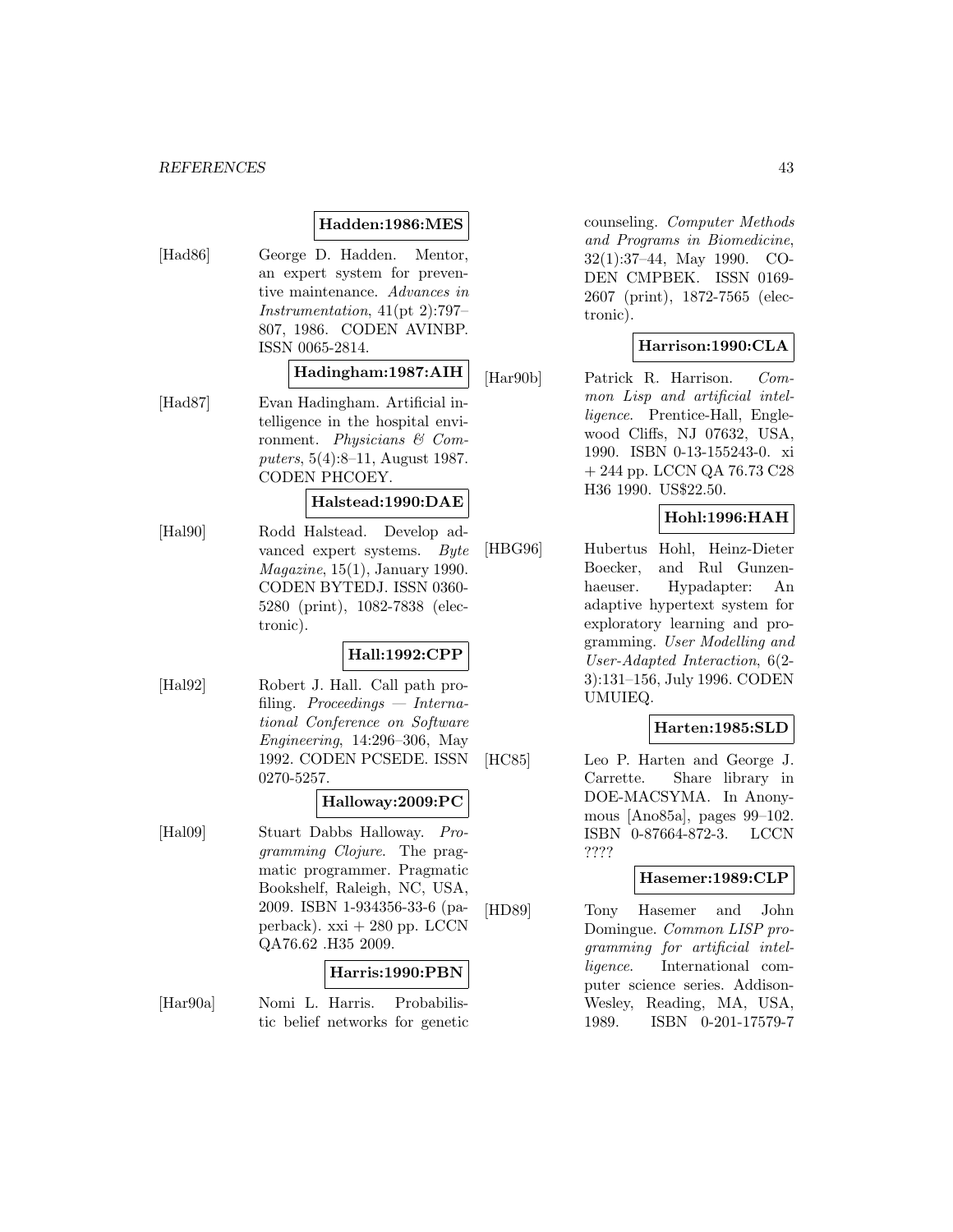#### **Hadden:1986:MES**

[Had86] George D. Hadden. Mentor, an expert system for preventive maintenance. Advances in Instrumentation, 41(pt 2):797– 807, 1986. CODEN AVINBP. ISSN 0065-2814.

#### **Hadingham:1987:AIH**

[Had87] Evan Hadingham. Artificial intelligence in the hospital environment. Physicians & Computers, 5(4):8–11, August 1987. CODEN PHCOEY.

#### **Halstead:1990:DAE**

[Hal90] Rodd Halstead. Develop advanced expert systems. Byte  $Magazine, 15(1), January 1990.$ CODEN BYTEDJ. ISSN 0360- 5280 (print), 1082-7838 (electronic).

## **Hall:1992:CPP**

[Hal92] Robert J. Hall. Call path profiling. Proceedings  $-$  International Conference on Software Engineering, 14:296–306, May 1992. CODEN PCSEDE. ISSN 0270-5257.

#### **Halloway:2009:PC**

[Hal09] Stuart Dabbs Halloway. Programming Clojure. The pragmatic programmer. Pragmatic Bookshelf, Raleigh, NC, USA, 2009. ISBN 1-934356-33-6 (paperback).  $xxi + 280$  pp. LCCN QA76.62 .H35 2009.

## **Harris:1990:PBN**

[Har90a] Nomi L. Harris. Probabilistic belief networks for genetic counseling. Computer Methods and Programs in Biomedicine, 32(1):37–44, May 1990. CO-DEN CMPBEK. ISSN 0169- 2607 (print), 1872-7565 (electronic).

### **Harrison:1990:CLA**

[Har90b] Patrick R. Harrison. Common Lisp and artificial intelligence. Prentice-Hall, Englewood Cliffs, NJ 07632, USA, 1990. ISBN 0-13-155243-0. xi + 244 pp. LCCN QA 76.73 C28 H36 1990. US\$22.50.

## **Hohl:1996:HAH**

[HBG96] Hubertus Hohl, Heinz-Dieter Boecker, and Rul Gunzenhaeuser. Hypadapter: An adaptive hypertext system for exploratory learning and programming. User Modelling and User-Adapted Interaction, 6(2- 3):131–156, July 1996. CODEN UMUIEQ.

#### **Harten:1985:SLD**

[HC85] Leo P. Harten and George J. Carrette. Share library in DOE-MACSYMA. In Anonymous [Ano85a], pages 99–102. ISBN 0-87664-872-3. LCCN ????

#### **Hasemer:1989:CLP**

[HD89] Tony Hasemer and John Domingue. Common LISP programming for artificial intelligence. International computer science series. Addison-Wesley, Reading, MA, USA, 1989. ISBN 0-201-17579-7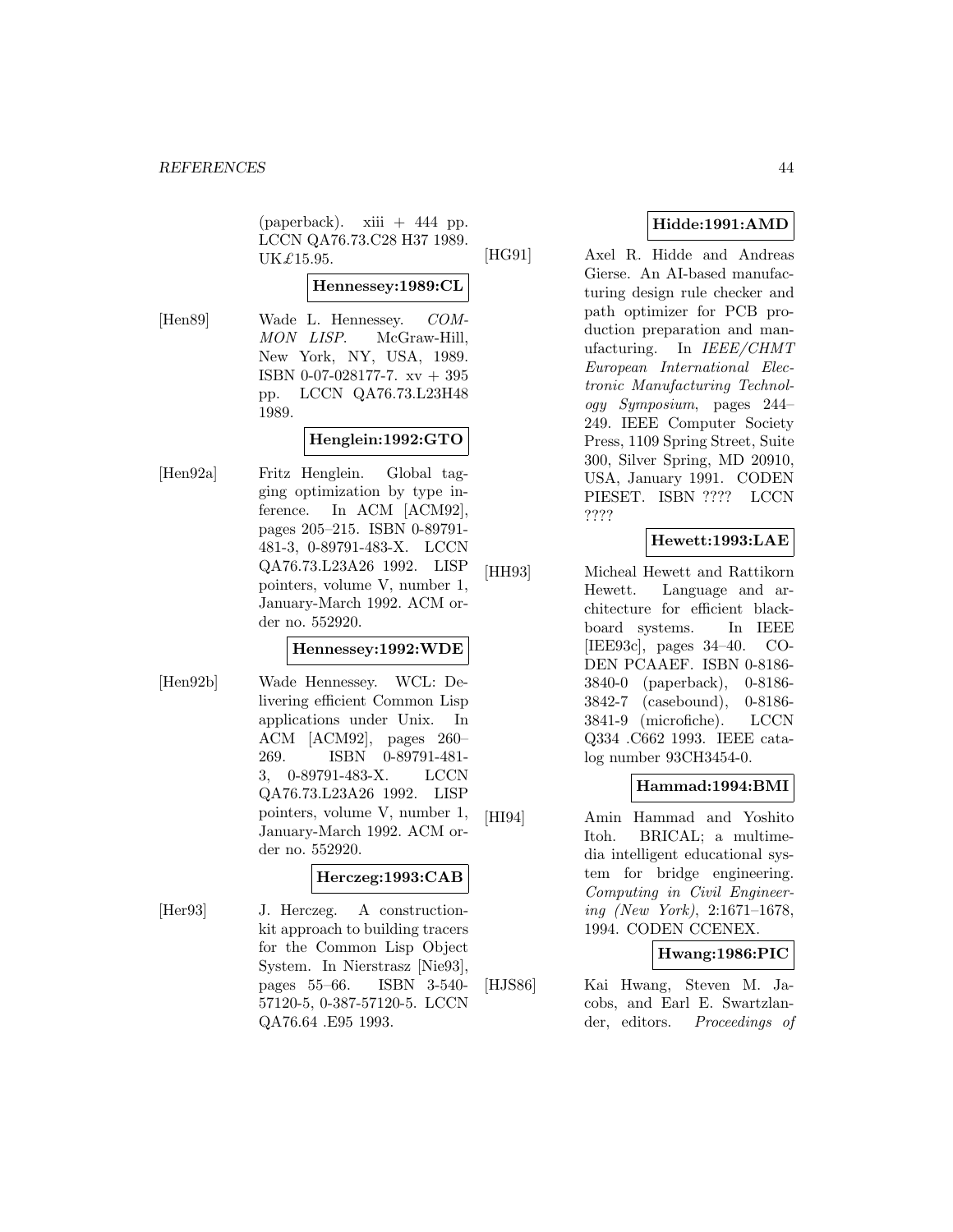$(paperback).$  xiii + 444 pp. LCCN QA76.73.C28 H37 1989. UK£15.95.

# **Hennessey:1989:CL**

[Hen89] Wade L. Hennessey. COM-MON LISP. McGraw-Hill, New York, NY, USA, 1989. ISBN 0-07-028177-7. xv + 395 pp. LCCN QA76.73.L23H48 1989.

### **Henglein:1992:GTO**

[Hen92a] Fritz Henglein. Global tagging optimization by type inference. In ACM [ACM92], pages 205–215. ISBN 0-89791- 481-3, 0-89791-483-X. LCCN QA76.73.L23A26 1992. LISP pointers, volume V, number 1, January-March 1992. ACM order no. 552920.

### **Hennessey:1992:WDE**

[Hen92b] Wade Hennessey. WCL: Delivering efficient Common Lisp applications under Unix. In ACM [ACM92], pages 260– 269. ISBN 0-89791-481- 3, 0-89791-483-X. LCCN QA76.73.L23A26 1992. LISP pointers, volume V, number 1, January-March 1992. ACM order no. 552920.

#### **Herczeg:1993:CAB**

[Her93] J. Herczeg. A constructionkit approach to building tracers for the Common Lisp Object System. In Nierstrasz [Nie93], pages 55–66. ISBN 3-540- 57120-5, 0-387-57120-5. LCCN QA76.64 .E95 1993.

# **Hidde:1991:AMD**

[HG91] Axel R. Hidde and Andreas Gierse. An AI-based manufacturing design rule checker and path optimizer for PCB production preparation and manufacturing. In IEEE/CHMT European International Electronic Manufacturing Technology Symposium, pages 244– 249. IEEE Computer Society Press, 1109 Spring Street, Suite 300, Silver Spring, MD 20910, USA, January 1991. CODEN PIESET. ISBN ???? LCCN ????

## **Hewett:1993:LAE**

[HH93] Micheal Hewett and Rattikorn Hewett. Language and architecture for efficient blackboard systems. In IEEE [IEE93c], pages 34–40. CO-DEN PCAAEF. ISBN 0-8186- 3840-0 (paperback), 0-8186- 3842-7 (casebound), 0-8186- 3841-9 (microfiche). LCCN Q334 .C662 1993. IEEE catalog number 93CH3454-0.

## **Hammad:1994:BMI**

[HI94] Amin Hammad and Yoshito Itoh. BRICAL; a multimedia intelligent educational system for bridge engineering. Computing in Civil Engineering (New York), 2:1671–1678, 1994. CODEN CCENEX.

## **Hwang:1986:PIC**

[HJS86] Kai Hwang, Steven M. Jacobs, and Earl E. Swartzlander, editors. Proceedings of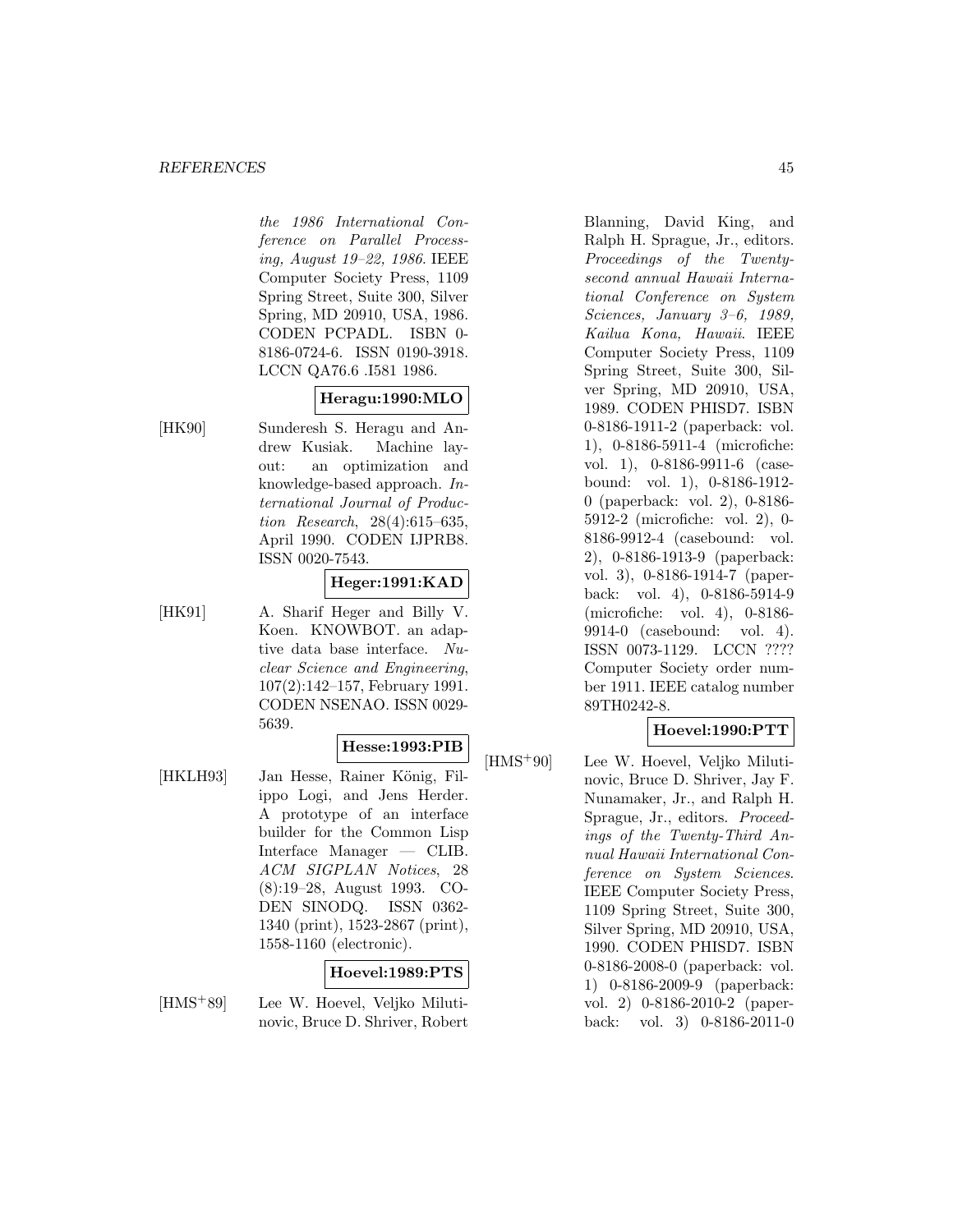#### *REFERENCES* 45

the 1986 International Conference on Parallel Processing, August 19–22, 1986. IEEE Computer Society Press, 1109 Spring Street, Suite 300, Silver Spring, MD 20910, USA, 1986. CODEN PCPADL. ISBN 0- 8186-0724-6. ISSN 0190-3918. LCCN QA76.6 .I581 1986.

### **Heragu:1990:MLO**

[HK90] Sunderesh S. Heragu and Andrew Kusiak. Machine layout: an optimization and knowledge-based approach. International Journal of Production Research, 28(4):615–635, April 1990. CODEN IJPRB8. ISSN 0020-7543.

### **Heger:1991:KAD**

[HK91] A. Sharif Heger and Billy V. Koen. KNOWBOT. an adaptive data base interface. Nuclear Science and Engineering, 107(2):142–157, February 1991. CODEN NSENAO. ISSN 0029- 5639.

### **Hesse:1993:PIB**

[HKLH93] Jan Hesse, Rainer König, Filippo Logi, and Jens Herder. A prototype of an interface builder for the Common Lisp Interface Manager — CLIB. ACM SIGPLAN Notices, 28 (8):19–28, August 1993. CO-DEN SINODQ. ISSN 0362- 1340 (print), 1523-2867 (print), 1558-1160 (electronic).

#### **Hoevel:1989:PTS**

[HMS<sup>+</sup>89] Lee W. Hoevel, Veljko Milutinovic, Bruce D. Shriver, Robert Blanning, David King, and Ralph H. Sprague, Jr., editors. Proceedings of the Twentysecond annual Hawaii International Conference on System Sciences, January 3–6, 1989, Kailua Kona, Hawaii. IEEE Computer Society Press, 1109 Spring Street, Suite 300, Silver Spring, MD 20910, USA, 1989. CODEN PHISD7. ISBN 0-8186-1911-2 (paperback: vol. 1), 0-8186-5911-4 (microfiche: vol. 1), 0-8186-9911-6 (casebound: vol. 1), 0-8186-1912- 0 (paperback: vol. 2), 0-8186- 5912-2 (microfiche: vol. 2), 0- 8186-9912-4 (casebound: vol. 2), 0-8186-1913-9 (paperback: vol. 3), 0-8186-1914-7 (paperback: vol. 4), 0-8186-5914-9 (microfiche: vol. 4), 0-8186- 9914-0 (casebound: vol. 4). ISSN 0073-1129. LCCN ???? Computer Society order number 1911. IEEE catalog number 89TH0242-8.

#### **Hoevel:1990:PTT**

[HMS<sup>+</sup>90] Lee W. Hoevel, Veljko Milutinovic, Bruce D. Shriver, Jay F. Nunamaker, Jr., and Ralph H. Sprague, Jr., editors. Proceedings of the Twenty-Third Annual Hawaii International Conference on System Sciences. IEEE Computer Society Press, 1109 Spring Street, Suite 300, Silver Spring, MD 20910, USA, 1990. CODEN PHISD7. ISBN 0-8186-2008-0 (paperback: vol. 1) 0-8186-2009-9 (paperback: vol. 2) 0-8186-2010-2 (paperback: vol. 3) 0-8186-2011-0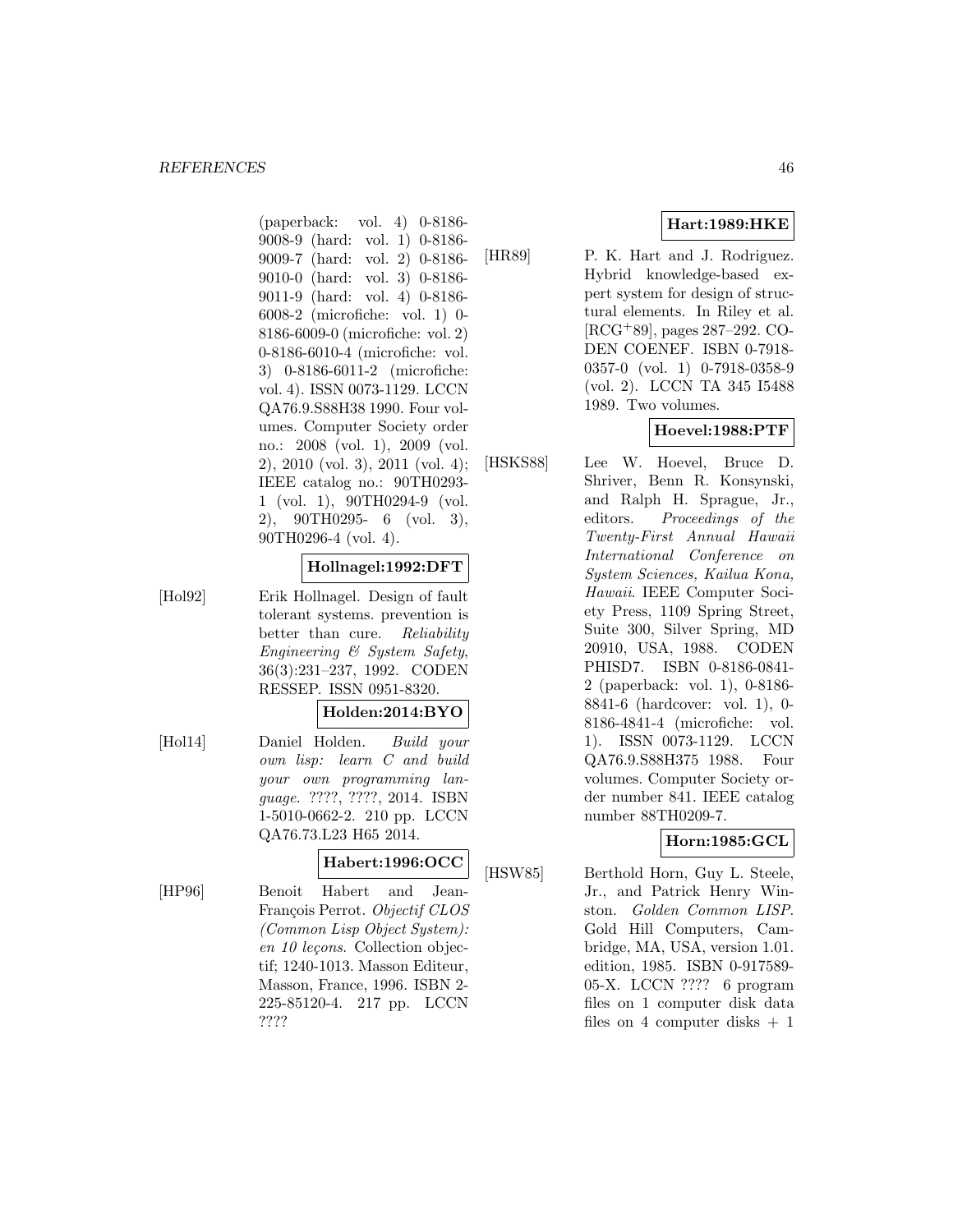(paperback: vol. 4) 0-8186- 9008-9 (hard: vol. 1) 0-8186- 9009-7 (hard: vol. 2) 0-8186- 9010-0 (hard: vol. 3) 0-8186- 9011-9 (hard: vol. 4) 0-8186- 6008-2 (microfiche: vol. 1) 0- 8186-6009-0 (microfiche: vol. 2) 0-8186-6010-4 (microfiche: vol. 3) 0-8186-6011-2 (microfiche: vol. 4). ISSN 0073-1129. LCCN QA76.9.S88H38 1990. Four volumes. Computer Society order no.: 2008 (vol. 1), 2009 (vol. 2), 2010 (vol. 3), 2011 (vol. 4); IEEE catalog no.: 90TH0293- 1 (vol. 1), 90TH0294-9 (vol. 2), 90TH0295- 6 (vol. 3), 90TH0296-4 (vol. 4).

#### **Hollnagel:1992:DFT**

[Hol92] Erik Hollnagel. Design of fault tolerant systems. prevention is better than cure. Reliability Engineering & System Safety, 36(3):231–237, 1992. CODEN RESSEP. ISSN 0951-8320.

#### **Holden:2014:BYO**

[Hol14] Daniel Holden. Build your own lisp: learn C and build your own programming language. ????, ????, 2014. ISBN 1-5010-0662-2. 210 pp. LCCN QA76.73.L23 H65 2014.

# **Habert:1996:OCC**

[HP96] Benoit Habert and Jean-François Perrot. Objectif CLOS (Common Lisp Object System):  $en 10$  leçons. Collection objectif; 1240-1013. Masson Editeur, Masson, France, 1996. ISBN 2- 225-85120-4. 217 pp. LCCN ????

## **Hart:1989:HKE**

[HR89] P. K. Hart and J. Rodriguez. Hybrid knowledge-based expert system for design of structural elements. In Riley et al. [RCG<sup>+</sup>89], pages 287–292. CO-DEN COENEF. ISBN 0-7918- 0357-0 (vol. 1) 0-7918-0358-9 (vol. 2). LCCN TA 345 I5488 1989. Two volumes.

## **Hoevel:1988:PTF**

[HSKS88] Lee W. Hoevel, Bruce D. Shriver, Benn R. Konsynski, and Ralph H. Sprague, Jr., editors. Proceedings of the Twenty-First Annual Hawaii International Conference on System Sciences, Kailua Kona, Hawaii. IEEE Computer Society Press, 1109 Spring Street, Suite 300, Silver Spring, MD 20910, USA, 1988. CODEN PHISD7. ISBN 0-8186-0841- 2 (paperback: vol. 1), 0-8186- 8841-6 (hardcover: vol. 1), 0- 8186-4841-4 (microfiche: vol. 1). ISSN 0073-1129. LCCN QA76.9.S88H375 1988. Four volumes. Computer Society order number 841. IEEE catalog number 88TH0209-7.

# **Horn:1985:GCL**

[HSW85] Berthold Horn, Guy L. Steele, Jr., and Patrick Henry Winston. Golden Common LISP. Gold Hill Computers, Cambridge, MA, USA, version 1.01. edition, 1985. ISBN 0-917589- 05-X. LCCN ???? 6 program files on 1 computer disk data files on 4 computer disks  $+1$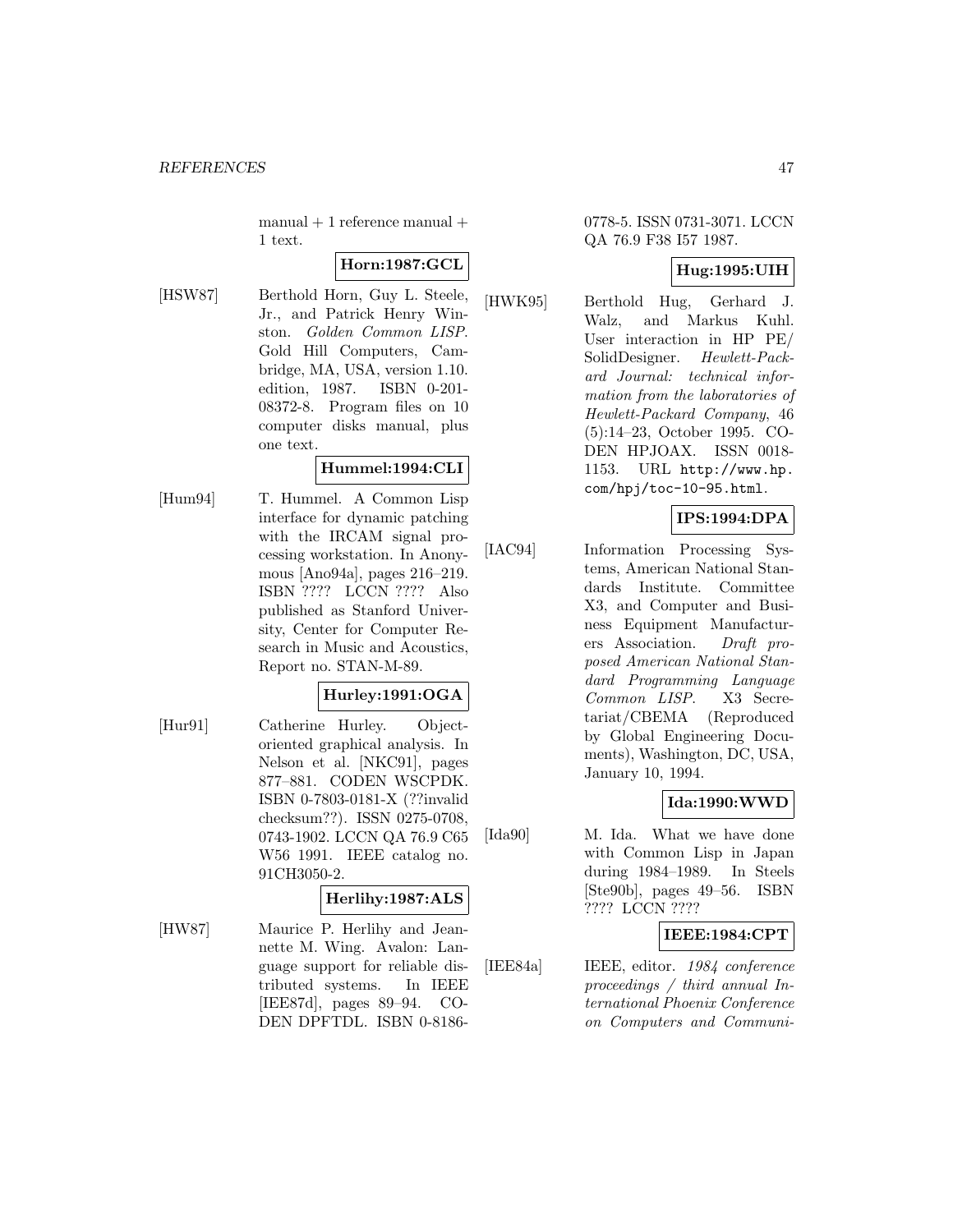$manual + 1$  reference  $manual +$ 1 text.

### **Horn:1987:GCL**

[HSW87] Berthold Horn, Guy L. Steele, Jr., and Patrick Henry Winston. Golden Common LISP. Gold Hill Computers, Cambridge, MA, USA, version 1.10. edition, 1987. ISBN 0-201- 08372-8. Program files on 10 computer disks manual, plus one text.

#### **Hummel:1994:CLI**

[Hum94] T. Hummel. A Common Lisp interface for dynamic patching with the IRCAM signal processing workstation. In Anonymous [Ano94a], pages 216–219. ISBN ???? LCCN ???? Also published as Stanford University, Center for Computer Research in Music and Acoustics, Report no. STAN-M-89.

# **Hurley:1991:OGA**

[Hur91] Catherine Hurley. Objectoriented graphical analysis. In Nelson et al. [NKC91], pages 877–881. CODEN WSCPDK. ISBN 0-7803-0181-X (??invalid checksum??). ISSN 0275-0708, 0743-1902. LCCN QA 76.9 C65 W56 1991. IEEE catalog no. 91CH3050-2.

#### **Herlihy:1987:ALS**

[HW87] Maurice P. Herlihy and Jeannette M. Wing. Avalon: Language support for reliable distributed systems. In IEEE [IEE87d], pages 89–94. CO-DEN DPFTDL. ISBN 0-8186-

### 0778-5. ISSN 0731-3071. LCCN QA 76.9 F38 I57 1987.

## **Hug:1995:UIH**

[HWK95] Berthold Hug, Gerhard J. Walz, and Markus Kuhl. User interaction in HP PE/ SolidDesigner. Hewlett-Packard Journal: technical information from the laboratories of Hewlett-Packard Company, 46 (5):14–23, October 1995. CO-DEN HPJOAX. ISSN 0018- 1153. URL http://www.hp. com/hpj/toc-10-95.html.

## **IPS:1994:DPA**

[IAC94] Information Processing Systems, American National Standards Institute. Committee X3, and Computer and Business Equipment Manufacturers Association. Draft proposed American National Standard Programming Language Common LISP. X3 Secretariat/CBEMA (Reproduced by Global Engineering Documents), Washington, DC, USA, January 10, 1994.

## **Ida:1990:WWD**

[Ida90] M. Ida. What we have done with Common Lisp in Japan during 1984–1989. In Steels [Ste90b], pages 49–56. ISBN ???? LCCN ????

### **IEEE:1984:CPT**

[IEE84a] IEEE, editor. 1984 conference proceedings / third annual International Phoenix Conference on Computers and Communi-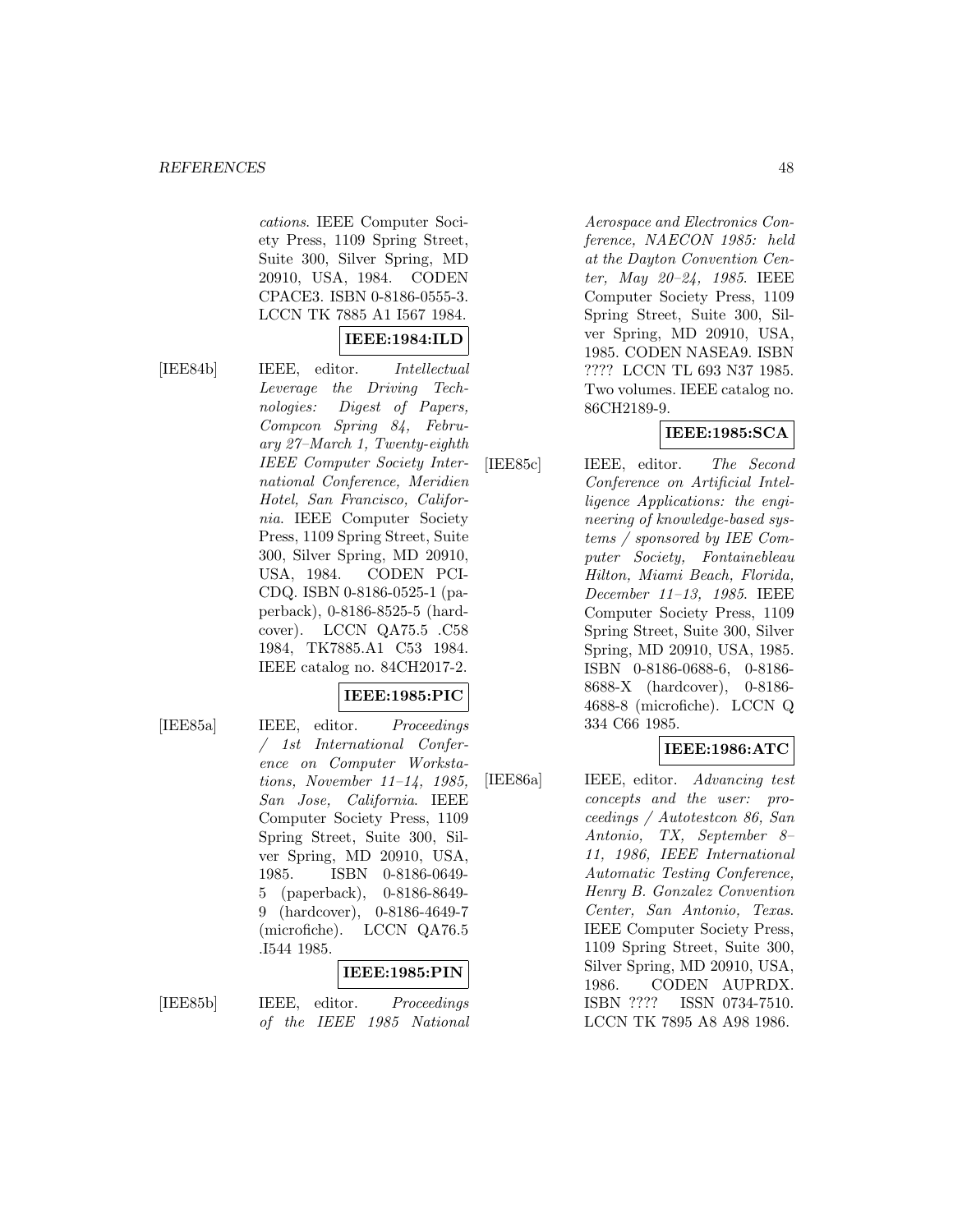cations. IEEE Computer Society Press, 1109 Spring Street, Suite 300, Silver Spring, MD 20910, USA, 1984. CODEN CPACE3. ISBN 0-8186-0555-3. LCCN TK 7885 A1 I567 1984.

## **IEEE:1984:ILD**

[IEE84b] IEEE, editor. Intellectual Leverage the Driving Technologies: Digest of Papers, Compcon Spring 84, February 27–March 1, Twenty-eighth IEEE Computer Society International Conference, Meridien Hotel, San Francisco, California. IEEE Computer Society Press, 1109 Spring Street, Suite 300, Silver Spring, MD 20910, USA, 1984. CODEN PCI-CDQ. ISBN 0-8186-0525-1 (paperback), 0-8186-8525-5 (hardcover). LCCN QA75.5 .C58 1984, TK7885.A1 C53 1984. IEEE catalog no. 84CH2017-2.

#### **IEEE:1985:PIC**

[IEE85a] IEEE, editor. Proceedings / 1st International Conference on Computer Workstations, November 11–14, 1985, San Jose, California. IEEE Computer Society Press, 1109 Spring Street, Suite 300, Silver Spring, MD 20910, USA, 1985. ISBN 0-8186-0649- 5 (paperback), 0-8186-8649- 9 (hardcover), 0-8186-4649-7 (microfiche). LCCN QA76.5 .I544 1985.

#### **IEEE:1985:PIN**

[IEE85b] IEEE, editor. Proceedings of the IEEE 1985 National Aerospace and Electronics Conference, NAECON 1985: held at the Dayton Convention Center, May 20–24, 1985. IEEE Computer Society Press, 1109 Spring Street, Suite 300, Silver Spring, MD 20910, USA, 1985. CODEN NASEA9. ISBN ???? LCCN TL 693 N37 1985. Two volumes. IEEE catalog no. 86CH2189-9.

## **IEEE:1985:SCA**

[IEE85c] IEEE, editor. The Second Conference on Artificial Intelligence Applications: the engineering of knowledge-based systems / sponsored by IEE Computer Society, Fontainebleau Hilton, Miami Beach, Florida, December 11–13, 1985. IEEE Computer Society Press, 1109 Spring Street, Suite 300, Silver Spring, MD 20910, USA, 1985. ISBN 0-8186-0688-6, 0-8186- 8688-X (hardcover), 0-8186- 4688-8 (microfiche). LCCN Q 334 C66 1985.

## **IEEE:1986:ATC**

[IEE86a] IEEE, editor. Advancing test concepts and the user: proceedings / Autotestcon 86, San Antonio, TX, September 8– 11, 1986, IEEE International Automatic Testing Conference, Henry B. Gonzalez Convention Center, San Antonio, Texas. IEEE Computer Society Press, 1109 Spring Street, Suite 300, Silver Spring, MD 20910, USA, 1986. CODEN AUPRDX. ISBN ???? ISSN 0734-7510. LCCN TK 7895 A8 A98 1986.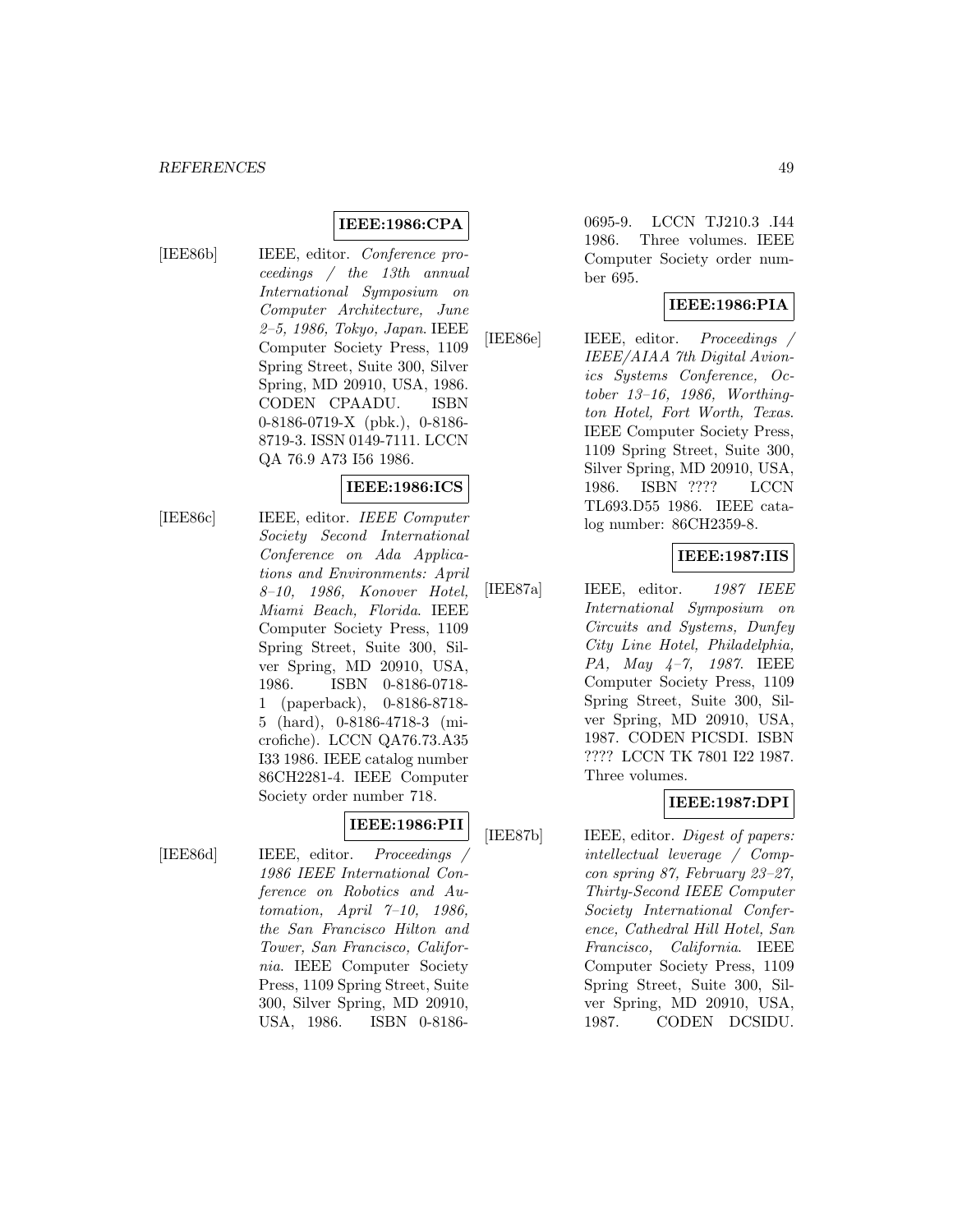### **IEEE:1986:CPA**

[IEE86b] IEEE, editor. Conference proceedings / the 13th annual International Symposium on Computer Architecture, June 2–5, 1986, Tokyo, Japan. IEEE Computer Society Press, 1109 Spring Street, Suite 300, Silver Spring, MD 20910, USA, 1986. CODEN CPAADU. ISBN 0-8186-0719-X (pbk.), 0-8186- 8719-3. ISSN 0149-7111. LCCN QA 76.9 A73 I56 1986.

## **IEEE:1986:ICS**

[IEE86c] IEEE, editor. IEEE Computer Society Second International Conference on Ada Applications and Environments: April 8–10, 1986, Konover Hotel, Miami Beach, Florida. IEEE Computer Society Press, 1109 Spring Street, Suite 300, Silver Spring, MD 20910, USA, 1986. ISBN 0-8186-0718- 1 (paperback), 0-8186-8718- 5 (hard), 0-8186-4718-3 (microfiche). LCCN QA76.73.A35 I33 1986. IEEE catalog number 86CH2281-4. IEEE Computer Society order number 718.

#### **IEEE:1986:PII**

[IEE86d] IEEE, editor. Proceedings / 1986 IEEE International Conference on Robotics and Automation, April 7–10, 1986, the San Francisco Hilton and Tower, San Francisco, California. IEEE Computer Society Press, 1109 Spring Street, Suite 300, Silver Spring, MD 20910, USA, 1986. ISBN 0-81860695-9. LCCN TJ210.3 .I44 1986. Three volumes. IEEE Computer Society order number 695.

#### **IEEE:1986:PIA**

[IEE86e] IEEE, editor. Proceedings / IEEE/AIAA 7th Digital Avionics Systems Conference, October 13–16, 1986, Worthington Hotel, Fort Worth, Texas. IEEE Computer Society Press, 1109 Spring Street, Suite 300, Silver Spring, MD 20910, USA, 1986. ISBN ???? LCCN TL693.D55 1986. IEEE catalog number: 86CH2359-8.

#### **IEEE:1987:IIS**

[IEE87a] IEEE, editor. 1987 IEEE International Symposium on Circuits and Systems, Dunfey City Line Hotel, Philadelphia, PA, May 4–7, 1987. IEEE Computer Society Press, 1109 Spring Street, Suite 300, Silver Spring, MD 20910, USA, 1987. CODEN PICSDI. ISBN ???? LCCN TK 7801 I22 1987. Three volumes.

#### **IEEE:1987:DPI**

[IEE87b] IEEE, editor. *Digest of papers:* intellectual leverage / Compcon spring 87, February 23–27, Thirty-Second IEEE Computer Society International Conference, Cathedral Hill Hotel, San Francisco, California. IEEE Computer Society Press, 1109 Spring Street, Suite 300, Silver Spring, MD 20910, USA, 1987. CODEN DCSIDU.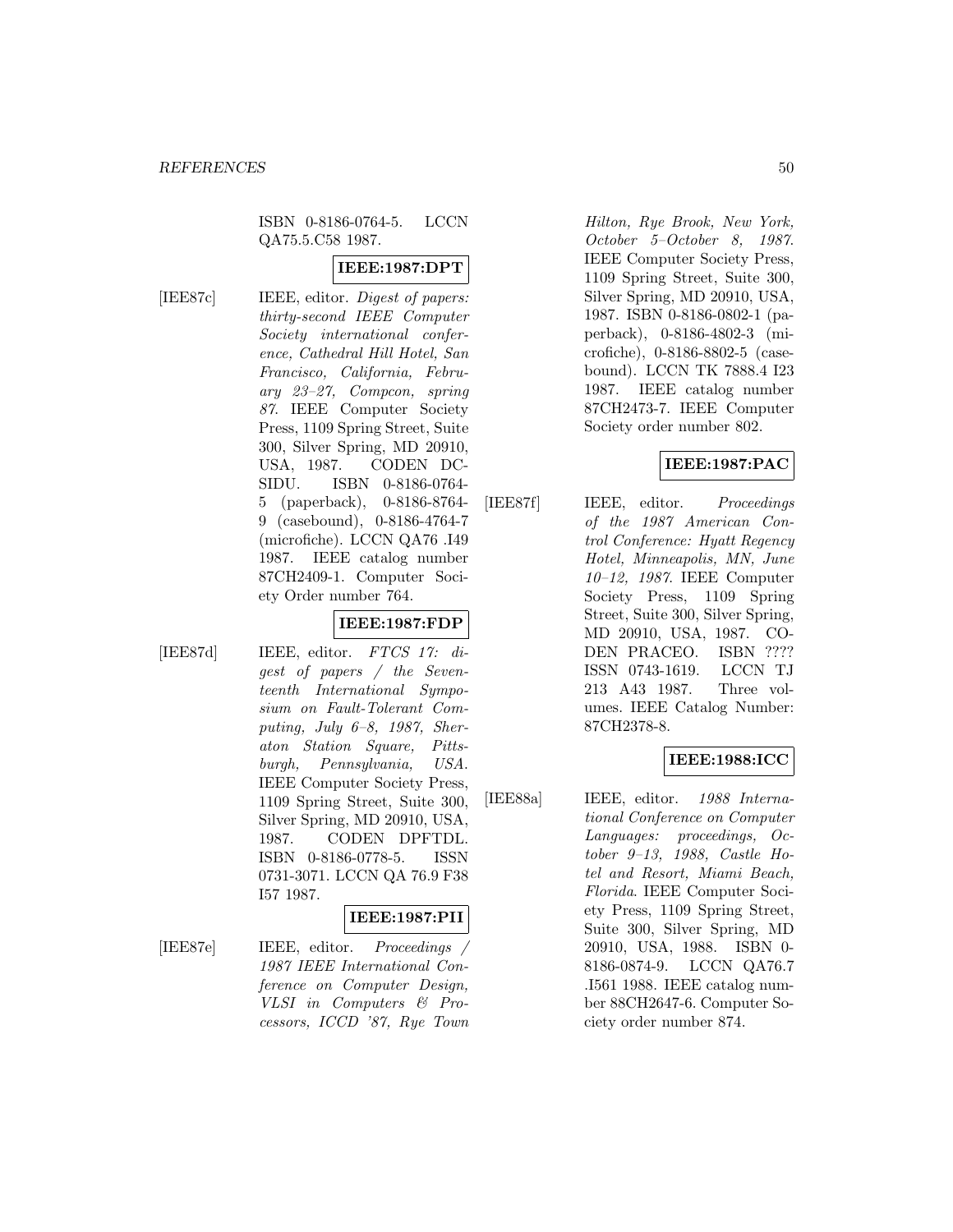### ISBN 0-8186-0764-5. LCCN QA75.5.C58 1987.

### **IEEE:1987:DPT**

[IEE87c] IEEE, editor. *Digest of papers:* thirty-second IEEE Computer Society international conference, Cathedral Hill Hotel, San Francisco, California, February 23–27, Compcon, spring 87. IEEE Computer Society Press, 1109 Spring Street, Suite 300, Silver Spring, MD 20910, USA, 1987. CODEN DC-SIDU. ISBN 0-8186-0764- 5 (paperback), 0-8186-8764- 9 (casebound), 0-8186-4764-7 (microfiche). LCCN QA76 .I49 1987. IEEE catalog number 87CH2409-1. Computer Society Order number 764.

#### **IEEE:1987:FDP**

[IEE87d] IEEE, editor. FTCS 17: digest of papers / the Seventeenth International Symposium on Fault-Tolerant Computing, July 6–8, 1987, Sheraton Station Square, Pittsburgh, Pennsylvania, USA. IEEE Computer Society Press, 1109 Spring Street, Suite 300, Silver Spring, MD 20910, USA, 1987. CODEN DPFTDL. ISBN 0-8186-0778-5. ISSN 0731-3071. LCCN QA 76.9 F38 I57 1987.

#### **IEEE:1987:PII**

[IEE87e] IEEE, editor. Proceedings / 1987 IEEE International Conference on Computer Design, VLSI in Computers & Processors, ICCD '87, Rye Town Hilton, Rye Brook, New York, October 5–October 8, 1987. IEEE Computer Society Press, 1109 Spring Street, Suite 300, Silver Spring, MD 20910, USA, 1987. ISBN 0-8186-0802-1 (paperback), 0-8186-4802-3 (microfiche), 0-8186-8802-5 (casebound). LCCN TK 7888.4 I23 1987. IEEE catalog number 87CH2473-7. IEEE Computer Society order number 802.

## **IEEE:1987:PAC**

[IEE87f] IEEE, editor. Proceedings of the 1987 American Control Conference: Hyatt Regency Hotel, Minneapolis, MN, June 10–12, 1987. IEEE Computer Society Press, 1109 Spring Street, Suite 300, Silver Spring, MD 20910, USA, 1987. CO-DEN PRACEO. ISBN ???? ISSN 0743-1619. LCCN TJ 213 A43 1987. Three volumes. IEEE Catalog Number: 87CH2378-8.

## **IEEE:1988:ICC**

[IEE88a] IEEE, editor. 1988 International Conference on Computer Languages: proceedings, October 9–13, 1988, Castle Hotel and Resort, Miami Beach, Florida. IEEE Computer Society Press, 1109 Spring Street, Suite 300, Silver Spring, MD 20910, USA, 1988. ISBN 0- 8186-0874-9. LCCN QA76.7 .I561 1988. IEEE catalog number 88CH2647-6. Computer Society order number 874.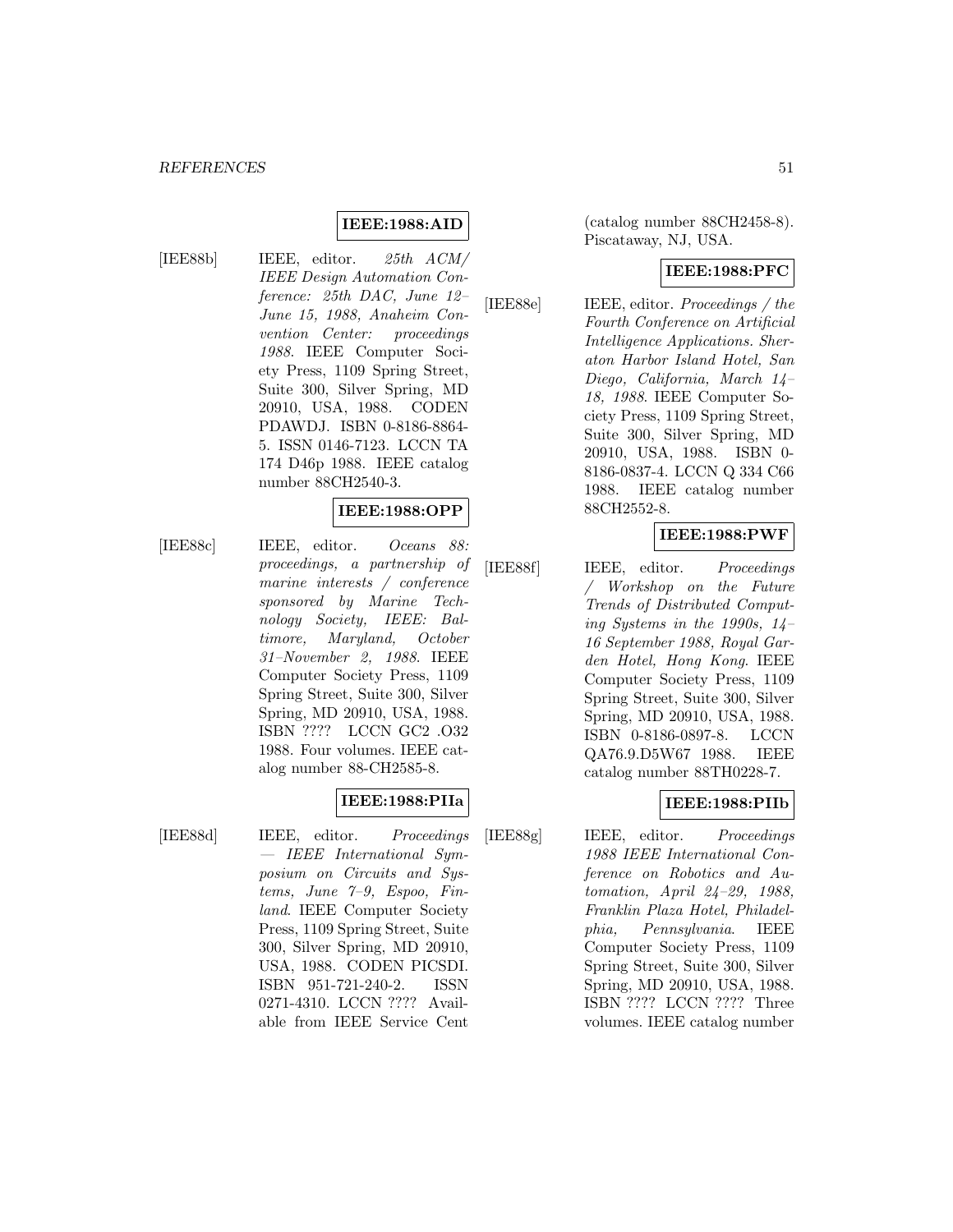#### **IEEE:1988:AID**

[IEE88b] IEEE, editor. 25th ACM/ IEEE Design Automation Conference: 25th DAC, June 12– June 15, 1988, Anaheim Convention Center: proceedings 1988. IEEE Computer Society Press, 1109 Spring Street, Suite 300, Silver Spring, MD 20910, USA, 1988. CODEN PDAWDJ. ISBN 0-8186-8864- 5. ISSN 0146-7123. LCCN TA 174 D46p 1988. IEEE catalog number 88CH2540-3.

#### **IEEE:1988:OPP**

[IEE88c] IEEE, editor. Oceans 88: proceedings, a partnership of marine interests / conference sponsored by Marine Technology Society, IEEE: Baltimore, Maryland, October 31–November 2, 1988. IEEE Computer Society Press, 1109 Spring Street, Suite 300, Silver Spring, MD 20910, USA, 1988. ISBN ???? LCCN GC2 .O32 1988. Four volumes. IEEE catalog number 88-CH2585-8.

#### **IEEE:1988:PIIa**

[IEE88d] IEEE, editor. Proceedings — IEEE International Symposium on Circuits and Systems, June 7–9, Espoo, Finland. IEEE Computer Society Press, 1109 Spring Street, Suite 300, Silver Spring, MD 20910, USA, 1988. CODEN PICSDI. ISBN 951-721-240-2. ISSN 0271-4310. LCCN ???? Available from IEEE Service Cent

(catalog number 88CH2458-8). Piscataway, NJ, USA.

#### **IEEE:1988:PFC**

[IEE88e] IEEE, editor. Proceedings / the Fourth Conference on Artificial Intelligence Applications. Sheraton Harbor Island Hotel, San Diego, California, March 14– 18, 1988. IEEE Computer Society Press, 1109 Spring Street, Suite 300, Silver Spring, MD 20910, USA, 1988. ISBN 0- 8186-0837-4. LCCN Q 334 C66 1988. IEEE catalog number 88CH2552-8.

#### **IEEE:1988:PWF**

[IEE88f] IEEE, editor. Proceedings / Workshop on the Future Trends of Distributed Computing Systems in the 1990s, 14– 16 September 1988, Royal Garden Hotel, Hong Kong. IEEE Computer Society Press, 1109 Spring Street, Suite 300, Silver Spring, MD 20910, USA, 1988. ISBN 0-8186-0897-8. LCCN QA76.9.D5W67 1988. IEEE catalog number 88TH0228-7.

#### **IEEE:1988:PIIb**

[IEE88g] IEEE, editor. Proceedings 1988 IEEE International Conference on Robotics and Automation, April 24–29, 1988, Franklin Plaza Hotel, Philadelphia, Pennsylvania. IEEE Computer Society Press, 1109 Spring Street, Suite 300, Silver Spring, MD 20910, USA, 1988. ISBN ???? LCCN ???? Three volumes. IEEE catalog number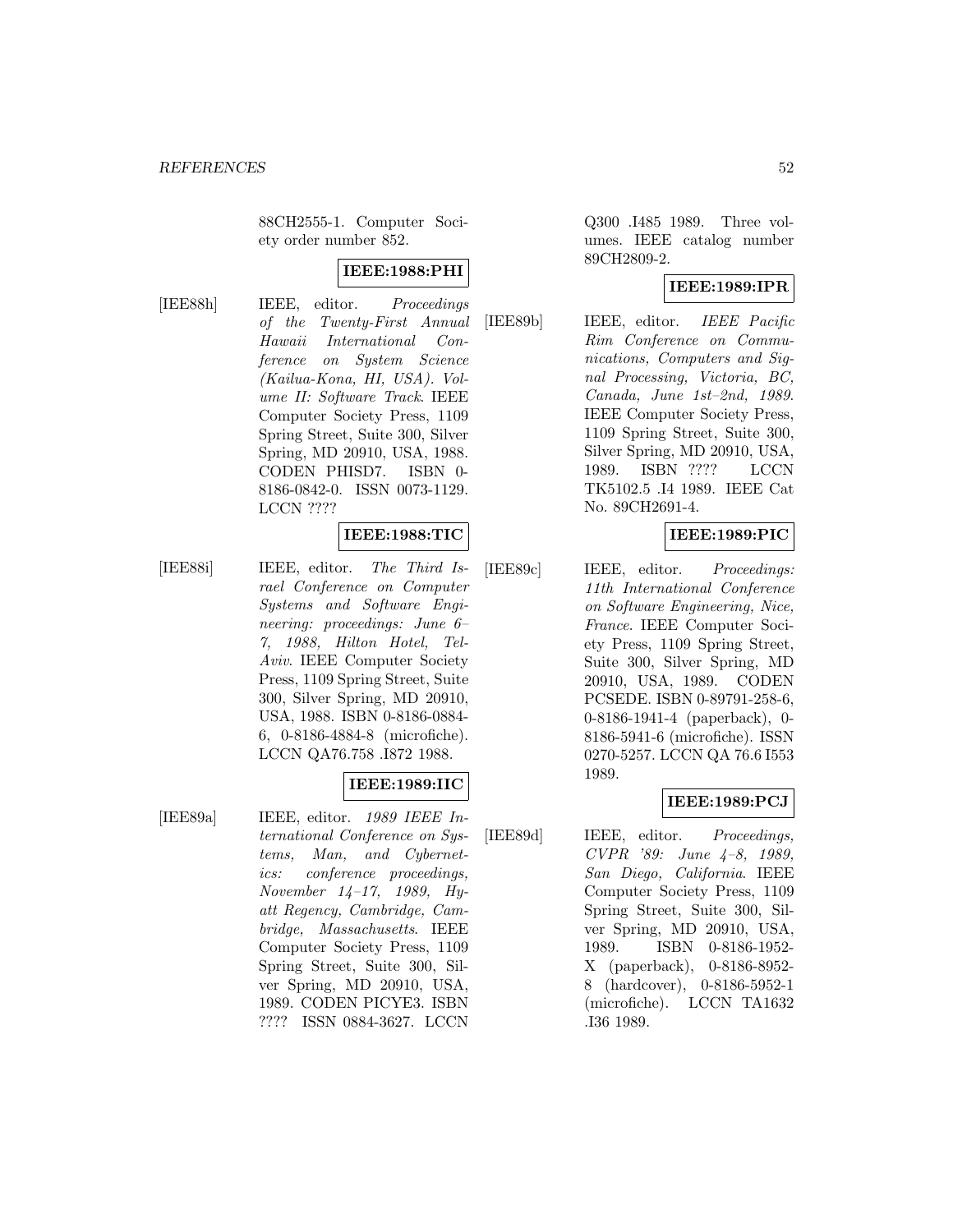88CH2555-1. Computer Society order number 852.

#### **IEEE:1988:PHI**

[IEE88h] IEEE, editor. Proceedings of the Twenty-First Annual Hawaii International Conference on System Science (Kailua-Kona, HI, USA). Volume II: Software Track. IEEE Computer Society Press, 1109 Spring Street, Suite 300, Silver Spring, MD 20910, USA, 1988. CODEN PHISD7. ISBN 0- 8186-0842-0. ISSN 0073-1129. LCCN ????

#### **IEEE:1988:TIC**

[IEE88i] IEEE, editor. The Third Israel Conference on Computer Systems and Software Engineering: proceedings: June 6– 7, 1988, Hilton Hotel, Tel-Aviv. IEEE Computer Society Press, 1109 Spring Street, Suite 300, Silver Spring, MD 20910, USA, 1988. ISBN 0-8186-0884- 6, 0-8186-4884-8 (microfiche). LCCN QA76.758 .I872 1988.

## **IEEE:1989:IIC**

[IEE89a] IEEE, editor. 1989 IEEE International Conference on Systems, Man, and Cybernetics: conference proceedings, November 14–17, 1989, Hyatt Regency, Cambridge, Cambridge, Massachusetts. IEEE Computer Society Press, 1109 Spring Street, Suite 300, Silver Spring, MD 20910, USA, 1989. CODEN PICYE3. ISBN ???? ISSN 0884-3627. LCCN

Q300 .I485 1989. Three volumes. IEEE catalog number 89CH2809-2.

## **IEEE:1989:IPR**

[IEE89b] IEEE, editor. IEEE Pacific Rim Conference on Communications, Computers and Signal Processing, Victoria, BC, Canada, June 1st–2nd, 1989. IEEE Computer Society Press, 1109 Spring Street, Suite 300, Silver Spring, MD 20910, USA, 1989. ISBN ???? LCCN TK5102.5 .I4 1989. IEEE Cat No. 89CH2691-4.

## **IEEE:1989:PIC**

[IEE89c] IEEE, editor. Proceedings: 11th International Conference on Software Engineering, Nice, France. IEEE Computer Society Press, 1109 Spring Street, Suite 300, Silver Spring, MD 20910, USA, 1989. CODEN PCSEDE. ISBN 0-89791-258-6, 0-8186-1941-4 (paperback), 0- 8186-5941-6 (microfiche). ISSN 0270-5257. LCCN QA 76.6 I553 1989.

#### **IEEE:1989:PCJ**

[IEE89d] IEEE, editor. Proceedings, CVPR '89: June 4–8, 1989, San Diego, California. IEEE Computer Society Press, 1109 Spring Street, Suite 300, Silver Spring, MD 20910, USA, 1989. ISBN 0-8186-1952- X (paperback), 0-8186-8952- 8 (hardcover), 0-8186-5952-1 (microfiche). LCCN TA1632 .I36 1989.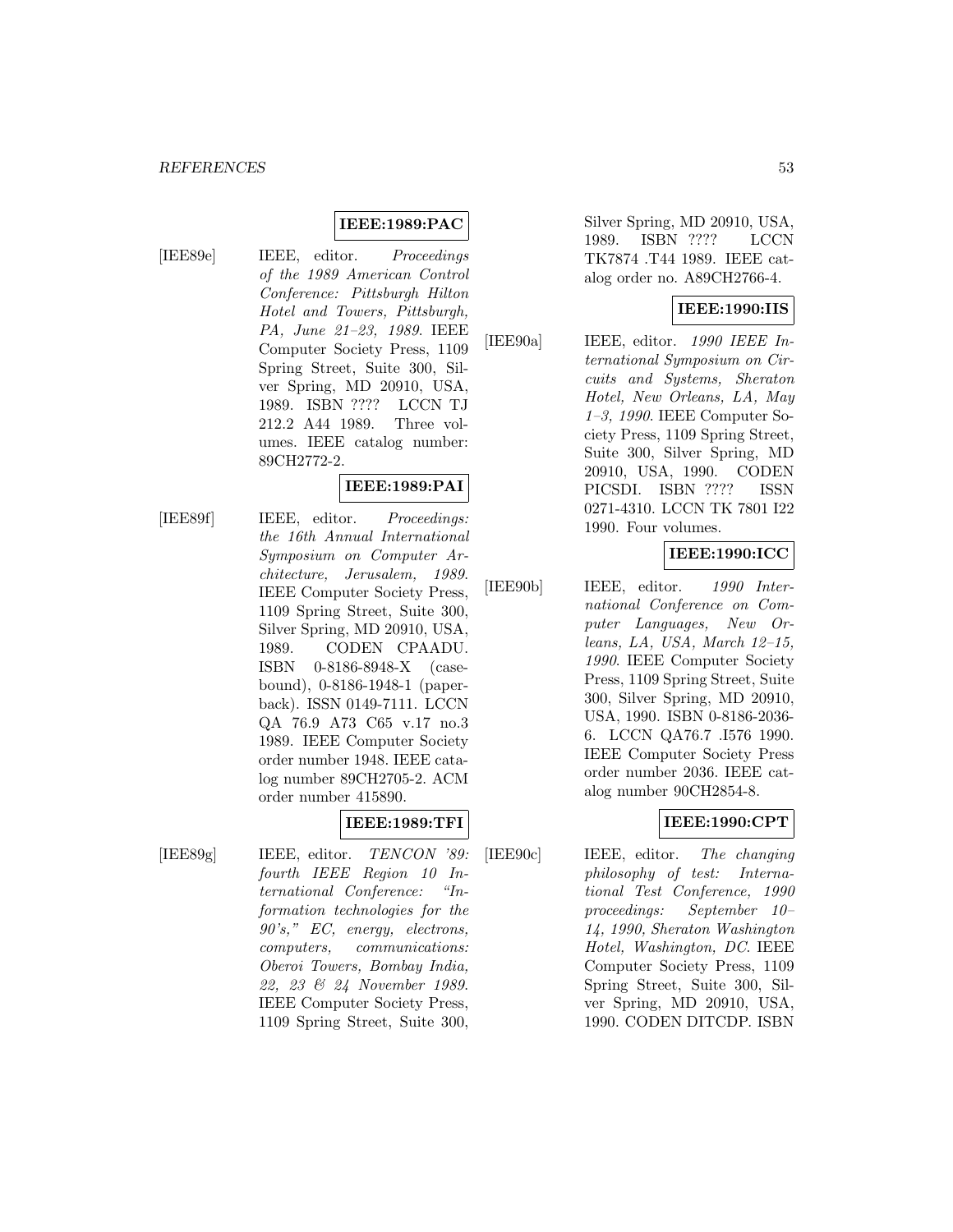#### **IEEE:1989:PAC**

[IEE89e] IEEE, editor. Proceedings of the 1989 American Control Conference: Pittsburgh Hilton Hotel and Towers, Pittsburgh, PA, June 21–23, 1989. IEEE Computer Society Press, 1109 Spring Street, Suite 300, Silver Spring, MD 20910, USA, 1989. ISBN ???? LCCN TJ 212.2 A44 1989. Three volumes. IEEE catalog number: 89CH2772-2.

### **IEEE:1989:PAI**

[IEE89f] IEEE, editor. Proceedings: the 16th Annual International Symposium on Computer Architecture, Jerusalem, 1989. IEEE Computer Society Press, 1109 Spring Street, Suite 300, Silver Spring, MD 20910, USA, 1989. CODEN CPAADU. ISBN 0-8186-8948-X (casebound), 0-8186-1948-1 (paperback). ISSN 0149-7111. LCCN QA 76.9 A73 C65 v.17 no.3 1989. IEEE Computer Society order number 1948. IEEE catalog number 89CH2705-2. ACM order number 415890.

#### **IEEE:1989:TFI**

[IEE89g] IEEE, editor. TENCON '89: fourth IEEE Region 10 International Conference: "Information technologies for the 90's," EC, energy, electrons, computers, communications: Oberoi Towers, Bombay India, 22, 23 & 24 November 1989. IEEE Computer Society Press, 1109 Spring Street, Suite 300,

Silver Spring, MD 20910, USA, 1989. ISBN ???? LCCN TK7874 .T44 1989. IEEE catalog order no. A89CH2766-4.

#### **IEEE:1990:IIS**

[IEE90a] IEEE, editor. 1990 IEEE International Symposium on Circuits and Systems, Sheraton Hotel, New Orleans, LA, May 1–3, 1990. IEEE Computer Society Press, 1109 Spring Street, Suite 300, Silver Spring, MD 20910, USA, 1990. CODEN PICSDI. ISBN ???? ISSN 0271-4310. LCCN TK 7801 I22 1990. Four volumes.

#### **IEEE:1990:ICC**

[IEE90b] IEEE, editor. 1990 International Conference on Computer Languages, New Orleans, LA, USA, March 12–15, 1990. IEEE Computer Society Press, 1109 Spring Street, Suite 300, Silver Spring, MD 20910, USA, 1990. ISBN 0-8186-2036- 6. LCCN QA76.7 .I576 1990. IEEE Computer Society Press order number 2036. IEEE catalog number 90CH2854-8.

## **IEEE:1990:CPT**

[IEE90c] IEEE, editor. The changing philosophy of test: International Test Conference, 1990 proceedings: September 10– 14, 1990, Sheraton Washington Hotel, Washington, DC. IEEE Computer Society Press, 1109 Spring Street, Suite 300, Silver Spring, MD 20910, USA, 1990. CODEN DITCDP. ISBN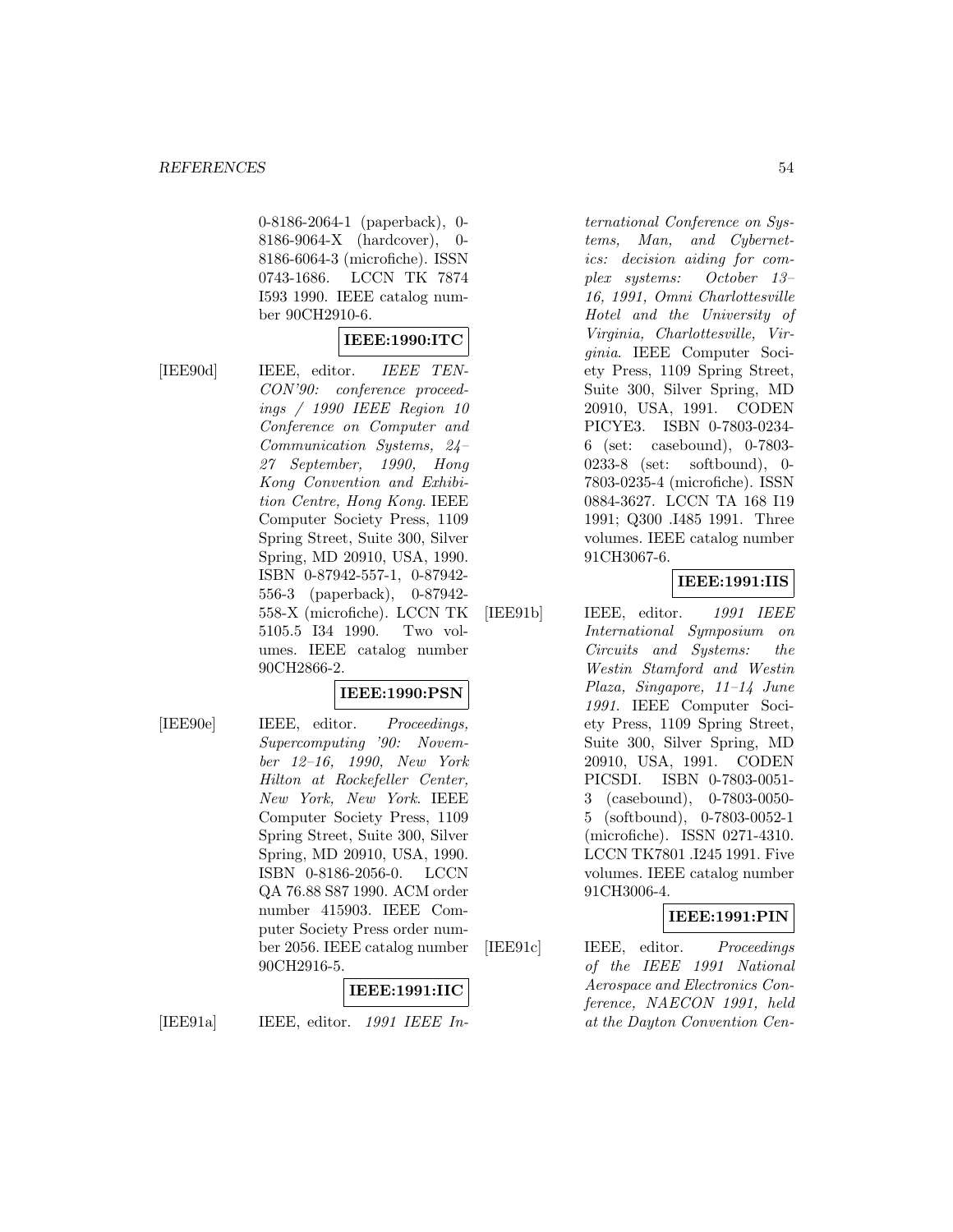0-8186-2064-1 (paperback), 0- 8186-9064-X (hardcover), 0- 8186-6064-3 (microfiche). ISSN 0743-1686. LCCN TK 7874 I593 1990. IEEE catalog number 90CH2910-6.

### **IEEE:1990:ITC**

[IEE90d] IEEE, editor. IEEE TEN-CON'90: conference proceedings / 1990 IEEE Region 10 Conference on Computer and Communication Systems, 24– 27 September, 1990, Hong Kong Convention and Exhibition Centre, Hong Kong. IEEE Computer Society Press, 1109 Spring Street, Suite 300, Silver Spring, MD 20910, USA, 1990. ISBN 0-87942-557-1, 0-87942- 556-3 (paperback), 0-87942- 558-X (microfiche). LCCN TK 5105.5 I34 1990. Two volumes. IEEE catalog number 90CH2866-2.

#### **IEEE:1990:PSN**

[IEE90e] IEEE, editor. Proceedings, Supercomputing '90: November 12–16, 1990, New York Hilton at Rockefeller Center, New York, New York. IEEE Computer Society Press, 1109 Spring Street, Suite 300, Silver Spring, MD 20910, USA, 1990. ISBN 0-8186-2056-0. LCCN QA 76.88 S87 1990. ACM order number 415903. IEEE Computer Society Press order number 2056. IEEE catalog number 90CH2916-5.

## **IEEE:1991:IIC**

[IEE91a] IEEE, editor.  $1991$  IEEE In-

ternational Conference on Systems, Man, and Cybernetics: decision aiding for complex systems: October 13– 16, 1991, Omni Charlottesville Hotel and the University of Virginia, Charlottesville, Virginia. IEEE Computer Society Press, 1109 Spring Street, Suite 300, Silver Spring, MD 20910, USA, 1991. CODEN PICYE3. ISBN 0-7803-0234- 6 (set: casebound), 0-7803- 0233-8 (set: softbound), 0- 7803-0235-4 (microfiche). ISSN 0884-3627. LCCN TA 168 I19 1991; Q300 .I485 1991. Three volumes. IEEE catalog number 91CH3067-6.

#### **IEEE:1991:IIS**

[IEE91b] IEEE, editor. 1991 IEEE International Symposium on Circuits and Systems: the Westin Stamford and Westin Plaza, Singapore, 11–14 June 1991. IEEE Computer Society Press, 1109 Spring Street, Suite 300, Silver Spring, MD 20910, USA, 1991. CODEN PICSDI. ISBN 0-7803-0051- 3 (casebound), 0-7803-0050- 5 (softbound), 0-7803-0052-1 (microfiche). ISSN 0271-4310. LCCN TK7801 .I245 1991. Five volumes. IEEE catalog number 91CH3006-4.

#### **IEEE:1991:PIN**

[IEE91c] IEEE, editor. Proceedings of the IEEE 1991 National Aerospace and Electronics Conference, NAECON 1991, held at the Dayton Convention Cen-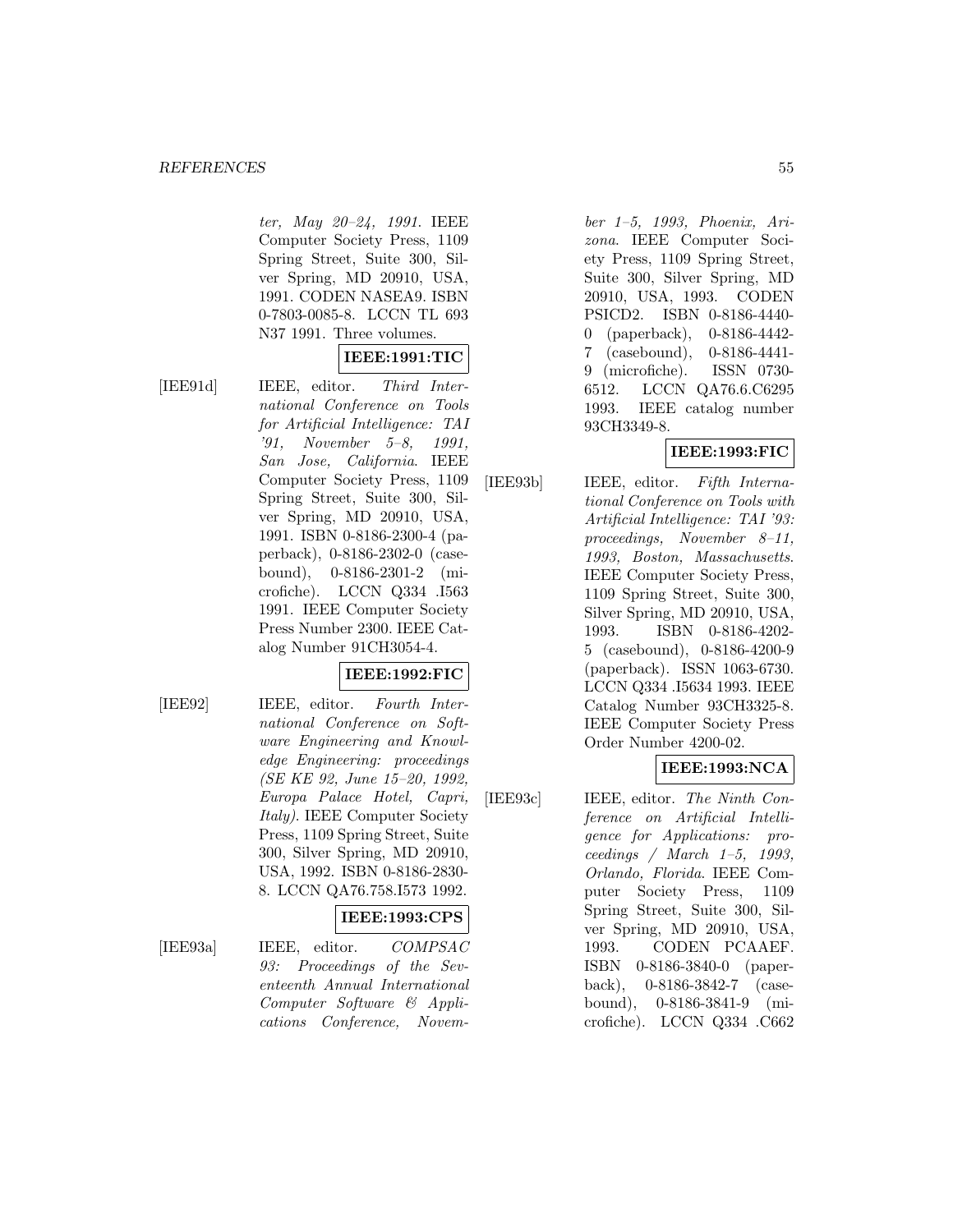ter, May 20–24, 1991. IEEE Computer Society Press, 1109 Spring Street, Suite 300, Silver Spring, MD 20910, USA, 1991. CODEN NASEA9. ISBN 0-7803-0085-8. LCCN TL 693 N37 1991. Three volumes.

## **IEEE:1991:TIC**

[IEE91d] IEEE, editor. Third International Conference on Tools for Artificial Intelligence: TAI '91, November 5–8, 1991, San Jose, California. IEEE Computer Society Press, 1109 Spring Street, Suite 300, Silver Spring, MD 20910, USA, 1991. ISBN 0-8186-2300-4 (paperback), 0-8186-2302-0 (casebound), 0-8186-2301-2 (microfiche). LCCN Q334 .I563 1991. IEEE Computer Society Press Number 2300. IEEE Catalog Number 91CH3054-4.

## **IEEE:1992:FIC**

[IEE92] IEEE, editor. Fourth International Conference on Software Engineering and Knowledge Engineering: proceedings (SE KE 92, June 15–20, 1992, Europa Palace Hotel, Capri, Italy). IEEE Computer Society Press, 1109 Spring Street, Suite 300, Silver Spring, MD 20910, USA, 1992. ISBN 0-8186-2830- 8. LCCN QA76.758.I573 1992.

#### **IEEE:1993:CPS**

[IEE93a] IEEE, editor. COMPSAC 93: Proceedings of the Seventeenth Annual International Computer Software & Applications Conference, November 1–5, 1993, Phoenix, Arizona. IEEE Computer Society Press, 1109 Spring Street, Suite 300, Silver Spring, MD 20910, USA, 1993. CODEN PSICD2. ISBN 0-8186-4440- 0 (paperback), 0-8186-4442- 7 (casebound), 0-8186-4441- 9 (microfiche). ISSN 0730- 6512. LCCN QA76.6.C6295 1993. IEEE catalog number 93CH3349-8.

## **IEEE:1993:FIC**

[IEE93b] IEEE, editor. Fifth International Conference on Tools with Artificial Intelligence: TAI '93: proceedings, November 8–11, 1993, Boston, Massachusetts. IEEE Computer Society Press, 1109 Spring Street, Suite 300, Silver Spring, MD 20910, USA, 1993. ISBN 0-8186-4202- 5 (casebound), 0-8186-4200-9 (paperback). ISSN 1063-6730. LCCN Q334 .I5634 1993. IEEE Catalog Number 93CH3325-8. IEEE Computer Society Press Order Number 4200-02.

# **IEEE:1993:NCA**

[IEE93c] IEEE, editor. The Ninth Conference on Artificial Intelligence for Applications: proceedings / March 1–5, 1993, Orlando, Florida. IEEE Computer Society Press, 1109 Spring Street, Suite 300, Silver Spring, MD 20910, USA, 1993. CODEN PCAAEF. ISBN 0-8186-3840-0 (paperback), 0-8186-3842-7 (casebound), 0-8186-3841-9 (microfiche). LCCN Q334 .C662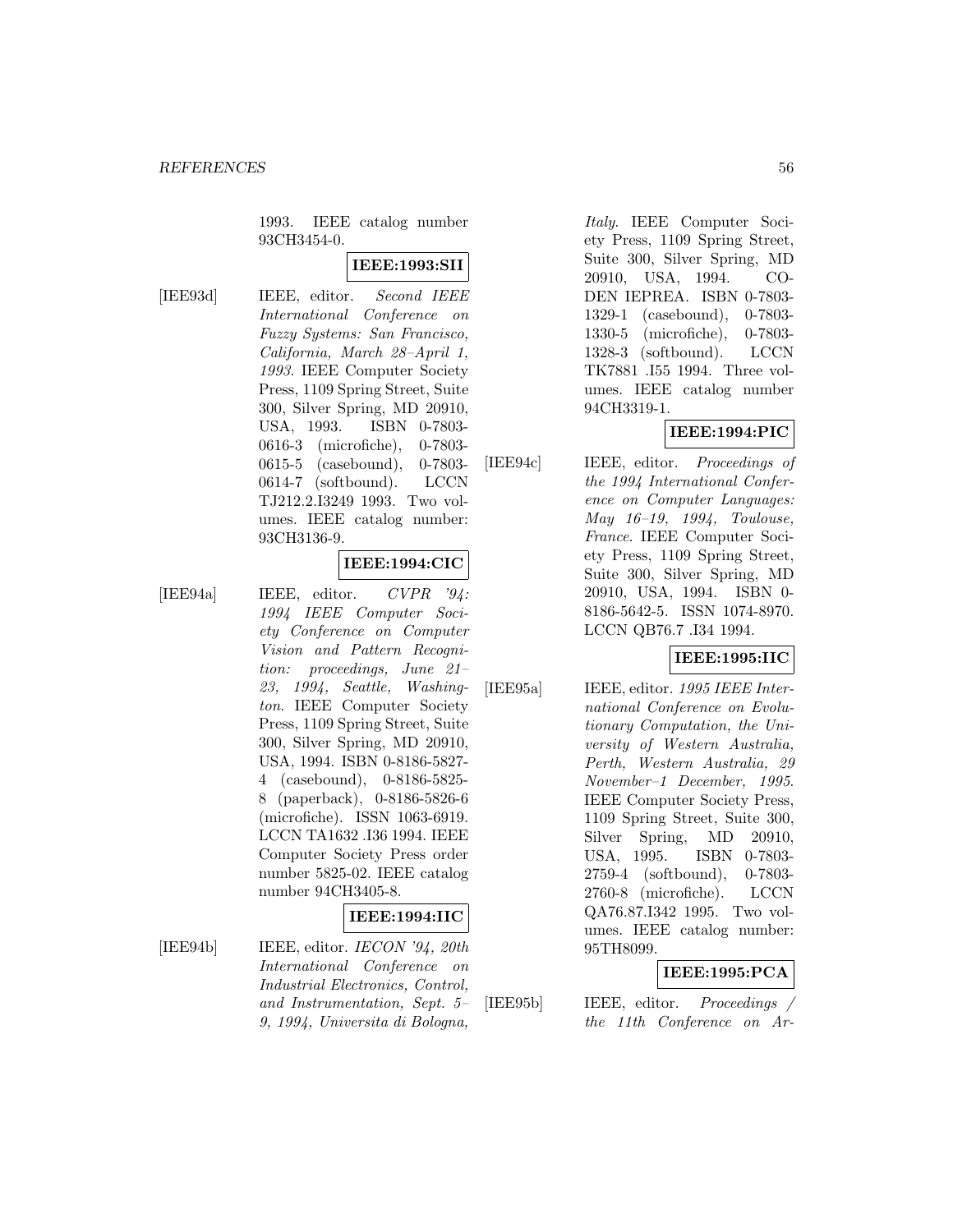1993. IEEE catalog number 93CH3454-0.

# **IEEE:1993:SII**

[IEE93d] IEEE, editor. Second IEEE International Conference on Fuzzy Systems: San Francisco, California, March 28–April 1, 1993. IEEE Computer Society Press, 1109 Spring Street, Suite 300, Silver Spring, MD 20910, USA, 1993. ISBN 0-7803- 0616-3 (microfiche), 0-7803- 0615-5 (casebound), 0-7803- 0614-7 (softbound). LCCN TJ212.2.I3249 1993. Two volumes. IEEE catalog number: 93CH3136-9.

## **IEEE:1994:CIC**

[IEE94a] IEEE, editor.  $CVPR$  '94: 1994 IEEE Computer Society Conference on Computer Vision and Pattern Recognition: proceedings, June 21– 23, 1994, Seattle, Washington. IEEE Computer Society Press, 1109 Spring Street, Suite 300, Silver Spring, MD 20910, USA, 1994. ISBN 0-8186-5827- 4 (casebound), 0-8186-5825- 8 (paperback), 0-8186-5826-6 (microfiche). ISSN 1063-6919. LCCN TA1632 .I36 1994. IEEE Computer Society Press order number 5825-02. IEEE catalog number 94CH3405-8.

## **IEEE:1994:IIC**

[IEE94b] IEEE, editor. IECON '94, 20th International Conference on Industrial Electronics, Control, and Instrumentation, Sept. 5– 9, 1994, Universita di Bologna,

Italy. IEEE Computer Society Press, 1109 Spring Street, Suite 300, Silver Spring, MD 20910, USA, 1994. CO-DEN IEPREA. ISBN 0-7803- 1329-1 (casebound), 0-7803- 1330-5 (microfiche), 0-7803- 1328-3 (softbound). LCCN TK7881 .I55 1994. Three volumes. IEEE catalog number 94CH3319-1.

# **IEEE:1994:PIC**

[IEE94c] IEEE, editor. Proceedings of the 1994 International Conference on Computer Languages: May 16–19, 1994, Toulouse, France. IEEE Computer Society Press, 1109 Spring Street, Suite 300, Silver Spring, MD 20910, USA, 1994. ISBN 0- 8186-5642-5. ISSN 1074-8970. LCCN QB76.7 .I34 1994.

## **IEEE:1995:IIC**

[IEE95a] IEEE, editor. 1995 IEEE International Conference on Evolutionary Computation, the University of Western Australia, Perth, Western Australia, 29 November–1 December, 1995. IEEE Computer Society Press, 1109 Spring Street, Suite 300, Silver Spring, MD 20910, USA, 1995. ISBN 0-7803- 2759-4 (softbound), 0-7803- 2760-8 (microfiche). LCCN QA76.87.I342 1995. Two volumes. IEEE catalog number: 95TH8099.

# **IEEE:1995:PCA**

[IEE95b] IEEE, editor. Proceedings / the 11th Conference on Ar-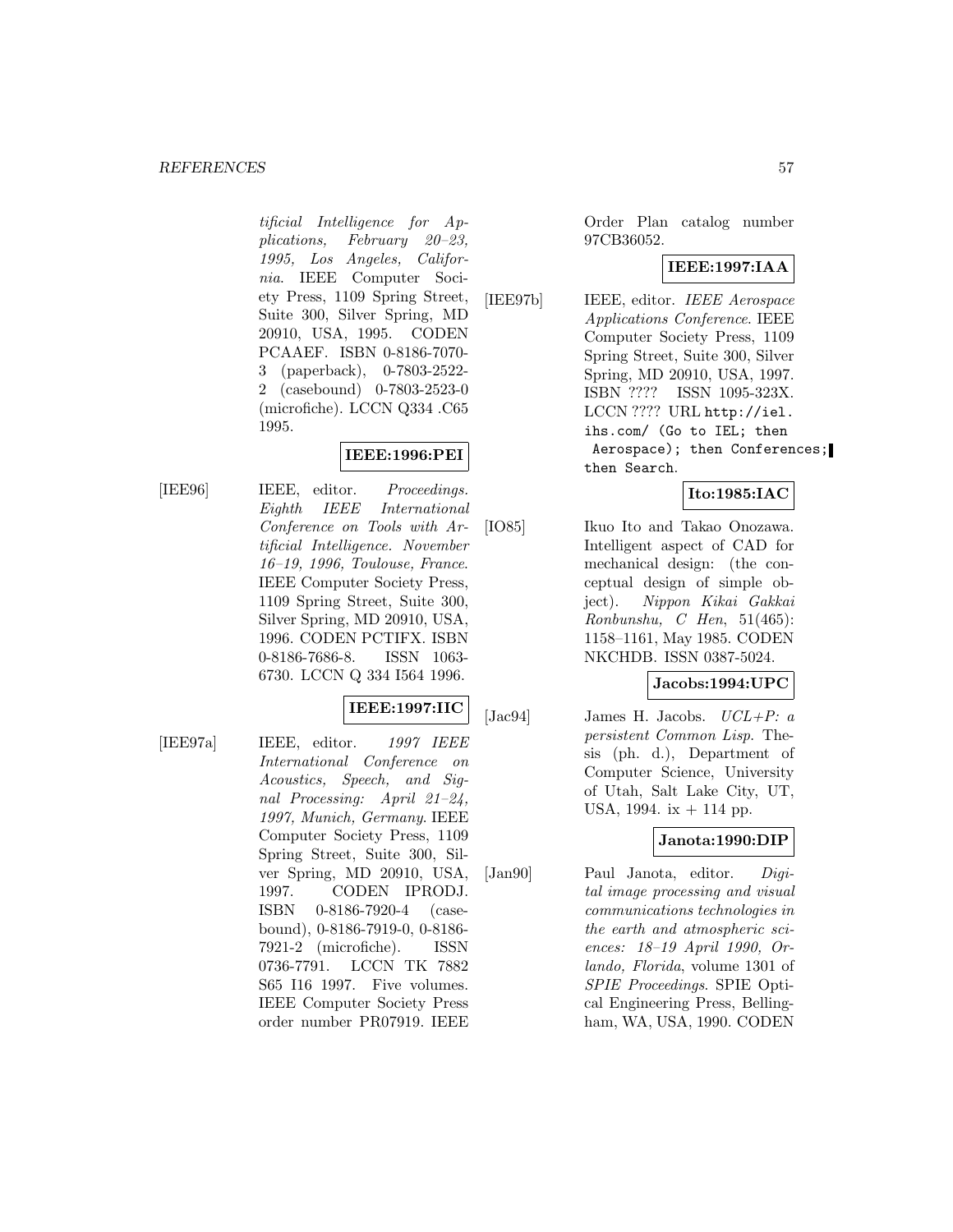#### *REFERENCES* 57

tificial Intelligence for Applications, February 20–23, 1995, Los Angeles, California. IEEE Computer Society Press, 1109 Spring Street, Suite 300, Silver Spring, MD 20910, USA, 1995. CODEN PCAAEF. ISBN 0-8186-7070- 3 (paperback), 0-7803-2522- 2 (casebound) 0-7803-2523-0 (microfiche). LCCN Q334 .C65 1995.

## **IEEE:1996:PEI**

[IEE96] IEEE, editor. Proceedings. Eighth IEEE International Conference on Tools with Artificial Intelligence. November 16–19, 1996, Toulouse, France. IEEE Computer Society Press, 1109 Spring Street, Suite 300, Silver Spring, MD 20910, USA, 1996. CODEN PCTIFX. ISBN 0-8186-7686-8. ISSN 1063- 6730. LCCN Q 334 I564 1996.

#### **IEEE:1997:IIC**

[IEE97a] IEEE, editor. 1997 IEEE International Conference on Acoustics, Speech, and Signal Processing: April 21–24, 1997, Munich, Germany. IEEE Computer Society Press, 1109 Spring Street, Suite 300, Silver Spring, MD 20910, USA, 1997. CODEN IPRODJ. ISBN 0-8186-7920-4 (casebound), 0-8186-7919-0, 0-8186- 7921-2 (microfiche). ISSN 0736-7791. LCCN TK 7882 S65 I16 1997. Five volumes. IEEE Computer Society Press order number PR07919. IEEE

Order Plan catalog number 97CB36052.

#### **IEEE:1997:IAA**

[IEE97b] IEEE, editor. IEEE Aerospace Applications Conference. IEEE Computer Society Press, 1109 Spring Street, Suite 300, Silver Spring, MD 20910, USA, 1997. ISBN ???? ISSN 1095-323X. LCCN ???? URL http://iel. ihs.com/ (Go to IEL; then Aerospace); then Conferences; then Search.

#### **Ito:1985:IAC**

[IO85] Ikuo Ito and Takao Onozawa. Intelligent aspect of CAD for mechanical design: (the conceptual design of simple object). Nippon Kikai Gakkai  $Ronbunshu, C Hen, 51(465):$ 1158–1161, May 1985. CODEN NKCHDB. ISSN 0387-5024.

#### **Jacobs:1994:UPC**

[Jac $94$ ] James H. Jacobs.  $UCL+P: a$ persistent Common Lisp. Thesis (ph. d.), Department of Computer Science, University of Utah, Salt Lake City, UT, USA,  $1994.$  ix  $+114$  pp.

#### **Janota:1990:DIP**

[Jan90] Paul Janota, editor. Digital image processing and visual communications technologies in the earth and atmospheric sciences: 18–19 April 1990, Orlando, Florida, volume 1301 of SPIE Proceedings. SPIE Optical Engineering Press, Bellingham, WA, USA, 1990. CODEN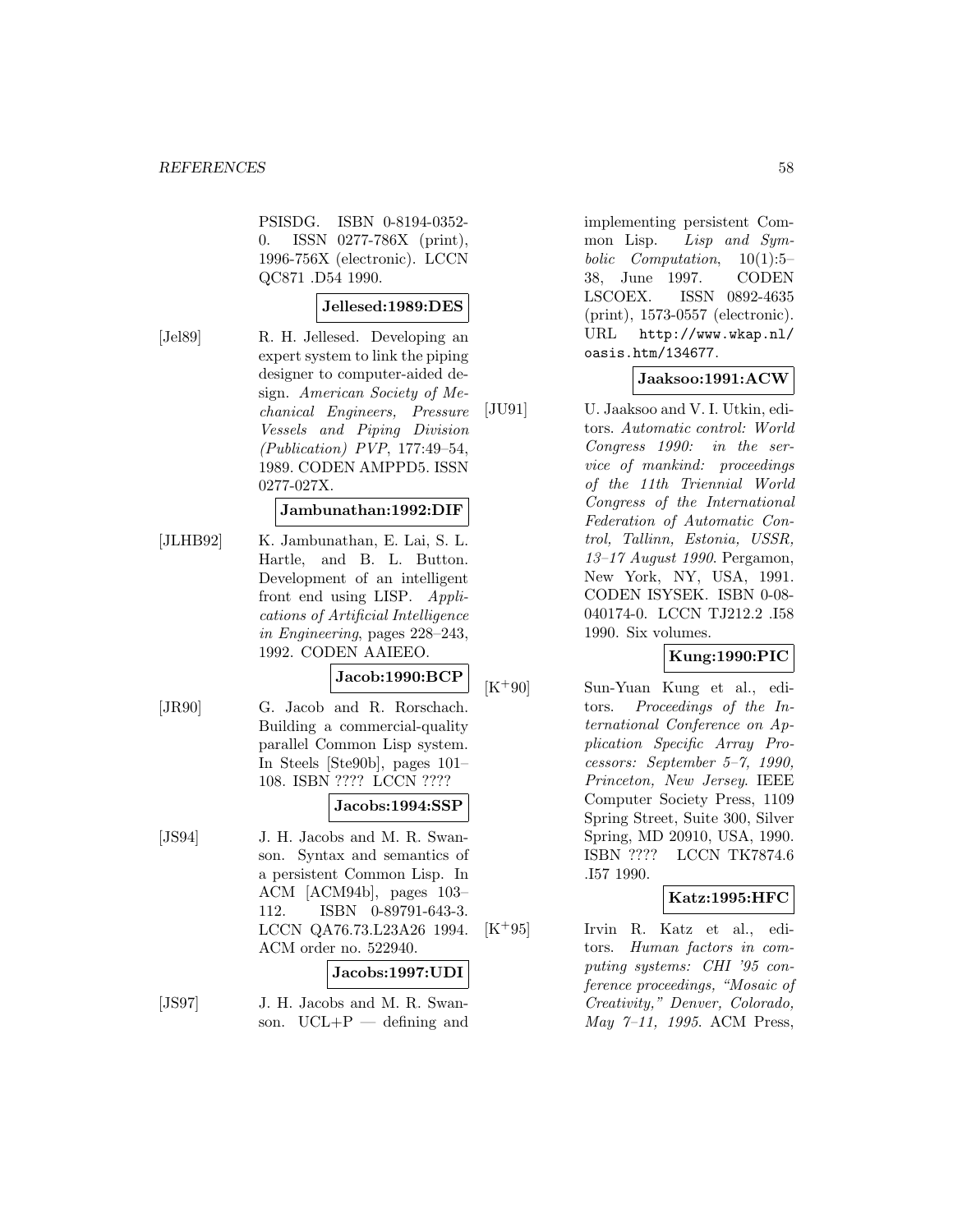PSISDG. ISBN 0-8194-0352- 0. ISSN 0277-786X (print), 1996-756X (electronic). LCCN QC871 .D54 1990.

#### **Jellesed:1989:DES**

[Jel89] R. H. Jellesed. Developing an expert system to link the piping designer to computer-aided design. American Society of Mechanical Engineers, Pressure Vessels and Piping Division (Publication) PVP, 177:49–54, 1989. CODEN AMPPD5. ISSN 0277-027X.

#### **Jambunathan:1992:DIF**

[JLHB92] K. Jambunathan, E. Lai, S. L. Hartle, and B. L. Button. Development of an intelligent front end using LISP. Applications of Artificial Intelligence in Engineering, pages 228–243, 1992. CODEN AAIEEO.

#### **Jacob:1990:BCP**

[JR90] G. Jacob and R. Rorschach. Building a commercial-quality parallel Common Lisp system. In Steels [Ste90b], pages 101– 108. ISBN ???? LCCN ????

#### **Jacobs:1994:SSP**

[JS94] J. H. Jacobs and M. R. Swanson. Syntax and semantics of a persistent Common Lisp. In ACM [ACM94b], pages 103– 112. ISBN 0-89791-643-3. LCCN QA76.73.L23A26 1994. ACM order no. 522940.

#### **Jacobs:1997:UDI**

[JS97] J. H. Jacobs and M. R. Swanson.  $UCL+P$  — defining and implementing persistent Common Lisp. Lisp and Symbolic Computation, 10(1):5– 38, June 1997. CODEN LSCOEX. ISSN 0892-4635 (print), 1573-0557 (electronic). URL http://www.wkap.nl/ oasis.htm/134677.

#### **Jaaksoo:1991:ACW**

[JU91] U. Jaaksoo and V. I. Utkin, editors. Automatic control: World Congress 1990: in the service of mankind: proceedings of the 11th Triennial World Congress of the International Federation of Automatic Control, Tallinn, Estonia, USSR, 13–17 August 1990. Pergamon, New York, NY, USA, 1991. CODEN ISYSEK. ISBN 0-08- 040174-0. LCCN TJ212.2 .I58 1990. Six volumes.

#### **Kung:1990:PIC**

[K<sup>+</sup>90] Sun-Yuan Kung et al., editors. Proceedings of the International Conference on Application Specific Array Processors: September 5–7, 1990, Princeton, New Jersey. IEEE Computer Society Press, 1109 Spring Street, Suite 300, Silver Spring, MD 20910, USA, 1990. ISBN ???? LCCN TK7874.6 .I57 1990.

## **Katz:1995:HFC**

[K<sup>+</sup>95] Irvin R. Katz et al., editors. Human factors in computing systems: CHI '95 conference proceedings, "Mosaic of Creativity," Denver, Colorado, May 7–11, 1995. ACM Press,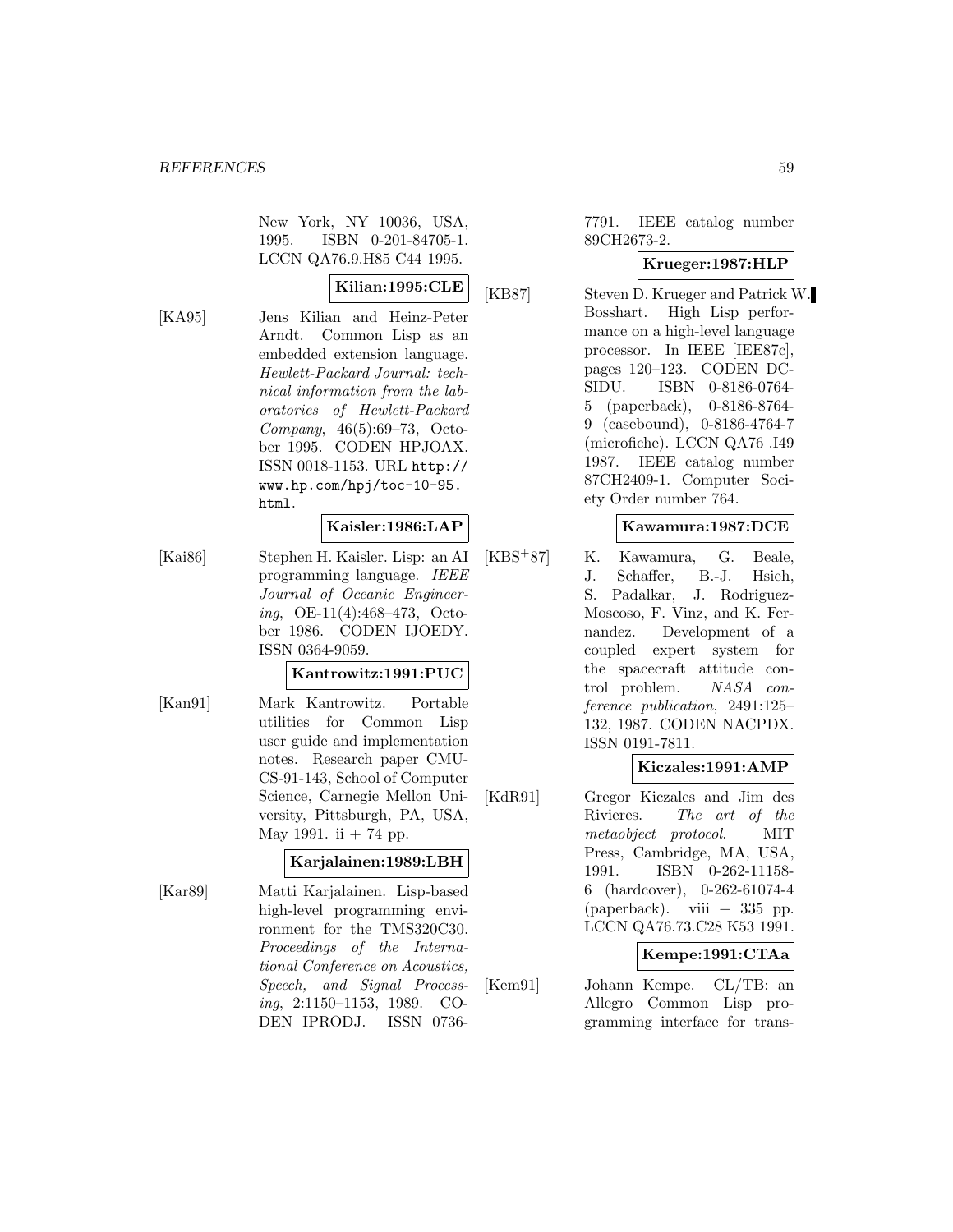New York, NY 10036, USA, 1995. ISBN 0-201-84705-1. LCCN QA76.9.H85 C44 1995.

# **Kilian:1995:CLE**

[KA95] Jens Kilian and Heinz-Peter Arndt. Common Lisp as an embedded extension language. Hewlett-Packard Journal: technical information from the laboratories of Hewlett-Packard Company, 46(5):69–73, October 1995. CODEN HPJOAX. ISSN 0018-1153. URL http:// www.hp.com/hpj/toc-10-95. html.

## **Kaisler:1986:LAP**

[Kai86] Stephen H. Kaisler. Lisp: an AI programming language. IEEE Journal of Oceanic Engineering, OE-11(4):468–473, October 1986. CODEN IJOEDY. ISSN 0364-9059.

#### **Kantrowitz:1991:PUC**

[Kan91] Mark Kantrowitz. Portable utilities for Common Lisp user guide and implementation notes. Research paper CMU-CS-91-143, School of Computer Science, Carnegie Mellon University, Pittsburgh, PA, USA, May 1991. ii  $+ 74$  pp.

## **Karjalainen:1989:LBH**

[Kar89] Matti Karjalainen. Lisp-based high-level programming environment for the TMS320C30. Proceedings of the International Conference on Acoustics, Speech, and Signal Processing, 2:1150–1153, 1989. CO-DEN IPRODJ. ISSN 07367791. IEEE catalog number 89CH2673-2.

## **Krueger:1987:HLP**

[KB87] Steven D. Krueger and Patrick W. Bosshart. High Lisp performance on a high-level language processor. In IEEE [IEE87c], pages 120–123. CODEN DC-SIDU. ISBN 0-8186-0764- 5 (paperback), 0-8186-8764- 9 (casebound), 0-8186-4764-7 (microfiche). LCCN QA76 .I49 1987. IEEE catalog number 87CH2409-1. Computer Society Order number 764.

### **Kawamura:1987:DCE**

[KBS<sup>+</sup>87] K. Kawamura, G. Beale, J. Schaffer, B.-J. Hsieh, S. Padalkar, J. Rodriguez-Moscoso, F. Vinz, and K. Fernandez. Development of a coupled expert system for the spacecraft attitude control problem. NASA conference publication, 2491:125– 132, 1987. CODEN NACPDX. ISSN 0191-7811.

## **Kiczales:1991:AMP**

[KdR91] Gregor Kiczales and Jim des Rivieres. The art of the metaobject protocol. MIT Press, Cambridge, MA, USA, 1991. ISBN 0-262-11158- 6 (hardcover), 0-262-61074-4 (paperback). viii  $+335$  pp. LCCN QA76.73.C28 K53 1991.

## **Kempe:1991:CTAa**

[Kem91] Johann Kempe. CL/TB: an Allegro Common Lisp programming interface for trans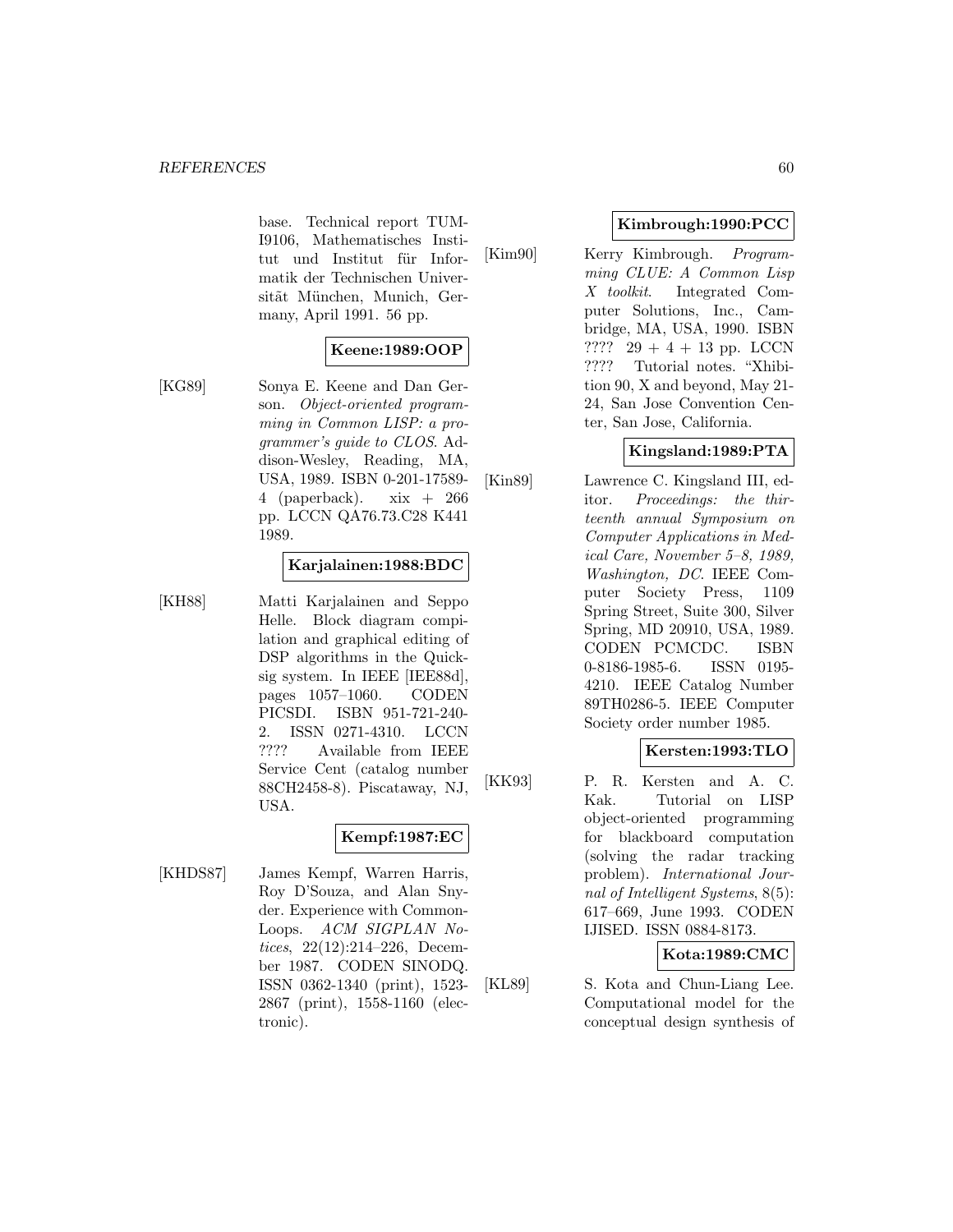base. Technical report TUM-I9106, Mathematisches Institut und Institut für Informatik der Technischen Universitãt München, Munich, Germany, April 1991. 56 pp.

# **Keene:1989:OOP**

[KG89] Sonya E. Keene and Dan Gerson. Object-oriented programming in Common LISP: a programmer's guide to CLOS. Addison-Wesley, Reading, MA, USA, 1989. ISBN 0-201-17589- 4 (paperback).  $xix + 266$ pp. LCCN QA76.73.C28 K441 1989.

### **Karjalainen:1988:BDC**

[KH88] Matti Karjalainen and Seppo Helle. Block diagram compilation and graphical editing of DSP algorithms in the Quicksig system. In IEEE [IEE88d], pages 1057–1060. CODEN PICSDI. ISBN 951-721-240- 2. ISSN 0271-4310. LCCN ???? Available from IEEE Service Cent (catalog number 88CH2458-8). Piscataway, NJ, USA.

# **Kempf:1987:EC**

[KHDS87] James Kempf, Warren Harris, Roy D'Souza, and Alan Snyder. Experience with Common-Loops. ACM SIGPLAN Notices, 22(12):214–226, December 1987. CODEN SINODQ. ISSN 0362-1340 (print), 1523- 2867 (print), 1558-1160 (electronic).

### **Kimbrough:1990:PCC**

[Kim90] Kerry Kimbrough. *Program*ming CLUE: A Common Lisp X toolkit. Integrated Computer Solutions, Inc., Cambridge, MA, USA, 1990. ISBN ???? 29 + 4 + 13 pp. LCCN ???? Tutorial notes. "Xhibition 90, X and beyond, May 21- 24, San Jose Convention Center, San Jose, California.

## **Kingsland:1989:PTA**

[Kin89] Lawrence C. Kingsland III, editor. Proceedings: the thirteenth annual Symposium on Computer Applications in Medical Care, November 5–8, 1989, Washington, DC. IEEE Computer Society Press, 1109 Spring Street, Suite 300, Silver Spring, MD 20910, USA, 1989. CODEN PCMCDC. ISBN 0-8186-1985-6. ISSN 0195- 4210. IEEE Catalog Number 89TH0286-5. IEEE Computer Society order number 1985.

## **Kersten:1993:TLO**

[KK93] P. R. Kersten and A. C. Kak. Tutorial on LISP object-oriented programming for blackboard computation (solving the radar tracking problem). International Journal of Intelligent Systems, 8(5): 617–669, June 1993. CODEN IJISED. ISSN 0884-8173.

## **Kota:1989:CMC**

[KL89] S. Kota and Chun-Liang Lee. Computational model for the conceptual design synthesis of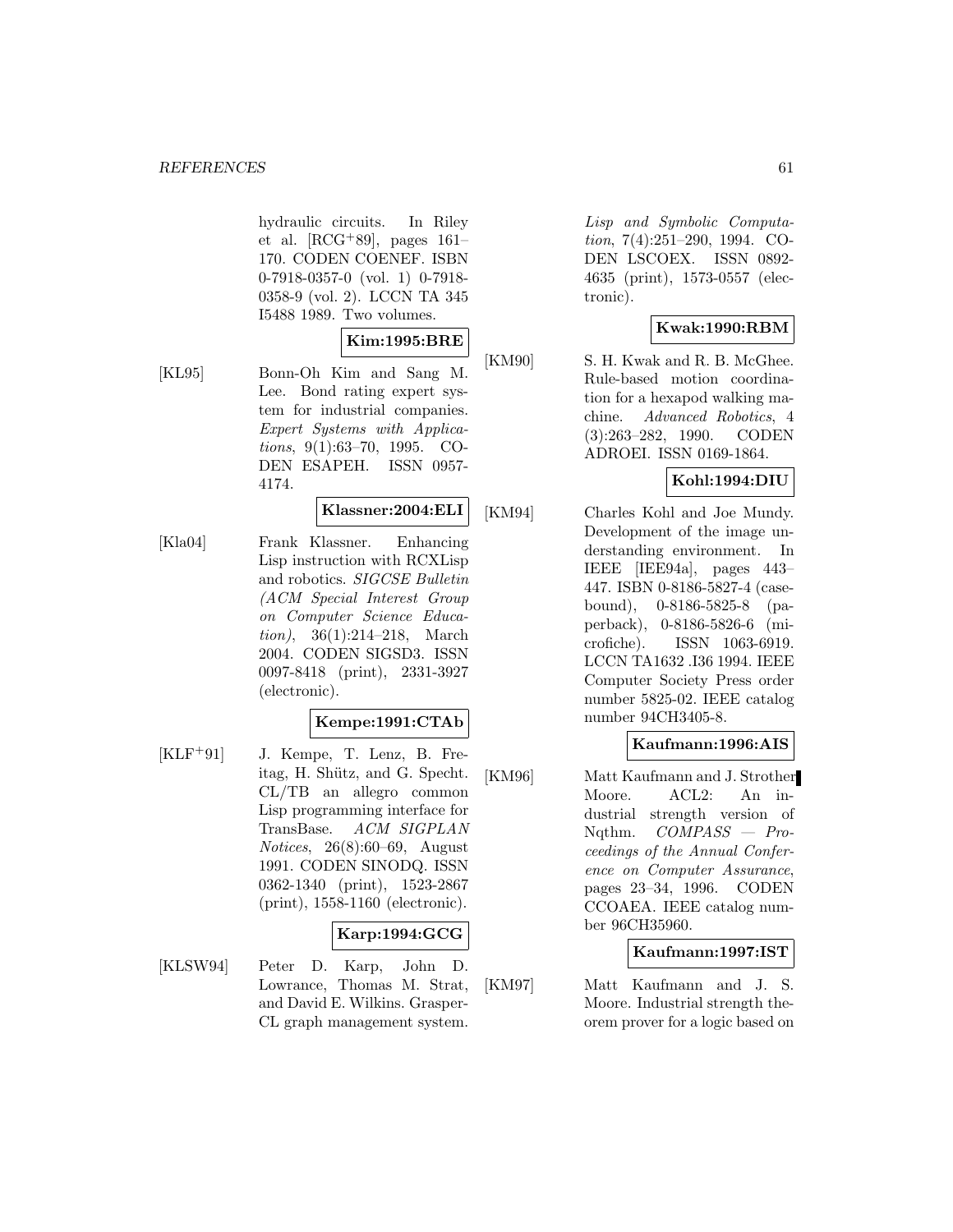hydraulic circuits. In Riley et al.  $[RCG+89]$ , pages 161– 170. CODEN COENEF. ISBN 0-7918-0357-0 (vol. 1) 0-7918- 0358-9 (vol. 2). LCCN TA 345 I5488 1989. Two volumes.

## **Kim:1995:BRE**

[KL95] Bonn-Oh Kim and Sang M. Lee. Bond rating expert system for industrial companies. Expert Systems with Applications, 9(1):63–70, 1995. CO-DEN ESAPEH. ISSN 0957- 4174.

#### **Klassner:2004:ELI**

[Kla04] Frank Klassner. Enhancing Lisp instruction with RCXLisp and robotics. SIGCSE Bulletin (ACM Special Interest Group on Computer Science Education), 36(1):214–218, March 2004. CODEN SIGSD3. ISSN 0097-8418 (print), 2331-3927 (electronic).

#### **Kempe:1991:CTAb**

 $[KLF+91]$  J. Kempe, T. Lenz, B. Freitag, H. Shütz, and G. Specht. CL/TB an allegro common Lisp programming interface for TransBase. ACM SIGPLAN Notices, 26(8):60–69, August 1991. CODEN SINODQ. ISSN 0362-1340 (print), 1523-2867 (print), 1558-1160 (electronic).

#### **Karp:1994:GCG**

[KLSW94] Peter D. Karp, John D. Lowrance, Thomas M. Strat, and David E. Wilkins. Grasper-CL graph management system.

Lisp and Symbolic Computation, 7(4):251–290, 1994. CO-DEN LSCOEX. ISSN 0892- 4635 (print), 1573-0557 (electronic).

### **Kwak:1990:RBM**

[KM90] S. H. Kwak and R. B. McGhee. Rule-based motion coordination for a hexapod walking machine. Advanced Robotics, 4 (3):263–282, 1990. CODEN ADROEI. ISSN 0169-1864.

## **Kohl:1994:DIU**

[KM94] Charles Kohl and Joe Mundy. Development of the image understanding environment. In IEEE [IEE94a], pages 443– 447. ISBN 0-8186-5827-4 (casebound), 0-8186-5825-8 (paperback), 0-8186-5826-6 (microfiche). ISSN 1063-6919. LCCN TA1632 .I36 1994. IEEE Computer Society Press order number 5825-02. IEEE catalog number 94CH3405-8.

## **Kaufmann:1996:AIS**

[KM96] Matt Kaufmann and J. Strother Moore. ACL2: An industrial strength version of Nqthm. COMPASS — Proceedings of the Annual Conference on Computer Assurance, pages 23–34, 1996. CODEN CCOAEA. IEEE catalog number 96CH35960.

## **Kaufmann:1997:IST**

[KM97] Matt Kaufmann and J. S. Moore. Industrial strength theorem prover for a logic based on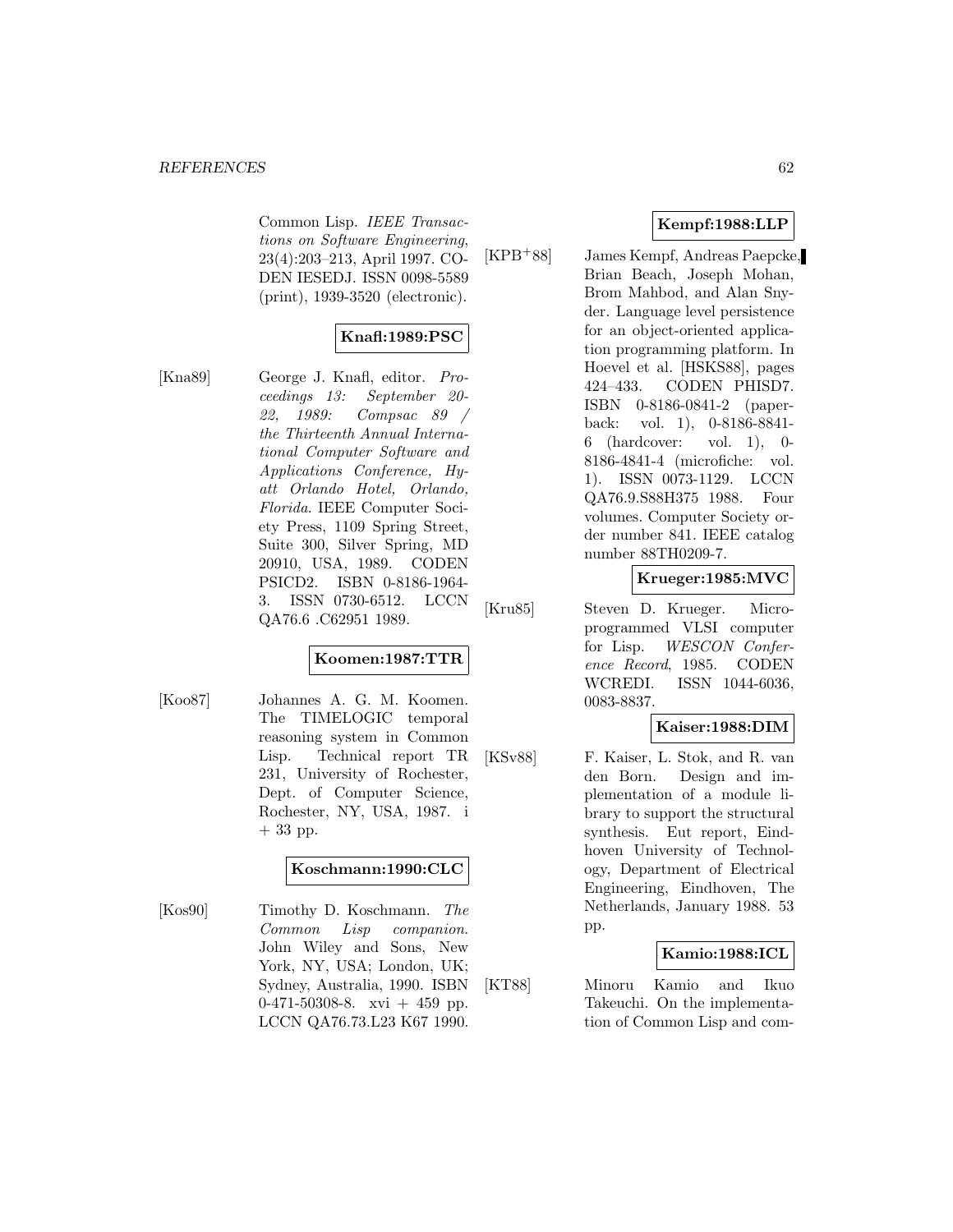Common Lisp. IEEE Transactions on Software Engineering, 23(4):203–213, April 1997. CO-DEN IESEDJ. ISSN 0098-5589 (print), 1939-3520 (electronic).

## **Knafl:1989:PSC**

[Kna89] George J. Knafl, editor. Proceedings 13: September 20- 22, 1989: Compsac 89 / the Thirteenth Annual International Computer Software and Applications Conference, Hyatt Orlando Hotel, Orlando, Florida. IEEE Computer Society Press, 1109 Spring Street, Suite 300, Silver Spring, MD 20910, USA, 1989. CODEN PSICD2. ISBN 0-8186-1964- 3. ISSN 0730-6512. LCCN QA76.6 .C62951 1989.

## **Koomen:1987:TTR**

[Koo87] Johannes A. G. M. Koomen. The TIMELOGIC temporal reasoning system in Common Lisp. Technical report TR 231, University of Rochester, Dept. of Computer Science, Rochester, NY, USA, 1987. i + 33 pp.

## **Koschmann:1990:CLC**

[Kos90] Timothy D. Koschmann. The Common Lisp companion. John Wiley and Sons, New York, NY, USA; London, UK; Sydney, Australia, 1990. ISBN  $0-471-50308-8$ . xvi  $+459$  pp. LCCN QA76.73.L23 K67 1990.

## **Kempf:1988:LLP**

[KPB<sup>+</sup>88] James Kempf, Andreas Paepcke, Brian Beach, Joseph Mohan, Brom Mahbod, and Alan Snyder. Language level persistence for an object-oriented application programming platform. In Hoevel et al. [HSKS88], pages 424–433. CODEN PHISD7. ISBN 0-8186-0841-2 (paperback: vol. 1), 0-8186-8841- 6 (hardcover: vol. 1), 0- 8186-4841-4 (microfiche: vol. 1). ISSN 0073-1129. LCCN QA76.9.S88H375 1988. Four volumes. Computer Society order number 841. IEEE catalog number 88TH0209-7.

### **Krueger:1985:MVC**

[Kru85] Steven D. Krueger. Microprogrammed VLSI computer for Lisp. WESCON Conference Record, 1985. CODEN WCREDI. ISSN 1044-6036, 0083-8837.

#### **Kaiser:1988:DIM**

[KSv88] F. Kaiser, L. Stok, and R. van den Born. Design and implementation of a module library to support the structural synthesis. Eut report, Eindhoven University of Technology, Department of Electrical Engineering, Eindhoven, The Netherlands, January 1988. 53 pp.

## **Kamio:1988:ICL**

[KT88] Minoru Kamio and Ikuo Takeuchi. On the implementation of Common Lisp and com-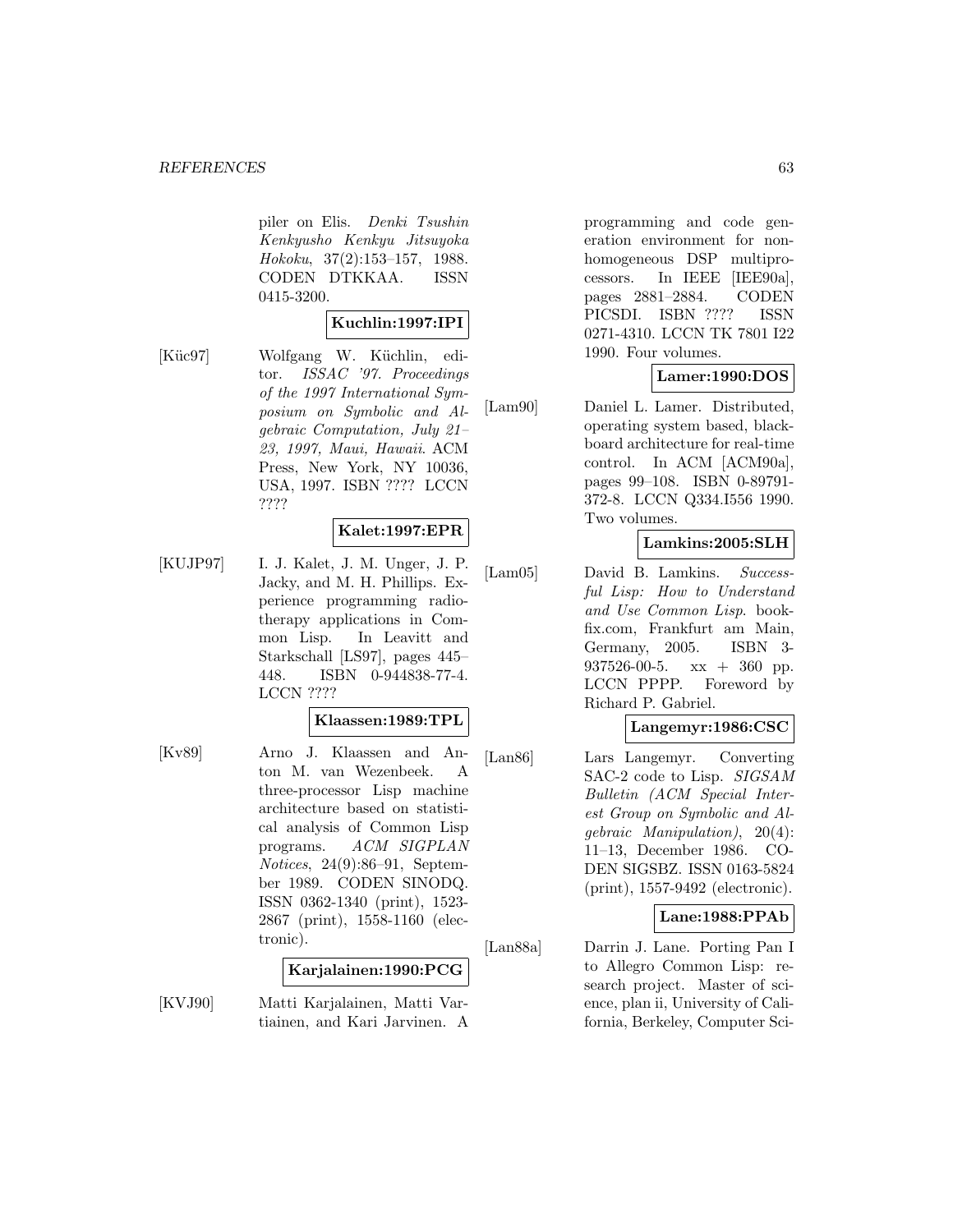#### *REFERENCES* 63

piler on Elis. Denki Tsushin Kenkyusho Kenkyu Jitsuyoka Hokoku, 37(2):153–157, 1988. CODEN DTKKAA. ISSN 0415-3200.

#### **Kuchlin:1997:IPI**

[Küc97] Wolfgang W. Küchlin, editor. ISSAC '97. Proceedings of the 1997 International Symposium on Symbolic and Algebraic Computation, July 21– 23, 1997, Maui, Hawaii. ACM Press, New York, NY 10036, USA, 1997. ISBN ???? LCCN ????

### **Kalet:1997:EPR**

[KUJP97] I. J. Kalet, J. M. Unger, J. P. Jacky, and M. H. Phillips. Experience programming radiotherapy applications in Common Lisp. In Leavitt and Starkschall [LS97], pages 445– 448. ISBN 0-944838-77-4. LCCN ????

#### **Klaassen:1989:TPL**

[Kv89] Arno J. Klaassen and Anton M. van Wezenbeek. A three-processor Lisp machine architecture based on statistical analysis of Common Lisp programs. ACM SIGPLAN Notices, 24(9):86–91, September 1989. CODEN SINODQ. ISSN 0362-1340 (print), 1523- 2867 (print), 1558-1160 (electronic).

#### **Karjalainen:1990:PCG**

[KVJ90] Matti Karjalainen, Matti Vartiainen, and Kari Jarvinen. A

programming and code generation environment for nonhomogeneous DSP multiprocessors. In IEEE [IEE90a], pages 2881–2884. CODEN PICSDI. ISBN ???? ISSN 0271-4310. LCCN TK 7801 I22 1990. Four volumes.

#### **Lamer:1990:DOS**

[Lam90] Daniel L. Lamer. Distributed, operating system based, blackboard architecture for real-time control. In ACM [ACM90a], pages 99–108. ISBN 0-89791- 372-8. LCCN Q334.I556 1990. Two volumes.

### **Lamkins:2005:SLH**

[Lam05] David B. Lamkins. Successful Lisp: How to Understand and Use Common Lisp. bookfix.com, Frankfurt am Main, Germany, 2005. ISBN 3- 937526-00-5. xx + 360 pp. LCCN PPPP. Foreword by Richard P. Gabriel.

#### **Langemyr:1986:CSC**

[Lan86] Lars Langemyr. Converting SAC-2 code to Lisp. SIGSAM Bulletin (ACM Special Interest Group on Symbolic and Algebraic Manipulation), 20(4): 11–13, December 1986. CO-DEN SIGSBZ. ISSN 0163-5824 (print), 1557-9492 (electronic).

#### **Lane:1988:PPAb**

[Lan88a] Darrin J. Lane. Porting Pan I to Allegro Common Lisp: research project. Master of science, plan ii, University of California, Berkeley, Computer Sci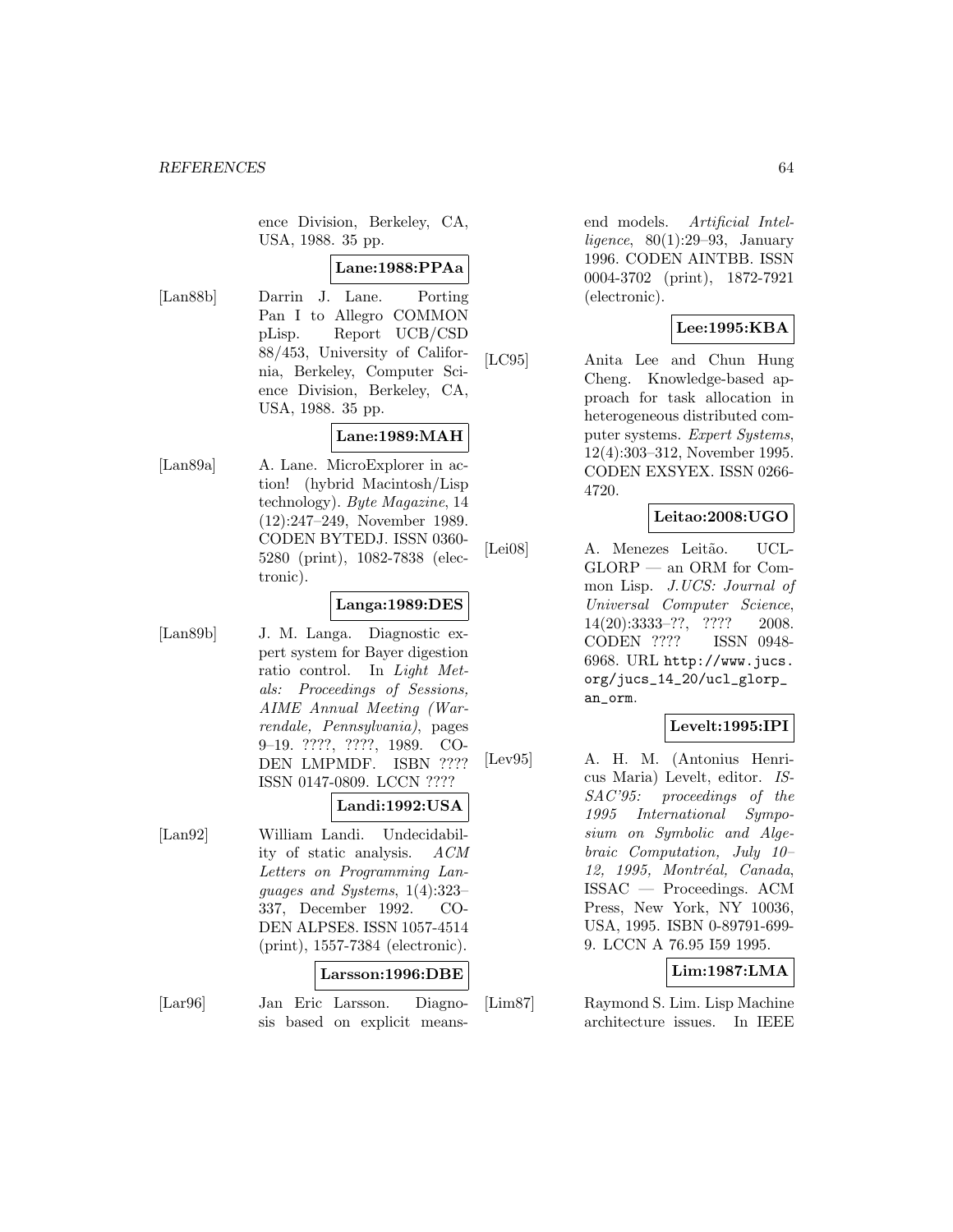ence Division, Berkeley, CA, USA, 1988. 35 pp.

#### **Lane:1988:PPAa**

[Lan88b] Darrin J. Lane. Porting Pan I to Allegro COMMON pLisp. Report UCB/CSD 88/453, University of California, Berkeley, Computer Science Division, Berkeley, CA, USA, 1988. 35 pp.

# **Lane:1989:MAH**

[Lan89a] A. Lane. MicroExplorer in action! (hybrid Macintosh/Lisp technology). Byte Magazine, 14 (12):247–249, November 1989. CODEN BYTEDJ. ISSN 0360- 5280 (print), 1082-7838 (electronic).

### **Langa:1989:DES**

[Lan89b] J. M. Langa. Diagnostic expert system for Bayer digestion ratio control. In Light Metals: Proceedings of Sessions, AIME Annual Meeting (Warrendale, Pennsylvania), pages 9–19. ????, ????, 1989. CO-DEN LMPMDF. ISBN ???? ISSN 0147-0809. LCCN ????

#### **Landi:1992:USA**

[Lan92] William Landi. Undecidability of static analysis. ACM Letters on Programming Languages and Systems, 1(4):323– 337, December 1992. CO-DEN ALPSE8. ISSN 1057-4514 (print), 1557-7384 (electronic).

#### **Larsson:1996:DBE**

[Lar96] Jan Eric Larsson. Diagnosis based on explicit meansend models. Artificial Intelligence,  $80(1):29-93$ , January 1996. CODEN AINTBB. ISSN 0004-3702 (print), 1872-7921 (electronic).

### **Lee:1995:KBA**

[LC95] Anita Lee and Chun Hung Cheng. Knowledge-based approach for task allocation in heterogeneous distributed computer systems. Expert Systems, 12(4):303–312, November 1995. CODEN EXSYEX. ISSN 0266- 4720.

### **Leitao:2008:UGO**

[Lei08] A. Menezes Leitão. UCL-GLORP — an ORM for Common Lisp. J.UCS: Journal of Universal Computer Science, 14(20):3333–??, ???? 2008. CODEN ???? ISSN 0948- 6968. URL http://www.jucs. org/jucs\_14\_20/ucl\_glorp\_ an\_orm.

## **Levelt:1995:IPI**

[Lev95] A. H. M. (Antonius Henricus Maria) Levelt, editor. IS-SAC'95: proceedings of the 1995 International Symposium on Symbolic and Algebraic Computation, July 10– 12, 1995, Montréal, Canada, ISSAC — Proceedings. ACM Press, New York, NY 10036, USA, 1995. ISBN 0-89791-699- 9. LCCN A 76.95 I59 1995.

## **Lim:1987:LMA**

[Lim87] Raymond S. Lim. Lisp Machine architecture issues. In IEEE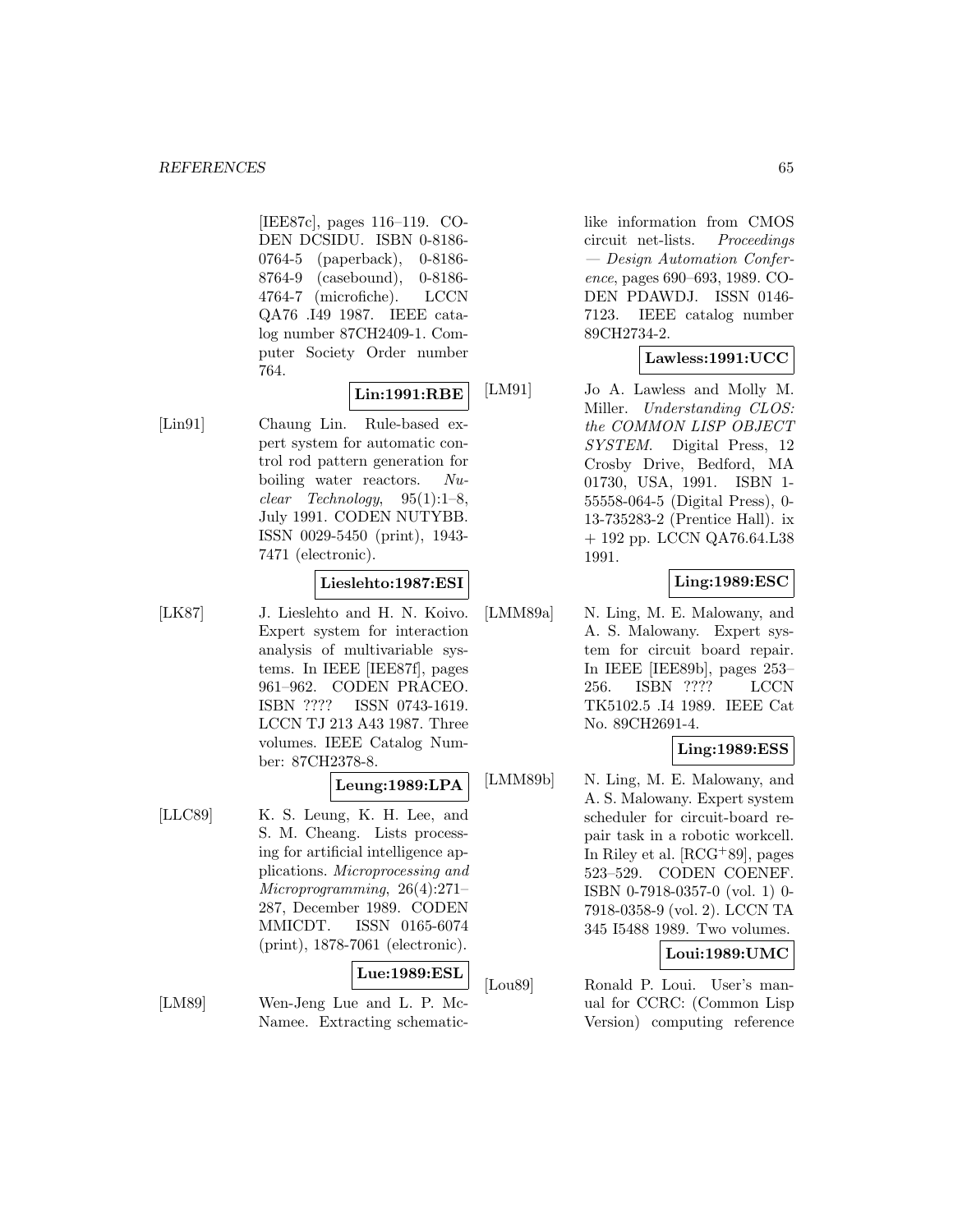[IEE87c], pages 116–119. CO-DEN DCSIDU. ISBN 0-8186- 0764-5 (paperback), 0-8186- 8764-9 (casebound), 0-8186- 4764-7 (microfiche). LCCN QA76 .I49 1987. IEEE catalog number 87CH2409-1. Computer Society Order number 764.

# **Lin:1991:RBE**

[Lin91] Chaung Lin. Rule-based expert system for automatic control rod pattern generation for boiling water reactors. Nu $clear \quad Technology, \quad 95(1):1-8,$ July 1991. CODEN NUTYBB. ISSN 0029-5450 (print), 1943- 7471 (electronic).

#### **Lieslehto:1987:ESI**

[LK87] J. Lieslehto and H. N. Koivo. Expert system for interaction analysis of multivariable systems. In IEEE [IEE87f], pages 961–962. CODEN PRACEO. ISBN ???? ISSN 0743-1619. LCCN TJ 213 A43 1987. Three volumes. IEEE Catalog Number: 87CH2378-8.

### **Leung:1989:LPA**

[LLC89] K. S. Leung, K. H. Lee, and S. M. Cheang. Lists processing for artificial intelligence applications. Microprocessing and Microprogramming, 26(4):271– 287, December 1989. CODEN MMICDT. ISSN 0165-6074 (print), 1878-7061 (electronic).

## **Lue:1989:ESL**

[LM89] Wen-Jeng Lue and L. P. Mc-Namee. Extracting schematiclike information from CMOS circuit net-lists. Proceedings — Design Automation Conference, pages 690–693, 1989. CO-DEN PDAWDJ. ISSN 0146- 7123. IEEE catalog number 89CH2734-2.

## **Lawless:1991:UCC**

[LM91] Jo A. Lawless and Molly M. Miller. Understanding CLOS: the COMMON LISP OBJECT SYSTEM. Digital Press, 12 Crosby Drive, Bedford, MA 01730, USA, 1991. ISBN 1- 55558-064-5 (Digital Press), 0- 13-735283-2 (Prentice Hall). ix + 192 pp. LCCN QA76.64.L38 1991.

## **Ling:1989:ESC**

[LMM89a] N. Ling, M. E. Malowany, and A. S. Malowany. Expert system for circuit board repair. In IEEE [IEE89b], pages 253– 256. ISBN ???? LCCN TK5102.5 .I4 1989. IEEE Cat No. 89CH2691-4.

## **Ling:1989:ESS**

[LMM89b] N. Ling, M. E. Malowany, and A. S. Malowany. Expert system scheduler for circuit-board repair task in a robotic workcell. In Riley et al. [RCG<sup>+</sup>89], pages 523–529. CODEN COENEF. ISBN 0-7918-0357-0 (vol. 1) 0- 7918-0358-9 (vol. 2). LCCN TA 345 I5488 1989. Two volumes.

## **Loui:1989:UMC**

[Lou89] Ronald P. Loui. User's manual for CCRC: (Common Lisp Version) computing reference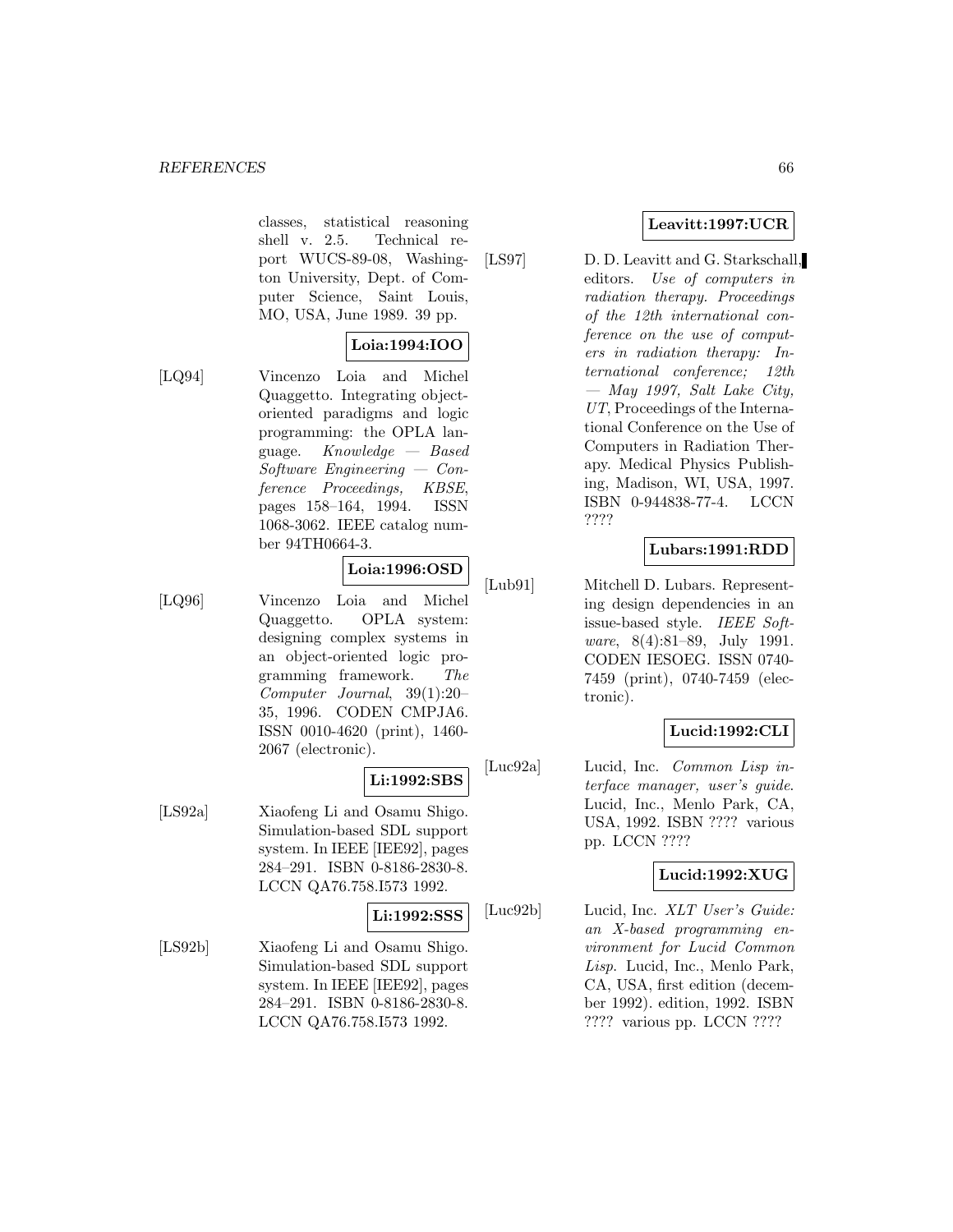classes, statistical reasoning shell v. 2.5. Technical report WUCS-89-08, Washington University, Dept. of Computer Science, Saint Louis, MO, USA, June 1989. 39 pp.

# **Loia:1994:IOO**

[LQ94] Vincenzo Loia and Michel Quaggetto. Integrating objectoriented paradigms and logic programming: the OPLA language.  $Knowledge - Based$ Software Engineering — Conference Proceedings, KBSE, pages 158–164, 1994. ISSN 1068-3062. IEEE catalog number 94TH0664-3.

## **Loia:1996:OSD**

[LQ96] Vincenzo Loia and Michel Quaggetto. OPLA system: designing complex systems in an object-oriented logic programming framework. The Computer Journal, 39(1):20– 35, 1996. CODEN CMPJA6. ISSN 0010-4620 (print), 1460- 2067 (electronic).

# **Li:1992:SBS**

[LS92a] Xiaofeng Li and Osamu Shigo. Simulation-based SDL support system. In IEEE [IEE92], pages 284–291. ISBN 0-8186-2830-8. LCCN QA76.758.I573 1992.

## **Li:1992:SSS**

[LS92b] Xiaofeng Li and Osamu Shigo. Simulation-based SDL support system. In IEEE [IEE92], pages 284–291. ISBN 0-8186-2830-8. LCCN QA76.758.I573 1992.

## **Leavitt:1997:UCR**

[LS97] D. D. Leavitt and G. Starkschall, editors. Use of computers in radiation therapy. Proceedings of the 12th international conference on the use of computers in radiation therapy: International conference; 12th  $-$  May 1997, Salt Lake City, UT, Proceedings of the International Conference on the Use of Computers in Radiation Therapy. Medical Physics Publishing, Madison, WI, USA, 1997. ISBN 0-944838-77-4. LCCN ????

## **Lubars:1991:RDD**

[Lub91] Mitchell D. Lubars. Representing design dependencies in an issue-based style. IEEE Software, 8(4):81–89, July 1991. CODEN IESOEG. ISSN 0740- 7459 (print), 0740-7459 (electronic).

## **Lucid:1992:CLI**

[Luc92a] Lucid, Inc. Common Lisp interface manager, user's guide. Lucid, Inc., Menlo Park, CA, USA, 1992. ISBN ???? various pp. LCCN ????

#### **Lucid:1992:XUG**

[Luc92b] Lucid, Inc. XLT User's Guide: an X-based programming environment for Lucid Common Lisp. Lucid, Inc., Menlo Park, CA, USA, first edition (december 1992). edition, 1992. ISBN ???? various pp. LCCN ????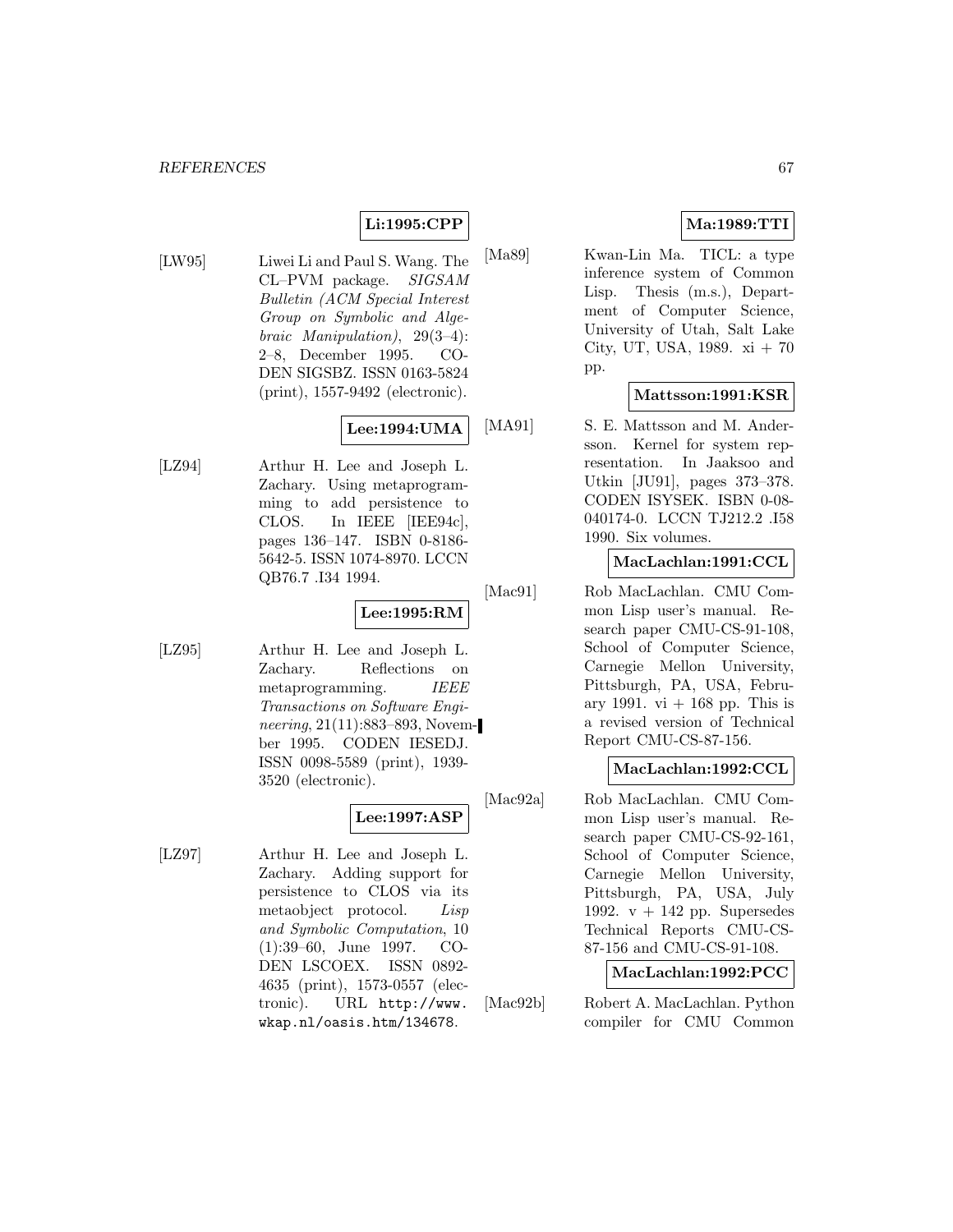## **Li:1995:CPP**

[LW95] Liwei Li and Paul S. Wang. The CL–PVM package. SIGSAM Bulletin (ACM Special Interest Group on Symbolic and Algebraic Manipulation), 29(3–4): 2–8, December 1995. CO-DEN SIGSBZ. ISSN 0163-5824 (print), 1557-9492 (electronic).

## **Lee:1994:UMA**

[LZ94] Arthur H. Lee and Joseph L. Zachary. Using metaprogramming to add persistence to CLOS. In IEEE [IEE94c], pages 136–147. ISBN 0-8186- 5642-5. ISSN 1074-8970. LCCN QB76.7 .I34 1994.

#### **Lee:1995:RM**

[LZ95] Arthur H. Lee and Joseph L. Zachary. Reflections on metaprogramming. IEEE Transactions on Software Engineering, 21(11):883–893, November 1995. CODEN IESEDJ. ISSN 0098-5589 (print), 1939- 3520 (electronic).

### **Lee:1997:ASP**

[LZ97] Arthur H. Lee and Joseph L. Zachary. Adding support for persistence to CLOS via its metaobject protocol. Lisp and Symbolic Computation, 10 (1):39–60, June 1997. CO-DEN LSCOEX. ISSN 0892- 4635 (print), 1573-0557 (electronic). URL http://www. wkap.nl/oasis.htm/134678.

## **Ma:1989:TTI**

[Ma89] Kwan-Lin Ma. TICL: a type inference system of Common Lisp. Thesis (m.s.), Department of Computer Science, University of Utah, Salt Lake City, UT, USA,  $1989. \text{ xi} + 70$ pp.

### **Mattsson:1991:KSR**

[MA91] S. E. Mattsson and M. Andersson. Kernel for system representation. In Jaaksoo and Utkin [JU91], pages 373–378. CODEN ISYSEK. ISBN 0-08- 040174-0. LCCN TJ212.2 .I58 1990. Six volumes.

### **MacLachlan:1991:CCL**

[Mac91] Rob MacLachlan. CMU Common Lisp user's manual. Research paper CMU-CS-91-108, School of Computer Science, Carnegie Mellon University, Pittsburgh, PA, USA, February 1991. vi  $+$  168 pp. This is a revised version of Technical Report CMU-CS-87-156.

#### **MacLachlan:1992:CCL**

[Mac92a] Rob MacLachlan. CMU Common Lisp user's manual. Research paper CMU-CS-92-161, School of Computer Science, Carnegie Mellon University, Pittsburgh, PA, USA, July 1992.  $v + 142$  pp. Supersedes Technical Reports CMU-CS-87-156 and CMU-CS-91-108.

#### **MacLachlan:1992:PCC**

[Mac92b] Robert A. MacLachlan. Python compiler for CMU Common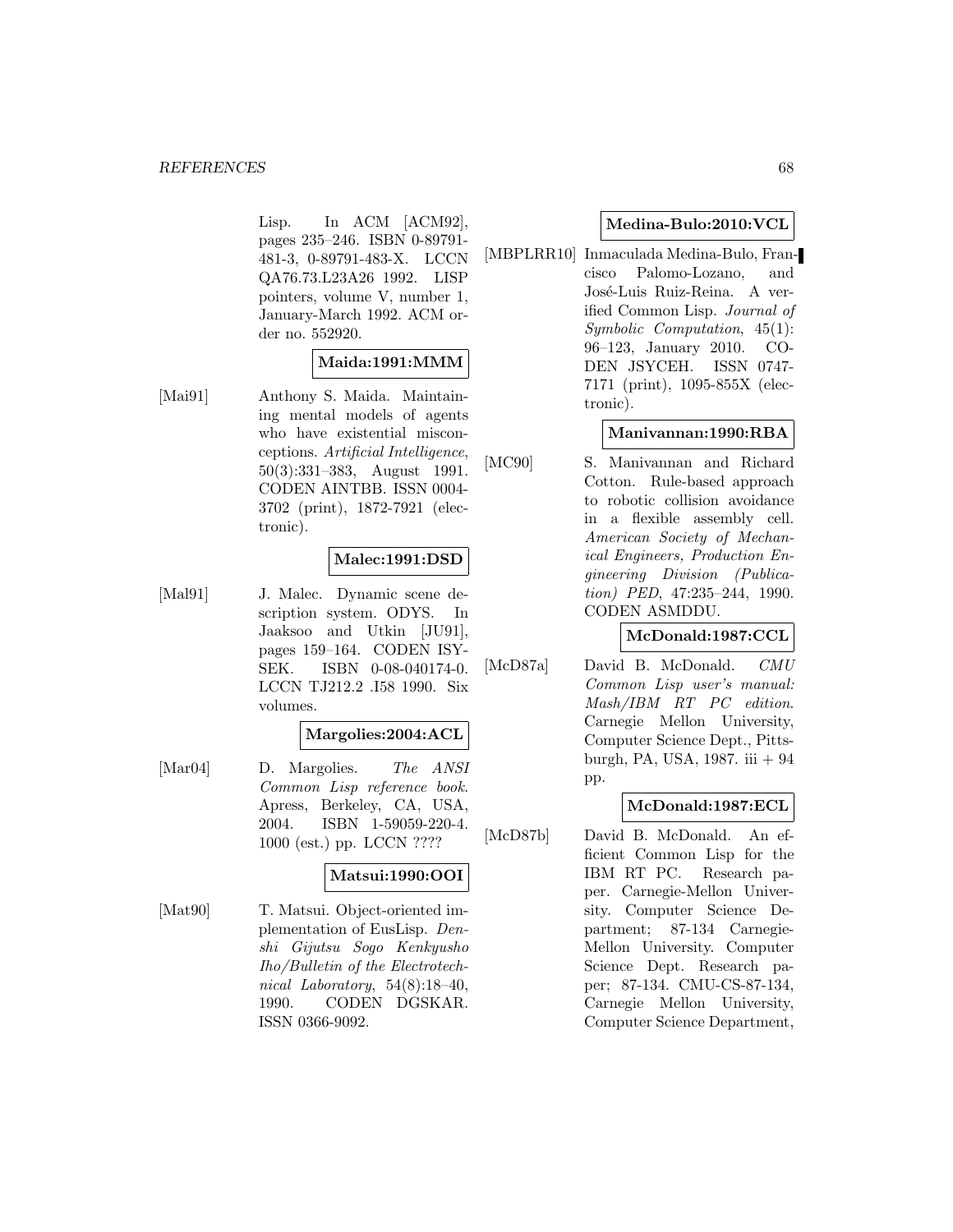Lisp. In ACM [ACM92], pages 235–246. ISBN 0-89791- 481-3, 0-89791-483-X. LCCN QA76.73.L23A26 1992. LISP pointers, volume V, number 1, January-March 1992. ACM order no. 552920.

#### **Maida:1991:MMM**

[Mai91] Anthony S. Maida. Maintaining mental models of agents who have existential misconceptions. Artificial Intelligence, 50(3):331–383, August 1991. CODEN AINTBB. ISSN 0004- 3702 (print), 1872-7921 (electronic).

## **Malec:1991:DSD**

[Mal91] J. Malec. Dynamic scene description system. ODYS. In Jaaksoo and Utkin [JU91], pages 159–164. CODEN ISY-SEK. ISBN 0-08-040174-0. LCCN TJ212.2 .I58 1990. Six volumes.

#### **Margolies:2004:ACL**

[Mar04] D. Margolies. The ANSI Common Lisp reference book. Apress, Berkeley, CA, USA, 2004. ISBN 1-59059-220-4. 1000 (est.) pp. LCCN ????

#### **Matsui:1990:OOI**

[Mat90] T. Matsui. Object-oriented implementation of EusLisp. Denshi Gijutsu Sogo Kenkyusho Iho/Bulletin of the Electrotechnical Laboratory, 54(8):18–40, 1990. CODEN DGSKAR. ISSN 0366-9092.

#### **Medina-Bulo:2010:VCL**

[MBPLRR10] Inmaculada Medina-Bulo, Francisco Palomo-Lozano, and José-Luis Ruiz-Reina. A verified Common Lisp. Journal of Symbolic Computation, 45(1): 96–123, January 2010. CO-DEN JSYCEH. ISSN 0747- 7171 (print), 1095-855X (electronic).

#### **Manivannan:1990:RBA**

[MC90] S. Manivannan and Richard Cotton. Rule-based approach to robotic collision avoidance in a flexible assembly cell. American Society of Mechanical Engineers, Production Engineering Division (Publication) PED, 47:235–244, 1990. CODEN ASMDDU.

## **McDonald:1987:CCL**

[McD87a] David B. McDonald. CMU Common Lisp user's manual: Mash/IBM RT PC edition. Carnegie Mellon University, Computer Science Dept., Pittsburgh, PA, USA, 1987. iii + 94 pp.

#### **McDonald:1987:ECL**

[McD87b] David B. McDonald. An efficient Common Lisp for the IBM RT PC. Research paper. Carnegie-Mellon University. Computer Science Department; 87-134 Carnegie-Mellon University. Computer Science Dept. Research paper; 87-134. CMU-CS-87-134, Carnegie Mellon University, Computer Science Department,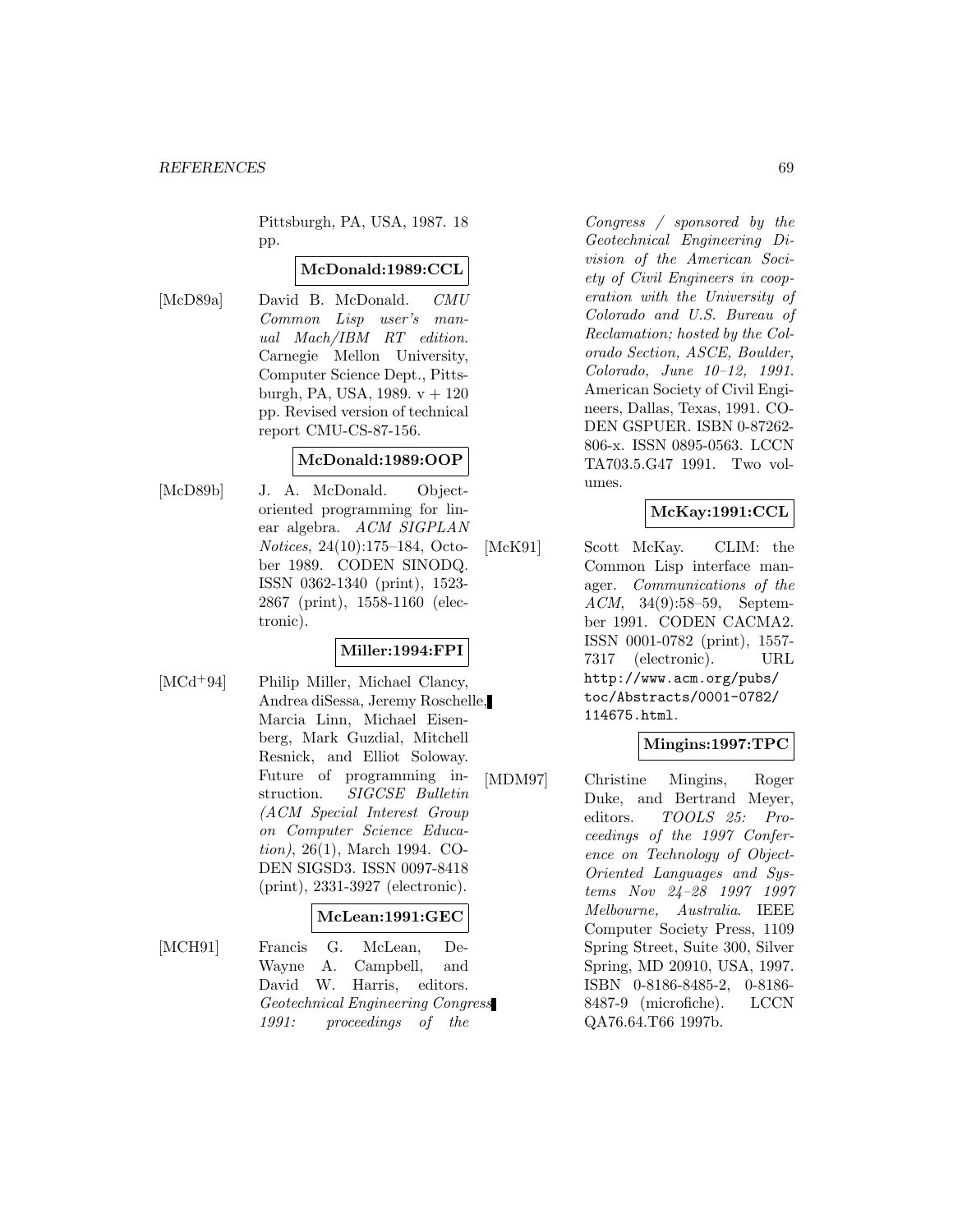Pittsburgh, PA, USA, 1987. 18 pp.

### **McDonald:1989:CCL**

[McD89a] David B. McDonald. CMU Common Lisp user's manual Mach/IBM RT edition. Carnegie Mellon University, Computer Science Dept., Pittsburgh, PA, USA, 1989.  $v + 120$ pp. Revised version of technical report CMU-CS-87-156.

### **McDonald:1989:OOP**

[McD89b] J. A. McDonald. Objectoriented programming for linear algebra. ACM SIGPLAN Notices, 24(10):175–184, October 1989. CODEN SINODQ. ISSN 0362-1340 (print), 1523- 2867 (print), 1558-1160 (electronic).

# **Miller:1994:FPI**

[MCd<sup>+</sup>94] Philip Miller, Michael Clancy, Andrea diSessa, Jeremy Roschelle, Marcia Linn, Michael Eisenberg, Mark Guzdial, Mitchell Resnick, and Elliot Soloway. Future of programming instruction. SIGCSE Bulletin (ACM Special Interest Group on Computer Science Education), 26(1), March 1994. CO-DEN SIGSD3. ISSN 0097-8418 (print), 2331-3927 (electronic).

#### **McLean:1991:GEC**

[MCH91] Francis G. McLean, De-Wayne A. Campbell, and David W. Harris, editors. Geotechnical Engineering Congress 1991: proceedings of the

Congress / sponsored by the Geotechnical Engineering Division of the American Society of Civil Engineers in cooperation with the University of Colorado and U.S. Bureau of Reclamation; hosted by the Colorado Section, ASCE, Boulder, Colorado, June 10–12, 1991. American Society of Civil Engineers, Dallas, Texas, 1991. CO-DEN GSPUER. ISBN 0-87262- 806-x. ISSN 0895-0563. LCCN TA703.5.G47 1991. Two volumes.

## **McKay:1991:CCL**

[McK91] Scott McKay. CLIM: the Common Lisp interface manager. Communications of the ACM, 34(9):58–59, September 1991. CODEN CACMA2. ISSN 0001-0782 (print), 1557- 7317 (electronic). URL http://www.acm.org/pubs/ toc/Abstracts/0001-0782/ 114675.html.

# **Mingins:1997:TPC**

[MDM97] Christine Mingins, Roger Duke, and Bertrand Meyer, editors. TOOLS 25: Proceedings of the 1997 Conference on Technology of Object-Oriented Languages and Systems Nov 24–28 1997 1997 Melbourne, Australia. IEEE Computer Society Press, 1109 Spring Street, Suite 300, Silver Spring, MD 20910, USA, 1997. ISBN 0-8186-8485-2, 0-8186- 8487-9 (microfiche). LCCN QA76.64.T66 1997b.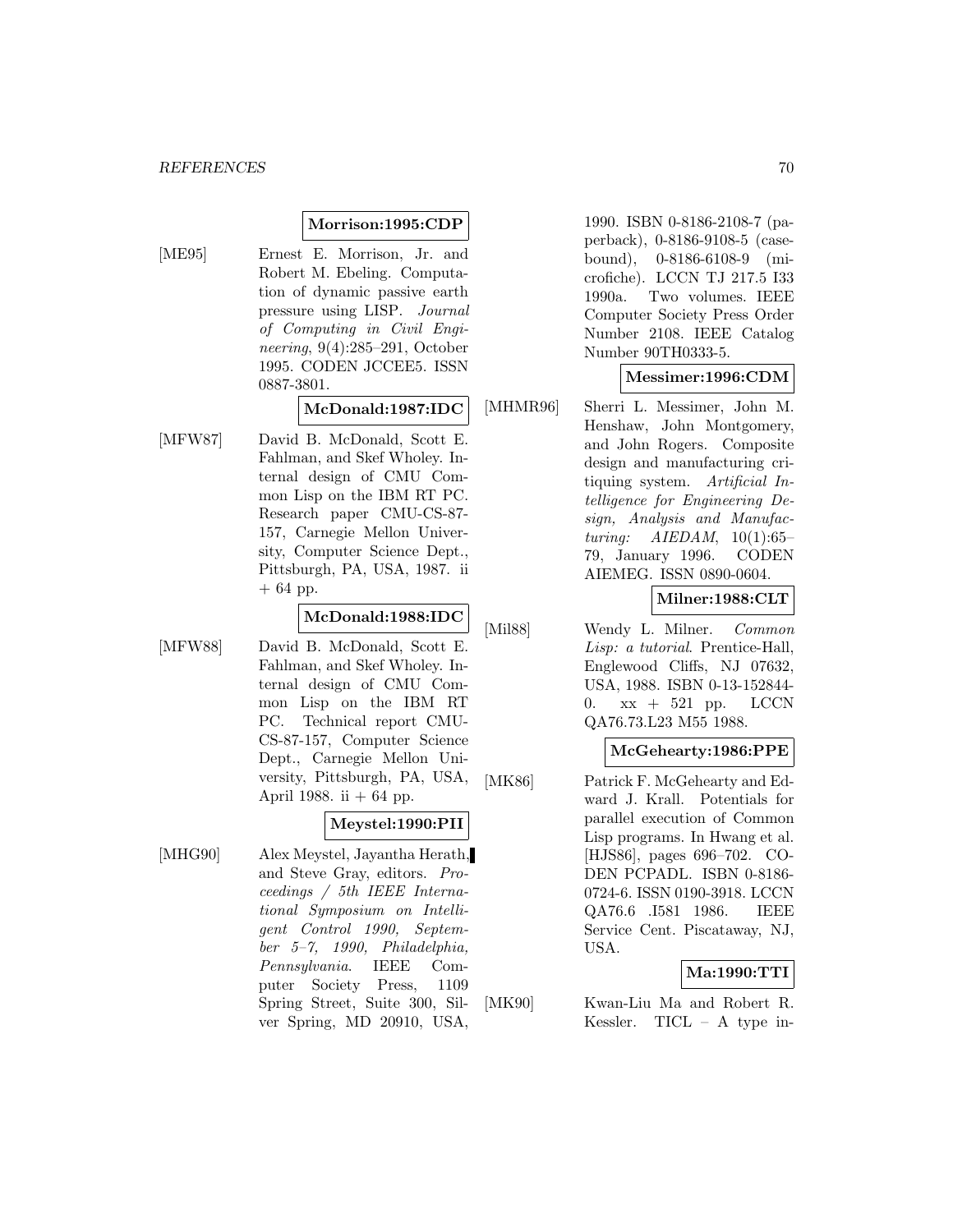### **Morrison:1995:CDP**

[ME95] Ernest E. Morrison, Jr. and Robert M. Ebeling. Computation of dynamic passive earth pressure using LISP. Journal of Computing in Civil Engineering, 9(4):285–291, October 1995. CODEN JCCEE5. ISSN 0887-3801.

**McDonald:1987:IDC**

[MFW87] David B. McDonald, Scott E. Fahlman, and Skef Wholey. Internal design of CMU Common Lisp on the IBM RT PC. Research paper CMU-CS-87- 157, Carnegie Mellon University, Computer Science Dept., Pittsburgh, PA, USA, 1987. ii  $+ 64$  pp.

#### **McDonald:1988:IDC**

[MFW88] David B. McDonald, Scott E. Fahlman, and Skef Wholey. Internal design of CMU Common Lisp on the IBM RT PC. Technical report CMU-CS-87-157, Computer Science Dept., Carnegie Mellon University, Pittsburgh, PA, USA, April 1988. ii  $+ 64$  pp.

### **Meystel:1990:PII**

[MHG90] Alex Meystel, Jayantha Herath, and Steve Gray, editors. Proceedings / 5th IEEE International Symposium on Intelligent Control 1990, September 5–7, 1990, Philadelphia, Pennsylvania. IEEE Computer Society Press, 1109 Spring Street, Suite 300, Silver Spring, MD 20910, USA,

1990. ISBN 0-8186-2108-7 (paperback), 0-8186-9108-5 (casebound), 0-8186-6108-9 (microfiche). LCCN TJ 217.5 I33 1990a. Two volumes. IEEE Computer Society Press Order Number 2108. IEEE Catalog Number 90TH0333-5.

#### **Messimer:1996:CDM**

[MHMR96] Sherri L. Messimer, John M. Henshaw, John Montgomery, and John Rogers. Composite design and manufacturing critiquing system. Artificial Intelligence for Engineering Design, Analysis and Manufacturing:  $AIEDAM$ , 10(1):65– 79, January 1996. CODEN AIEMEG. ISSN 0890-0604.

### **Milner:1988:CLT**

[Mil88] Wendy L. Milner. Common Lisp: a tutorial. Prentice-Hall, Englewood Cliffs, NJ 07632, USA, 1988. ISBN 0-13-152844- 0.  $xx + 521$  pp. LCCN QA76.73.L23 M55 1988.

#### **McGehearty:1986:PPE**

[MK86] Patrick F. McGehearty and Edward J. Krall. Potentials for parallel execution of Common Lisp programs. In Hwang et al. [HJS86], pages 696–702. CO-DEN PCPADL. ISBN 0-8186- 0724-6. ISSN 0190-3918. LCCN QA76.6 .I581 1986. IEEE Service Cent. Piscataway, NJ, USA.

#### **Ma:1990:TTI**

[MK90] Kwan-Liu Ma and Robert R. Kessler. TICL – A type in-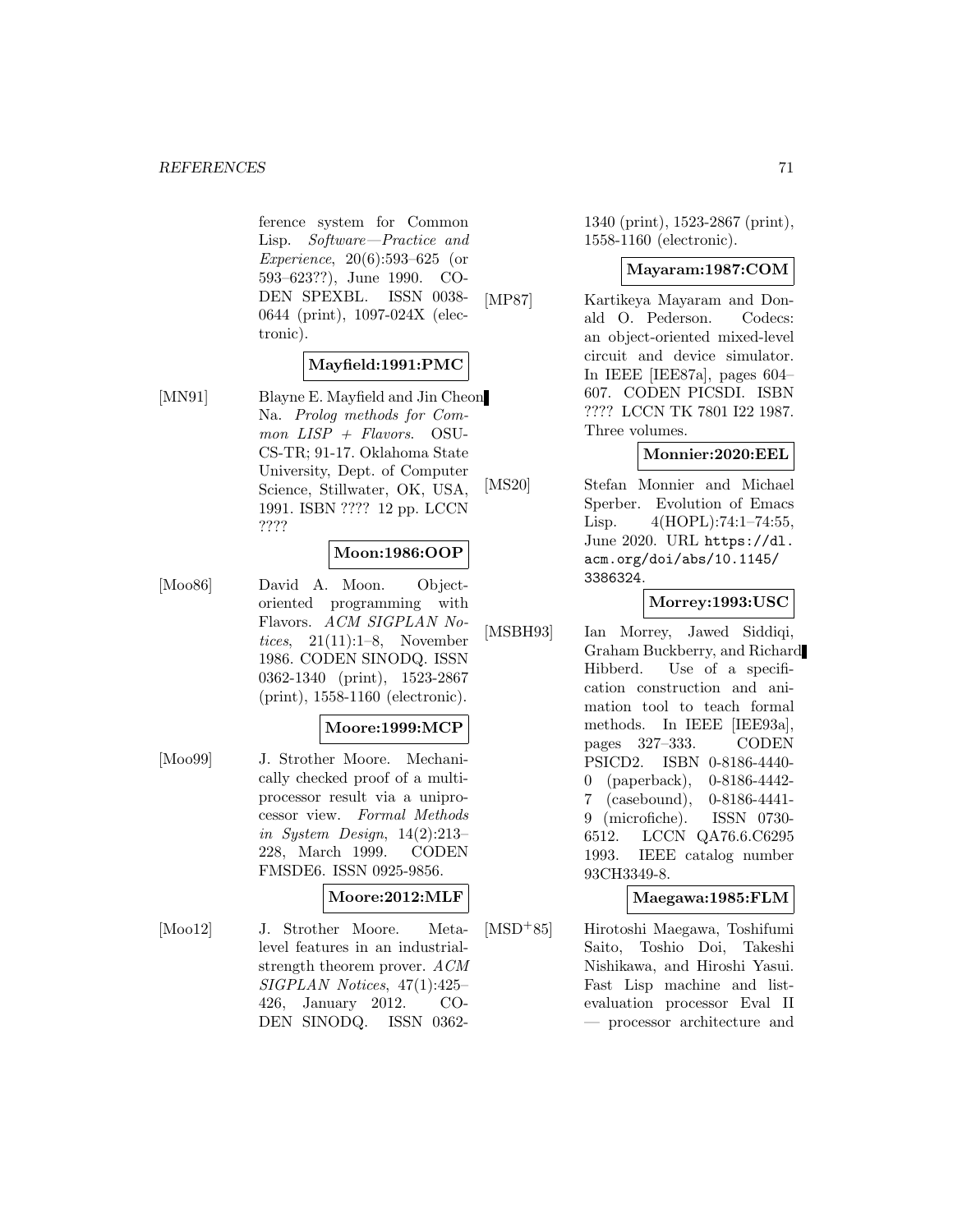#### *REFERENCES* 71

ference system for Common Lisp. Software—Practice and Experience, 20(6):593–625 (or 593–623??), June 1990. CO-DEN SPEXBL. ISSN 0038- 0644 (print), 1097-024X (electronic).

### **Mayfield:1991:PMC**

[MN91] Blayne E. Mayfield and Jin Cheon Na. Prolog methods for Com $mon$   $LISP$  +  $Flavors.$  OSU-CS-TR; 91-17. Oklahoma State University, Dept. of Computer Science, Stillwater, OK, USA, 1991. ISBN ???? 12 pp. LCCN ????

### **Moon:1986:OOP**

[Moo86] David A. Moon. Objectoriented programming with Flavors. ACM SIGPLAN Notices,  $21(11):1-8$ , November 1986. CODEN SINODQ. ISSN 0362-1340 (print), 1523-2867 (print), 1558-1160 (electronic).

### **Moore:1999:MCP**

[Moo99] J. Strother Moore. Mechanically checked proof of a multiprocessor result via a uniprocessor view. Formal Methods in System Design,  $14(2):213-$ 228, March 1999. CODEN FMSDE6. ISSN 0925-9856.

## **Moore:2012:MLF**

[Moo12] J. Strother Moore. Metalevel features in an industrialstrength theorem prover. ACM SIGPLAN Notices, 47(1):425– 426, January 2012. CO-DEN SINODQ. ISSN 03621340 (print), 1523-2867 (print), 1558-1160 (electronic).

#### **Mayaram:1987:COM**

[MP87] Kartikeya Mayaram and Donald O. Pederson. Codecs: an object-oriented mixed-level circuit and device simulator. In IEEE [IEE87a], pages 604– 607. CODEN PICSDI. ISBN ???? LCCN TK 7801 I22 1987. Three volumes.

#### **Monnier:2020:EEL**

[MS20] Stefan Monnier and Michael Sperber. Evolution of Emacs Lisp. 4(HOPL):74:1–74:55, June 2020. URL https://dl. acm.org/doi/abs/10.1145/ 3386324.

#### **Morrey:1993:USC**

[MSBH93] Ian Morrey, Jawed Siddiqi, Graham Buckberry, and Richard Hibberd. Use of a specification construction and animation tool to teach formal methods. In IEEE [IEE93a], pages 327–333. CODEN PSICD2. ISBN 0-8186-4440- 0 (paperback), 0-8186-4442- 7 (casebound), 0-8186-4441- 9 (microfiche). ISSN 0730- 6512. LCCN QA76.6.C6295 1993. IEEE catalog number 93CH3349-8.

### **Maegawa:1985:FLM**

[MSD<sup>+</sup>85] Hirotoshi Maegawa, Toshifumi Saito, Toshio Doi, Takeshi Nishikawa, and Hiroshi Yasui. Fast Lisp machine and listevaluation processor Eval II — processor architecture and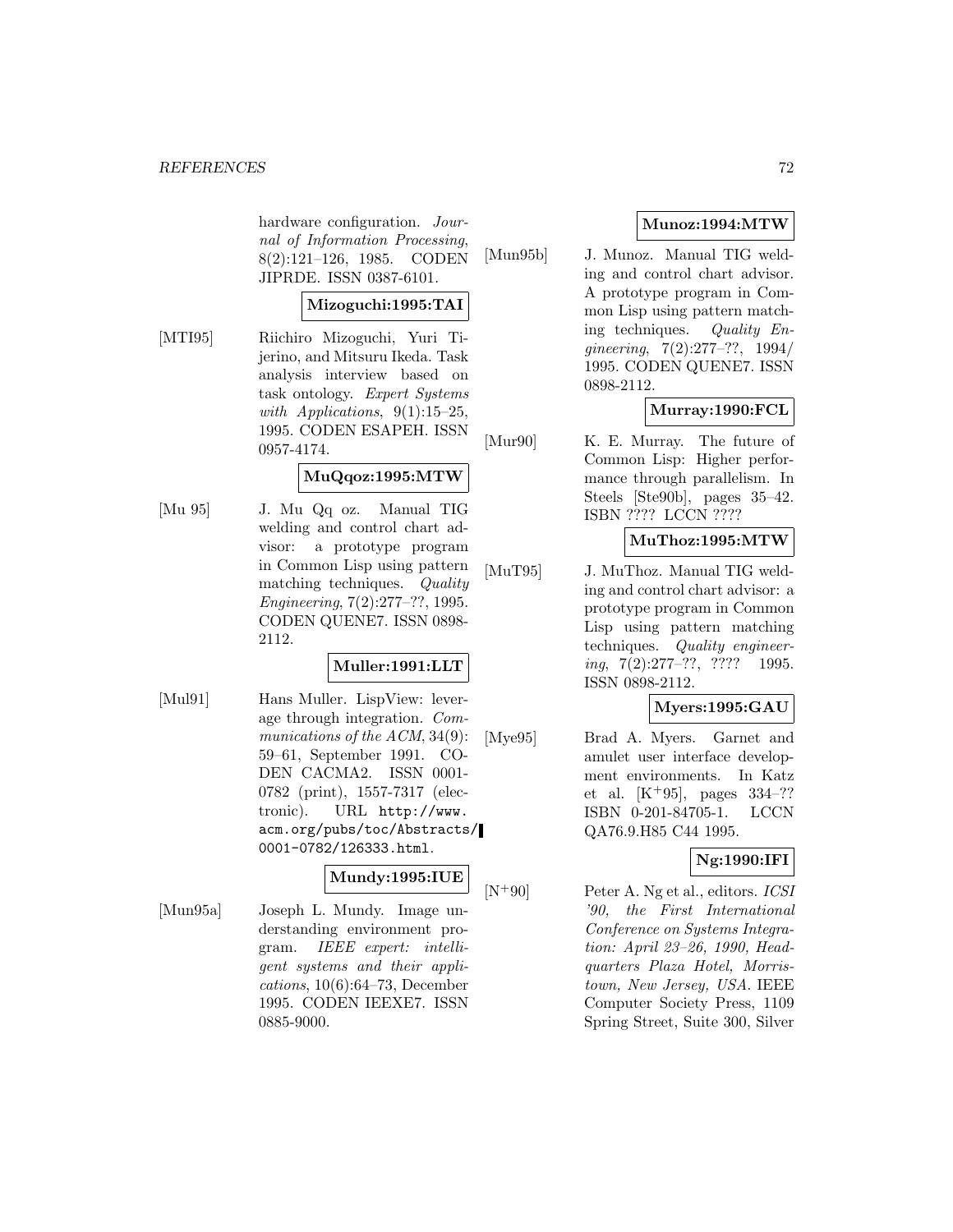hardware configuration. Journal of Information Processing, 8(2):121–126, 1985. CODEN JIPRDE. ISSN 0387-6101.

### **Mizoguchi:1995:TAI**

[MTI95] Riichiro Mizoguchi, Yuri Tijerino, and Mitsuru Ikeda. Task analysis interview based on task ontology. Expert Systems with Applications,  $9(1):15-25$ , 1995. CODEN ESAPEH. ISSN 0957-4174.

### **MuQqoz:1995:MTW**

[Mu 95] J. Mu Qq oz. Manual TIG welding and control chart advisor: a prototype program in Common Lisp using pattern matching techniques. Quality Engineering, 7(2):277–??, 1995. CODEN QUENE7. ISSN 0898- 2112.

## **Muller:1991:LLT**

[Mul91] Hans Muller. LispView: leverage through integration. Communications of the ACM, 34(9): 59–61, September 1991. CO-DEN CACMA2. ISSN 0001- 0782 (print), 1557-7317 (electronic). URL http://www. acm.org/pubs/toc/Abstracts/ 0001-0782/126333.html.

#### **Mundy:1995:IUE**

[Mun95a] Joseph L. Mundy. Image understanding environment program. IEEE expert: intelligent systems and their appli $cations, 10(6):64-73, December$ 1995. CODEN IEEXE7. ISSN 0885-9000.

# **Munoz:1994:MTW**

[Mun95b] J. Munoz. Manual TIG welding and control chart advisor. A prototype program in Common Lisp using pattern matching techniques. Quality Engineering, 7(2):277–??, 1994/ 1995. CODEN QUENE7. ISSN 0898-2112.

# **Murray:1990:FCL**

[Mur90] K. E. Murray. The future of Common Lisp: Higher performance through parallelism. In Steels [Ste90b], pages 35–42. ISBN ???? LCCN ????

### **MuThoz:1995:MTW**

[MuT95] J. MuThoz. Manual TIG welding and control chart advisor: a prototype program in Common Lisp using pattern matching techniques. Quality engineer $ing, 7(2):277-??, ???? 1995.$ ISSN 0898-2112.

## **Myers:1995:GAU**

[Mye95] Brad A. Myers. Garnet and amulet user interface development environments. In Katz et al.  $[K^+95]$ , pages  $334-??$ ISBN 0-201-84705-1. LCCN QA76.9.H85 C44 1995.

# **Ng:1990:IFI**

 $[N+90]$  Peter A. Ng et al., editors. *ICSI* '90, the First International Conference on Systems Integration: April 23–26, 1990, Headquarters Plaza Hotel, Morristown, New Jersey, USA. IEEE Computer Society Press, 1109 Spring Street, Suite 300, Silver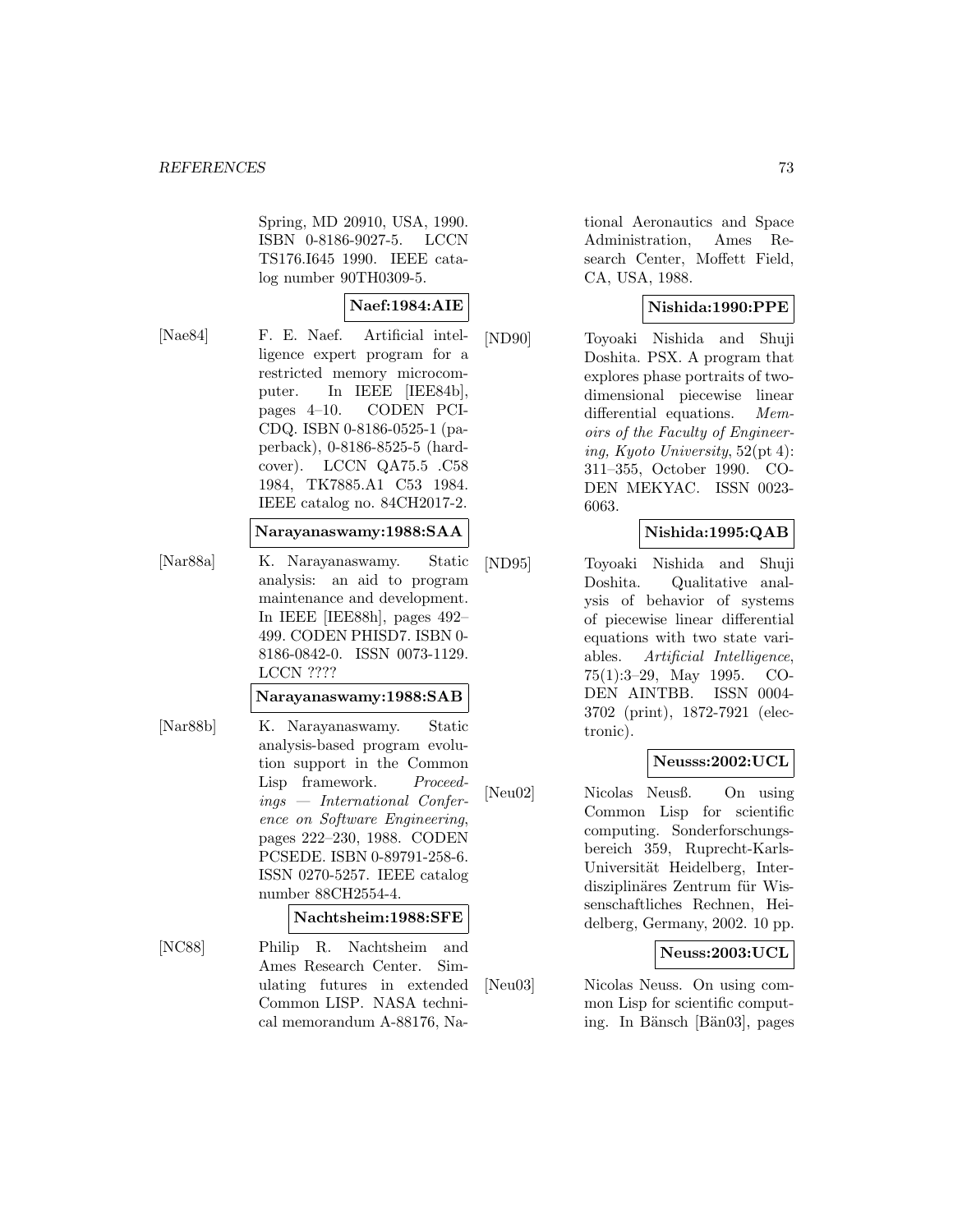Spring, MD 20910, USA, 1990. ISBN 0-8186-9027-5. LCCN TS176.I645 1990. IEEE catalog number 90TH0309-5.

#### **Naef:1984:AIE**

[Nae84] F. E. Naef. Artificial intelligence expert program for a restricted memory microcomputer. In IEEE [IEE84b], pages 4–10. CODEN PCI-CDQ. ISBN 0-8186-0525-1 (paperback), 0-8186-8525-5 (hardcover). LCCN QA75.5 .C58 1984, TK7885.A1 C53 1984. IEEE catalog no. 84CH2017-2.

### **Narayanaswamy:1988:SAA**

[Nar88a] K. Narayanaswamy. Static analysis: an aid to program maintenance and development. In IEEE [IEE88h], pages 492– 499. CODEN PHISD7. ISBN 0- 8186-0842-0. ISSN 0073-1129. LCCN ????

#### **Narayanaswamy:1988:SAB**

[Nar88b] K. Narayanaswamy. Static analysis-based program evolution support in the Common Lisp framework. Proceedings — International Conference on Software Engineering, pages 222–230, 1988. CODEN PCSEDE. ISBN 0-89791-258-6. ISSN 0270-5257. IEEE catalog number 88CH2554-4.

#### **Nachtsheim:1988:SFE**

[NC88] Philip R. Nachtsheim and Ames Research Center. Simulating futures in extended Common LISP. NASA technical memorandum A-88176, National Aeronautics and Space Administration, Ames Research Center, Moffett Field, CA, USA, 1988.

## **Nishida:1990:PPE**

[ND90] Toyoaki Nishida and Shuji Doshita. PSX. A program that explores phase portraits of twodimensional piecewise linear differential equations. Memoirs of the Faculty of Engineering, Kyoto University, 52(pt 4): 311–355, October 1990. CO-DEN MEKYAC. ISSN 0023- 6063.

### **Nishida:1995:QAB**

[ND95] Toyoaki Nishida and Shuji Doshita. Qualitative analysis of behavior of systems of piecewise linear differential equations with two state variables. Artificial Intelligence, 75(1):3–29, May 1995. CO-DEN AINTBB. ISSN 0004- 3702 (print), 1872-7921 (electronic).

## **Neusss:2002:UCL**

[Neu02] Nicolas Neusß. On using Common Lisp for scientific computing. Sonderforschungsbereich 359, Ruprecht-Karls-Universität Heidelberg, Interdisziplinäres Zentrum für Wissenschaftliches Rechnen, Heidelberg, Germany, 2002. 10 pp.

## **Neuss:2003:UCL**

[Neu03] Nicolas Neuss. On using common Lisp for scientific computing. In Bänsch [Bän03], pages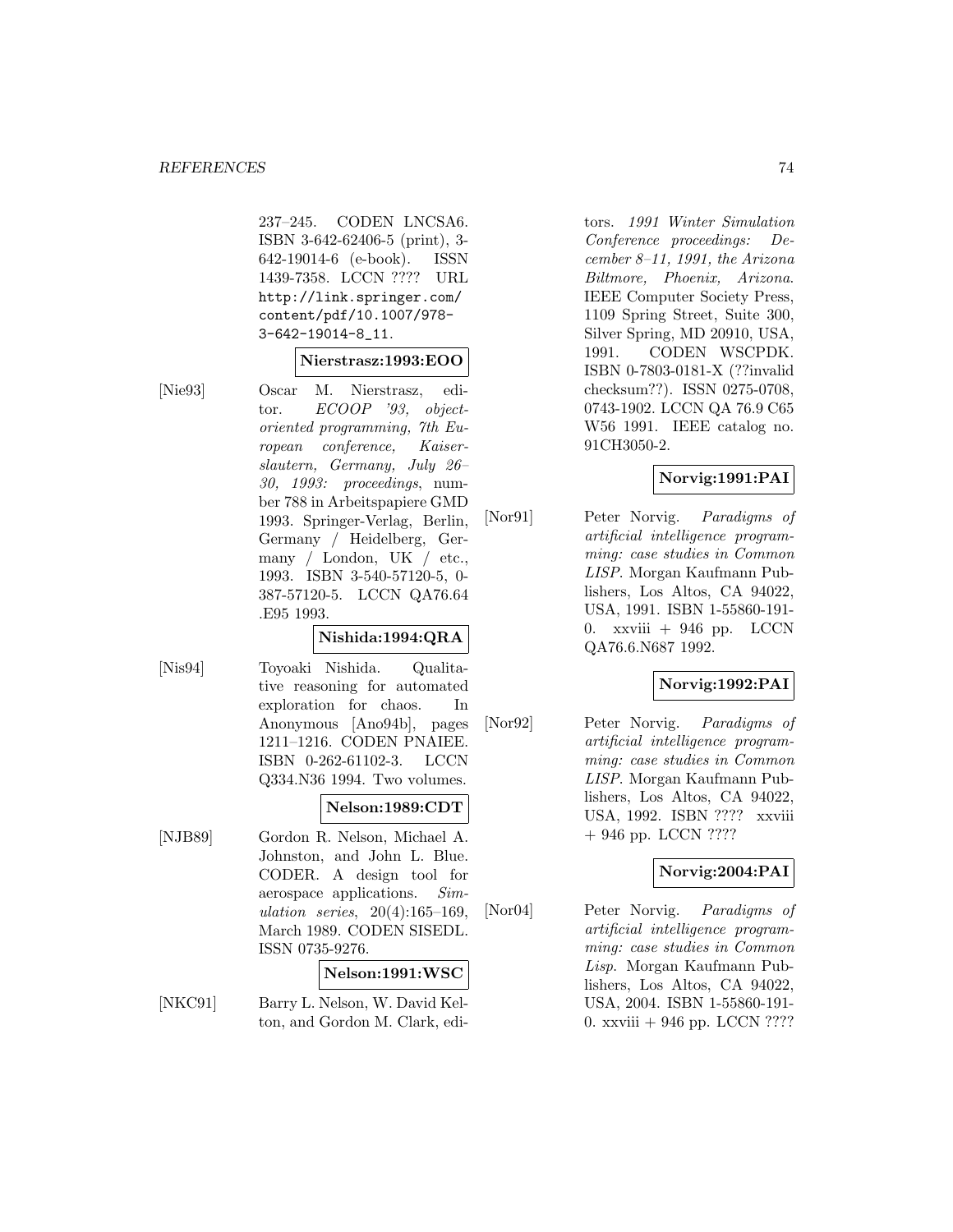237–245. CODEN LNCSA6. ISBN 3-642-62406-5 (print), 3- 642-19014-6 (e-book). ISSN 1439-7358. LCCN ???? URL http://link.springer.com/ content/pdf/10.1007/978- 3-642-19014-8\_11.

#### **Nierstrasz:1993:EOO**

[Nie93] Oscar M. Nierstrasz, editor. ECOOP '93, objectoriented programming, 7th European conference, Kaiserslautern, Germany, July 26– 30, 1993: proceedings, number 788 in Arbeitspapiere GMD 1993. Springer-Verlag, Berlin, Germany / Heidelberg, Germany / London, UK / etc., 1993. ISBN 3-540-57120-5, 0- 387-57120-5. LCCN QA76.64 .E95 1993.

#### **Nishida:1994:QRA**

[Nis94] Toyoaki Nishida. Qualitative reasoning for automated exploration for chaos. In Anonymous [Ano94b], pages 1211–1216. CODEN PNAIEE. ISBN 0-262-61102-3. LCCN Q334.N36 1994. Two volumes.

## **Nelson:1989:CDT**

[NJB89] Gordon R. Nelson, Michael A. Johnston, and John L. Blue. CODER. A design tool for aerospace applications. Simulation series, 20(4):165–169, March 1989. CODEN SISEDL. ISSN 0735-9276.

#### **Nelson:1991:WSC**

[NKC91] Barry L. Nelson, W. David Kelton, and Gordon M. Clark, editors. 1991 Winter Simulation Conference proceedings: December 8–11, 1991, the Arizona Biltmore, Phoenix, Arizona. IEEE Computer Society Press, 1109 Spring Street, Suite 300, Silver Spring, MD 20910, USA, 1991. CODEN WSCPDK. ISBN 0-7803-0181-X (??invalid checksum??). ISSN 0275-0708, 0743-1902. LCCN QA 76.9 C65 W56 1991. IEEE catalog no. 91CH3050-2.

### **Norvig:1991:PAI**

[Nor91] Peter Norvig. Paradigms of artificial intelligence programming: case studies in Common LISP. Morgan Kaufmann Publishers, Los Altos, CA 94022, USA, 1991. ISBN 1-55860-191- 0. xxviii  $+$  946 pp. LCCN QA76.6.N687 1992.

### **Norvig:1992:PAI**

[Nor92] Peter Norvig. Paradigms of artificial intelligence programming: case studies in Common LISP. Morgan Kaufmann Publishers, Los Altos, CA 94022, USA, 1992. ISBN ???? xxviii + 946 pp. LCCN ????

#### **Norvig:2004:PAI**

[Nor04] Peter Norvig. Paradigms of artificial intelligence programming: case studies in Common Lisp. Morgan Kaufmann Publishers, Los Altos, CA 94022, USA, 2004. ISBN 1-55860-191- 0. xxviii + 946 pp. LCCN ????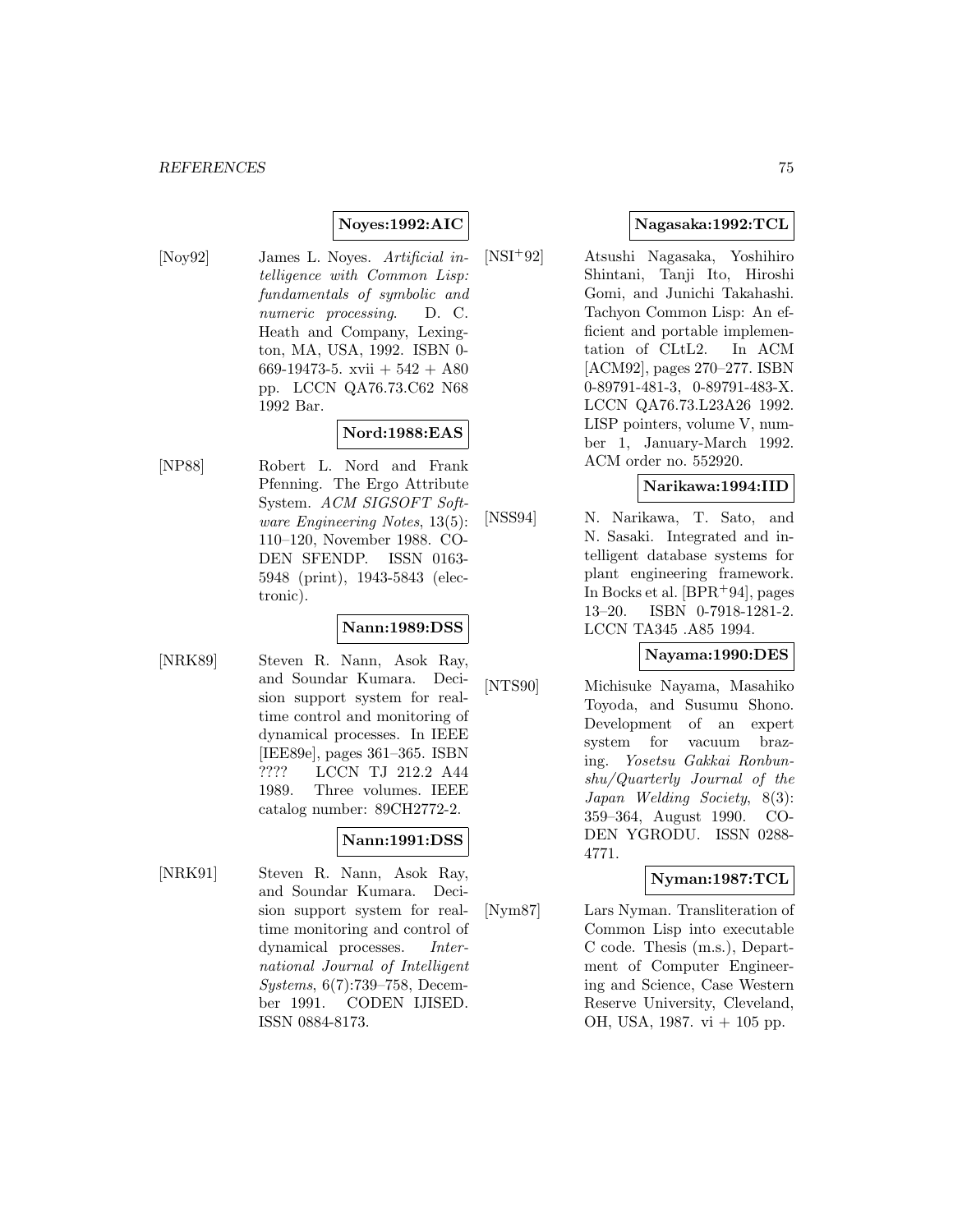### **Noyes:1992:AIC**

[Noy92] James L. Noyes. Artificial intelligence with Common Lisp: fundamentals of symbolic and numeric processing. D. C. Heath and Company, Lexington, MA, USA, 1992. ISBN 0- 669-19473-5. xvii  $+542 + A80$ pp. LCCN QA76.73.C62 N68 1992 Bar.

#### **Nord:1988:EAS**

[NP88] Robert L. Nord and Frank Pfenning. The Ergo Attribute System. ACM SIGSOFT Software Engineering Notes, 13(5): 110–120, November 1988. CO-DEN SFENDP. ISSN 0163- 5948 (print), 1943-5843 (electronic).

#### **Nann:1989:DSS**

[NRK89] Steven R. Nann, Asok Ray, and Soundar Kumara. Decision support system for realtime control and monitoring of dynamical processes. In IEEE [IEE89e], pages 361–365. ISBN ???? LCCN TJ 212.2 A44 1989. Three volumes. IEEE catalog number: 89CH2772-2.

#### **Nann:1991:DSS**

[NRK91] Steven R. Nann, Asok Ray, and Soundar Kumara. Decision support system for realtime monitoring and control of dynamical processes. International Journal of Intelligent Systems, 6(7):739–758, December 1991. CODEN IJISED. ISSN 0884-8173.

## **Nagasaka:1992:TCL**

[NSI<sup>+</sup>92] Atsushi Nagasaka, Yoshihiro Shintani, Tanji Ito, Hiroshi Gomi, and Junichi Takahashi. Tachyon Common Lisp: An efficient and portable implementation of CLtL2. In ACM [ACM92], pages 270–277. ISBN 0-89791-481-3, 0-89791-483-X. LCCN QA76.73.L23A26 1992. LISP pointers, volume V, number 1, January-March 1992. ACM order no. 552920.

# **Narikawa:1994:IID**

[NSS94] N. Narikawa, T. Sato, and N. Sasaki. Integrated and intelligent database systems for plant engineering framework. In Bocks et al.  $[BPR+94]$ , pages 13–20. ISBN 0-7918-1281-2. LCCN TA345 .A85 1994.

#### **Nayama:1990:DES**

[NTS90] Michisuke Nayama, Masahiko Toyoda, and Susumu Shono. Development of an expert system for vacuum brazing. Yosetsu Gakkai Ronbunshu/Quarterly Journal of the Japan Welding Society, 8(3): 359–364, August 1990. CO-DEN YGRODU. ISSN 0288- 4771.

#### **Nyman:1987:TCL**

[Nym87] Lars Nyman. Transliteration of Common Lisp into executable C code. Thesis (m.s.), Department of Computer Engineering and Science, Case Western Reserve University, Cleveland, OH, USA, 1987. vi + 105 pp.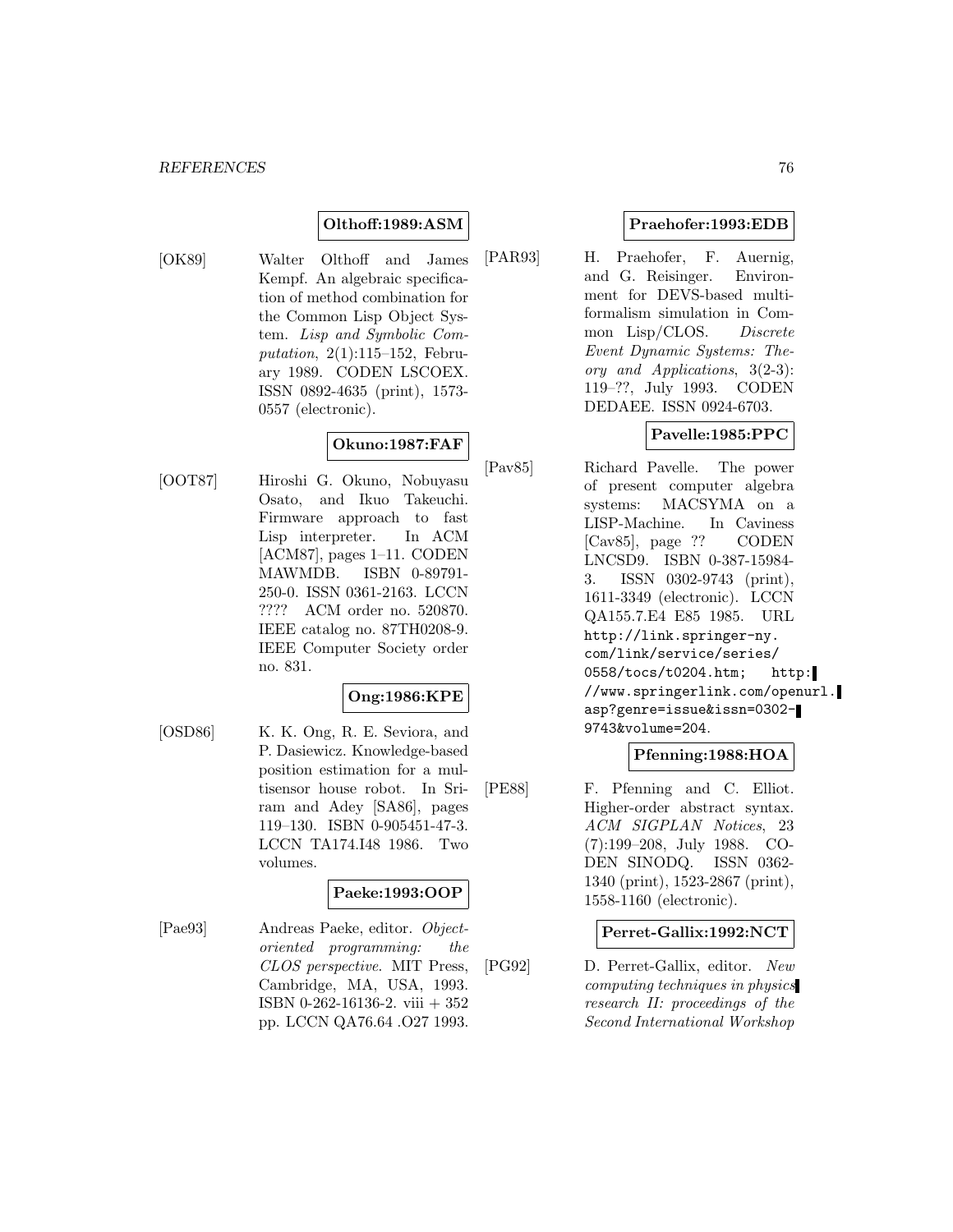## **Olthoff:1989:ASM**

[OK89] Walter Olthoff and James Kempf. An algebraic specification of method combination for the Common Lisp Object System. Lisp and Symbolic Computation, 2(1):115–152, February 1989. CODEN LSCOEX. ISSN 0892-4635 (print), 1573- 0557 (electronic).

# **Okuno:1987:FAF**

[OOT87] Hiroshi G. Okuno, Nobuyasu Osato, and Ikuo Takeuchi. Firmware approach to fast Lisp interpreter. In ACM [ACM87], pages 1–11. CODEN MAWMDB. ISBN 0-89791- 250-0. ISSN 0361-2163. LCCN ???? ACM order no. 520870. IEEE catalog no. 87TH0208-9. IEEE Computer Society order no. 831.

## **Ong:1986:KPE**

[OSD86] K. K. Ong, R. E. Seviora, and P. Dasiewicz. Knowledge-based position estimation for a multisensor house robot. In Sriram and Adey [SA86], pages 119–130. ISBN 0-905451-47-3. LCCN TA174.I48 1986. Two volumes.

## **Paeke:1993:OOP**

[Pae93] Andreas Paeke, editor. Objectoriented programming: the CLOS perspective. MIT Press, Cambridge, MA, USA, 1993. ISBN 0-262-16136-2. viii + 352 pp. LCCN QA76.64 .O27 1993.

#### **Praehofer:1993:EDB**

[PAR93] H. Praehofer, F. Auernig, and G. Reisinger. Environment for DEVS-based multiformalism simulation in Common Lisp/CLOS. Discrete Event Dynamic Systems: Theory and Applications, 3(2-3): 119–??, July 1993. CODEN DEDAEE. ISSN 0924-6703.

# **Pavelle:1985:PPC**

[Pav85] Richard Pavelle. The power of present computer algebra systems: MACSYMA on a LISP-Machine. In Caviness [Cav85], page ?? CODEN LNCSD9. ISBN 0-387-15984- 3. ISSN 0302-9743 (print), 1611-3349 (electronic). LCCN QA155.7.E4 E85 1985. URL http://link.springer-ny. com/link/service/series/ 0558/tocs/t0204.htm; http: //www.springerlink.com/openurl. asp?genre=issue&issn=0302- 9743&volume=204.

#### **Pfenning:1988:HOA**

[PE88] F. Pfenning and C. Elliot. Higher-order abstract syntax. ACM SIGPLAN Notices, 23 (7):199–208, July 1988. CO-DEN SINODQ. ISSN 0362- 1340 (print), 1523-2867 (print), 1558-1160 (electronic).

#### **Perret-Gallix:1992:NCT**

[PG92] D. Perret-Gallix, editor. New computing techniques in physics research II: proceedings of the Second International Workshop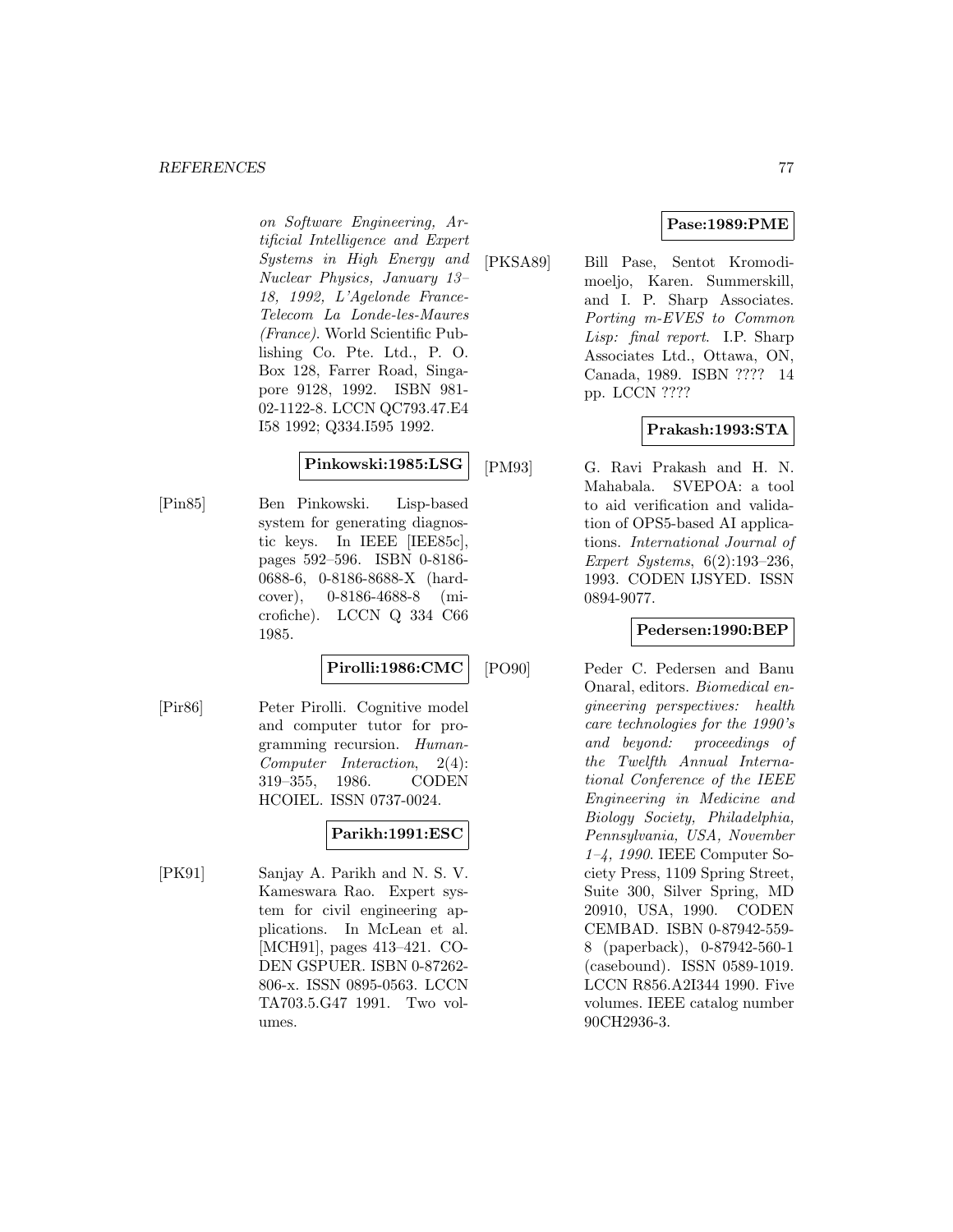#### *REFERENCES* 77

on Software Engineering, Artificial Intelligence and Expert Systems in High Energy and Nuclear Physics, January 13– 18, 1992, L'Agelonde France-Telecom La Londe-les-Maures (France). World Scientific Publishing Co. Pte. Ltd., P. O. Box 128, Farrer Road, Singapore 9128, 1992. ISBN 981- 02-1122-8. LCCN QC793.47.E4 I58 1992; Q334.I595 1992.

### **Pinkowski:1985:LSG**

[Pin85] Ben Pinkowski. Lisp-based system for generating diagnostic keys. In IEEE [IEE85c], pages 592–596. ISBN 0-8186- 0688-6, 0-8186-8688-X (hardcover), 0-8186-4688-8 (microfiche). LCCN Q 334 C66 1985.

#### **Pirolli:1986:CMC**

[Pir86] Peter Pirolli. Cognitive model and computer tutor for programming recursion. Human-Computer Interaction, 2(4): 319–355, 1986. CODEN HCOIEL. ISSN 0737-0024.

## **Parikh:1991:ESC**

[PK91] Sanjay A. Parikh and N. S. V. Kameswara Rao. Expert system for civil engineering applications. In McLean et al. [MCH91], pages 413–421. CO-DEN GSPUER. ISBN 0-87262- 806-x. ISSN 0895-0563. LCCN TA703.5.G47 1991. Two volumes.

### **Pase:1989:PME**

[PKSA89] Bill Pase, Sentot Kromodimoeljo, Karen. Summerskill, and I. P. Sharp Associates. Porting m-EVES to Common Lisp: final report. I.P. Sharp Associates Ltd., Ottawa, ON, Canada, 1989. ISBN ???? 14 pp. LCCN ????

### **Prakash:1993:STA**

[PM93] G. Ravi Prakash and H. N. Mahabala. SVEPOA: a tool to aid verification and validation of OPS5-based AI applications. International Journal of Expert Systems, 6(2):193–236, 1993. CODEN IJSYED. ISSN 0894-9077.

#### **Pedersen:1990:BEP**

[PO90] Peder C. Pedersen and Banu Onaral, editors. Biomedical engineering perspectives: health care technologies for the 1990's and beyond: proceedings of the Twelfth Annual International Conference of the IEEE Engineering in Medicine and Biology Society, Philadelphia, Pennsylvania, USA, November 1–4, 1990. IEEE Computer Society Press, 1109 Spring Street, Suite 300, Silver Spring, MD 20910, USA, 1990. CODEN CEMBAD. ISBN 0-87942-559- 8 (paperback), 0-87942-560-1 (casebound). ISSN 0589-1019. LCCN R856.A2I344 1990. Five volumes. IEEE catalog number 90CH2936-3.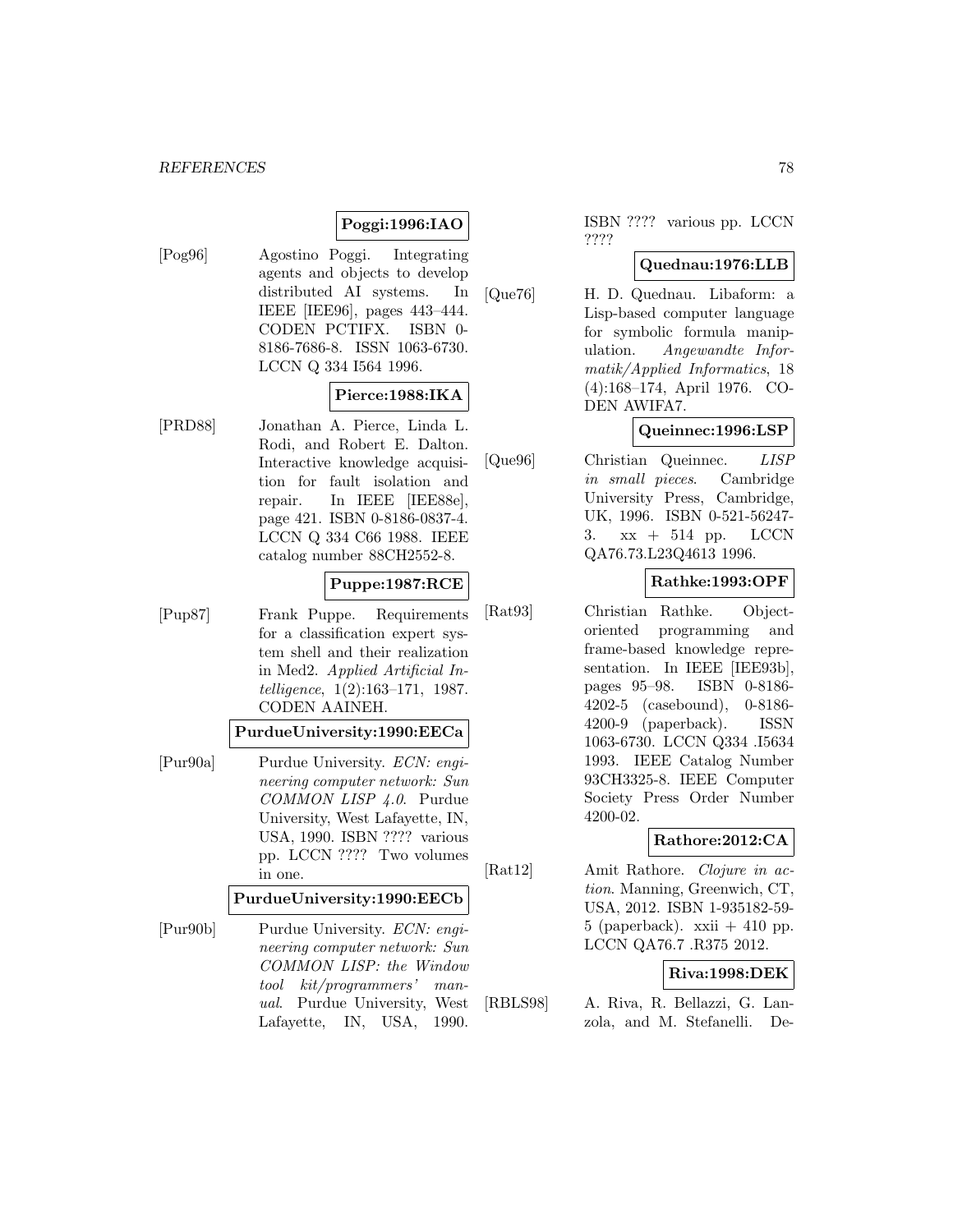### **Poggi:1996:IAO**

[Pog96] Agostino Poggi. Integrating agents and objects to develop distributed AI systems. In IEEE [IEE96], pages 443–444. CODEN PCTIFX. ISBN 0- 8186-7686-8. ISSN 1063-6730. LCCN Q 334 I564 1996.

### **Pierce:1988:IKA**

[PRD88] Jonathan A. Pierce, Linda L. Rodi, and Robert E. Dalton. Interactive knowledge acquisition for fault isolation and repair. In IEEE [IEE88e], page 421. ISBN 0-8186-0837-4. LCCN Q 334 C66 1988. IEEE catalog number 88CH2552-8.

#### **Puppe:1987:RCE**

[Pup87] Frank Puppe. Requirements for a classification expert system shell and their realization in Med2. Applied Artificial Intelligence, 1(2):163–171, 1987. CODEN AAINEH.

### **PurdueUniversity:1990:EECa**

[Pur90a] Purdue University. ECN: engineering computer network: Sun COMMON LISP 4.0. Purdue University, West Lafayette, IN, USA, 1990. ISBN ???? various pp. LCCN ???? Two volumes in one.

#### **PurdueUniversity:1990:EECb**

[Pur90b] Purdue University. ECN: engineering computer network: Sun COMMON LISP: the Window tool kit/programmers' manual. Purdue University, West Lafayette, IN, USA, 1990.

ISBN ???? various pp. LCCN ????

### **Quednau:1976:LLB**

[Que76] H. D. Quednau. Libaform: a Lisp-based computer language for symbolic formula manipulation. Angewandte Informatik/Applied Informatics, 18 (4):168–174, April 1976. CO-DEN AWIFA7.

#### **Queinnec:1996:LSP**

[Que96] Christian Queinnec. LISP in small pieces. Cambridge University Press, Cambridge, UK, 1996. ISBN 0-521-56247- 3. xx + 514 pp. LCCN QA76.73.L23Q4613 1996.

## **Rathke:1993:OPF**

[Rat93] Christian Rathke. Objectoriented programming and frame-based knowledge representation. In IEEE [IEE93b], pages 95–98. ISBN 0-8186- 4202-5 (casebound), 0-8186- 4200-9 (paperback). ISSN 1063-6730. LCCN Q334 .I5634 1993. IEEE Catalog Number 93CH3325-8. IEEE Computer Society Press Order Number 4200-02.

## **Rathore:2012:CA**

[Rat12] Amit Rathore. Clojure in action. Manning, Greenwich, CT, USA, 2012. ISBN 1-935182-59- 5 (paperback).  $xxi + 410$  pp. LCCN QA76.7 .R375 2012.

## **Riva:1998:DEK**

[RBLS98] A. Riva, R. Bellazzi, G. Lanzola, and M. Stefanelli. De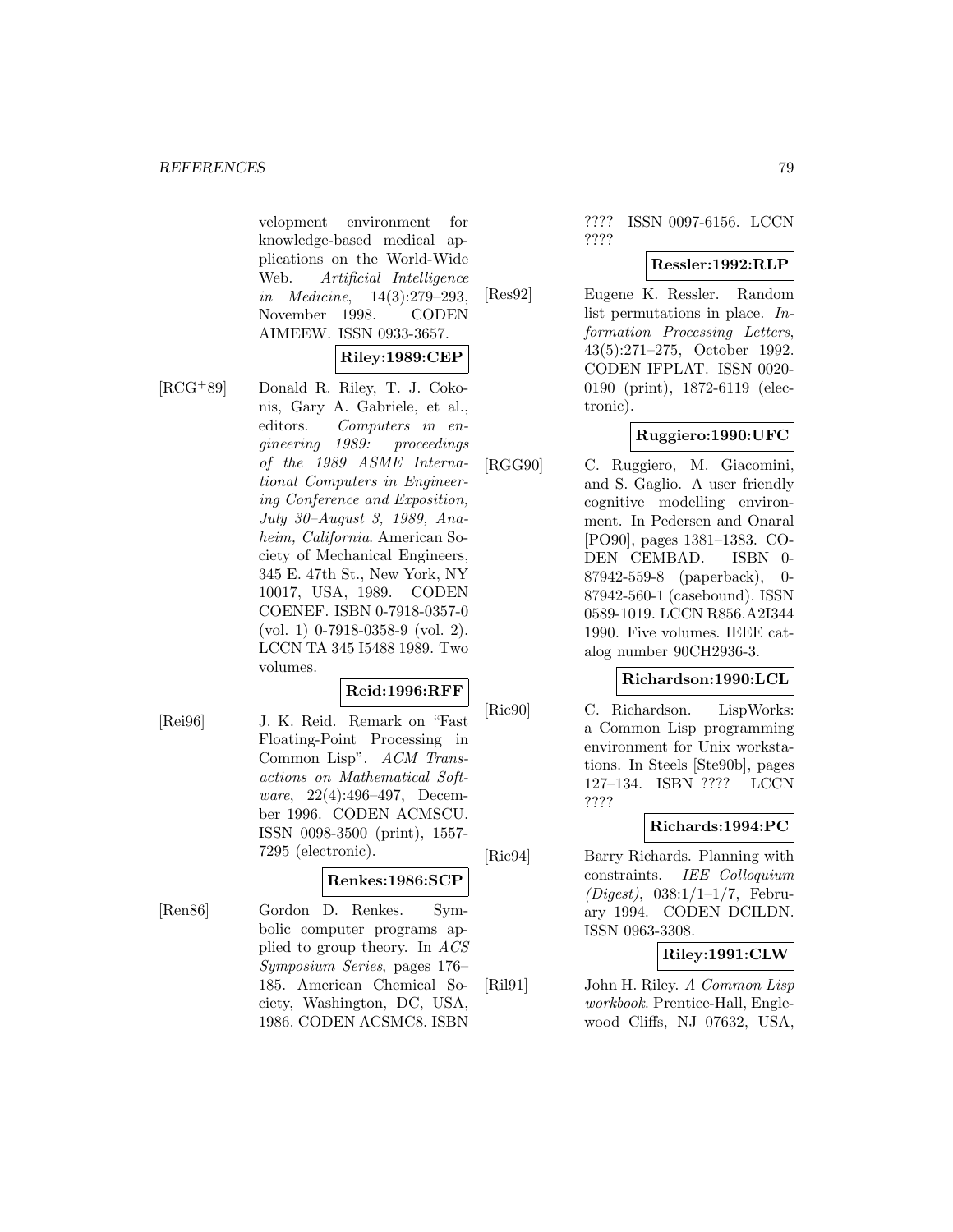velopment environment for knowledge-based medical applications on the World-Wide Web. Artificial Intelligence in Medicine, 14(3):279–293, November 1998. CODEN AIMEEW. ISSN 0933-3657.

#### **Riley:1989:CEP**

[RCG<sup>+</sup>89] Donald R. Riley, T. J. Cokonis, Gary A. Gabriele, et al., editors. Computers in engineering 1989: proceedings of the 1989 ASME International Computers in Engineering Conference and Exposition, July 30–August 3, 1989, Anaheim, California. American Society of Mechanical Engineers, 345 E. 47th St., New York, NY 10017, USA, 1989. CODEN COENEF. ISBN 0-7918-0357-0 (vol. 1) 0-7918-0358-9 (vol. 2). LCCN TA 345 I5488 1989. Two volumes.

#### **Reid:1996:RFF**

[Rei96] J. K. Reid. Remark on "Fast Floating-Point Processing in Common Lisp". ACM Transactions on Mathematical Software, 22(4):496–497, December 1996. CODEN ACMSCU. ISSN 0098-3500 (print), 1557- 7295 (electronic).

#### **Renkes:1986:SCP**

[Ren86] Gordon D. Renkes. Symbolic computer programs applied to group theory. In ACS Symposium Series, pages 176– 185. American Chemical Society, Washington, DC, USA, 1986. CODEN ACSMC8. ISBN

???? ISSN 0097-6156. LCCN ????

### **Ressler:1992:RLP**

[Res92] Eugene K. Ressler. Random list permutations in place. Information Processing Letters, 43(5):271–275, October 1992. CODEN IFPLAT. ISSN 0020- 0190 (print), 1872-6119 (electronic).

### **Ruggiero:1990:UFC**

[RGG90] C. Ruggiero, M. Giacomini, and S. Gaglio. A user friendly cognitive modelling environment. In Pedersen and Onaral [PO90], pages 1381–1383. CO-DEN CEMBAD. ISBN 0- 87942-559-8 (paperback), 0- 87942-560-1 (casebound). ISSN 0589-1019. LCCN R856.A2I344 1990. Five volumes. IEEE catalog number 90CH2936-3.

#### **Richardson:1990:LCL**

[Ric90] C. Richardson. LispWorks: a Common Lisp programming environment for Unix workstations. In Steels [Ste90b], pages 127–134. ISBN ???? LCCN ????

## **Richards:1994:PC**

[Ric94] Barry Richards. Planning with constraints. IEE Colloquium  $(Digest), 038:1/1-1/7,$  February 1994. CODEN DCILDN. ISSN 0963-3308.

## **Riley:1991:CLW**

[Ril91] John H. Riley. A Common Lisp workbook. Prentice-Hall, Englewood Cliffs, NJ 07632, USA,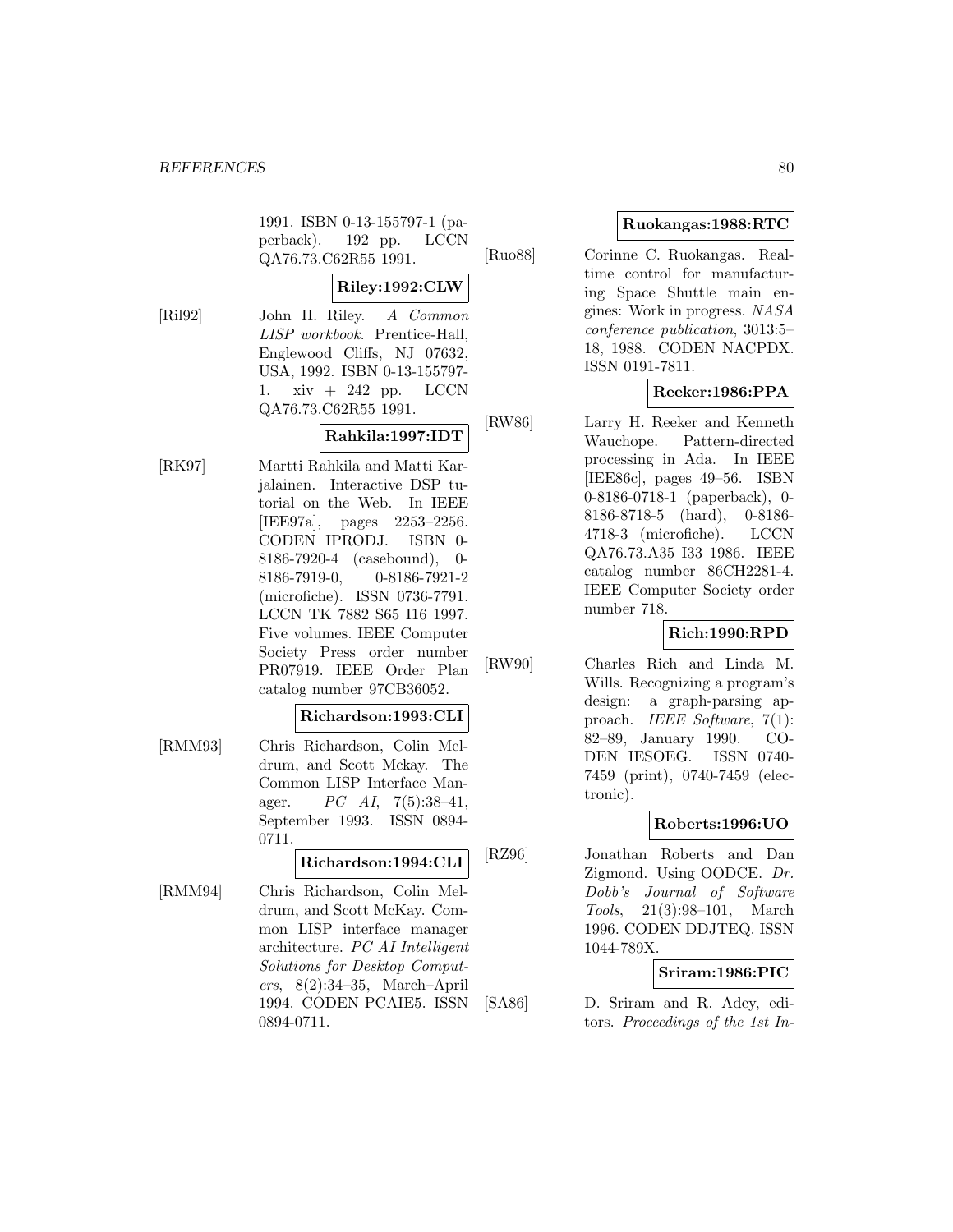1991. ISBN 0-13-155797-1 (paperback). 192 pp. LCCN QA76.73.C62R55 1991.

#### **Riley:1992:CLW**

[Ril92] John H. Riley. A Common LISP workbook. Prentice-Hall, Englewood Cliffs, NJ 07632, USA, 1992. ISBN 0-13-155797- 1. xiv + 242 pp. LCCN QA76.73.C62R55 1991.

## **Rahkila:1997:IDT**

[RK97] Martti Rahkila and Matti Karjalainen. Interactive DSP tutorial on the Web. In IEEE [IEE97a], pages 2253–2256. CODEN IPRODJ. ISBN 0- 8186-7920-4 (casebound), 0- 8186-7919-0, 0-8186-7921-2 (microfiche). ISSN 0736-7791. LCCN TK 7882 S65 I16 1997. Five volumes. IEEE Computer Society Press order number PR07919. IEEE Order Plan catalog number 97CB36052.

#### **Richardson:1993:CLI**

[RMM93] Chris Richardson, Colin Meldrum, and Scott Mckay. The Common LISP Interface Manager.  $PC \; AI, \; 7(5):38-41,$ September 1993. ISSN 0894- 0711.

# **Richardson:1994:CLI**

[RMM94] Chris Richardson, Colin Meldrum, and Scott McKay. Common LISP interface manager architecture. PC AI Intelligent Solutions for Desktop Computers, 8(2):34–35, March–April 1994. CODEN PCAIE5. ISSN 0894-0711.

## **Ruokangas:1988:RTC**

[Ruo88] Corinne C. Ruokangas. Realtime control for manufacturing Space Shuttle main engines: Work in progress. NASA conference publication, 3013:5– 18, 1988. CODEN NACPDX. ISSN 0191-7811.

## **Reeker:1986:PPA**

[RW86] Larry H. Reeker and Kenneth Wauchope. Pattern-directed processing in Ada. In IEEE [IEE86c], pages 49–56. ISBN 0-8186-0718-1 (paperback), 0- 8186-8718-5 (hard), 0-8186- 4718-3 (microfiche). LCCN QA76.73.A35 I33 1986. IEEE catalog number 86CH2281-4. IEEE Computer Society order number 718.

## **Rich:1990:RPD**

[RW90] Charles Rich and Linda M. Wills. Recognizing a program's design: a graph-parsing approach. IEEE Software, 7(1): 82–89, January 1990. CO-DEN IESOEG. ISSN 0740- 7459 (print), 0740-7459 (electronic).

## **Roberts:1996:UO**

[RZ96] Jonathan Roberts and Dan Zigmond. Using OODCE. Dr. Dobb's Journal of Software Tools, 21(3):98–101, March 1996. CODEN DDJTEQ. ISSN 1044-789X.

#### **Sriram:1986:PIC**

[SA86] D. Sriram and R. Adey, editors. Proceedings of the 1st In-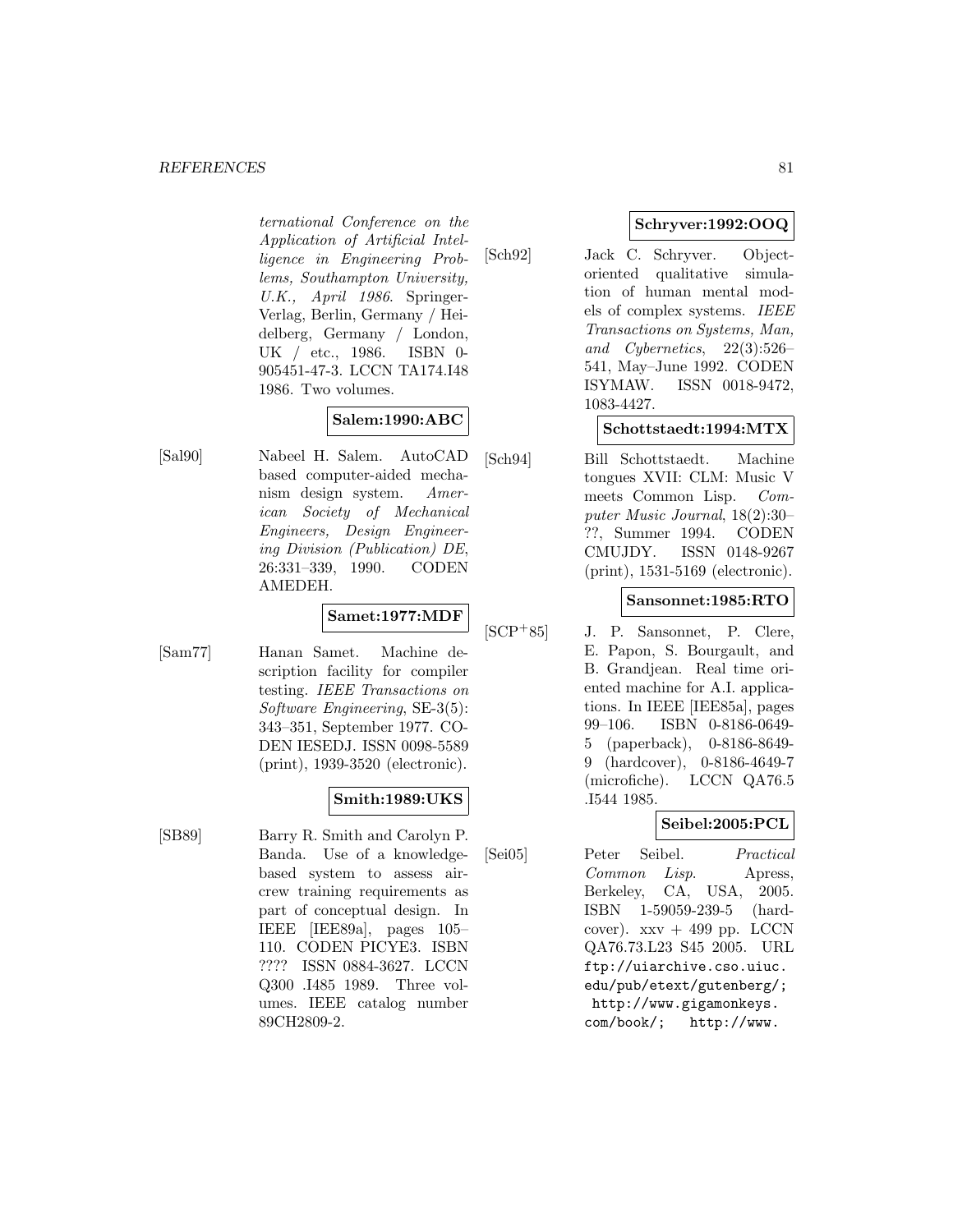#### **REFERENCES** 81

ternational Conference on the Application of Artificial Intelligence in Engineering Problems, Southampton University, U.K., April 1986. Springer-Verlag, Berlin, Germany / Heidelberg, Germany / London, UK / etc., 1986. ISBN 0- 905451-47-3. LCCN TA174.I48 1986. Two volumes.

## **Salem:1990:ABC**

[Sal90] Nabeel H. Salem. AutoCAD based computer-aided mechanism design system. American Society of Mechanical Engineers, Design Engineering Division (Publication) DE, 26:331–339, 1990. CODEN AMEDEH.

# **Samet:1977:MDF**

[Sam77] Hanan Samet. Machine description facility for compiler testing. IEEE Transactions on Software Engineering, SE-3(5): 343–351, September 1977. CO-DEN IESEDJ. ISSN 0098-5589 (print), 1939-3520 (electronic).

## **Smith:1989:UKS**

[SB89] Barry R. Smith and Carolyn P. Banda. Use of a knowledgebased system to assess aircrew training requirements as part of conceptual design. In IEEE [IEE89a], pages 105– 110. CODEN PICYE3. ISBN ???? ISSN 0884-3627. LCCN Q300 .I485 1989. Three volumes. IEEE catalog number 89CH2809-2.

## **Schryver:1992:OOQ**

[Sch92] Jack C. Schryver. Objectoriented qualitative simulation of human mental models of complex systems. IEEE Transactions on Systems, Man, and Cybernetics, 22(3):526– 541, May–June 1992. CODEN ISYMAW. ISSN 0018-9472, 1083-4427.

## **Schottstaedt:1994:MTX**

[Sch94] Bill Schottstaedt. Machine tongues XVII: CLM: Music V meets Common Lisp. Computer Music Journal, 18(2):30– ??, Summer 1994. CODEN CMUJDY. ISSN 0148-9267 (print), 1531-5169 (electronic).

### **Sansonnet:1985:RTO**

[SCP<sup>+</sup>85] J. P. Sansonnet, P. Clere, E. Papon, S. Bourgault, and B. Grandjean. Real time oriented machine for A.I. applications. In IEEE [IEE85a], pages 99–106. ISBN 0-8186-0649- 5 (paperback), 0-8186-8649- 9 (hardcover), 0-8186-4649-7 (microfiche). LCCN QA76.5 .I544 1985.

## **Seibel:2005:PCL**

[Sei05] Peter Seibel. Practical Common Lisp. Apress, Berkeley, CA, USA, 2005. ISBN 1-59059-239-5 (hardcover).  $xxv + 499$  pp. LCCN QA76.73.L23 S45 2005. URL ftp://uiarchive.cso.uiuc. edu/pub/etext/gutenberg/; http://www.gigamonkeys. com/book/; http://www.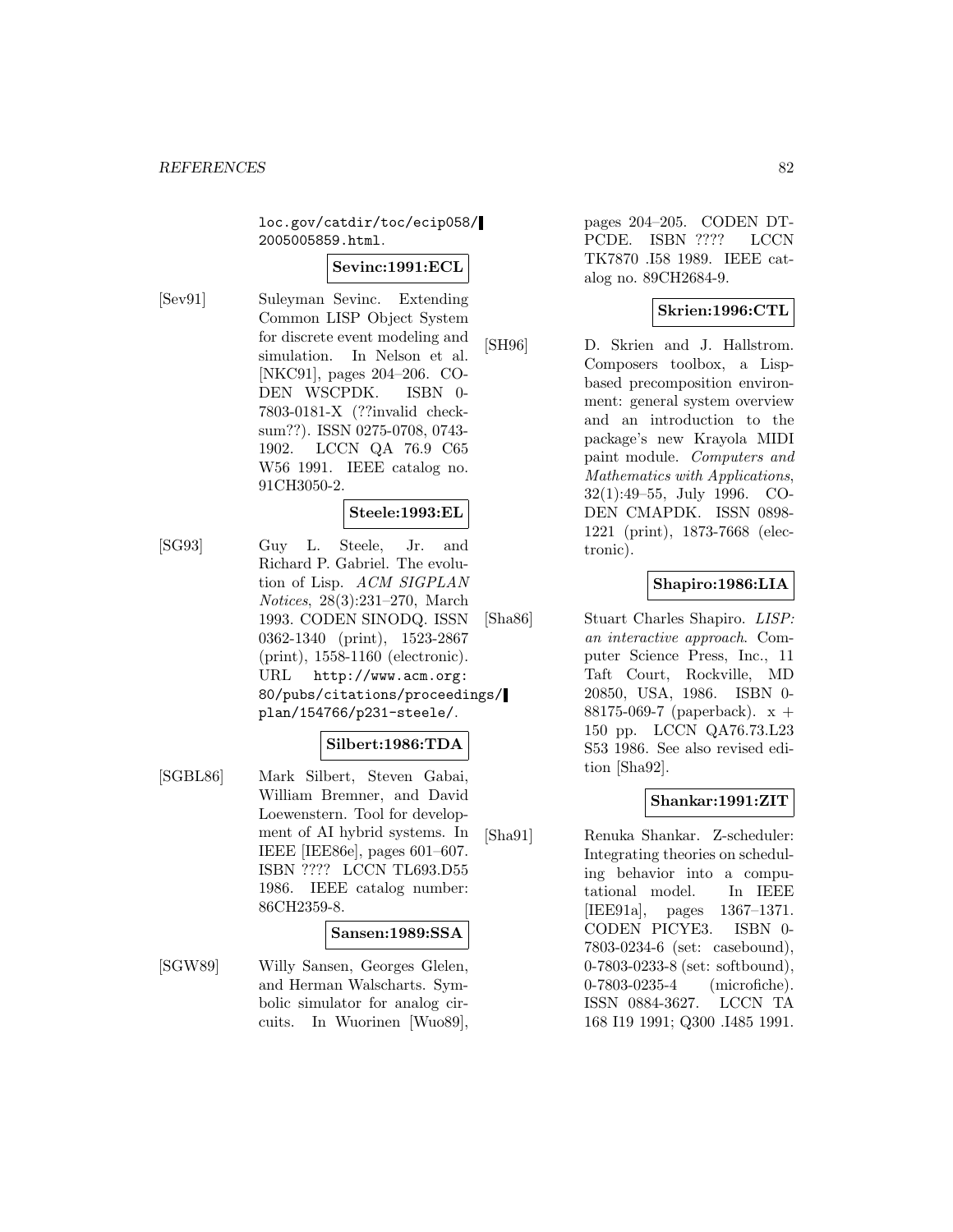loc.gov/catdir/toc/ecip058/ 2005005859.html.

#### **Sevinc:1991:ECL**

[Sev91] Suleyman Sevinc. Extending Common LISP Object System for discrete event modeling and simulation. In Nelson et al. [NKC91], pages 204–206. CO-DEN WSCPDK. ISBN 0- 7803-0181-X (??invalid checksum??). ISSN 0275-0708, 0743- 1902. LCCN QA 76.9 C65 W56 1991. IEEE catalog no. 91CH3050-2.

## **Steele:1993:EL**

[SG93] Guy L. Steele, Jr. and Richard P. Gabriel. The evolution of Lisp. ACM SIGPLAN Notices, 28(3):231–270, March 1993. CODEN SINODQ. ISSN 0362-1340 (print), 1523-2867 (print), 1558-1160 (electronic). URL http://www.acm.org: 80/pubs/citations/proceedings/ plan/154766/p231-steele/.

#### **Silbert:1986:TDA**

[SGBL86] Mark Silbert, Steven Gabai, William Bremner, and David Loewenstern. Tool for development of AI hybrid systems. In IEEE [IEE86e], pages 601–607. ISBN ???? LCCN TL693.D55 1986. IEEE catalog number: 86CH2359-8.

#### **Sansen:1989:SSA**

[SGW89] Willy Sansen, Georges Glelen, and Herman Walscharts. Symbolic simulator for analog circuits. In Wuorinen [Wuo89], pages 204–205. CODEN DT-PCDE. ISBN ???? LCCN TK7870 .I58 1989. IEEE catalog no. 89CH2684-9.

### **Skrien:1996:CTL**

[SH96] D. Skrien and J. Hallstrom. Composers toolbox, a Lispbased precomposition environment: general system overview and an introduction to the package's new Krayola MIDI paint module. Computers and Mathematics with Applications, 32(1):49–55, July 1996. CO-DEN CMAPDK. ISSN 0898- 1221 (print), 1873-7668 (electronic).

## **Shapiro:1986:LIA**

[Sha86] Stuart Charles Shapiro. LISP: an interactive approach. Computer Science Press, Inc., 11 Taft Court, Rockville, MD 20850, USA, 1986. ISBN 0- 88175-069-7 (paperback). x + 150 pp. LCCN QA76.73.L23 S53 1986. See also revised edition [Sha92].

## **Shankar:1991:ZIT**

[Sha91] Renuka Shankar. Z-scheduler: Integrating theories on scheduling behavior into a computational model. In IEEE [IEE91a], pages 1367–1371. CODEN PICYE3. ISBN 0- 7803-0234-6 (set: casebound), 0-7803-0233-8 (set: softbound), 0-7803-0235-4 (microfiche). ISSN 0884-3627. LCCN TA 168 I19 1991; Q300 .I485 1991.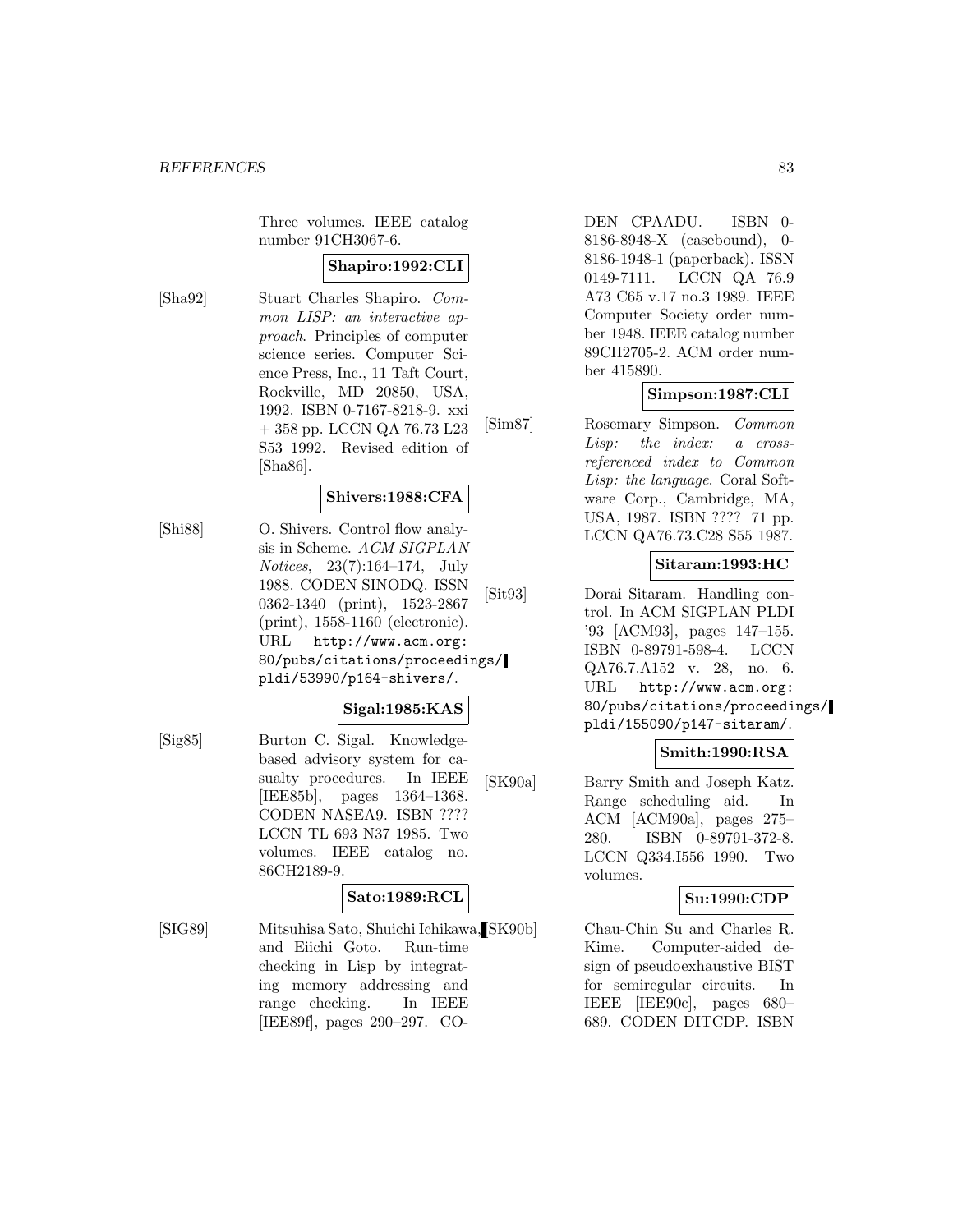Three volumes. IEEE catalog number 91CH3067-6.

### **Shapiro:1992:CLI**

[Sha92] Stuart Charles Shapiro. Common LISP: an interactive approach. Principles of computer science series. Computer Science Press, Inc., 11 Taft Court, Rockville, MD 20850, USA, 1992. ISBN 0-7167-8218-9. xxi + 358 pp. LCCN QA 76.73 L23 S53 1992. Revised edition of [Sha86].

### **Shivers:1988:CFA**

[Shi88] O. Shivers. Control flow analysis in Scheme. ACM SIGPLAN Notices, 23(7):164–174, July 1988. CODEN SINODQ. ISSN 0362-1340 (print), 1523-2867 (print), 1558-1160 (electronic). URL http://www.acm.org: 80/pubs/citations/proceedings/ pldi/53990/p164-shivers/.

#### **Sigal:1985:KAS**

[Sig85] Burton C. Sigal. Knowledgebased advisory system for casualty procedures. In IEEE [IEE85b], pages 1364–1368. CODEN NASEA9. ISBN ???? LCCN TL 693 N37 1985. Two volumes. IEEE catalog no. 86CH2189-9.

# **Sato:1989:RCL**

[SIG89] Mitsuhisa Sato, Shuichi Ichikawa, and Eiichi Goto. Run-time checking in Lisp by integrating memory addressing and range checking. In IEEE [IEE89f], pages 290–297. CO-

DEN CPAADU. ISBN 0- 8186-8948-X (casebound), 0- 8186-1948-1 (paperback). ISSN 0149-7111. LCCN QA 76.9 A73 C65 v.17 no.3 1989. IEEE Computer Society order number 1948. IEEE catalog number 89CH2705-2. ACM order number 415890.

### **Simpson:1987:CLI**

[Sim87] Rosemary Simpson. Common Lisp: the index: a crossreferenced index to Common Lisp: the language. Coral Software Corp., Cambridge, MA, USA, 1987. ISBN ???? 71 pp. LCCN QA76.73.C28 S55 1987.

## **Sitaram:1993:HC**

[Sit93] Dorai Sitaram. Handling control. In ACM SIGPLAN PLDI '93 [ACM93], pages 147–155. ISBN 0-89791-598-4. LCCN QA76.7.A152 v. 28, no. 6. URL http://www.acm.org: 80/pubs/citations/proceedings/ pldi/155090/p147-sitaram/.

#### **Smith:1990:RSA**

[SK90a] Barry Smith and Joseph Katz. Range scheduling aid. In ACM [ACM90a], pages 275– 280. ISBN 0-89791-372-8. LCCN Q334.I556 1990. Two volumes.

#### **Su:1990:CDP**

Chau-Chin Su and Charles R. Kime. Computer-aided design of pseudoexhaustive BIST for semiregular circuits. In IEEE [IEE90c], pages 680– 689. CODEN DITCDP. ISBN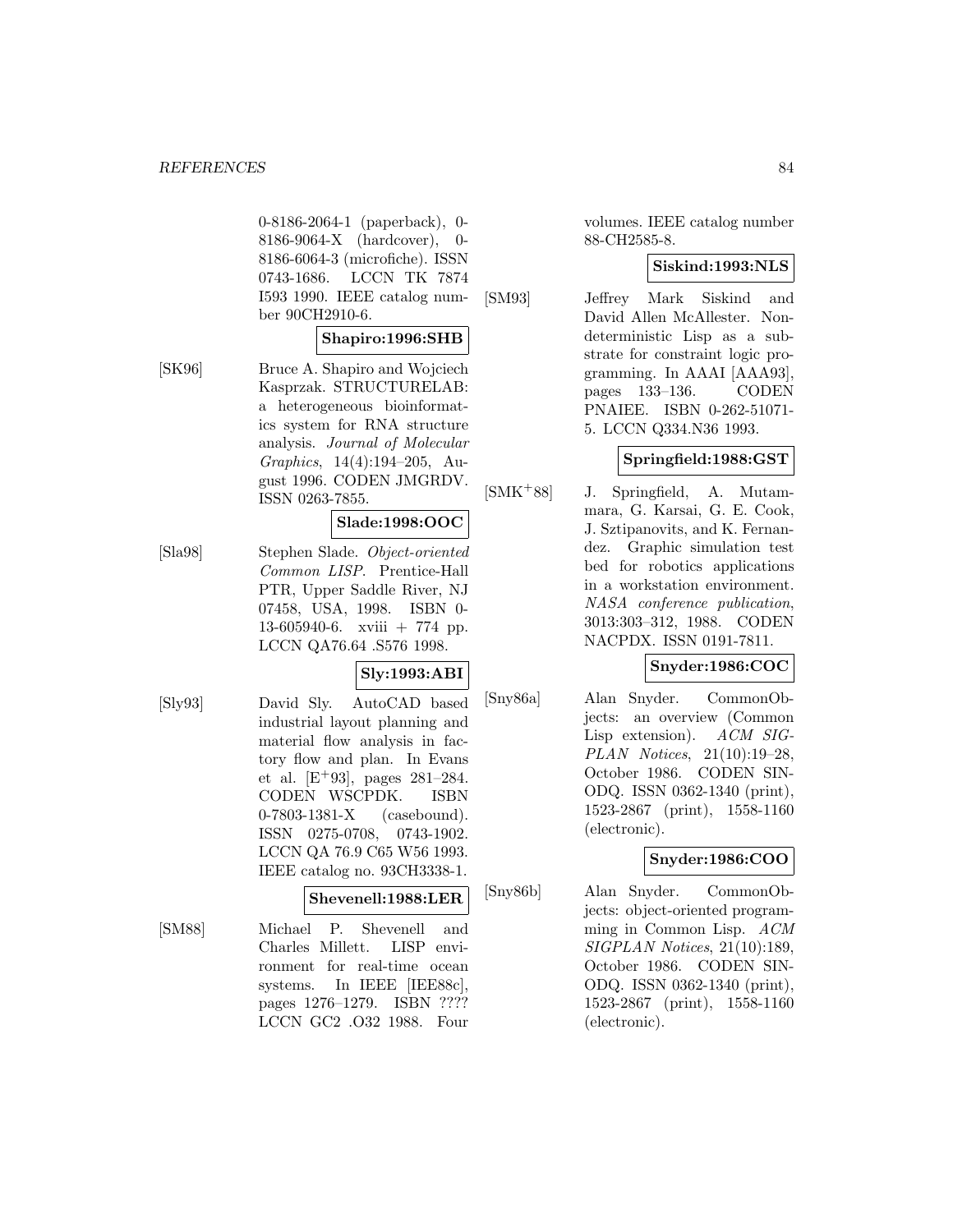0-8186-2064-1 (paperback), 0- 8186-9064-X (hardcover), 0- 8186-6064-3 (microfiche). ISSN 0743-1686. LCCN TK 7874 I593 1990. IEEE catalog number 90CH2910-6.

#### **Shapiro:1996:SHB**

[SK96] Bruce A. Shapiro and Wojciech Kasprzak. STRUCTURELAB: a heterogeneous bioinformatics system for RNA structure analysis. Journal of Molecular Graphics, 14(4):194–205, August 1996. CODEN JMGRDV. ISSN 0263-7855.

#### **Slade:1998:OOC**

[Sla98] Stephen Slade. Object-oriented Common LISP. Prentice-Hall PTR, Upper Saddle River, NJ 07458, USA, 1998. ISBN 0- 13-605940-6. xviii + 774 pp. LCCN QA76.64 .S576 1998.

#### **Sly:1993:ABI**

[Sly93] David Sly. AutoCAD based industrial layout planning and material flow analysis in factory flow and plan. In Evans et al.  $[E+93]$ , pages 281–284. CODEN WSCPDK. ISBN 0-7803-1381-X (casebound). ISSN 0275-0708, 0743-1902. LCCN QA 76.9 C65 W56 1993. IEEE catalog no. 93CH3338-1.

#### **Shevenell:1988:LER**

[SM88] Michael P. Shevenell and Charles Millett. LISP environment for real-time ocean systems. In IEEE [IEE88c], pages 1276–1279. ISBN ???? LCCN GC2 .O32 1988. Four

volumes. IEEE catalog number 88-CH2585-8.

#### **Siskind:1993:NLS**

[SM93] Jeffrey Mark Siskind and David Allen McAllester. Nondeterministic Lisp as a substrate for constraint logic programming. In AAAI [AAA93], pages 133–136. CODEN PNAIEE. ISBN 0-262-51071- 5. LCCN Q334.N36 1993.

### **Springfield:1988:GST**

[SMK<sup>+</sup>88] J. Springfield, A. Mutammara, G. Karsai, G. E. Cook, J. Sztipanovits, and K. Fernandez. Graphic simulation test bed for robotics applications in a workstation environment. NASA conference publication, 3013:303–312, 1988. CODEN NACPDX. ISSN 0191-7811.

### **Snyder:1986:COC**

[Sny86a] Alan Snyder. CommonObjects: an overview (Common Lisp extension). ACM SIG-PLAN Notices, 21(10):19–28, October 1986. CODEN SIN-ODQ. ISSN 0362-1340 (print), 1523-2867 (print), 1558-1160 (electronic).

## **Snyder:1986:COO**

[Sny86b] Alan Snyder. CommonObjects: object-oriented programming in Common Lisp. ACM SIGPLAN Notices, 21(10):189, October 1986. CODEN SIN-ODQ. ISSN 0362-1340 (print), 1523-2867 (print), 1558-1160 (electronic).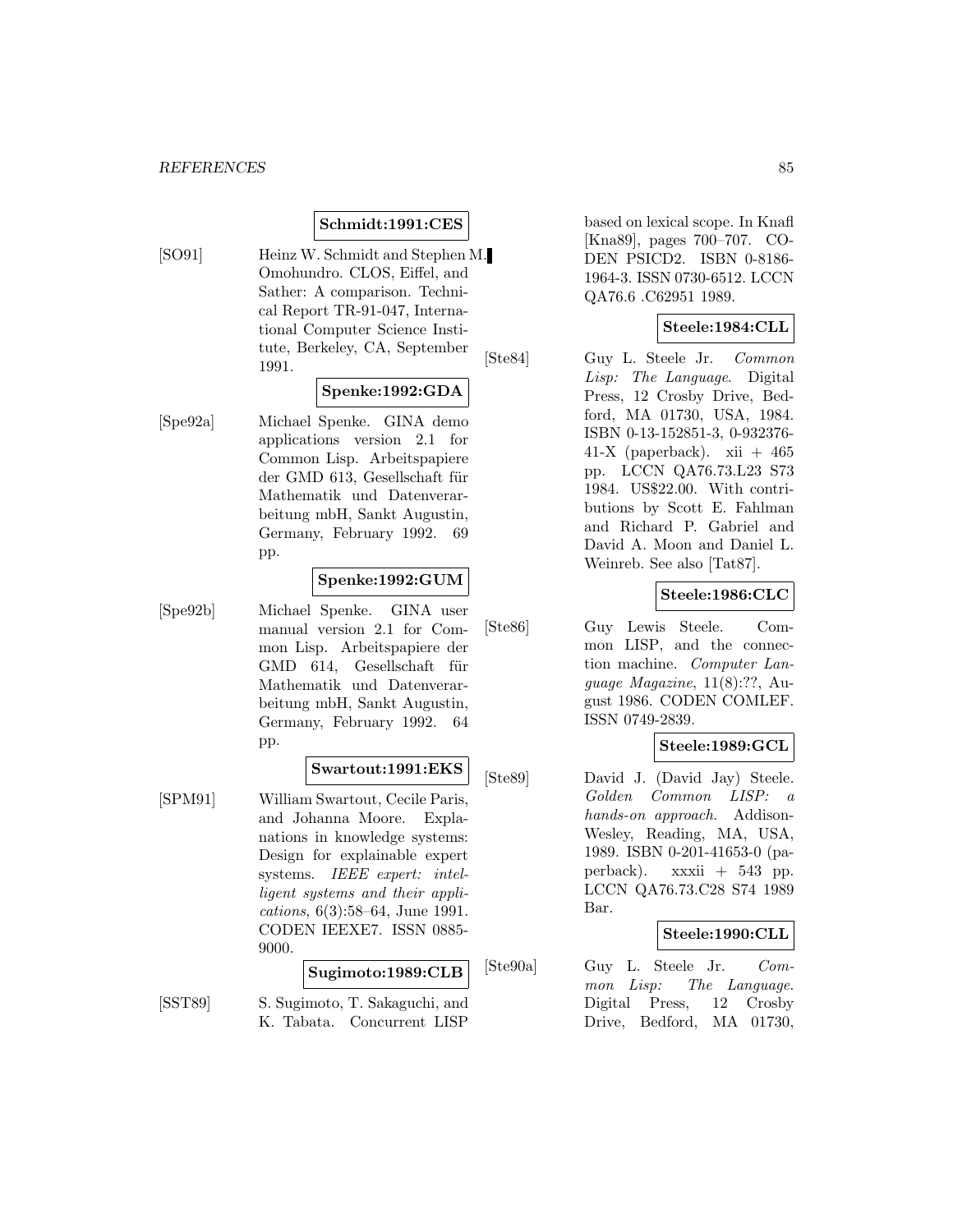#### **Schmidt:1991:CES**

[SO91] Heinz W. Schmidt and Stephen M. Omohundro. CLOS, Eiffel, and Sather: A comparison. Technical Report TR-91-047, International Computer Science Institute, Berkeley, CA, September 1991.

### **Spenke:1992:GDA**

[Spe92a] Michael Spenke. GINA demo applications version 2.1 for Common Lisp. Arbeitspapiere der GMD 613, Gesellschaft für Mathematik und Datenverarbeitung mbH, Sankt Augustin, Germany, February 1992. 69 pp.

#### **Spenke:1992:GUM**

[Spe92b] Michael Spenke. GINA user manual version 2.1 for Common Lisp. Arbeitspapiere der GMD 614, Gesellschaft für Mathematik und Datenverarbeitung mbH, Sankt Augustin, Germany, February 1992. 64 pp.

### **Swartout:1991:EKS**

[SPM91] William Swartout, Cecile Paris, and Johanna Moore. Explanations in knowledge systems: Design for explainable expert systems. IEEE expert: intelligent systems and their applications, 6(3):58–64, June 1991. CODEN IEEXE7. ISSN 0885- 9000.

#### **Sugimoto:1989:CLB**

[SST89] S. Sugimoto, T. Sakaguchi, and K. Tabata. Concurrent LISP

based on lexical scope. In Knafl [Kna89], pages 700–707. CO-DEN PSICD2. ISBN 0-8186- 1964-3. ISSN 0730-6512. LCCN QA76.6 .C62951 1989.

#### **Steele:1984:CLL**

[Ste84] Guy L. Steele Jr. Common Lisp: The Language. Digital Press, 12 Crosby Drive, Bedford, MA 01730, USA, 1984. ISBN 0-13-152851-3, 0-932376- 41-X (paperback). xii  $+465$ pp. LCCN QA76.73.L23 S73 1984. US\$22.00. With contributions by Scott E. Fahlman and Richard P. Gabriel and David A. Moon and Daniel L. Weinreb. See also [Tat87].

#### **Steele:1986:CLC**

[Ste86] Guy Lewis Steele. Common LISP, and the connection machine. Computer Language Magazine, 11(8):??, August 1986. CODEN COMLEF. ISSN 0749-2839.

#### **Steele:1989:GCL**

[Ste89] David J. (David Jay) Steele. Golden Common LISP: a hands-on approach. Addison-Wesley, Reading, MA, USA, 1989. ISBN 0-201-41653-0 (paperback). xxxii + 543 pp. LCCN QA76.73.C28 S74 1989 Bar.

#### **Steele:1990:CLL**

[Ste90a] Guy L. Steele Jr. Common Lisp: The Language. Digital Press, 12 Crosby Drive, Bedford, MA 01730,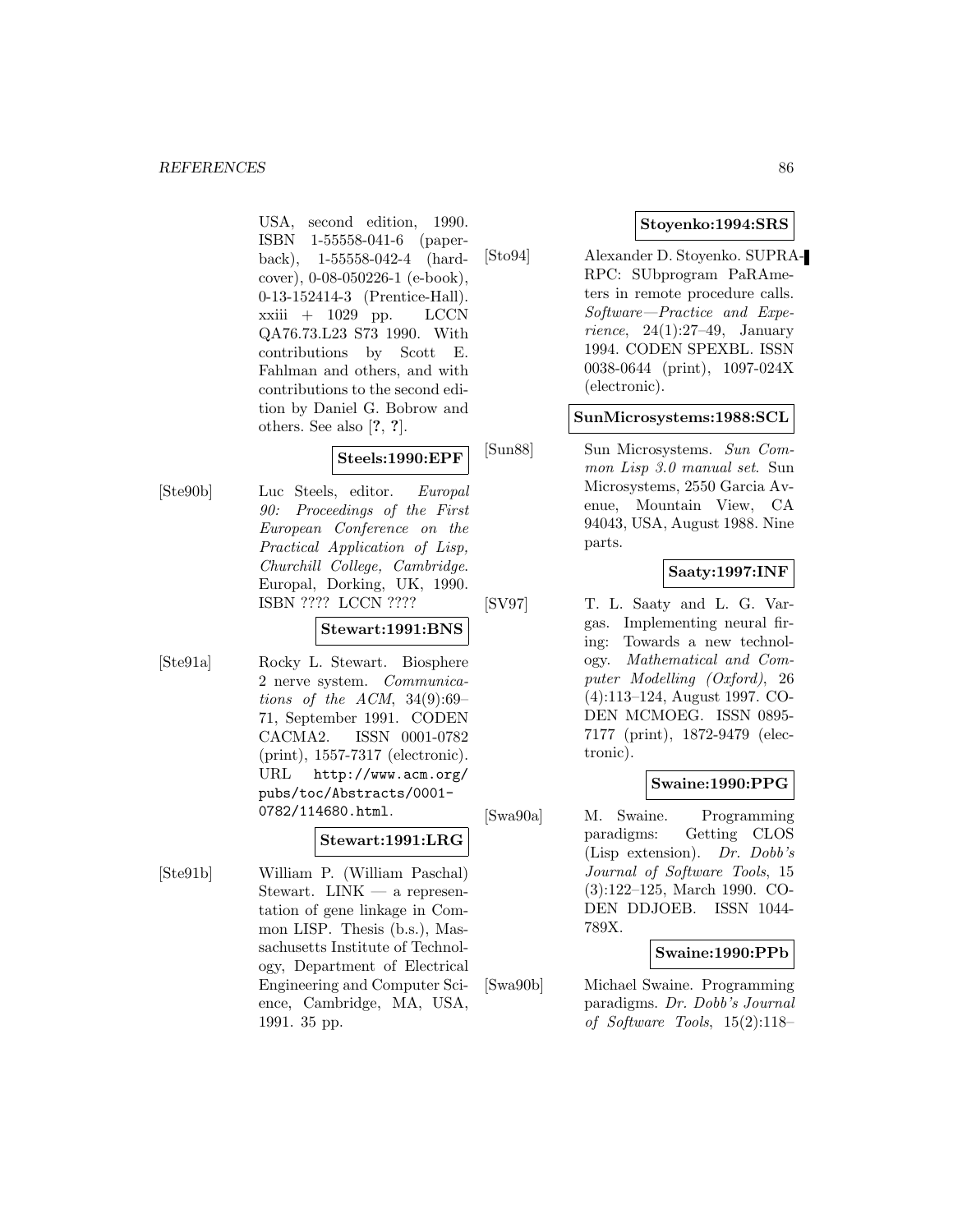USA, second edition, 1990. ISBN 1-55558-041-6 (paperback), 1-55558-042-4 (hardcover), 0-08-050226-1 (e-book), 0-13-152414-3 (Prentice-Hall).  $xxiii + 1029$  pp. LCCN QA76.73.L23 S73 1990. With contributions by Scott E. Fahlman and others, and with contributions to the second edition by Daniel G. Bobrow and others. See also [**?**, **?**].

# **Steels:1990:EPF**

[Ste90b] Luc Steels, editor. Europal 90: Proceedings of the First European Conference on the Practical Application of Lisp, Churchill College, Cambridge. Europal, Dorking, UK, 1990. ISBN ???? LCCN ????

#### **Stewart:1991:BNS**

[Ste91a] Rocky L. Stewart. Biosphere 2 nerve system. Communications of the ACM,  $34(9):69-$ 71, September 1991. CODEN CACMA2. ISSN 0001-0782 (print), 1557-7317 (electronic). URL http://www.acm.org/ pubs/toc/Abstracts/0001- 0782/114680.html.

#### **Stewart:1991:LRG**

[Ste91b] William P. (William Paschal) Stewart.  $LINK - a$  representation of gene linkage in Common LISP. Thesis (b.s.), Massachusetts Institute of Technology, Department of Electrical Engineering and Computer Science, Cambridge, MA, USA, 1991. 35 pp.

### **Stoyenko:1994:SRS**

[Sto94] Alexander D. Stoyenko. SUPRA-RPC: SUbprogram PaRAmeters in remote procedure calls. Software—Practice and Experience, 24(1):27–49, January 1994. CODEN SPEXBL. ISSN 0038-0644 (print), 1097-024X (electronic).

### **SunMicrosystems:1988:SCL**

[Sun88] Sun Microsystems. Sun Common Lisp 3.0 manual set. Sun Microsystems, 2550 Garcia Avenue, Mountain View, CA 94043, USA, August 1988. Nine parts.

# **Saaty:1997:INF**

[SV97] T. L. Saaty and L. G. Vargas. Implementing neural firing: Towards a new technology. Mathematical and Computer Modelling (Oxford), 26 (4):113–124, August 1997. CO-DEN MCMOEG. ISSN 0895- 7177 (print), 1872-9479 (electronic).

## **Swaine:1990:PPG**

[Swa90a] M. Swaine. Programming paradigms: Getting CLOS (Lisp extension). Dr. Dobb's Journal of Software Tools, 15 (3):122–125, March 1990. CO-DEN DDJOEB. ISSN 1044- 789X.

#### **Swaine:1990:PPb**

[Swa90b] Michael Swaine. Programming paradigms. Dr. Dobb's Journal of Software Tools, 15(2):118–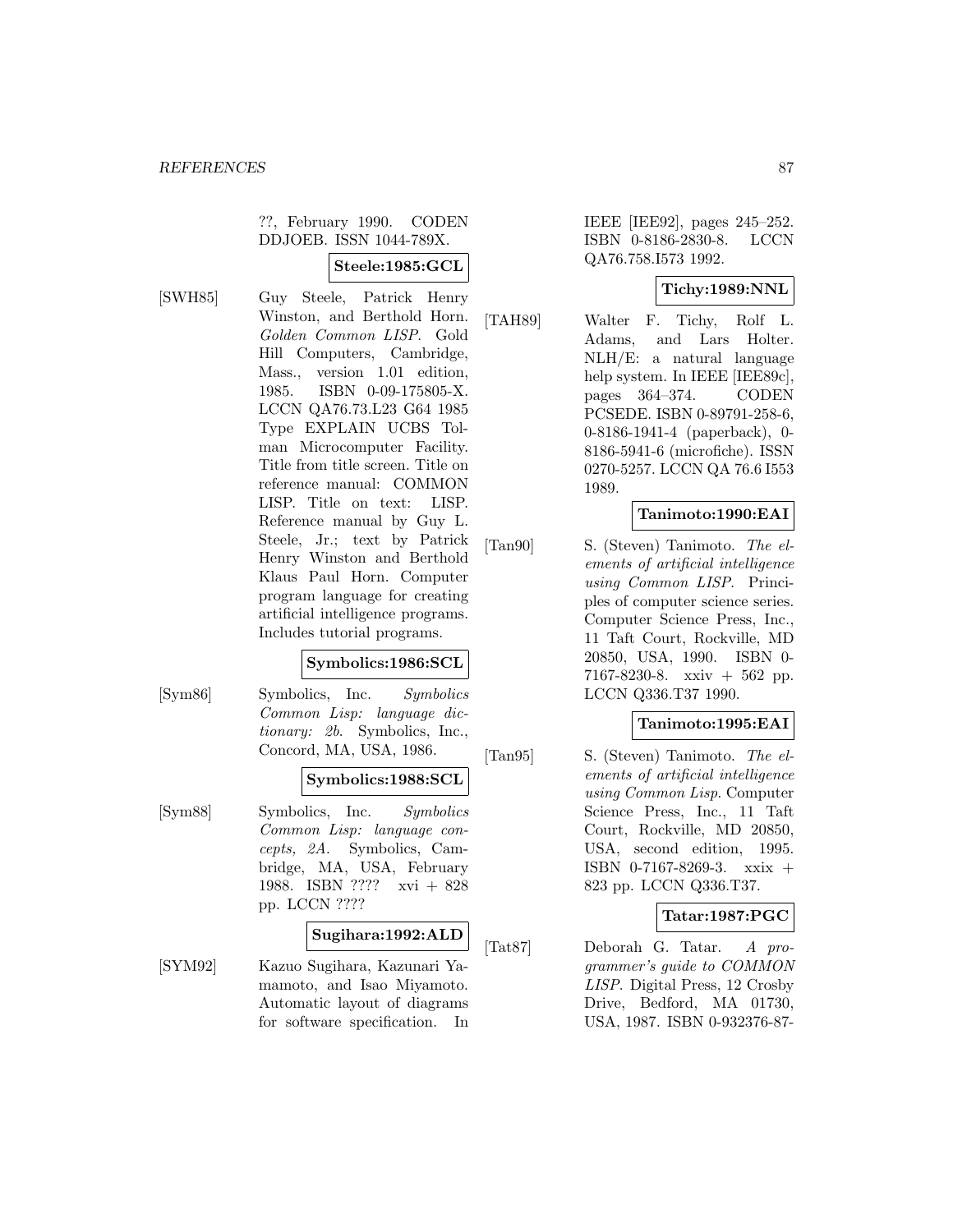??, February 1990. CODEN DDJOEB. ISSN 1044-789X.

### **Steele:1985:GCL**

[SWH85] Guy Steele, Patrick Henry Winston, and Berthold Horn. Golden Common LISP. Gold Hill Computers, Cambridge, Mass., version 1.01 edition, 1985. ISBN 0-09-175805-X. LCCN QA76.73.L23 G64 1985 Type EXPLAIN UCBS Tolman Microcomputer Facility. Title from title screen. Title on reference manual: COMMON LISP. Title on text: LISP. Reference manual by Guy L. Steele, Jr.; text by Patrick Henry Winston and Berthold Klaus Paul Horn. Computer program language for creating artificial intelligence programs. Includes tutorial programs.

#### **Symbolics:1986:SCL**

[Sym86] Symbolics, Inc. Symbolics Common Lisp: language dictionary: 2b. Symbolics, Inc., Concord, MA, USA, 1986.

#### **Symbolics:1988:SCL**

[Sym88] Symbolics, Inc. Symbolics Common Lisp: language concepts, 2A. Symbolics, Cambridge, MA, USA, February 1988. ISBN ???? xvi + 828 pp. LCCN ????

#### **Sugihara:1992:ALD**

[SYM92] Kazuo Sugihara, Kazunari Yamamoto, and Isao Miyamoto. Automatic layout of diagrams for software specification. In

IEEE [IEE92], pages 245–252. ISBN 0-8186-2830-8. LCCN QA76.758.I573 1992.

## **Tichy:1989:NNL**

[TAH89] Walter F. Tichy, Rolf L. Adams, and Lars Holter. NLH/E: a natural language help system. In IEEE [IEE89c], pages 364–374. CODEN PCSEDE. ISBN 0-89791-258-6, 0-8186-1941-4 (paperback), 0- 8186-5941-6 (microfiche). ISSN 0270-5257. LCCN QA 76.6 I553 1989.

### **Tanimoto:1990:EAI**

[Tan90] S. (Steven) Tanimoto. The elements of artificial intelligence using Common LISP. Principles of computer science series. Computer Science Press, Inc., 11 Taft Court, Rockville, MD 20850, USA, 1990. ISBN 0- 7167-8230-8. xxiv + 562 pp. LCCN Q336.T37 1990.

## **Tanimoto:1995:EAI**

[Tan95] S. (Steven) Tanimoto. The elements of artificial intelligence using Common Lisp. Computer Science Press, Inc., 11 Taft Court, Rockville, MD 20850, USA, second edition, 1995. ISBN 0-7167-8269-3. xxix + 823 pp. LCCN Q336.T37.

## **Tatar:1987:PGC**

[Tat87] Deborah G. Tatar. A programmer's guide to COMMON LISP. Digital Press, 12 Crosby Drive, Bedford, MA 01730, USA, 1987. ISBN 0-932376-87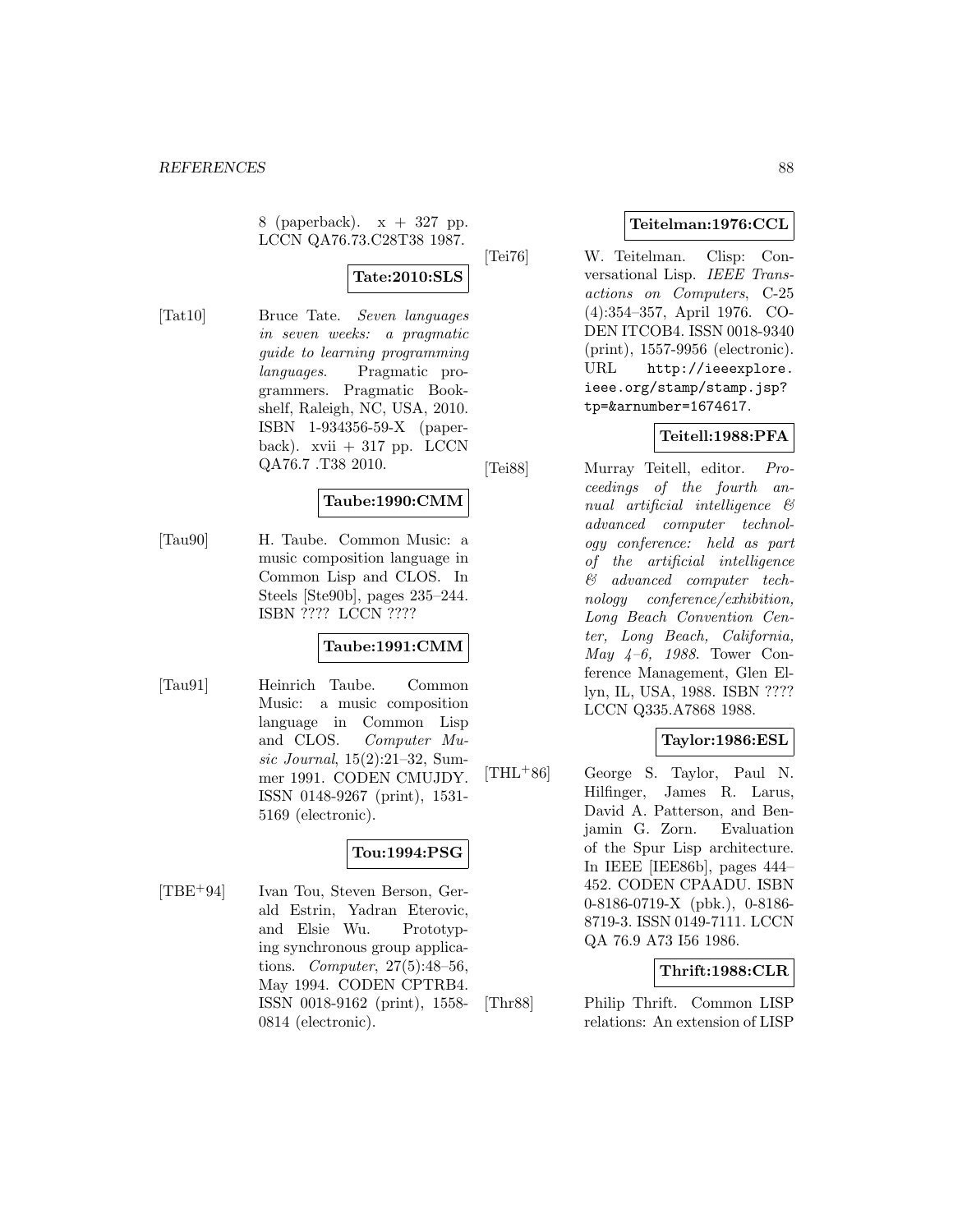8 (paperback). x + 327 pp. LCCN QA76.73.C28T38 1987.

**Tate:2010:SLS**

[Tat10] Bruce Tate. Seven languages in seven weeks: a pragmatic guide to learning programming languages. Pragmatic programmers. Pragmatic Bookshelf, Raleigh, NC, USA, 2010. ISBN 1-934356-59-X (paperback). xvii  $+317$  pp. LCCN QA76.7 .T38 2010.

## **Taube:1990:CMM**

[Tau90] H. Taube. Common Music: a music composition language in Common Lisp and CLOS. In Steels [Ste90b], pages 235–244. ISBN ???? LCCN ????

## **Taube:1991:CMM**

[Tau91] Heinrich Taube. Common Music: a music composition language in Common Lisp and CLOS. Computer Music Journal, 15(2):21–32, Summer 1991. CODEN CMUJDY. ISSN 0148-9267 (print), 1531- 5169 (electronic).

# **Tou:1994:PSG**

[TBE<sup>+</sup>94] Ivan Tou, Steven Berson, Gerald Estrin, Yadran Eterovic, and Elsie Wu. Prototyping synchronous group applications. Computer, 27(5):48–56, May 1994. CODEN CPTRB4. ISSN 0018-9162 (print), 1558- 0814 (electronic).

#### **Teitelman:1976:CCL**

[Tei76] W. Teitelman. Clisp: Conversational Lisp. IEEE Transactions on Computers, C-25 (4):354–357, April 1976. CO-DEN ITCOB4. ISSN 0018-9340 (print), 1557-9956 (electronic). URL http://ieeexplore. ieee.org/stamp/stamp.jsp? tp=&arnumber=1674617.

# **Teitell:1988:PFA**

[Tei88] Murray Teitell, editor. Proceedings of the fourth annual artificial intelligence & advanced computer technology conference: held as part of the artificial intelligence & advanced computer technology conference/exhibition, Long Beach Convention Center, Long Beach, California, May 4–6, 1988. Tower Conference Management, Glen Ellyn, IL, USA, 1988. ISBN ???? LCCN Q335.A7868 1988.

#### **Taylor:1986:ESL**

[THL<sup>+</sup>86] George S. Taylor, Paul N. Hilfinger, James R. Larus, David A. Patterson, and Benjamin G. Zorn. Evaluation of the Spur Lisp architecture. In IEEE [IEE86b], pages 444– 452. CODEN CPAADU. ISBN 0-8186-0719-X (pbk.), 0-8186- 8719-3. ISSN 0149-7111. LCCN QA 76.9 A73 I56 1986.

#### **Thrift:1988:CLR**

[Thr88] Philip Thrift. Common LISP relations: An extension of LISP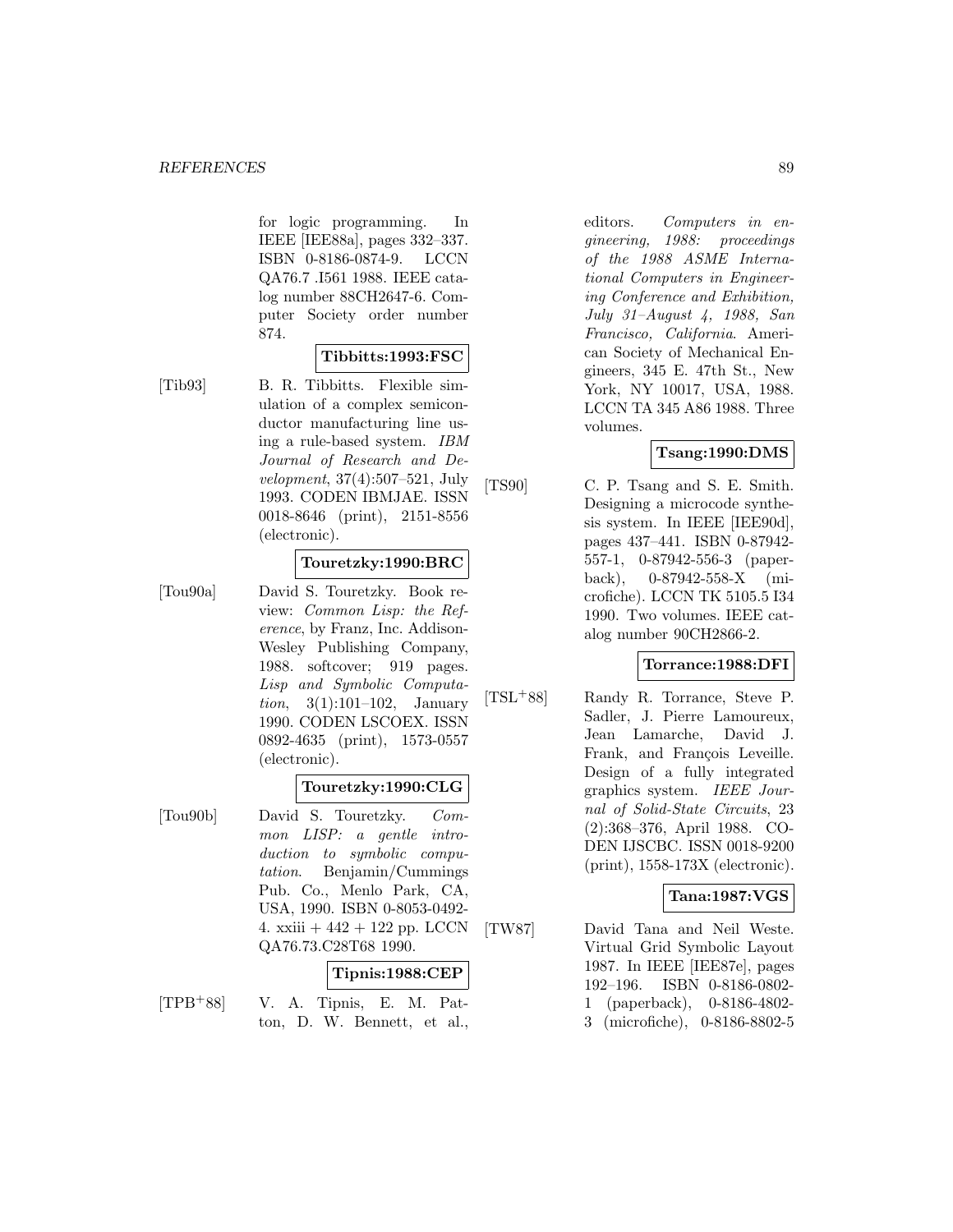for logic programming. In IEEE [IEE88a], pages 332–337. ISBN 0-8186-0874-9. LCCN QA76.7 .I561 1988. IEEE catalog number 88CH2647-6. Computer Society order number 874.

### **Tibbitts:1993:FSC**

[Tib93] B. R. Tibbitts. Flexible simulation of a complex semiconductor manufacturing line using a rule-based system. IBM Journal of Research and Development, 37(4):507–521, July 1993. CODEN IBMJAE. ISSN 0018-8646 (print), 2151-8556 (electronic).

## **Touretzky:1990:BRC**

[Tou90a] David S. Touretzky. Book review: Common Lisp: the Reference, by Franz, Inc. Addison-Wesley Publishing Company, 1988. softcover; 919 pages. Lisp and Symbolic Computation, 3(1):101–102, January 1990. CODEN LSCOEX. ISSN 0892-4635 (print), 1573-0557 (electronic).

#### **Touretzky:1990:CLG**

[Tou90b] David S. Touretzky. Common LISP: a gentle introduction to symbolic computation. Benjamin/Cummings Pub. Co., Menlo Park, CA, USA, 1990. ISBN 0-8053-0492- 4. xxiii  $+442 + 122$  pp. LCCN QA76.73.C28T68 1990.

### **Tipnis:1988:CEP**

[TPB<sup>+</sup>88] V. A. Tipnis, E. M. Patton, D. W. Bennett, et al., editors. Computers in engineering, 1988: proceedings of the 1988 ASME International Computers in Engineering Conference and Exhibition, July 31–August 4, 1988, San Francisco, California. American Society of Mechanical Engineers, 345 E. 47th St., New York, NY 10017, USA, 1988. LCCN TA 345 A86 1988. Three volumes.

### **Tsang:1990:DMS**

[TS90] C. P. Tsang and S. E. Smith. Designing a microcode synthesis system. In IEEE [IEE90d], pages 437–441. ISBN 0-87942- 557-1, 0-87942-556-3 (paperback), 0-87942-558-X (microfiche). LCCN TK 5105.5 I34 1990. Two volumes. IEEE catalog number 90CH2866-2.

## **Torrance:1988:DFI**

[TSL<sup>+</sup>88] Randy R. Torrance, Steve P. Sadler, J. Pierre Lamoureux, Jean Lamarche, David J. Frank, and François Leveille. Design of a fully integrated graphics system. IEEE Journal of Solid-State Circuits, 23 (2):368–376, April 1988. CO-DEN IJSCBC. ISSN 0018-9200 (print), 1558-173X (electronic).

## **Tana:1987:VGS**

[TW87] David Tana and Neil Weste. Virtual Grid Symbolic Layout 1987. In IEEE [IEE87e], pages 192–196. ISBN 0-8186-0802- 1 (paperback), 0-8186-4802- 3 (microfiche), 0-8186-8802-5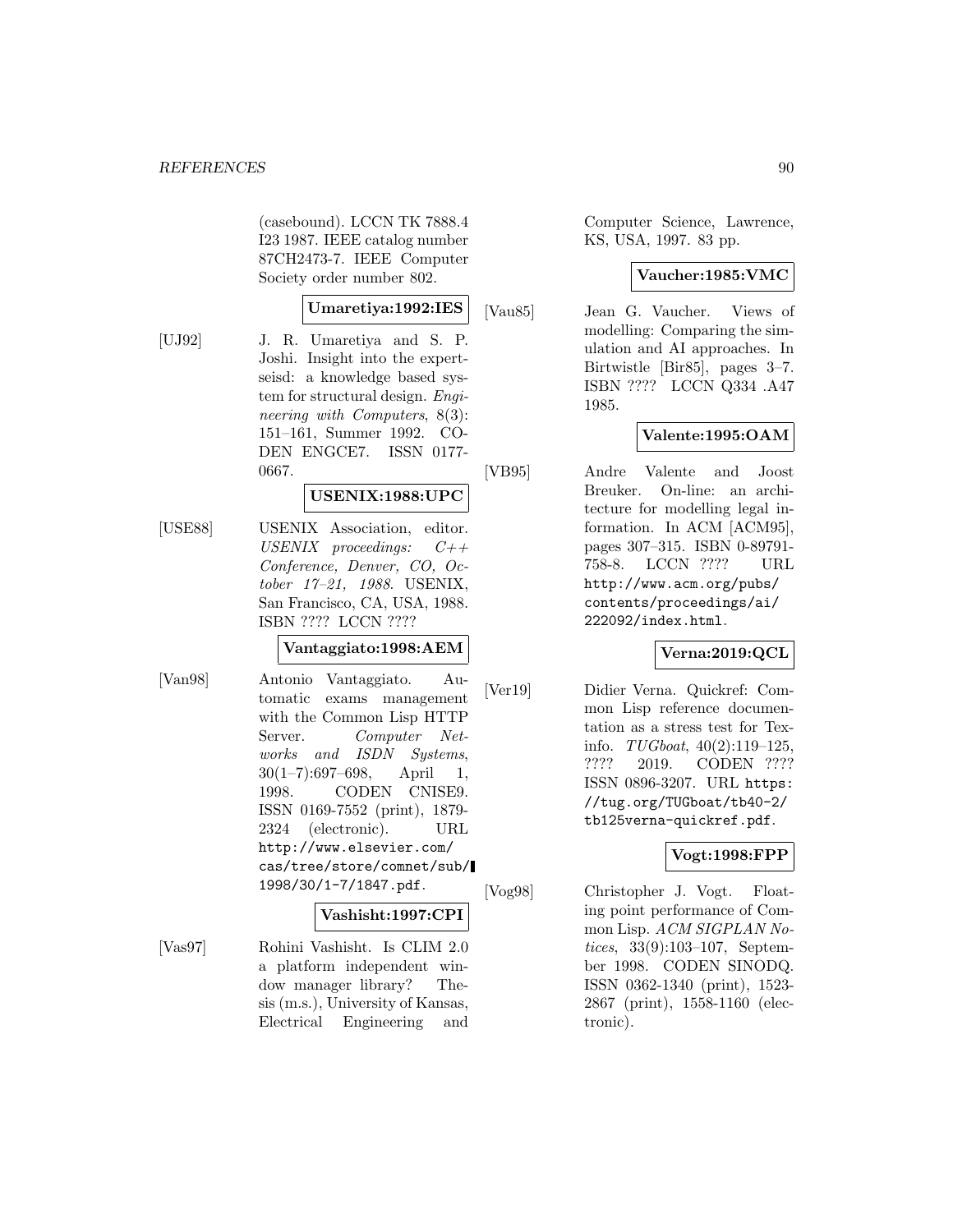(casebound). LCCN TK 7888.4 I23 1987. IEEE catalog number 87CH2473-7. IEEE Computer Society order number 802.

#### **Umaretiya:1992:IES**

[UJ92] J. R. Umaretiya and S. P. Joshi. Insight into the expertseisd: a knowledge based system for structural design. Engineering with Computers, 8(3): 151–161, Summer 1992. CO-DEN ENGCE7. ISSN 0177- 0667.

### **USENIX:1988:UPC**

[USE88] USENIX Association, editor. USENIX proceedings:  $C++$ Conference, Denver, CO, October 17–21, 1988. USENIX, San Francisco, CA, USA, 1988. ISBN ???? LCCN ????

#### **Vantaggiato:1998:AEM**

[Van98] Antonio Vantaggiato. Automatic exams management with the Common Lisp HTTP Server. Computer Networks and ISDN Systems,  $30(1-7):697-698$ , April 1, 1998. CODEN CNISE9. ISSN 0169-7552 (print), 1879- 2324 (electronic). URL http://www.elsevier.com/ cas/tree/store/comnet/sub/ 1998/30/1-7/1847.pdf.

#### **Vashisht:1997:CPI**

[Vas97] Rohini Vashisht. Is CLIM 2.0 a platform independent window manager library? Thesis (m.s.), University of Kansas, Electrical Engineering and

Computer Science, Lawrence, KS, USA, 1997. 83 pp.

### **Vaucher:1985:VMC**

[Vau85] Jean G. Vaucher. Views of modelling: Comparing the simulation and AI approaches. In Birtwistle [Bir85], pages 3–7. ISBN ???? LCCN Q334 .A47 1985.

## **Valente:1995:OAM**

[VB95] Andre Valente and Joost Breuker. On-line: an architecture for modelling legal information. In ACM [ACM95], pages 307–315. ISBN 0-89791- 758-8. LCCN ???? URL http://www.acm.org/pubs/ contents/proceedings/ai/ 222092/index.html.

#### **Verna:2019:QCL**

[Ver19] Didier Verna. Quickref: Common Lisp reference documentation as a stress test for Texinfo.  $TUGboat, 40(2):119-125,$ ???? 2019. CODEN ???? ISSN 0896-3207. URL https: //tug.org/TUGboat/tb40-2/ tb125verna-quickref.pdf.

## **Vogt:1998:FPP**

[Vog98] Christopher J. Vogt. Floating point performance of Common Lisp. ACM SIGPLAN Notices, 33(9):103–107, September 1998. CODEN SINODQ. ISSN 0362-1340 (print), 1523- 2867 (print), 1558-1160 (electronic).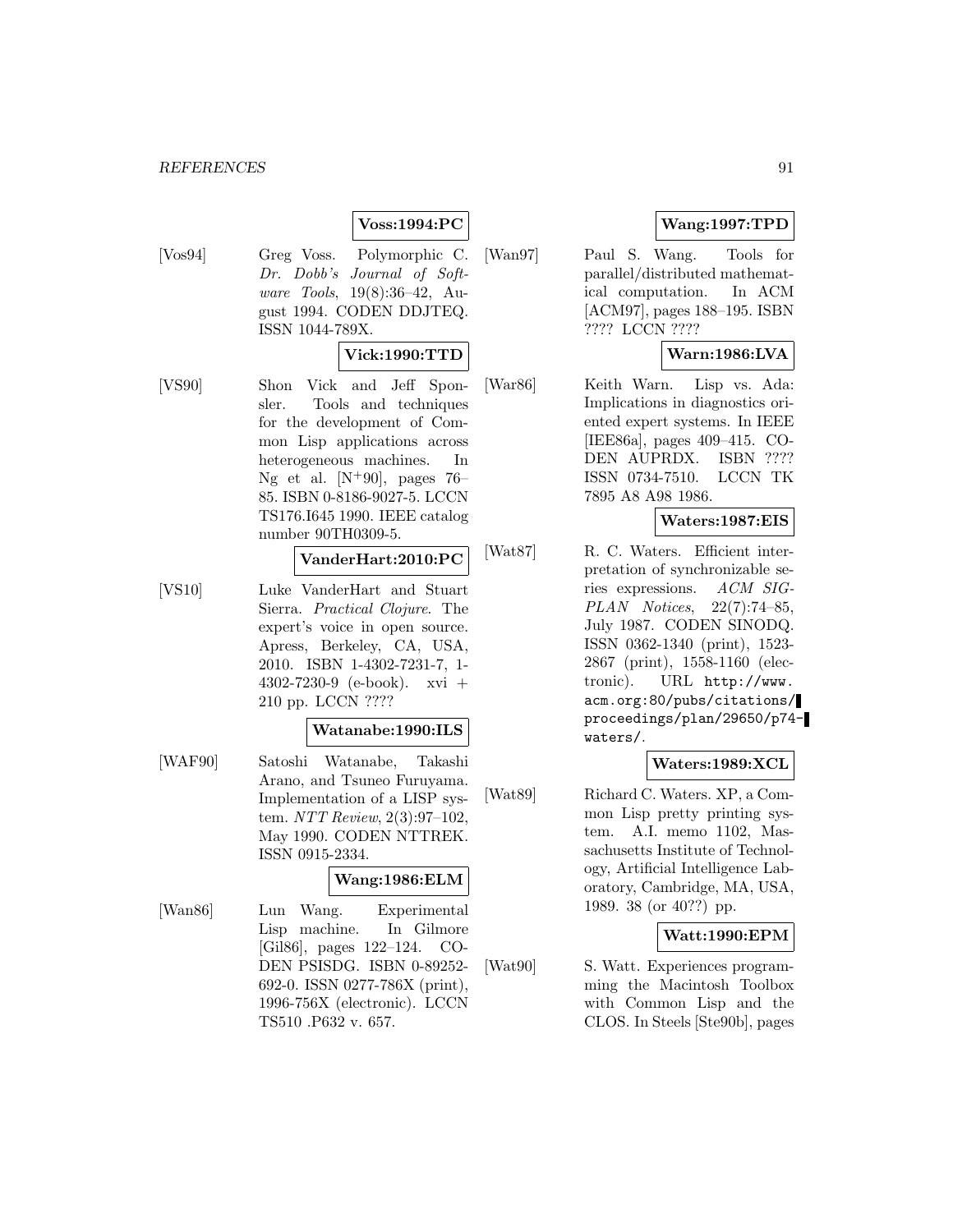## **Voss:1994:PC**

[Vos94] Greg Voss. Polymorphic C. Dr. Dobb's Journal of Software Tools, 19(8):36–42, August 1994. CODEN DDJTEQ. ISSN 1044-789X.

#### **Vick:1990:TTD**

[VS90] Shon Vick and Jeff Sponsler. Tools and techniques for the development of Common Lisp applications across heterogeneous machines. In Ng et al.  $[N+90]$ , pages 76– 85. ISBN 0-8186-9027-5. LCCN TS176.I645 1990. IEEE catalog number 90TH0309-5.

#### **VanderHart:2010:PC**

[VS10] Luke VanderHart and Stuart Sierra. Practical Clojure. The expert's voice in open source. Apress, Berkeley, CA, USA, 2010. ISBN 1-4302-7231-7, 1- 4302-7230-9 (e-book). xvi + 210 pp. LCCN ????

#### **Watanabe:1990:ILS**

[WAF90] Satoshi Watanabe, Takashi Arano, and Tsuneo Furuyama. Implementation of a LISP system. NTT Review, 2(3):97–102, May 1990. CODEN NTTREK. ISSN 0915-2334.

#### **Wang:1986:ELM**

[Wan86] Lun Wang. Experimental Lisp machine. In Gilmore [Gil86], pages 122–124. CO-DEN PSISDG. ISBN 0-89252- 692-0. ISSN 0277-786X (print), 1996-756X (electronic). LCCN TS510 .P632 v. 657.

## **Wang:1997:TPD**

[Wan97] Paul S. Wang. Tools for parallel/distributed mathematical computation. In ACM [ACM97], pages 188–195. ISBN ???? LCCN ????

# **Warn:1986:LVA**

[War86] Keith Warn. Lisp vs. Ada: Implications in diagnostics oriented expert systems. In IEEE [IEE86a], pages 409–415. CO-DEN AUPRDX. ISBN ???? ISSN 0734-7510. LCCN TK 7895 A8 A98 1986.

## **Waters:1987:EIS**

[Wat87] R. C. Waters. Efficient interpretation of synchronizable series expressions. ACM SIG-PLAN Notices, 22(7):74–85, July 1987. CODEN SINODQ. ISSN 0362-1340 (print), 1523- 2867 (print), 1558-1160 (electronic). URL http://www. acm.org:80/pubs/citations/ proceedings/plan/29650/p74 waters/.

## **Waters:1989:XCL**

[Wat89] Richard C. Waters. XP, a Common Lisp pretty printing system. A.I. memo 1102, Massachusetts Institute of Technology, Artificial Intelligence Laboratory, Cambridge, MA, USA, 1989. 38 (or 40??) pp.

#### **Watt:1990:EPM**

[Wat90] S. Watt. Experiences programming the Macintosh Toolbox with Common Lisp and the CLOS. In Steels [Ste90b], pages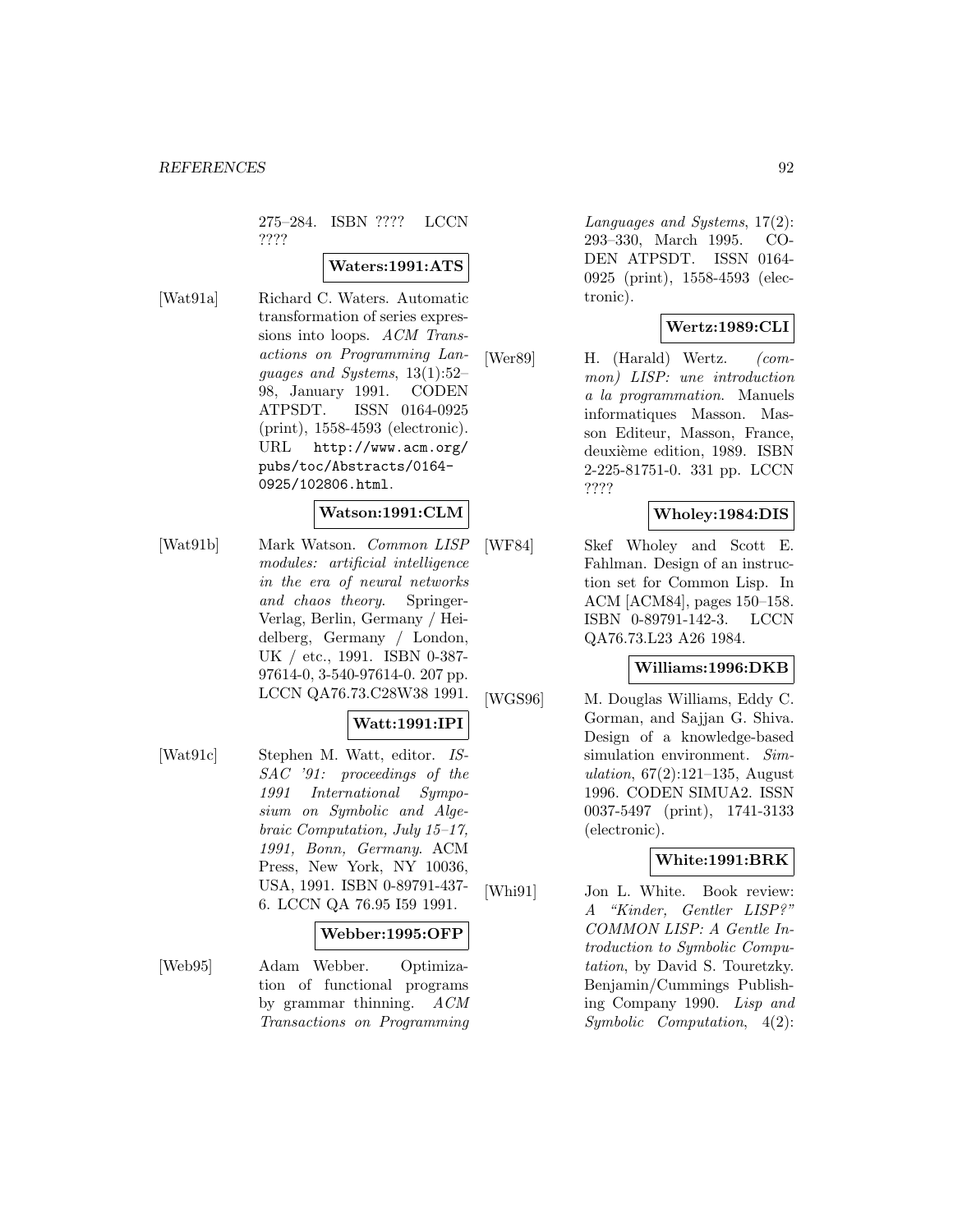275–284. ISBN ???? LCCN ????

#### **Waters:1991:ATS**

[Wat91a] Richard C. Waters. Automatic transformation of series expressions into loops. ACM Transactions on Programming Languages and Systems, 13(1):52– 98, January 1991. CODEN ATPSDT. ISSN 0164-0925 (print), 1558-4593 (electronic). URL http://www.acm.org/ pubs/toc/Abstracts/0164- 0925/102806.html.

### **Watson:1991:CLM**

[Wat91b] Mark Watson. Common LISP modules: artificial intelligence in the era of neural networks and chaos theory. Springer-Verlag, Berlin, Germany / Heidelberg, Germany / London, UK / etc., 1991. ISBN 0-387- 97614-0, 3-540-97614-0. 207 pp. LCCN QA76.73.C28W38 1991.

## **Watt:1991:IPI**

[Wat91c] Stephen M. Watt, editor. IS-SAC '91: proceedings of the 1991 International Symposium on Symbolic and Algebraic Computation, July 15–17, 1991, Bonn, Germany. ACM Press, New York, NY 10036, USA, 1991. ISBN 0-89791-437- 6. LCCN QA 76.95 I59 1991.

#### **Webber:1995:OFP**

[Web95] Adam Webber. Optimization of functional programs by grammar thinning. ACM Transactions on Programming Languages and Systems, 17(2): 293–330, March 1995. CO-DEN ATPSDT. ISSN 0164- 0925 (print), 1558-4593 (electronic).

### **Wertz:1989:CLI**

[Wer89] H. (Harald) Wertz. (common) LISP: une introduction a la programmation. Manuels informatiques Masson. Masson Editeur, Masson, France, deuxième edition, 1989. ISBN 2-225-81751-0. 331 pp. LCCN ????

### **Wholey:1984:DIS**

[WF84] Skef Wholey and Scott E. Fahlman. Design of an instruction set for Common Lisp. In ACM [ACM84], pages 150–158. ISBN 0-89791-142-3. LCCN QA76.73.L23 A26 1984.

### **Williams:1996:DKB**

[WGS96] M. Douglas Williams, Eddy C. Gorman, and Sajjan G. Shiva. Design of a knowledge-based simulation environment. Simulation,  $67(2):121-135$ , August 1996. CODEN SIMUA2. ISSN 0037-5497 (print), 1741-3133 (electronic).

## **White:1991:BRK**

[Whi91] Jon L. White. Book review: A "Kinder, Gentler LISP?" COMMON LISP: A Gentle Introduction to Symbolic Computation, by David S. Touretzky. Benjamin/Cummings Publishing Company 1990. Lisp and Symbolic Computation, 4(2):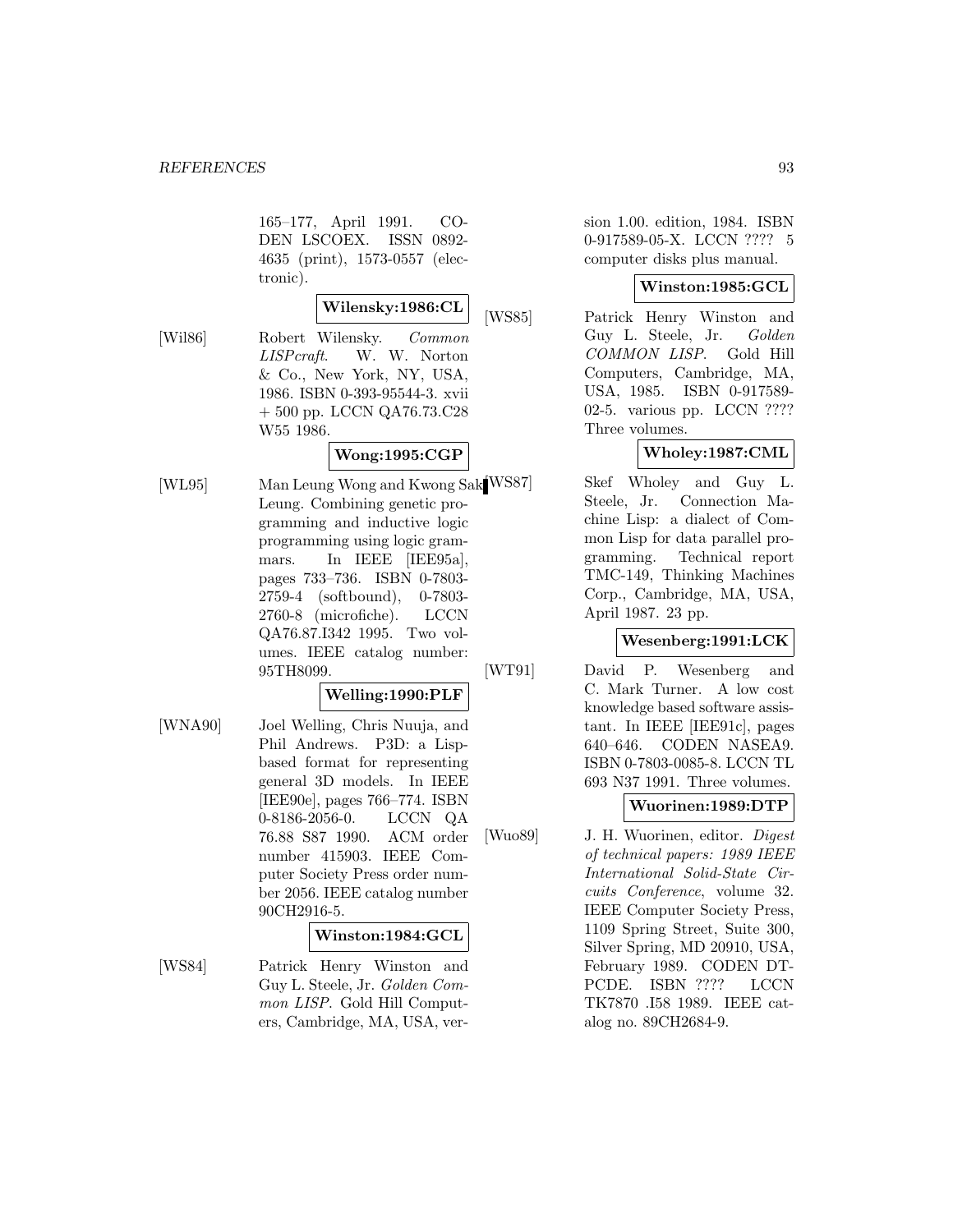165–177, April 1991. CO-DEN LSCOEX. ISSN 0892- 4635 (print), 1573-0557 (electronic).

#### **Wilensky:1986:CL**

[Wil86] Robert Wilensky. Common LISPcraft. W. W. Norton & Co., New York, NY, USA, 1986. ISBN 0-393-95544-3. xvii + 500 pp. LCCN QA76.73.C28 W55 1986.

# **Wong:1995:CGP**

[WL95] Man Leung Wong and Kwong Sak<sup>[WS87]</sup> Leung. Combining genetic programming and inductive logic programming using logic grammars. In IEEE [IEE95a], pages 733–736. ISBN 0-7803- 2759-4 (softbound), 0-7803- 2760-8 (microfiche). LCCN QA76.87.I342 1995. Two volumes. IEEE catalog number: 95TH8099.

#### **Welling:1990:PLF**

[WNA90] Joel Welling, Chris Nuuja, and Phil Andrews. P3D: a Lispbased format for representing general 3D models. In IEEE [IEE90e], pages 766–774. ISBN 0-8186-2056-0. LCCN QA 76.88 S87 1990. ACM order number 415903. IEEE Computer Society Press order number 2056. IEEE catalog number 90CH2916-5.

#### **Winston:1984:GCL**

[WS84] Patrick Henry Winston and Guy L. Steele, Jr. Golden Common LISP. Gold Hill Computers, Cambridge, MA, USA, version 1.00. edition, 1984. ISBN 0-917589-05-X. LCCN ???? 5 computer disks plus manual.

#### **Winston:1985:GCL**

[WS85] Patrick Henry Winston and Guy L. Steele, Jr. Golden COMMON LISP. Gold Hill Computers, Cambridge, MA, USA, 1985. ISBN 0-917589- 02-5. various pp. LCCN ???? Three volumes.

## **Wholey:1987:CML**

Skef Wholey and Guy L. Steele, Jr. Connection Machine Lisp: a dialect of Common Lisp for data parallel programming. Technical report TMC-149, Thinking Machines Corp., Cambridge, MA, USA, April 1987. 23 pp.

### **Wesenberg:1991:LCK**

[WT91] David P. Wesenberg and C. Mark Turner. A low cost knowledge based software assistant. In IEEE [IEE91c], pages 640–646. CODEN NASEA9. ISBN 0-7803-0085-8. LCCN TL 693 N37 1991. Three volumes.

#### **Wuorinen:1989:DTP**

[Wuo89] J. H. Wuorinen, editor. Digest of technical papers: 1989 IEEE International Solid-State Circuits Conference, volume 32. IEEE Computer Society Press, 1109 Spring Street, Suite 300, Silver Spring, MD 20910, USA, February 1989. CODEN DT-PCDE. ISBN ???? LCCN TK7870 .I58 1989. IEEE catalog no. 89CH2684-9.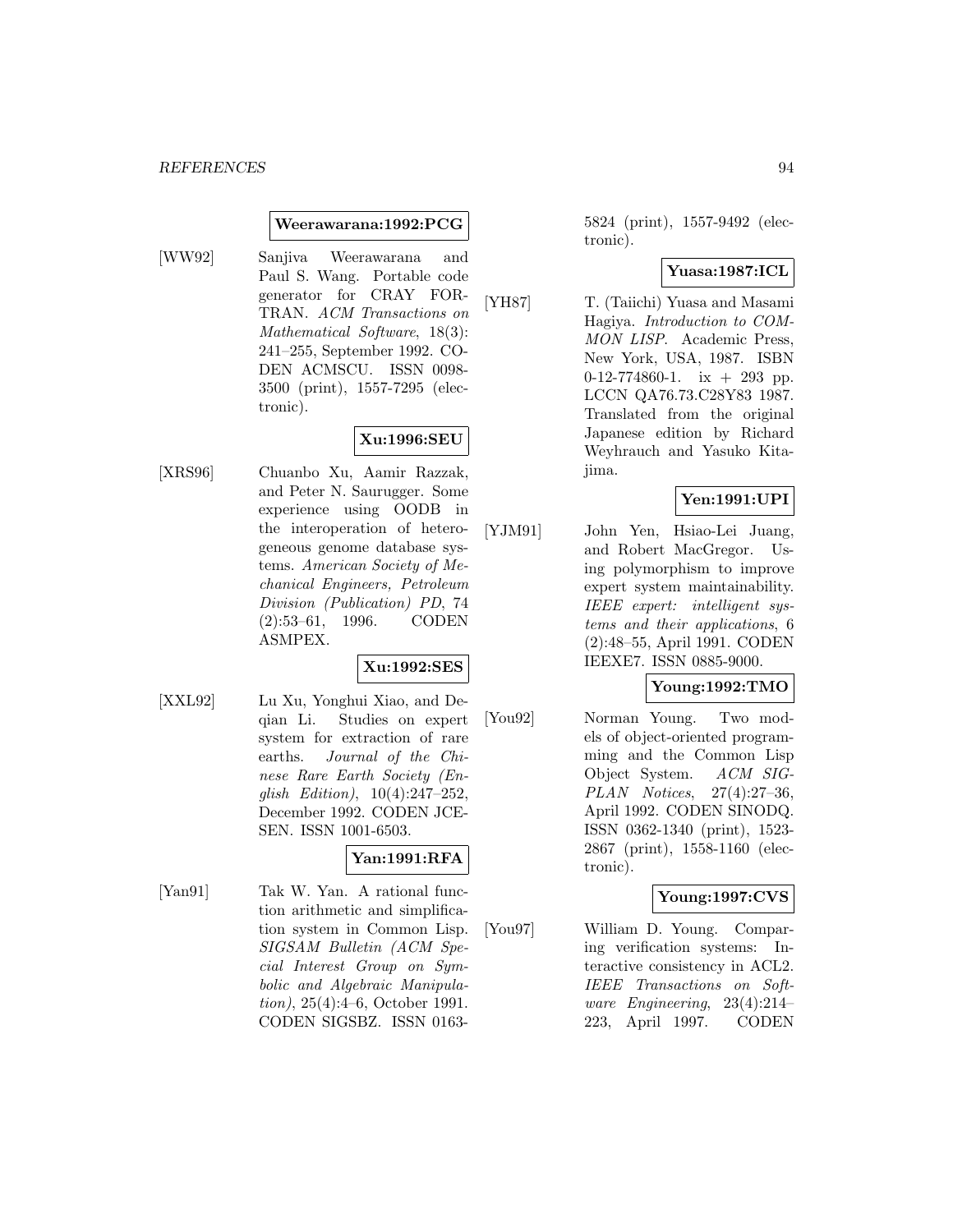#### **Weerawarana:1992:PCG**

[WW92] Sanjiva Weerawarana and Paul S. Wang. Portable code generator for CRAY FOR-TRAN. ACM Transactions on Mathematical Software, 18(3): 241–255, September 1992. CO-DEN ACMSCU. ISSN 0098- 3500 (print), 1557-7295 (electronic).

### **Xu:1996:SEU**

[XRS96] Chuanbo Xu, Aamir Razzak, and Peter N. Saurugger. Some experience using OODB in the interoperation of heterogeneous genome database systems. American Society of Mechanical Engineers, Petroleum Division (Publication) PD, 74 (2):53–61, 1996. CODEN ASMPEX.

#### **Xu:1992:SES**

[XXL92] Lu Xu, Yonghui Xiao, and Deqian Li. Studies on expert system for extraction of rare earths. Journal of the Chinese Rare Earth Society (English Edition), 10(4):247–252, December 1992. CODEN JCE-SEN. ISSN 1001-6503.

#### **Yan:1991:RFA**

[Yan91] Tak W. Yan. A rational function arithmetic and simplification system in Common Lisp. SIGSAM Bulletin (ACM Special Interest Group on Symbolic and Algebraic Manipulation), 25(4):4–6, October 1991. CODEN SIGSBZ. ISSN 01635824 (print), 1557-9492 (electronic).

#### **Yuasa:1987:ICL**

[YH87] T. (Taiichi) Yuasa and Masami Hagiya. Introduction to COM-MON LISP. Academic Press, New York, USA, 1987. ISBN 0-12-774860-1. ix  $+$  293 pp. LCCN QA76.73.C28Y83 1987. Translated from the original Japanese edition by Richard Weyhrauch and Yasuko Kitajima.

### **Yen:1991:UPI**

[YJM91] John Yen, Hsiao-Lei Juang, and Robert MacGregor. Using polymorphism to improve expert system maintainability. IEEE expert: intelligent systems and their applications, 6 (2):48–55, April 1991. CODEN IEEXE7. ISSN 0885-9000.

### **Young:1992:TMO**

[You92] Norman Young. Two models of object-oriented programming and the Common Lisp Object System. ACM SIG-PLAN Notices, 27(4):27–36, April 1992. CODEN SINODQ. ISSN 0362-1340 (print), 1523- 2867 (print), 1558-1160 (electronic).

## **Young:1997:CVS**

[You97] William D. Young. Comparing verification systems: Interactive consistency in ACL2. IEEE Transactions on Software Engineering, 23(4):214– 223, April 1997. CODEN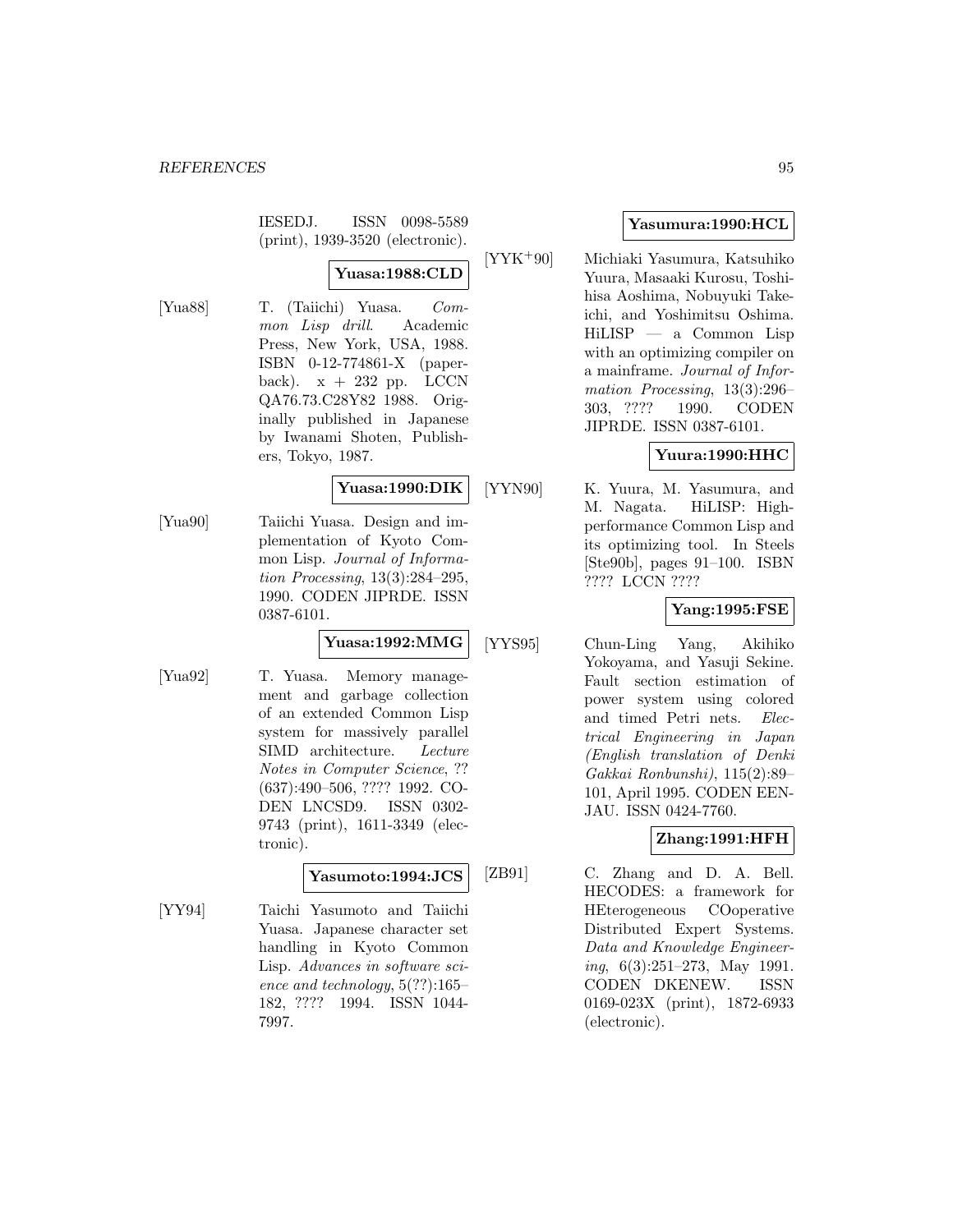IESEDJ. ISSN 0098-5589 (print), 1939-3520 (electronic).

# **Yuasa:1988:CLD**

[Yua88] T. (Taiichi) Yuasa. Common Lisp drill. Academic Press, New York, USA, 1988. ISBN 0-12-774861-X (paperback).  $x + 232$  pp. LCCN QA76.73.C28Y82 1988. Originally published in Japanese by Iwanami Shoten, Publishers, Tokyo, 1987.

### **Yuasa:1990:DIK**

[Yua90] Taiichi Yuasa. Design and implementation of Kyoto Common Lisp. Journal of Information Processing, 13(3):284–295, 1990. CODEN JIPRDE. ISSN 0387-6101.

# **Yuasa:1992:MMG**

[Yua92] T. Yuasa. Memory management and garbage collection of an extended Common Lisp system for massively parallel SIMD architecture. Lecture Notes in Computer Science, ?? (637):490–506, ???? 1992. CO-DEN LNCSD9. ISSN 0302- 9743 (print), 1611-3349 (electronic).

## **Yasumoto:1994:JCS**

[YY94] Taichi Yasumoto and Taiichi Yuasa. Japanese character set handling in Kyoto Common Lisp. Advances in software science and technology, 5(??):165– 182, ???? 1994. ISSN 1044- 7997.

## **Yasumura:1990:HCL**

[YYK<sup>+</sup>90] Michiaki Yasumura, Katsuhiko Yuura, Masaaki Kurosu, Toshihisa Aoshima, Nobuyuki Takeichi, and Yoshimitsu Oshima. HiLISP — a Common Lisp with an optimizing compiler on a mainframe. Journal of Information Processing, 13(3):296– 303, ???? 1990. CODEN JIPRDE. ISSN 0387-6101.

## **Yuura:1990:HHC**

[YYN90] K. Yuura, M. Yasumura, and M. Nagata. HiLISP: Highperformance Common Lisp and its optimizing tool. In Steels [Ste90b], pages 91–100. ISBN ???? LCCN ????

## **Yang:1995:FSE**

[YYS95] Chun-Ling Yang, Akihiko Yokoyama, and Yasuji Sekine. Fault section estimation of power system using colored and timed Petri nets. Electrical Engineering in Japan (English translation of Denki Gakkai Ronbunshi), 115(2):89– 101, April 1995. CODEN EEN-JAU. ISSN 0424-7760.

## **Zhang:1991:HFH**

[ZB91] C. Zhang and D. A. Bell. HECODES: a framework for HEterogeneous COoperative Distributed Expert Systems. Data and Knowledge Engineering, 6(3):251–273, May 1991. CODEN DKENEW. ISSN 0169-023X (print), 1872-6933 (electronic).